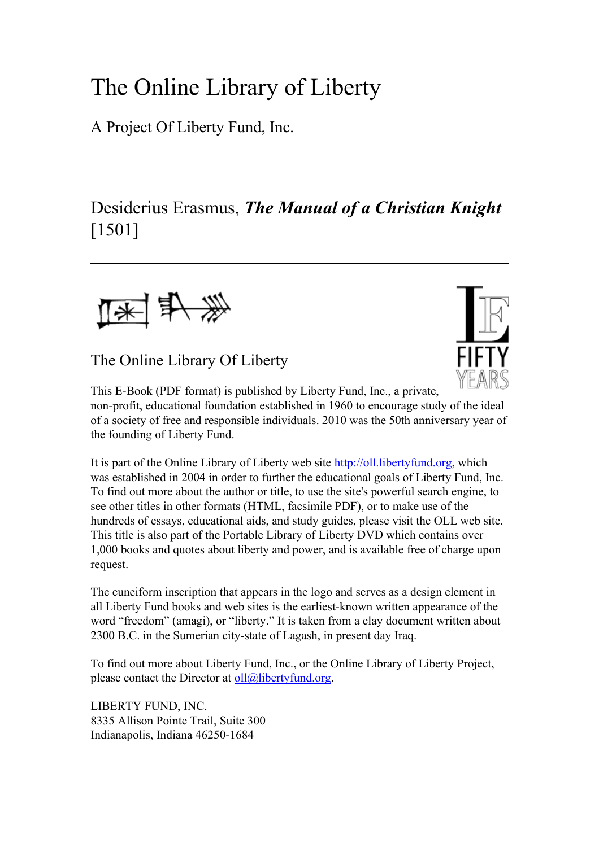# The Online Library of Liberty

A Project Of Liberty Fund, Inc.

## Desiderius Erasmus, *The Manual of a Christian Knight* [1501]



The Online Library Of Liberty



This E-Book (PDF format) is published by Liberty Fund, Inc., a private, non-profit, educational foundation established in 1960 to encourage study of the ideal of a society of free and responsible individuals. 2010 was the 50th anniversary year of the founding of Liberty Fund.

It is part of the Online Library of Liberty web site [http://oll.libertyfund.org,](http://oll.libertyfund.org) which was established in 2004 in order to further the educational goals of Liberty Fund, Inc. To find out more about the author or title, to use the site's powerful search engine, to see other titles in other formats (HTML, facsimile PDF), or to make use of the hundreds of essays, educational aids, and study guides, please visit the OLL web site. This title is also part of the Portable Library of Liberty DVD which contains over 1,000 books and quotes about liberty and power, and is available free of charge upon request.

The cuneiform inscription that appears in the logo and serves as a design element in all Liberty Fund books and web sites is the earliest-known written appearance of the word "freedom" (amagi), or "liberty." It is taken from a clay document written about 2300 B.C. in the Sumerian city-state of Lagash, in present day Iraq.

To find out more about Liberty Fund, Inc., or the Online Library of Liberty Project, please contact the Director at  $oll@libertvfund.org.$ 

LIBERTY FUND, INC. 8335 Allison Pointe Trail, Suite 300 Indianapolis, Indiana 46250-1684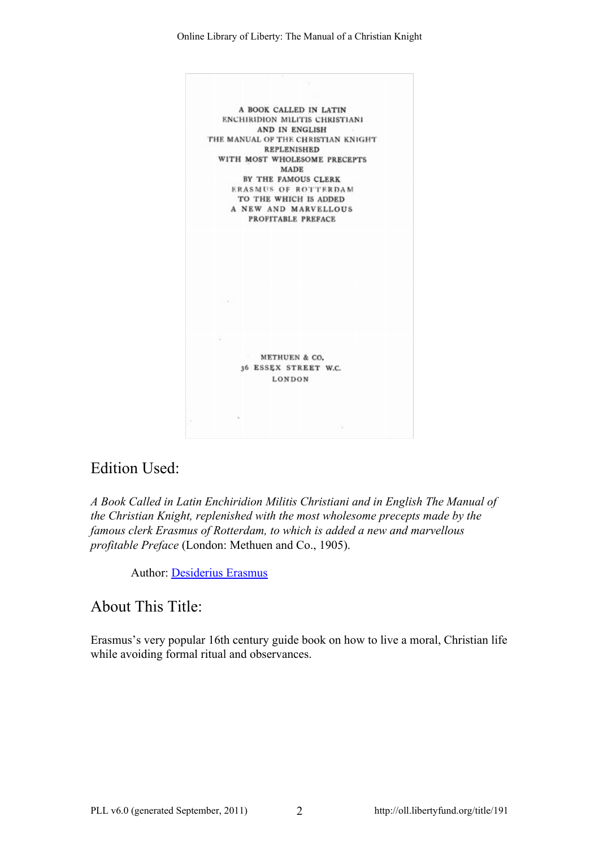

### Edition Used:

*A Book Called in Latin Enchiridion Militis Christiani and in English The Manual of the Christian Knight, replenished with the most wholesome precepts made by the famous clerk Erasmus of Rotterdam, to which is added a new and marvellous profitable Preface* (London: Methuen and Co., 1905).

Author: [Desiderius Erasmus](http://oll.libertyfund.org/person/22)

About This Title:

Erasmus's very popular 16th century guide book on how to live a moral, Christian life while avoiding formal ritual and observances.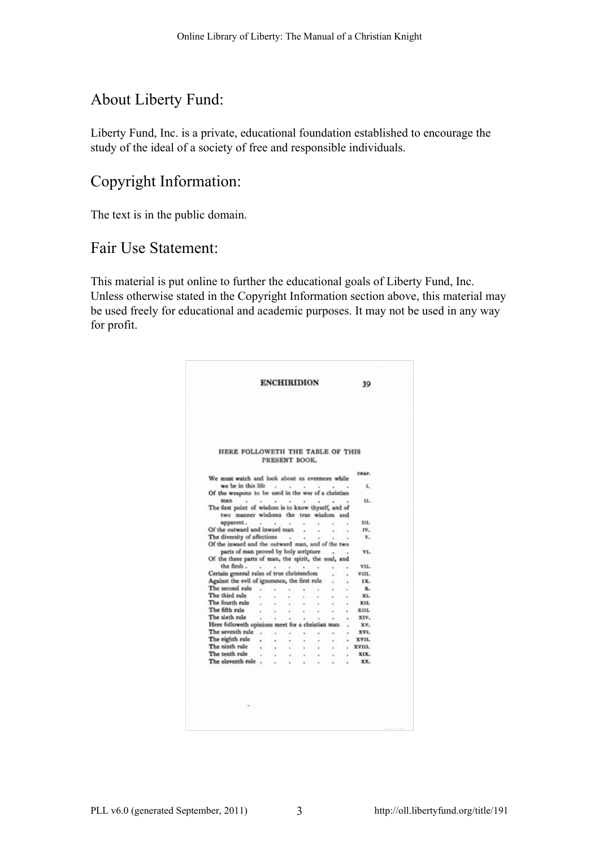### About Liberty Fund:

Liberty Fund, Inc. is a private, educational foundation established to encourage the study of the ideal of a society of free and responsible individuals.

### Copyright Information:

The text is in the public domain.

### Fair Use Statement:

This material is put online to further the educational goals of Liberty Fund, Inc. Unless otherwise stated in the Copyright Information section above, this material may be used freely for educational and academic purposes. It may not be used in any way for profit.

| HERE FOLLOWETH THE TABLE OF THIS<br>PRESENT BOOK.<br>CHAP.<br>We must watch and look about us evermore while<br>we be in this life<br>I.,<br>Of the weapons to be used in the war of a christian<br>man<br>$\cdot$ $\cdot$ $\cdot$ $\cdot$ $\cdot$<br>н.<br>The first point of wisdom is to know thyself, and of<br>two manner wisdoms the true wisdom and<br>apparent. .<br>III.<br>Of the outward and inward man<br>IV.<br>$\sim$<br>$\sim$<br>The diversity of affections<br>v.<br>$\cdots$<br>$\blacksquare$<br>$\sim$<br>Of the inward and the outward man, and of the two<br>parts of man proved by holy scripture<br>VI.<br>Of the three parts of man, the spirit, the soul, and<br>the flesh.<br>$\sim$<br>VII.<br>$\sim$<br>$\cdots$<br>$\sim$<br>ä.<br>Certain general rules of true christendom<br>VIII.<br>Against the evil of ignorance, the first rule<br>IX.<br>¥.<br>٠<br>The second rule.<br>$\mathbf{x}$<br>$\sim$<br>$\sim$<br>÷.<br>×.<br>×<br>The third rule<br>XL.<br>$\sim$<br><b>College College</b><br>$\sim$<br>a.<br>$\mathbf{r}$<br>$\sim$<br>٠<br>The fourth rule<br>XII.<br>×.<br>٠<br>The fifth rule<br>XIII.<br>$\sim$<br>$\sim$<br>a.<br>i.<br>$\alpha$<br>$\sim$<br>$\bar{a}$<br>The sixth rule<br>XIV.<br><b>1999</b><br>$\sim$<br>$\ddot{\phantom{1}}$<br>$\rightarrow$<br>$\cdot$<br>Here followeth opinions meet for a christian man.<br>XV.<br>The seventh rule<br>÷<br>$\cdot$ $\cdot$<br>XVI.<br>$\sim$<br>×.<br>The eighth rule<br>XVII.<br>¥.<br>$\cdot$<br>$\mathbf{r}$<br>×<br>$\bullet$<br>٠<br>The ninth rule<br>$\cdot$ $\cdot$<br>XVIII.<br>a.<br>×<br>٠<br>$\sim$<br>٠<br>The tenth rule<br>XIX.<br>$\sim$<br>$\mathbf{a}$<br>$\sim$<br>$-4.1$<br><b>ALC</b><br>٠<br>The eleventh rule.<br>XX.<br>14<br>$\mathbf{r}$<br>$\alpha$<br>٠<br>٠<br>$\bullet$ |  | <b>ENCHIRIDION</b> |  |  | 39 |
|-----------------------------------------------------------------------------------------------------------------------------------------------------------------------------------------------------------------------------------------------------------------------------------------------------------------------------------------------------------------------------------------------------------------------------------------------------------------------------------------------------------------------------------------------------------------------------------------------------------------------------------------------------------------------------------------------------------------------------------------------------------------------------------------------------------------------------------------------------------------------------------------------------------------------------------------------------------------------------------------------------------------------------------------------------------------------------------------------------------------------------------------------------------------------------------------------------------------------------------------------------------------------------------------------------------------------------------------------------------------------------------------------------------------------------------------------------------------------------------------------------------------------------------------------------------------------------------------------------------------------------------------------------------------------------------------------------------------------------------------------------------------------------------------------------------|--|--------------------|--|--|----|
|                                                                                                                                                                                                                                                                                                                                                                                                                                                                                                                                                                                                                                                                                                                                                                                                                                                                                                                                                                                                                                                                                                                                                                                                                                                                                                                                                                                                                                                                                                                                                                                                                                                                                                                                                                                                           |  |                    |  |  |    |
|                                                                                                                                                                                                                                                                                                                                                                                                                                                                                                                                                                                                                                                                                                                                                                                                                                                                                                                                                                                                                                                                                                                                                                                                                                                                                                                                                                                                                                                                                                                                                                                                                                                                                                                                                                                                           |  |                    |  |  |    |
|                                                                                                                                                                                                                                                                                                                                                                                                                                                                                                                                                                                                                                                                                                                                                                                                                                                                                                                                                                                                                                                                                                                                                                                                                                                                                                                                                                                                                                                                                                                                                                                                                                                                                                                                                                                                           |  |                    |  |  |    |
|                                                                                                                                                                                                                                                                                                                                                                                                                                                                                                                                                                                                                                                                                                                                                                                                                                                                                                                                                                                                                                                                                                                                                                                                                                                                                                                                                                                                                                                                                                                                                                                                                                                                                                                                                                                                           |  |                    |  |  |    |
|                                                                                                                                                                                                                                                                                                                                                                                                                                                                                                                                                                                                                                                                                                                                                                                                                                                                                                                                                                                                                                                                                                                                                                                                                                                                                                                                                                                                                                                                                                                                                                                                                                                                                                                                                                                                           |  |                    |  |  |    |
|                                                                                                                                                                                                                                                                                                                                                                                                                                                                                                                                                                                                                                                                                                                                                                                                                                                                                                                                                                                                                                                                                                                                                                                                                                                                                                                                                                                                                                                                                                                                                                                                                                                                                                                                                                                                           |  |                    |  |  |    |
|                                                                                                                                                                                                                                                                                                                                                                                                                                                                                                                                                                                                                                                                                                                                                                                                                                                                                                                                                                                                                                                                                                                                                                                                                                                                                                                                                                                                                                                                                                                                                                                                                                                                                                                                                                                                           |  |                    |  |  |    |
|                                                                                                                                                                                                                                                                                                                                                                                                                                                                                                                                                                                                                                                                                                                                                                                                                                                                                                                                                                                                                                                                                                                                                                                                                                                                                                                                                                                                                                                                                                                                                                                                                                                                                                                                                                                                           |  |                    |  |  |    |
|                                                                                                                                                                                                                                                                                                                                                                                                                                                                                                                                                                                                                                                                                                                                                                                                                                                                                                                                                                                                                                                                                                                                                                                                                                                                                                                                                                                                                                                                                                                                                                                                                                                                                                                                                                                                           |  |                    |  |  |    |
|                                                                                                                                                                                                                                                                                                                                                                                                                                                                                                                                                                                                                                                                                                                                                                                                                                                                                                                                                                                                                                                                                                                                                                                                                                                                                                                                                                                                                                                                                                                                                                                                                                                                                                                                                                                                           |  |                    |  |  |    |
|                                                                                                                                                                                                                                                                                                                                                                                                                                                                                                                                                                                                                                                                                                                                                                                                                                                                                                                                                                                                                                                                                                                                                                                                                                                                                                                                                                                                                                                                                                                                                                                                                                                                                                                                                                                                           |  |                    |  |  |    |
|                                                                                                                                                                                                                                                                                                                                                                                                                                                                                                                                                                                                                                                                                                                                                                                                                                                                                                                                                                                                                                                                                                                                                                                                                                                                                                                                                                                                                                                                                                                                                                                                                                                                                                                                                                                                           |  |                    |  |  |    |
|                                                                                                                                                                                                                                                                                                                                                                                                                                                                                                                                                                                                                                                                                                                                                                                                                                                                                                                                                                                                                                                                                                                                                                                                                                                                                                                                                                                                                                                                                                                                                                                                                                                                                                                                                                                                           |  |                    |  |  |    |
|                                                                                                                                                                                                                                                                                                                                                                                                                                                                                                                                                                                                                                                                                                                                                                                                                                                                                                                                                                                                                                                                                                                                                                                                                                                                                                                                                                                                                                                                                                                                                                                                                                                                                                                                                                                                           |  |                    |  |  |    |
|                                                                                                                                                                                                                                                                                                                                                                                                                                                                                                                                                                                                                                                                                                                                                                                                                                                                                                                                                                                                                                                                                                                                                                                                                                                                                                                                                                                                                                                                                                                                                                                                                                                                                                                                                                                                           |  |                    |  |  |    |
|                                                                                                                                                                                                                                                                                                                                                                                                                                                                                                                                                                                                                                                                                                                                                                                                                                                                                                                                                                                                                                                                                                                                                                                                                                                                                                                                                                                                                                                                                                                                                                                                                                                                                                                                                                                                           |  |                    |  |  |    |
|                                                                                                                                                                                                                                                                                                                                                                                                                                                                                                                                                                                                                                                                                                                                                                                                                                                                                                                                                                                                                                                                                                                                                                                                                                                                                                                                                                                                                                                                                                                                                                                                                                                                                                                                                                                                           |  |                    |  |  |    |
|                                                                                                                                                                                                                                                                                                                                                                                                                                                                                                                                                                                                                                                                                                                                                                                                                                                                                                                                                                                                                                                                                                                                                                                                                                                                                                                                                                                                                                                                                                                                                                                                                                                                                                                                                                                                           |  |                    |  |  |    |
|                                                                                                                                                                                                                                                                                                                                                                                                                                                                                                                                                                                                                                                                                                                                                                                                                                                                                                                                                                                                                                                                                                                                                                                                                                                                                                                                                                                                                                                                                                                                                                                                                                                                                                                                                                                                           |  |                    |  |  |    |
|                                                                                                                                                                                                                                                                                                                                                                                                                                                                                                                                                                                                                                                                                                                                                                                                                                                                                                                                                                                                                                                                                                                                                                                                                                                                                                                                                                                                                                                                                                                                                                                                                                                                                                                                                                                                           |  |                    |  |  |    |
|                                                                                                                                                                                                                                                                                                                                                                                                                                                                                                                                                                                                                                                                                                                                                                                                                                                                                                                                                                                                                                                                                                                                                                                                                                                                                                                                                                                                                                                                                                                                                                                                                                                                                                                                                                                                           |  |                    |  |  |    |
|                                                                                                                                                                                                                                                                                                                                                                                                                                                                                                                                                                                                                                                                                                                                                                                                                                                                                                                                                                                                                                                                                                                                                                                                                                                                                                                                                                                                                                                                                                                                                                                                                                                                                                                                                                                                           |  |                    |  |  |    |
|                                                                                                                                                                                                                                                                                                                                                                                                                                                                                                                                                                                                                                                                                                                                                                                                                                                                                                                                                                                                                                                                                                                                                                                                                                                                                                                                                                                                                                                                                                                                                                                                                                                                                                                                                                                                           |  |                    |  |  |    |
|                                                                                                                                                                                                                                                                                                                                                                                                                                                                                                                                                                                                                                                                                                                                                                                                                                                                                                                                                                                                                                                                                                                                                                                                                                                                                                                                                                                                                                                                                                                                                                                                                                                                                                                                                                                                           |  |                    |  |  |    |
|                                                                                                                                                                                                                                                                                                                                                                                                                                                                                                                                                                                                                                                                                                                                                                                                                                                                                                                                                                                                                                                                                                                                                                                                                                                                                                                                                                                                                                                                                                                                                                                                                                                                                                                                                                                                           |  |                    |  |  |    |
|                                                                                                                                                                                                                                                                                                                                                                                                                                                                                                                                                                                                                                                                                                                                                                                                                                                                                                                                                                                                                                                                                                                                                                                                                                                                                                                                                                                                                                                                                                                                                                                                                                                                                                                                                                                                           |  |                    |  |  |    |
|                                                                                                                                                                                                                                                                                                                                                                                                                                                                                                                                                                                                                                                                                                                                                                                                                                                                                                                                                                                                                                                                                                                                                                                                                                                                                                                                                                                                                                                                                                                                                                                                                                                                                                                                                                                                           |  |                    |  |  |    |
|                                                                                                                                                                                                                                                                                                                                                                                                                                                                                                                                                                                                                                                                                                                                                                                                                                                                                                                                                                                                                                                                                                                                                                                                                                                                                                                                                                                                                                                                                                                                                                                                                                                                                                                                                                                                           |  |                    |  |  |    |
|                                                                                                                                                                                                                                                                                                                                                                                                                                                                                                                                                                                                                                                                                                                                                                                                                                                                                                                                                                                                                                                                                                                                                                                                                                                                                                                                                                                                                                                                                                                                                                                                                                                                                                                                                                                                           |  |                    |  |  |    |
|                                                                                                                                                                                                                                                                                                                                                                                                                                                                                                                                                                                                                                                                                                                                                                                                                                                                                                                                                                                                                                                                                                                                                                                                                                                                                                                                                                                                                                                                                                                                                                                                                                                                                                                                                                                                           |  |                    |  |  |    |
|                                                                                                                                                                                                                                                                                                                                                                                                                                                                                                                                                                                                                                                                                                                                                                                                                                                                                                                                                                                                                                                                                                                                                                                                                                                                                                                                                                                                                                                                                                                                                                                                                                                                                                                                                                                                           |  |                    |  |  |    |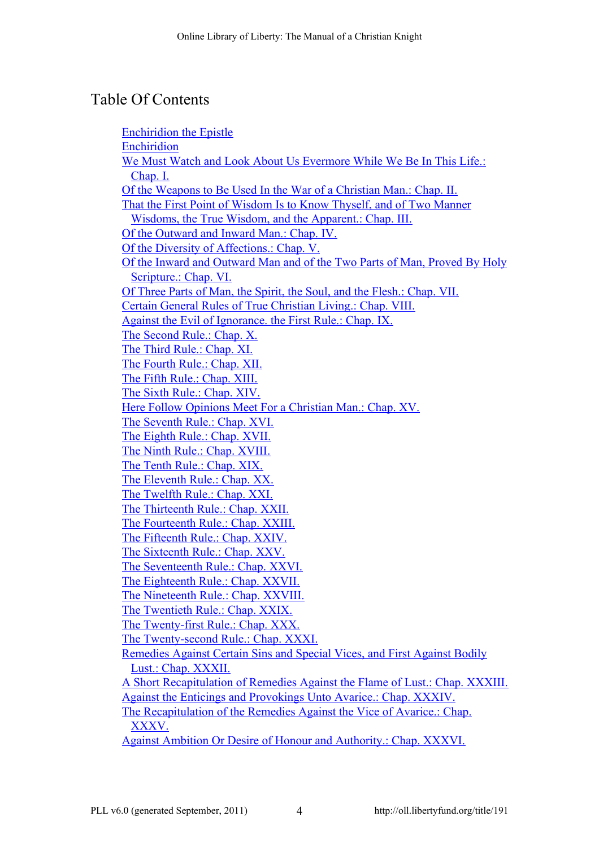### Table Of Contents

[Enchiridion the Epistle](#page-5-0) [Enchiridion](#page-20-0) [We Must Watch and Look About Us Evermore While We Be In This Life.:](#page-21-0) [Chap. I.](#page-21-0) [Of the Weapons to Be Used In the War of a Christian Man.: Chap. II.](#page-27-0) [That the First Point of Wisdom Is to Know Thyself, and of Two Manner](#page-36-0) [Wisdoms, the True Wisdom, and the Apparent.: Chap. III.](#page-36-0) [Of the Outward and Inward Man.: Chap. IV.](#page-40-0) [Of the Diversity of Affections.: Chap. V.](#page-44-0) [Of the Inward and Outward Man and of the Two Parts of Man, Proved By Holy](#page-48-0) [Scripture.: Chap. VI.](#page-48-0) [Of Three Parts of Man, the Spirit, the Soul, and the Flesh.: Chap. VII.](#page-53-0) [Certain General Rules of True Christian Living.: Chap. VIII.](#page-56-0) [Against the Evil of Ignorance. the First Rule.: Chap. IX.](#page-58-0) [The Second Rule.: Chap. X.](#page-59-0) [The Third Rule.: Chap. XI.](#page-62-0) [The Fourth Rule.: Chap. XII.](#page-66-0) [The Fifth Rule.: Chap. XIII.](#page-71-0) [The Sixth Rule.: Chap. XIV.](#page-88-0) [Here Follow Opinions Meet For a Christian Man.: Chap. XV.](#page-98-0) [The Seventh Rule.: Chap. XVI.](#page-109-0) [The Eighth Rule.: Chap. XVII.](#page-111-0) [The Ninth Rule.: Chap. XVIII.](#page-112-0) [The Tenth Rule.: Chap. XIX.](#page-113-0) [The Eleventh Rule.: Chap. XX.](#page-114-0) [The Twelfth Rule.: Chap. XXI.](#page-115-0) [The Thirteenth Rule.: Chap. XXII.](#page-116-0) [The Fourteenth Rule.: Chap. XXIII.](#page-117-0) [The Fifteenth Rule.: Chap. XXIV.](#page-118-0) [The Sixteenth Rule.: Chap. XXV.](#page-119-0) [The Seventeenth Rule.: Chap. XXVI.](#page-120-0) [The Eighteenth Rule.: Chap. XXVII.](#page-122-0) [The Nineteenth Rule.: Chap. XXVIII.](#page-123-0) [The Twentieth Rule.: Chap. XXIX.](#page-124-0) [The Twenty-first Rule.: Chap. XXX.](#page-125-0) [The Twenty-second Rule.: Chap. XXXI.](#page-126-0) [Remedies Against Certain Sins and Special Vices, and First Against Bodily](#page-127-0) [Lust.: Chap. XXXII.](#page-127-0) [A Short Recapitulation of Remedies Against the Flame of Lust.: Chap. XXXIII.](#page-132-0) [Against the Enticings and Provokings Unto Avarice.: Chap. XXXIV.](#page-133-0) [The Recapitulation of the Remedies Against the Vice of Avarice.: Chap.](#page-136-0) [XXXV.](#page-136-0) [Against Ambition Or Desire of Honour and Authority.: Chap. XXXVI.](#page-137-0)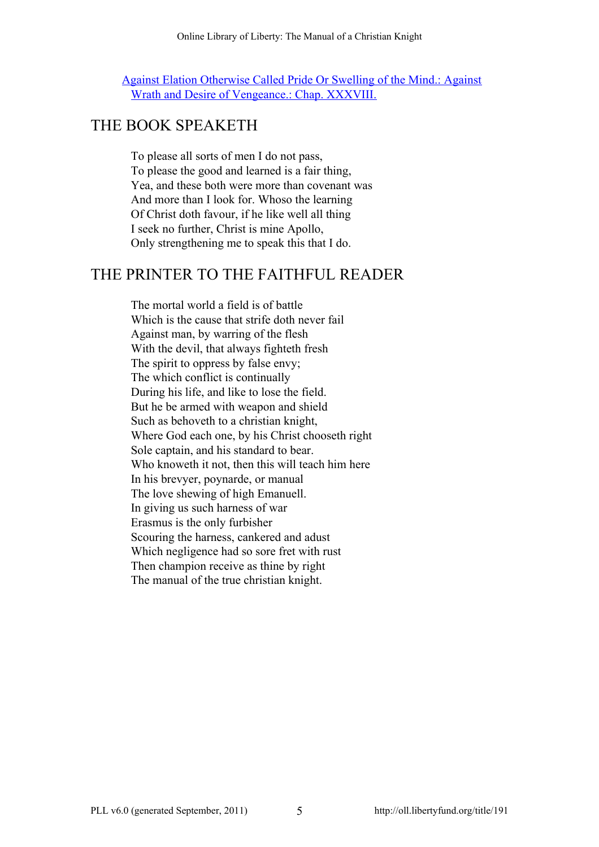[Against Elation Otherwise Called Pride Or Swelling of the Mind.: Against](#page-139-0) [Wrath and Desire of Vengeance.: Chap. XXXVIII.](#page-139-0)

### THE BOOK SPEAKETH

To please all sorts of men I do not pass, To please the good and learned is a fair thing, Yea, and these both were more than covenant was And more than I look for. Whoso the learning Of Christ doth favour, if he like well all thing I seek no further, Christ is mine Apollo, Only strengthening me to speak this that I do.

### THE PRINTER TO THE FAITHFUL READER

The mortal world a field is of battle Which is the cause that strife doth never fail Against man, by warring of the flesh With the devil, that always fighteth fresh The spirit to oppress by false envy; The which conflict is continually During his life, and like to lose the field. But he be armed with weapon and shield Such as behoveth to a christian knight, Where God each one, by his Christ chooseth right Sole captain, and his standard to bear. Who knoweth it not, then this will teach him here In his brevyer, poynarde, or manual The love shewing of high Emanuell. In giving us such harness of war Erasmus is the only furbisher Scouring the harness, cankered and adust Which negligence had so sore fret with rust Then champion receive as thine by right The manual of the true christian knight.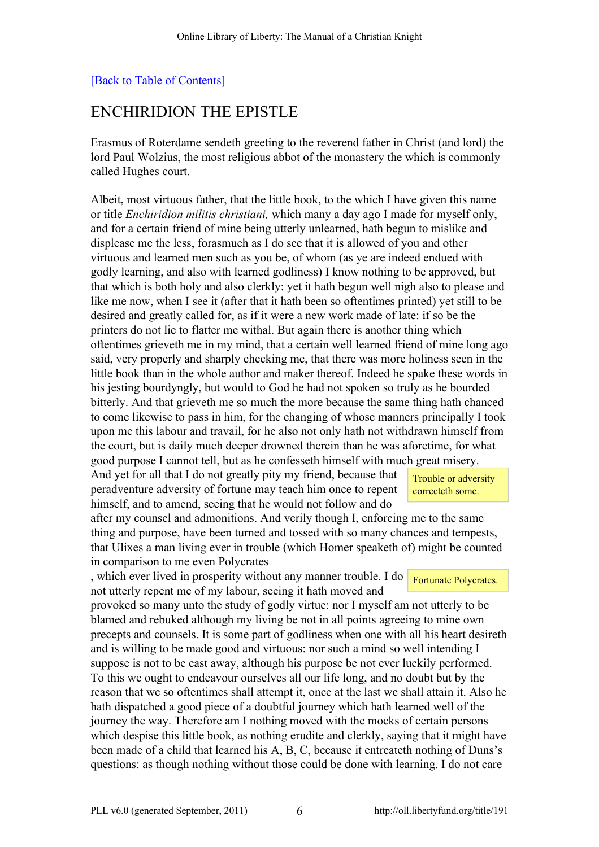#### <span id="page-5-0"></span>[Back to Table of Contents]

### ENCHIRIDION THE EPISTLE

Erasmus of Roterdame sendeth greeting to the reverend father in Christ (and lord) the lord Paul Wolzius, the most religious abbot of the monastery the which is commonly called Hughes court.

Albeit, most virtuous father, that the little book, to the which I have given this name or title *Enchiridion militis christiani,* which many a day ago I made for myself only, and for a certain friend of mine being utterly unlearned, hath begun to mislike and displease me the less, forasmuch as I do see that it is allowed of you and other virtuous and learned men such as you be, of whom (as ye are indeed endued with godly learning, and also with learned godliness) I know nothing to be approved, but that which is both holy and also clerkly: yet it hath begun well nigh also to please and like me now, when I see it (after that it hath been so oftentimes printed) yet still to be desired and greatly called for, as if it were a new work made of late: if so be the printers do not lie to flatter me withal. But again there is another thing which oftentimes grieveth me in my mind, that a certain well learned friend of mine long ago said, very properly and sharply checking me, that there was more holiness seen in the little book than in the whole author and maker thereof. Indeed he spake these words in his jesting bourdyngly, but would to God he had not spoken so truly as he bourded bitterly. And that grieveth me so much the more because the same thing hath chanced to come likewise to pass in him, for the changing of whose manners principally I took upon me this labour and travail, for he also not only hath not withdrawn himself from the court, but is daily much deeper drowned therein than he was aforetime, for what good purpose I cannot tell, but as he confesseth himself with much great misery.

And yet for all that I do not greatly pity my friend, because that peradventure adversity of fortune may teach him once to repent himself, and to amend, seeing that he would not follow and do

Trouble or adversity correcteth some.

Fortunate Polycrates.

after my counsel and admonitions. And verily though I, enforcing me to the same thing and purpose, have been turned and tossed with so many chances and tempests, that Ulixes a man living ever in trouble (which Homer speaketh of) might be counted in comparison to me even Polycrates

, which ever lived in prosperity without any manner trouble. I do not utterly repent me of my labour, seeing it hath moved and

provoked so many unto the study of godly virtue: nor I myself am not utterly to be blamed and rebuked although my living be not in all points agreeing to mine own precepts and counsels. It is some part of godliness when one with all his heart desireth and is willing to be made good and virtuous: nor such a mind so well intending I suppose is not to be cast away, although his purpose be not ever luckily performed. To this we ought to endeavour ourselves all our life long, and no doubt but by the reason that we so oftentimes shall attempt it, once at the last we shall attain it. Also he hath dispatched a good piece of a doubtful journey which hath learned well of the journey the way. Therefore am I nothing moved with the mocks of certain persons which despise this little book, as nothing erudite and clerkly, saying that it might have been made of a child that learned his A, B, C, because it entreateth nothing of Duns's questions: as though nothing without those could be done with learning. I do not care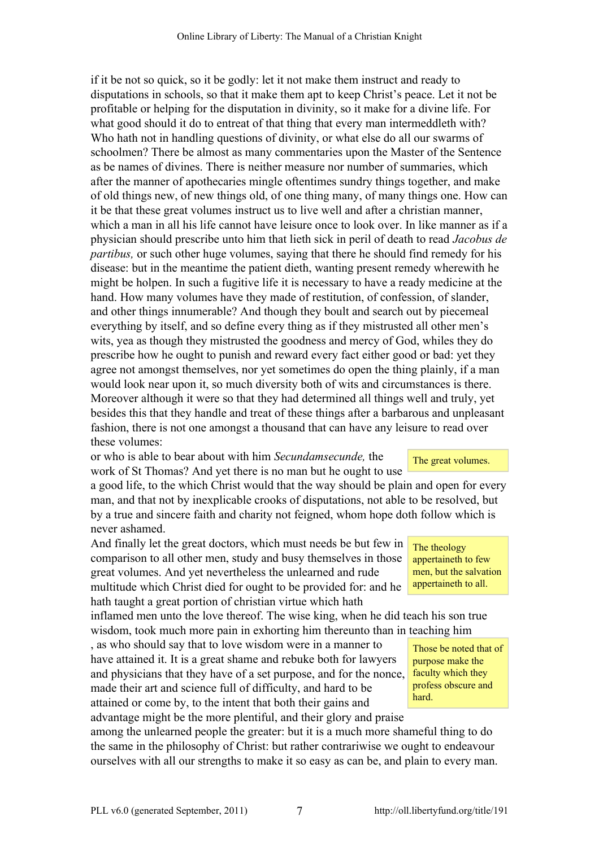if it be not so quick, so it be godly: let it not make them instruct and ready to disputations in schools, so that it make them apt to keep Christ's peace. Let it not be profitable or helping for the disputation in divinity, so it make for a divine life. For what good should it do to entreat of that thing that every man intermeddleth with? Who hath not in handling questions of divinity, or what else do all our swarms of schoolmen? There be almost as many commentaries upon the Master of the Sentence as be names of divines. There is neither measure nor number of summaries, which after the manner of apothecaries mingle oftentimes sundry things together, and make of old things new, of new things old, of one thing many, of many things one. How can it be that these great volumes instruct us to live well and after a christian manner, which a man in all his life cannot have leisure once to look over. In like manner as if a physician should prescribe unto him that lieth sick in peril of death to read *Jacobus de partibus,* or such other huge volumes, saying that there he should find remedy for his disease: but in the meantime the patient dieth, wanting present remedy wherewith he might be holpen. In such a fugitive life it is necessary to have a ready medicine at the hand. How many volumes have they made of restitution, of confession, of slander, and other things innumerable? And though they boult and search out by piecemeal everything by itself, and so define every thing as if they mistrusted all other men's wits, yea as though they mistrusted the goodness and mercy of God, whiles they do prescribe how he ought to punish and reward every fact either good or bad: yet they agree not amongst themselves, nor yet sometimes do open the thing plainly, if a man would look near upon it, so much diversity both of wits and circumstances is there. Moreover although it were so that they had determined all things well and truly, yet besides this that they handle and treat of these things after a barbarous and unpleasant fashion, there is not one amongst a thousand that can have any leisure to read over these volumes:

or who is able to bear about with him *Secundamsecunde,* the work of St Thomas? And yet there is no man but he ought to use

a good life, to the which Christ would that the way should be plain and open for every man, and that not by inexplicable crooks of disputations, not able to be resolved, but by a true and sincere faith and charity not feigned, whom hope doth follow which is never ashamed.

And finally let the great doctors, which must needs be but few in comparison to all other men, study and busy themselves in those great volumes. And yet nevertheless the unlearned and rude multitude which Christ died for ought to be provided for: and he hath taught a great portion of christian virtue which hath

inflamed men unto the love thereof. The wise king, when he did teach his son true wisdom, took much more pain in exhorting him thereunto than in teaching him

, as who should say that to love wisdom were in a manner to have attained it. It is a great shame and rebuke both for lawyers and physicians that they have of a set purpose, and for the nonce, made their art and science full of difficulty, and hard to be attained or come by, to the intent that both their gains and advantage might be the more plentiful, and their glory and praise

among the unlearned people the greater: but it is a much more shameful thing to do the same in the philosophy of Christ: but rather contrariwise we ought to endeavour ourselves with all our strengths to make it so easy as can be, and plain to every man.

The theology appertaineth to few men, but the salvation appertaineth to all.

The great volumes.

Those be noted that of purpose make the faculty which they profess obscure and hard.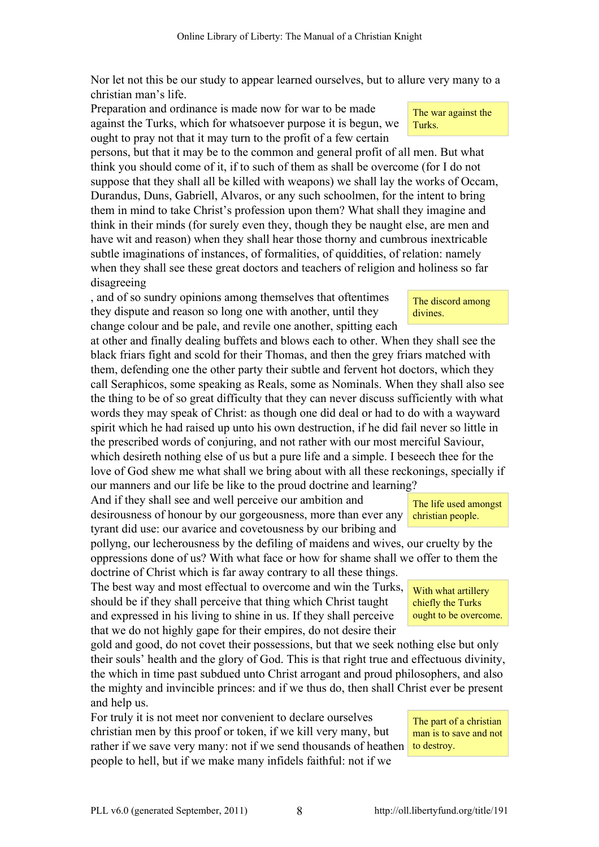Nor let not this be our study to appear learned ourselves, but to allure very many to a christian man's life.

Preparation and ordinance is made now for war to be made against the Turks, which for whatsoever purpose it is begun, we ought to pray not that it may turn to the profit of a few certain

persons, but that it may be to the common and general profit of all men. But what think you should come of it, if to such of them as shall be overcome (for I do not suppose that they shall all be killed with weapons) we shall lay the works of Occam, Durandus, Duns, Gabriell, Alvaros, or any such schoolmen, for the intent to bring them in mind to take Christ's profession upon them? What shall they imagine and think in their minds (for surely even they, though they be naught else, are men and have wit and reason) when they shall hear those thorny and cumbrous inextricable subtle imaginations of instances, of formalities, of quiddities, of relation: namely when they shall see these great doctors and teachers of religion and holiness so far disagreeing

, and of so sundry opinions among themselves that oftentimes they dispute and reason so long one with another, until they change colour and be pale, and revile one another, spitting each

at other and finally dealing buffets and blows each to other. When they shall see the black friars fight and scold for their Thomas, and then the grey friars matched with them, defending one the other party their subtle and fervent hot doctors, which they call Seraphicos, some speaking as Reals, some as Nominals. When they shall also see the thing to be of so great difficulty that they can never discuss sufficiently with what words they may speak of Christ: as though one did deal or had to do with a wayward spirit which he had raised up unto his own destruction, if he did fail never so little in the prescribed words of conjuring, and not rather with our most merciful Saviour, which desireth nothing else of us but a pure life and a simple. I beseech thee for the love of God shew me what shall we bring about with all these reckonings, specially if our manners and our life be like to the proud doctrine and learning?

And if they shall see and well perceive our ambition and desirousness of honour by our gorgeousness, more than ever any tyrant did use: our avarice and covetousness by our bribing and

pollyng, our lecherousness by the defiling of maidens and wives, our cruelty by the oppressions done of us? With what face or how for shame shall we offer to them the doctrine of Christ which is far away contrary to all these things.

The best way and most effectual to overcome and win the Turks, should be if they shall perceive that thing which Christ taught and expressed in his living to shine in us. If they shall perceive that we do not highly gape for their empires, do not desire their

gold and good, do not covet their possessions, but that we seek nothing else but only their souls' health and the glory of God. This is that right true and effectuous divinity, the which in time past subdued unto Christ arrogant and proud philosophers, and also the mighty and invincible princes: and if we thus do, then shall Christ ever be present and help us.

For truly it is not meet nor convenient to declare ourselves christian men by this proof or token, if we kill very many, but rather if we save very many: not if we send thousands of heathen people to hell, but if we make many infidels faithful: not if we

The discord among divines.

The war against the

Turks.

The life used amongst christian people.

With what artillery chiefly the Turks ought to be overcome.

The part of a christian man is to save and not to destroy.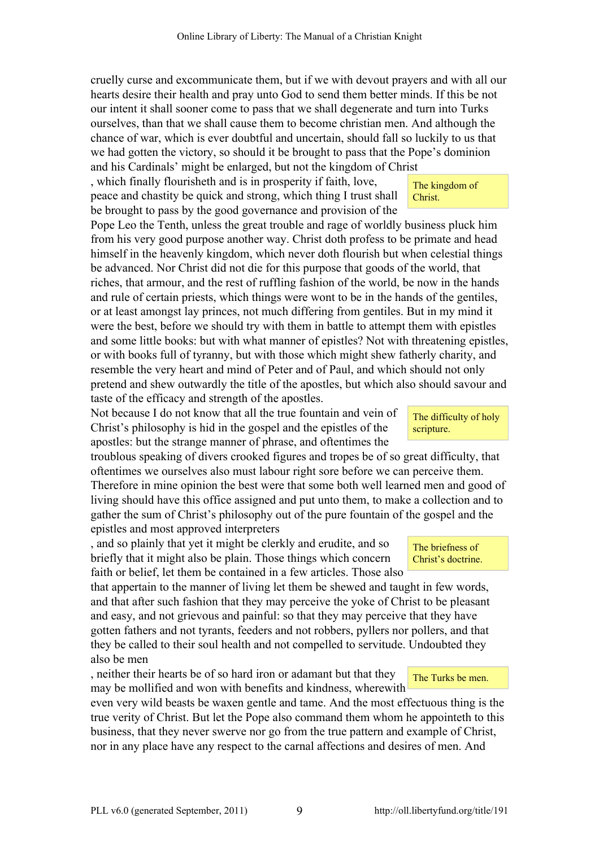cruelly curse and excommunicate them, but if we with devout prayers and with all our hearts desire their health and pray unto God to send them better minds. If this be not our intent it shall sooner come to pass that we shall degenerate and turn into Turks ourselves, than that we shall cause them to become christian men. And although the chance of war, which is ever doubtful and uncertain, should fall so luckily to us that we had gotten the victory, so should it be brought to pass that the Pope's dominion and his Cardinals' might be enlarged, but not the kingdom of Christ

, which finally flourisheth and is in prosperity if faith, love, peace and chastity be quick and strong, which thing I trust shall be brought to pass by the good governance and provision of the

Pope Leo the Tenth, unless the great trouble and rage of worldly business pluck him from his very good purpose another way. Christ doth profess to be primate and head himself in the heavenly kingdom, which never doth flourish but when celestial things be advanced. Nor Christ did not die for this purpose that goods of the world, that riches, that armour, and the rest of ruffling fashion of the world, be now in the hands and rule of certain priests, which things were wont to be in the hands of the gentiles, or at least amongst lay princes, not much differing from gentiles. But in my mind it were the best, before we should try with them in battle to attempt them with epistles and some little books: but with what manner of epistles? Not with threatening epistles, or with books full of tyranny, but with those which might shew fatherly charity, and resemble the very heart and mind of Peter and of Paul, and which should not only pretend and shew outwardly the title of the apostles, but which also should savour and taste of the efficacy and strength of the apostles.

Not because I do not know that all the true fountain and vein of Christ's philosophy is hid in the gospel and the epistles of the apostles: but the strange manner of phrase, and oftentimes the

troublous speaking of divers crooked figures and tropes be of so great difficulty, that oftentimes we ourselves also must labour right sore before we can perceive them. Therefore in mine opinion the best were that some both well learned men and good of living should have this office assigned and put unto them, to make a collection and to gather the sum of Christ's philosophy out of the pure fountain of the gospel and the epistles and most approved interpreters

, and so plainly that yet it might be clerkly and erudite, and so briefly that it might also be plain. Those things which concern faith or belief, let them be contained in a few articles. Those also

that appertain to the manner of living let them be shewed and taught in few words, and that after such fashion that they may perceive the yoke of Christ to be pleasant and easy, and not grievous and painful: so that they may perceive that they have gotten fathers and not tyrants, feeders and not robbers, pyllers nor pollers, and that they be called to their soul health and not compelled to servitude. Undoubted they also be men

, neither their hearts be of so hard iron or adamant but that they may be mollified and won with benefits and kindness, wherewith

even very wild beasts be waxen gentle and tame. And the most effectuous thing is the true verity of Christ. But let the Pope also command them whom he appointeth to this business, that they never swerve nor go from the true pattern and example of Christ, nor in any place have any respect to the carnal affections and desires of men. And

The difficulty of holy scripture.

The kingdom of Christ.

PLL v6.0 (generated September, 2011) 9 http://oll.libertyfund.org/title/191

The Turks be men.

The briefness of Christ's doctrine.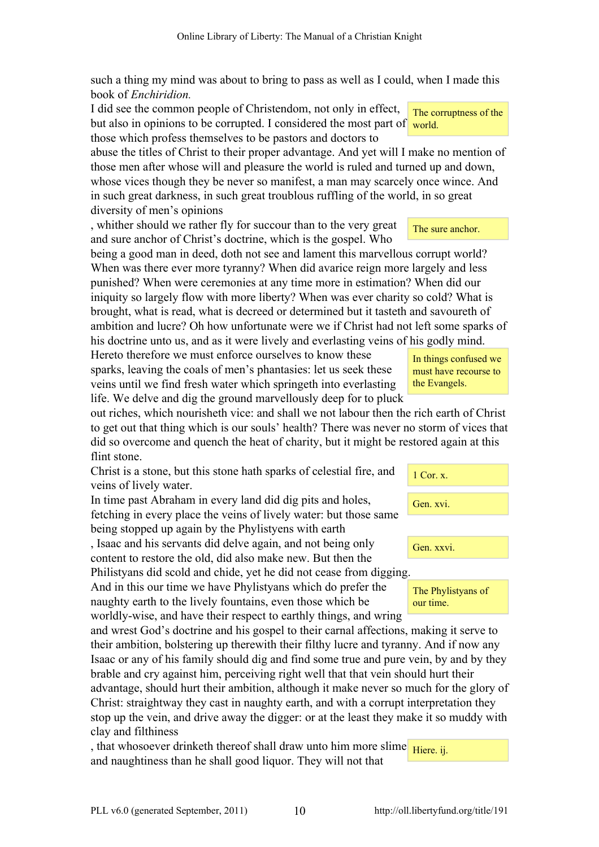such a thing my mind was about to bring to pass as well as I could, when I made this book of *Enchiridion.*

but also in opinions to be corrupted. I considered the most part of world. I did see the common people of Christendom, not only in effect, those which profess themselves to be pastors and doctors to

abuse the titles of Christ to their proper advantage. And yet will I make no mention of those men after whose will and pleasure the world is ruled and turned up and down, whose vices though they be never so manifest, a man may scarcely once wince. And in such great darkness, in such great troublous ruffling of the world, in so great diversity of men's opinions

, whither should we rather fly for succour than to the very great and sure anchor of Christ's doctrine, which is the gospel. Who

being a good man in deed, doth not see and lament this marvellous corrupt world? When was there ever more tyranny? When did avarice reign more largely and less punished? When were ceremonies at any time more in estimation? When did our iniquity so largely flow with more liberty? When was ever charity so cold? What is brought, what is read, what is decreed or determined but it tasteth and savoureth of ambition and lucre? Oh how unfortunate were we if Christ had not left some sparks of his doctrine unto us, and as it were lively and everlasting veins of his godly mind.

Hereto therefore we must enforce ourselves to know these sparks, leaving the coals of men's phantasies: let us seek these veins until we find fresh water which springeth into everlasting life. We delve and dig the ground marvellously deep for to pluck

out riches, which nourisheth vice: and shall we not labour then the rich earth of Christ to get out that thing which is our souls' health? There was never no storm of vices that did so overcome and quench the heat of charity, but it might be restored again at this flint stone.

Christ is a stone, but this stone hath sparks of celestial fire, and veins of lively water.

In time past Abraham in every land did dig pits and holes, fetching in every place the veins of lively water: but those same being stopped up again by the Phylistyens with earth

, Isaac and his servants did delve again, and not being only content to restore the old, did also make new. But then the Philistyans did scold and chide, yet he did not cease from digging.

And in this our time we have Phylistyans which do prefer the naughty earth to the lively fountains, even those which be worldly-wise, and have their respect to earthly things, and wring

and wrest God's doctrine and his gospel to their carnal affections, making it serve to their ambition, bolstering up therewith their filthy lucre and tyranny. And if now any Isaac or any of his family should dig and find some true and pure vein, by and by they brable and cry against him, perceiving right well that that vein should hurt their advantage, should hurt their ambition, although it make never so much for the glory of Christ: straightway they cast in naughty earth, and with a corrupt interpretation they stop up the vein, and drive away the digger: or at the least they make it so muddy with clay and filthiness

, that whosoever drinketh thereof shall draw unto him more slime  $\frac{H}{\text{Here, ij.}}$ and naughtiness than he shall good liquor. They will not that

In things confused we must have recourse to the Evangels.



Gen. xxvi.

The Phylistyans of our time.

The corruptness of the

The sure anchor.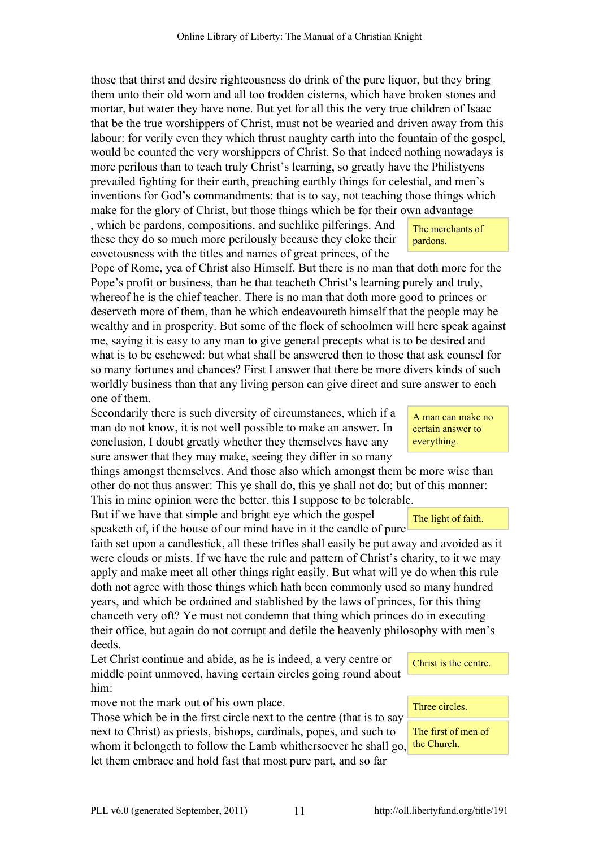those that thirst and desire righteousness do drink of the pure liquor, but they bring them unto their old worn and all too trodden cisterns, which have broken stones and mortar, but water they have none. But yet for all this the very true children of Isaac that be the true worshippers of Christ, must not be wearied and driven away from this labour: for verily even they which thrust naughty earth into the fountain of the gospel, would be counted the very worshippers of Christ. So that indeed nothing nowadays is more perilous than to teach truly Christ's learning, so greatly have the Philistyens prevailed fighting for their earth, preaching earthly things for celestial, and men's inventions for God's commandments: that is to say, not teaching those things which make for the glory of Christ, but those things which be for their own advantage

, which be pardons, compositions, and suchlike pilferings. And these they do so much more perilously because they cloke their covetousness with the titles and names of great princes, of the

Pope of Rome, yea of Christ also Himself. But there is no man that doth more for the Pope's profit or business, than he that teacheth Christ's learning purely and truly, whereof he is the chief teacher. There is no man that doth more good to princes or deserveth more of them, than he which endeavoureth himself that the people may be wealthy and in prosperity. But some of the flock of schoolmen will here speak against me, saying it is easy to any man to give general precepts what is to be desired and what is to be eschewed: but what shall be answered then to those that ask counsel for so many fortunes and chances? First I answer that there be more divers kinds of such worldly business than that any living person can give direct and sure answer to each one of them.

Secondarily there is such diversity of circumstances, which if a man do not know, it is not well possible to make an answer. In conclusion, I doubt greatly whether they themselves have any sure answer that they may make, seeing they differ in so many

things amongst themselves. And those also which amongst them be more wise than other do not thus answer: This ye shall do, this ye shall not do; but of this manner: This in mine opinion were the better, this I suppose to be tolerable.

But if we have that simple and bright eye which the gospel speaketh of, if the house of our mind have in it the candle of pure

faith set upon a candlestick, all these trifles shall easily be put away and avoided as it were clouds or mists. If we have the rule and pattern of Christ's charity, to it we may apply and make meet all other things right easily. But what will ye do when this rule doth not agree with those things which hath been commonly used so many hundred years, and which be ordained and stablished by the laws of princes, for this thing chanceth very oft? Ye must not condemn that thing which princes do in executing their office, but again do not corrupt and defile the heavenly philosophy with men's deeds.

Let Christ continue and abide, as he is indeed, a very centre or middle point unmoved, having certain circles going round about him:

move not the mark out of his own place.

Those which be in the first circle next to the centre (that is to say next to Christ) as priests, bishops, cardinals, popes, and such to whom it belongeth to follow the Lamb whithersoever he shall go, let them embrace and hold fast that most pure part, and so far

The merchants of pardons.

A man can make no certain answer to everything.

#### The light of faith.

Christ is the centre.

Three circles.

The first of men of the Church.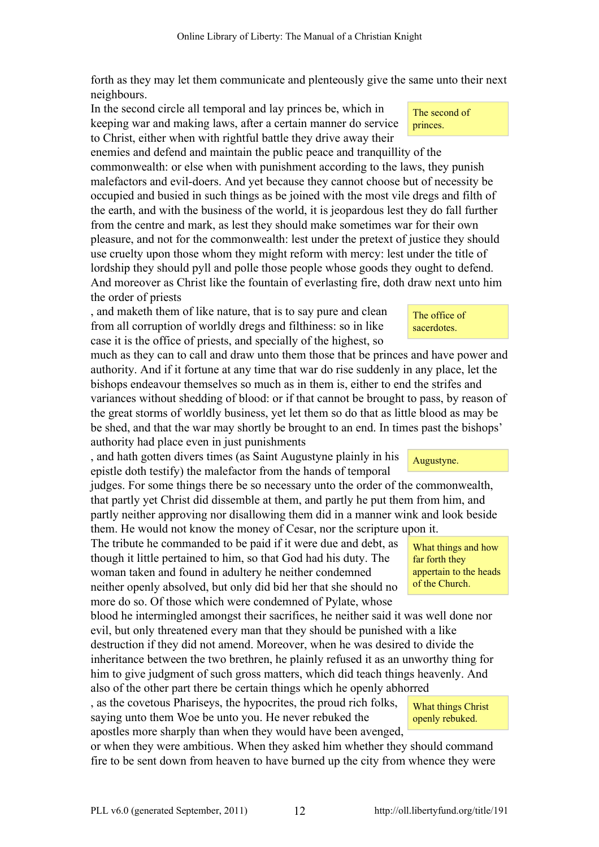forth as they may let them communicate and plenteously give the same unto their next neighbours.

In the second circle all temporal and lay princes be, which in keeping war and making laws, after a certain manner do service to Christ, either when with rightful battle they drive away their

enemies and defend and maintain the public peace and tranquillity of the commonwealth: or else when with punishment according to the laws, they punish malefactors and evil-doers. And yet because they cannot choose but of necessity be occupied and busied in such things as be joined with the most vile dregs and filth of the earth, and with the business of the world, it is jeopardous lest they do fall further from the centre and mark, as lest they should make sometimes war for their own pleasure, and not for the commonwealth: lest under the pretext of justice they should use cruelty upon those whom they might reform with mercy: lest under the title of lordship they should pyll and polle those people whose goods they ought to defend. And moreover as Christ like the fountain of everlasting fire, doth draw next unto him the order of priests

, and maketh them of like nature, that is to say pure and clean from all corruption of worldly dregs and filthiness: so in like case it is the office of priests, and specially of the highest, so

much as they can to call and draw unto them those that be princes and have power and authority. And if it fortune at any time that war do rise suddenly in any place, let the bishops endeavour themselves so much as in them is, either to end the strifes and variances without shedding of blood: or if that cannot be brought to pass, by reason of the great storms of worldly business, yet let them so do that as little blood as may be be shed, and that the war may shortly be brought to an end. In times past the bishops' authority had place even in just punishments

, and hath gotten divers times (as Saint Augustyne plainly in his epistle doth testify) the malefactor from the hands of temporal

judges. For some things there be so necessary unto the order of the commonwealth, that partly yet Christ did dissemble at them, and partly he put them from him, and partly neither approving nor disallowing them did in a manner wink and look beside them. He would not know the money of Cesar, nor the scripture upon it.

The tribute he commanded to be paid if it were due and debt, as though it little pertained to him, so that God had his duty. The woman taken and found in adultery he neither condemned neither openly absolved, but only did bid her that she should no more do so. Of those which were condemned of Pylate, whose

blood he intermingled amongst their sacrifices, he neither said it was well done nor evil, but only threatened every man that they should be punished with a like destruction if they did not amend. Moreover, when he was desired to divide the inheritance between the two brethren, he plainly refused it as an unworthy thing for him to give judgment of such gross matters, which did teach things heavenly. And also of the other part there be certain things which he openly abhorred

, as the covetous Phariseys, the hypocrites, the proud rich folks, saying unto them Woe be unto you. He never rebuked the apostles more sharply than when they would have been avenged,

or when they were ambitious. When they asked him whether they should command fire to be sent down from heaven to have burned up the city from whence they were

What things and how far forth they appertain to the heads of the Church.

The office of

sacerdotes.

Augustyne.

The second of princes.

What things Christ openly rebuked.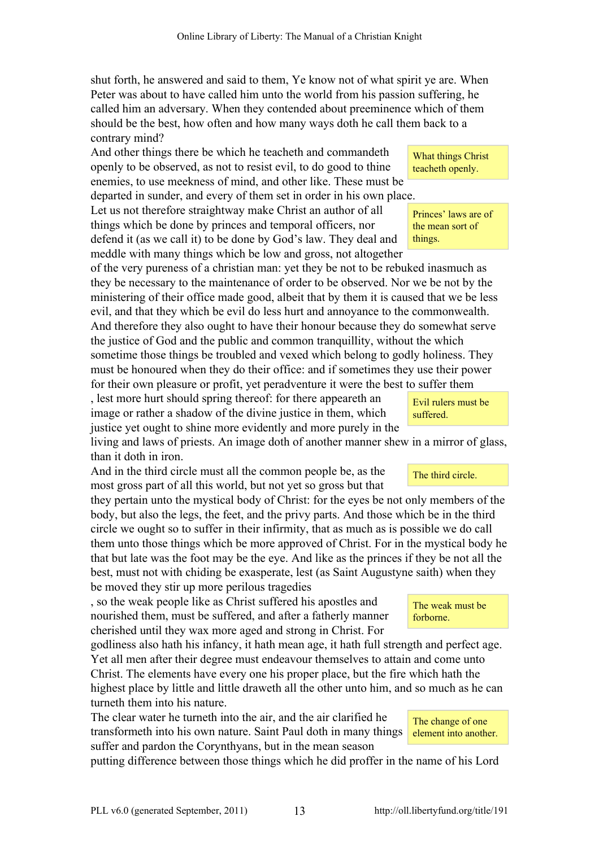shut forth, he answered and said to them, Ye know not of what spirit ye are. When Peter was about to have called him unto the world from his passion suffering, he called him an adversary. When they contended about preeminence which of them should be the best, how often and how many ways doth he call them back to a contrary mind?

And other things there be which he teacheth and commandeth openly to be observed, as not to resist evil, to do good to thine enemies, to use meekness of mind, and other like. These must be departed in sunder, and every of them set in order in his own place.

Let us not therefore straightway make Christ an author of all things which be done by princes and temporal officers, nor defend it (as we call it) to be done by God's law. They deal and meddle with many things which be low and gross, not altogether

of the very pureness of a christian man: yet they be not to be rebuked inasmuch as they be necessary to the maintenance of order to be observed. Nor we be not by the ministering of their office made good, albeit that by them it is caused that we be less evil, and that they which be evil do less hurt and annoyance to the commonwealth. And therefore they also ought to have their honour because they do somewhat serve the justice of God and the public and common tranquillity, without the which sometime those things be troubled and vexed which belong to godly holiness. They must be honoured when they do their office: and if sometimes they use their power for their own pleasure or profit, yet peradventure it were the best to suffer them

, lest more hurt should spring thereof: for there appeareth an image or rather a shadow of the divine justice in them, which justice yet ought to shine more evidently and more purely in the

living and laws of priests. An image doth of another manner shew in a mirror of glass, than it doth in iron.

And in the third circle must all the common people be, as the most gross part of all this world, but not yet so gross but that

they pertain unto the mystical body of Christ: for the eyes be not only members of the body, but also the legs, the feet, and the privy parts. And those which be in the third circle we ought so to suffer in their infirmity, that as much as is possible we do call them unto those things which be more approved of Christ. For in the mystical body he that but late was the foot may be the eye. And like as the princes if they be not all the best, must not with chiding be exasperate, lest (as Saint Augustyne saith) when they be moved they stir up more perilous tragedies

, so the weak people like as Christ suffered his apostles and nourished them, must be suffered, and after a fatherly manner cherished until they wax more aged and strong in Christ. For

godliness also hath his infancy, it hath mean age, it hath full strength and perfect age. Yet all men after their degree must endeavour themselves to attain and come unto Christ. The elements have every one his proper place, but the fire which hath the highest place by little and little draweth all the other unto him, and so much as he can turneth them into his nature.

The clear water he turneth into the air, and the air clarified he transformeth into his own nature. Saint Paul doth in many things suffer and pardon the Corynthyans, but in the mean season

putting difference between those things which he did proffer in the name of his Lord

What things Christ teacheth openly.

Princes' laws are of the mean sort of things.

Evil rulers must be suffered.

The third circle.

The weak must be forborne.

The change of one element into another.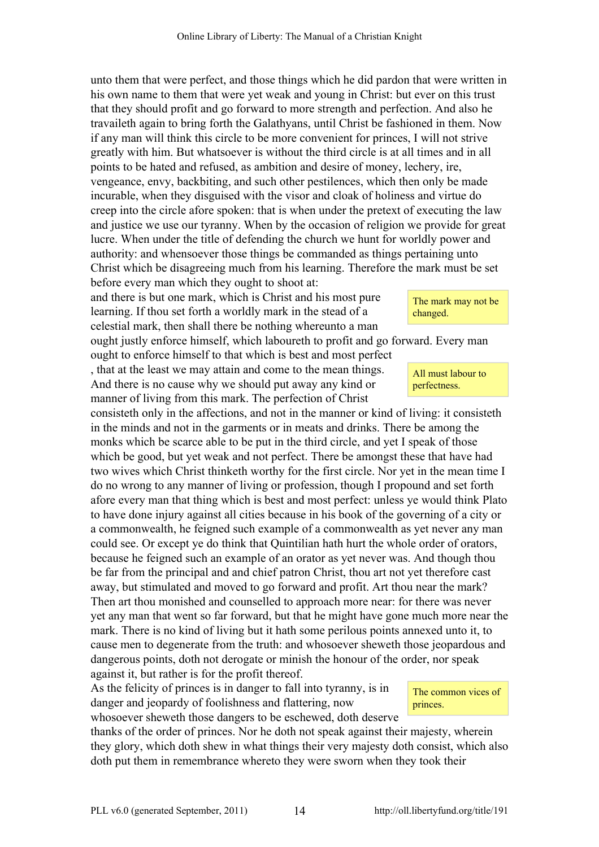unto them that were perfect, and those things which he did pardon that were written in his own name to them that were yet weak and young in Christ: but ever on this trust that they should profit and go forward to more strength and perfection. And also he travaileth again to bring forth the Galathyans, until Christ be fashioned in them. Now if any man will think this circle to be more convenient for princes, I will not strive greatly with him. But whatsoever is without the third circle is at all times and in all points to be hated and refused, as ambition and desire of money, lechery, ire, vengeance, envy, backbiting, and such other pestilences, which then only be made incurable, when they disguised with the visor and cloak of holiness and virtue do creep into the circle afore spoken: that is when under the pretext of executing the law and justice we use our tyranny. When by the occasion of religion we provide for great lucre. When under the title of defending the church we hunt for worldly power and authority: and whensoever those things be commanded as things pertaining unto Christ which be disagreeing much from his learning. Therefore the mark must be set before every man which they ought to shoot at:

and there is but one mark, which is Christ and his most pure learning. If thou set forth a worldly mark in the stead of a celestial mark, then shall there be nothing whereunto a man

ought justly enforce himself, which laboureth to profit and go forward. Every man ought to enforce himself to that which is best and most perfect

, that at the least we may attain and come to the mean things. And there is no cause why we should put away any kind or manner of living from this mark. The perfection of Christ

consisteth only in the affections, and not in the manner or kind of living: it consisteth in the minds and not in the garments or in meats and drinks. There be among the monks which be scarce able to be put in the third circle, and yet I speak of those which be good, but yet weak and not perfect. There be amongst these that have had two wives which Christ thinketh worthy for the first circle. Nor yet in the mean time I do no wrong to any manner of living or profession, though I propound and set forth afore every man that thing which is best and most perfect: unless ye would think Plato to have done injury against all cities because in his book of the governing of a city or a commonwealth, he feigned such example of a commonwealth as yet never any man could see. Or except ye do think that Quintilian hath hurt the whole order of orators, because he feigned such an example of an orator as yet never was. And though thou be far from the principal and and chief patron Christ, thou art not yet therefore cast away, but stimulated and moved to go forward and profit. Art thou near the mark? Then art thou monished and counselled to approach more near: for there was never yet any man that went so far forward, but that he might have gone much more near the mark. There is no kind of living but it hath some perilous points annexed unto it, to cause men to degenerate from the truth: and whosoever sheweth those jeopardous and dangerous points, doth not derogate or minish the honour of the order, nor speak against it, but rather is for the profit thereof.

As the felicity of princes is in danger to fall into tyranny, is in danger and jeopardy of foolishness and flattering, now whosoever sheweth those dangers to be eschewed, doth deserve

thanks of the order of princes. Nor he doth not speak against their majesty, wherein they glory, which doth shew in what things their very majesty doth consist, which also doth put them in remembrance whereto they were sworn when they took their

The mark may not be changed.

All must labour to perfectness.

The common vices of

princes.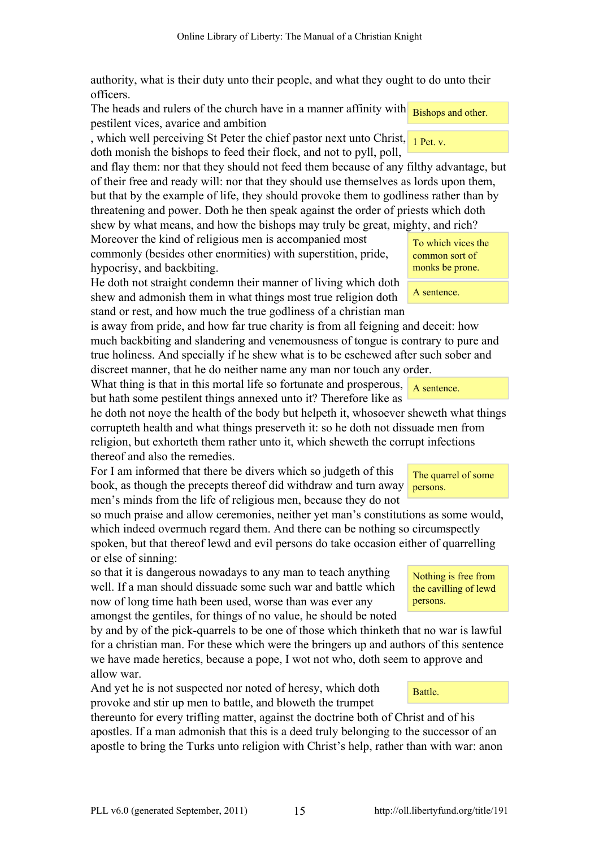authority, what is their duty unto their people, and what they ought to do unto their officers.

The heads and rulers of the church have in a manner affinity with Bishops and other. pestilent vices, avarice and ambition

, which well perceiving St Peter the chief pastor next unto Christ, 1 Pet. v. doth monish the bishops to feed their flock, and not to pyll, poll,

and flay them: nor that they should not feed them because of any filthy advantage, but of their free and ready will: nor that they should use themselves as lords upon them, but that by the example of life, they should provoke them to godliness rather than by threatening and power. Doth he then speak against the order of priests which doth shew by what means, and how the bishops may truly be great, mighty, and rich?

Moreover the kind of religious men is accompanied most commonly (besides other enormities) with superstition, pride, hypocrisy, and backbiting.

He doth not straight condemn their manner of living which doth shew and admonish them in what things most true religion doth stand or rest, and how much the true godliness of a christian man

is away from pride, and how far true charity is from all feigning and deceit: how much backbiting and slandering and venemousness of tongue is contrary to pure and true holiness. And specially if he shew what is to be eschewed after such sober and discreet manner, that he do neither name any man nor touch any order.

A sentence. What thing is that in this mortal life so fortunate and prosperous, but hath some pestilent things annexed unto it? Therefore like as

he doth not noye the health of the body but helpeth it, whosoever sheweth what things corrupteth health and what things preserveth it: so he doth not dissuade men from religion, but exhorteth them rather unto it, which sheweth the corrupt infections thereof and also the remedies.

For I am informed that there be divers which so judgeth of this book, as though the precepts thereof did withdraw and turn away men's minds from the life of religious men, because they do not

so much praise and allow ceremonies, neither yet man's constitutions as some would, which indeed overmuch regard them. And there can be nothing so circumspectly spoken, but that thereof lewd and evil persons do take occasion either of quarrelling or else of sinning:

so that it is dangerous nowadays to any man to teach anything well. If a man should dissuade some such war and battle which now of long time hath been used, worse than was ever any amongst the gentiles, for things of no value, he should be noted

by and by of the pick-quarrels to be one of those which thinketh that no war is lawful for a christian man. For these which were the bringers up and authors of this sentence we have made heretics, because a pope, I wot not who, doth seem to approve and allow war.

And yet he is not suspected nor noted of heresy, which doth provoke and stir up men to battle, and bloweth the trumpet

thereunto for every trifling matter, against the doctrine both of Christ and of his apostles. If a man admonish that this is a deed truly belonging to the successor of an apostle to bring the Turks unto religion with Christ's help, rather than with war: anon

A sentence.

To which vices the common sort of monks be prone.

Nothing is free from the cavilling of lewd

The quarrel of some

persons.

Battle.

persons.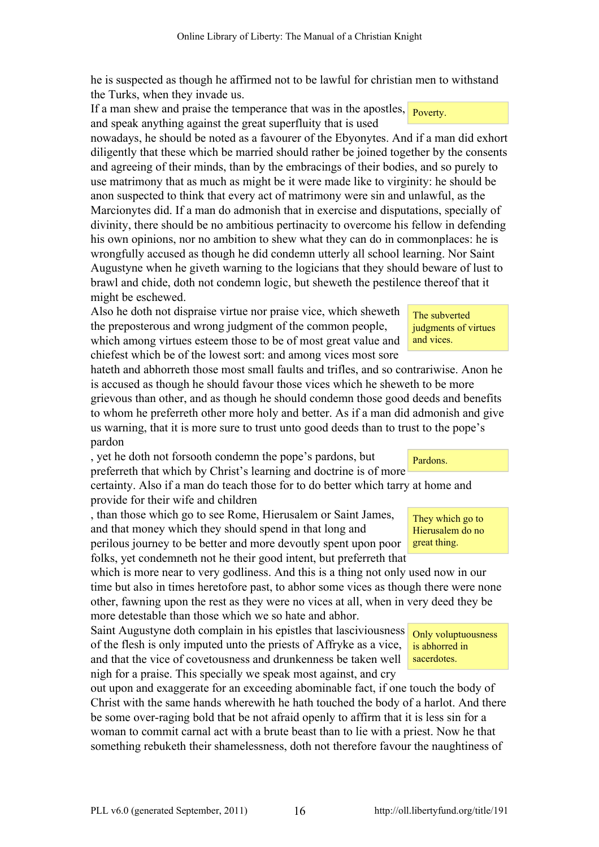he is suspected as though he affirmed not to be lawful for christian men to withstand the Turks, when they invade us.

If a man shew and praise the temperance that was in the apostles, **Poverty**, and speak anything against the great superfluity that is used

nowadays, he should be noted as a favourer of the Ebyonytes. And if a man did exhort diligently that these which be married should rather be joined together by the consents and agreeing of their minds, than by the embracings of their bodies, and so purely to use matrimony that as much as might be it were made like to virginity: he should be anon suspected to think that every act of matrimony were sin and unlawful, as the Marcionytes did. If a man do admonish that in exercise and disputations, specially of divinity, there should be no ambitious pertinacity to overcome his fellow in defending his own opinions, nor no ambition to shew what they can do in commonplaces: he is wrongfully accused as though he did condemn utterly all school learning. Nor Saint Augustyne when he giveth warning to the logicians that they should beware of lust to brawl and chide, doth not condemn logic, but sheweth the pestilence thereof that it might be eschewed.

Also he doth not dispraise virtue nor praise vice, which sheweth the preposterous and wrong judgment of the common people, which among virtues esteem those to be of most great value and chiefest which be of the lowest sort: and among vices most sore

hateth and abhorreth those most small faults and trifles, and so contrariwise. Anon he is accused as though he should favour those vices which he sheweth to be more grievous than other, and as though he should condemn those good deeds and benefits to whom he preferreth other more holy and better. As if a man did admonish and give us warning, that it is more sure to trust unto good deeds than to trust to the pope's pardon

, yet he doth not forsooth condemn the pope's pardons, but preferreth that which by Christ's learning and doctrine is of more

certainty. Also if a man do teach those for to do better which tarry at home and provide for their wife and children

, than those which go to see Rome, Hierusalem or Saint James, and that money which they should spend in that long and perilous journey to be better and more devoutly spent upon poor folks, yet condemneth not he their good intent, but preferreth that

which is more near to very godliness. And this is a thing not only used now in our time but also in times heretofore past, to abhor some vices as though there were none other, fawning upon the rest as they were no vices at all, when in very deed they be more detestable than those which we so hate and abhor.

Saint Augustyne doth complain in his epistles that lasciviousness of the flesh is only imputed unto the priests of Affryke as a vice, and that the vice of covetousness and drunkenness be taken well nigh for a praise. This specially we speak most against, and cry

out upon and exaggerate for an exceeding abominable fact, if one touch the body of Christ with the same hands wherewith he hath touched the body of a harlot. And there be some over-raging bold that be not afraid openly to affirm that it is less sin for a woman to commit carnal act with a brute beast than to lie with a priest. Now he that something rebuketh their shamelessness, doth not therefore favour the naughtiness of

Pardons.

The subverted judgments of virtues

and vices.

They which go to Hierusalem do no great thing.

Only voluptuousness is abhorred in sacerdotes.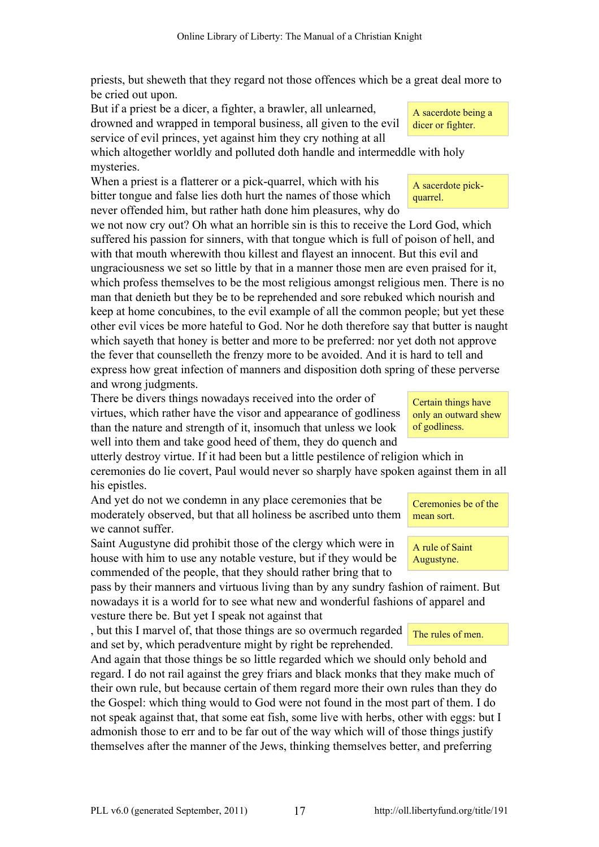priests, but sheweth that they regard not those offences which be a great deal more to be cried out upon.

But if a priest be a dicer, a fighter, a brawler, all unlearned, drowned and wrapped in temporal business, all given to the evil service of evil princes, yet against him they cry nothing at all

which altogether worldly and polluted doth handle and intermeddle with holy mysteries.

When a priest is a flatterer or a pick-quarrel, which with his bitter tongue and false lies doth hurt the names of those which never offended him, but rather hath done him pleasures, why do

we not now cry out? Oh what an horrible sin is this to receive the Lord God, which suffered his passion for sinners, with that tongue which is full of poison of hell, and with that mouth wherewith thou killest and flayest an innocent. But this evil and ungraciousness we set so little by that in a manner those men are even praised for it, which profess themselves to be the most religious amongst religious men. There is no man that denieth but they be to be reprehended and sore rebuked which nourish and keep at home concubines, to the evil example of all the common people; but yet these other evil vices be more hateful to God. Nor he doth therefore say that butter is naught which sayeth that honey is better and more to be preferred: nor yet doth not approve the fever that counselleth the frenzy more to be avoided. And it is hard to tell and express how great infection of manners and disposition doth spring of these perverse and wrong judgments.

There be divers things nowadays received into the order of virtues, which rather have the visor and appearance of godliness than the nature and strength of it, insomuch that unless we look well into them and take good heed of them, they do quench and

utterly destroy virtue. If it had been but a little pestilence of religion which in ceremonies do lie covert, Paul would never so sharply have spoken against them in all his epistles.

And yet do not we condemn in any place ceremonies that be moderately observed, but that all holiness be ascribed unto them we cannot suffer.

Saint Augustyne did prohibit those of the clergy which were in house with him to use any notable vesture, but if they would be commended of the people, that they should rather bring that to

pass by their manners and virtuous living than by any sundry fashion of raiment. But nowadays it is a world for to see what new and wonderful fashions of apparel and vesture there be. But yet I speak not against that

, but this I marvel of, that those things are so overmuch regarded and set by, which peradventure might by right be reprehended.

And again that those things be so little regarded which we should only behold and regard. I do not rail against the grey friars and black monks that they make much of their own rule, but because certain of them regard more their own rules than they do the Gospel: which thing would to God were not found in the most part of them. I do not speak against that, that some eat fish, some live with herbs, other with eggs: but I admonish those to err and to be far out of the way which will of those things justify themselves after the manner of the Jews, thinking themselves better, and preferring

A sacerdote being a dicer or fighter.

A sacerdote pick-

quarrel.

Certain things have only an outward shew of godliness.

Ceremonies be of the

mean sort.

A rule of Saint Augustyne.

The rules of men.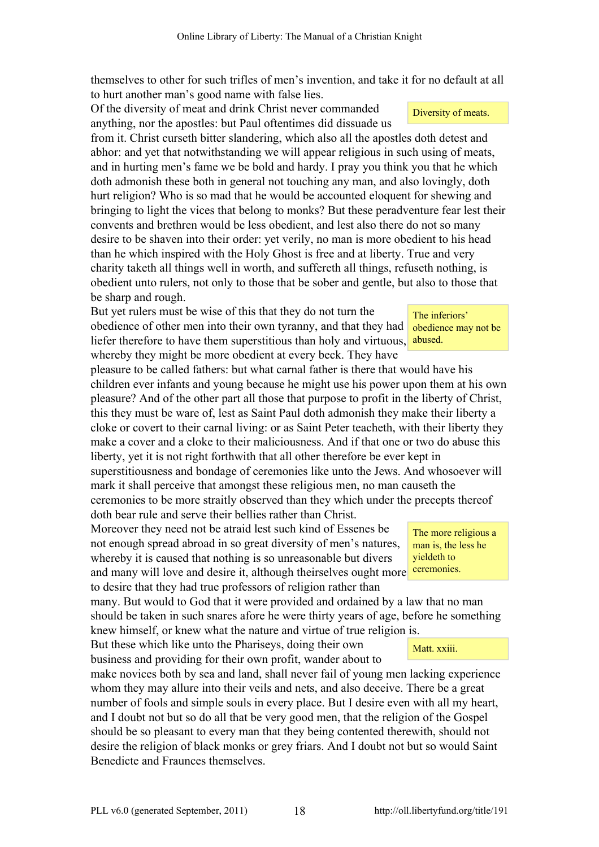themselves to other for such trifles of men's invention, and take it for no default at all to hurt another man's good name with false lies.

Of the diversity of meat and drink Christ never commanded anything, nor the apostles: but Paul oftentimes did dissuade us

from it. Christ curseth bitter slandering, which also all the apostles doth detest and abhor: and yet that notwithstanding we will appear religious in such using of meats, and in hurting men's fame we be bold and hardy. I pray you think you that he which doth admonish these both in general not touching any man, and also lovingly, doth hurt religion? Who is so mad that he would be accounted eloquent for shewing and bringing to light the vices that belong to monks? But these peradventure fear lest their convents and brethren would be less obedient, and lest also there do not so many desire to be shaven into their order: yet verily, no man is more obedient to his head than he which inspired with the Holy Ghost is free and at liberty. True and very charity taketh all things well in worth, and suffereth all things, refuseth nothing, is obedient unto rulers, not only to those that be sober and gentle, but also to those that be sharp and rough.

obedience may not be abused. But yet rulers must be wise of this that they do not turn the obedience of other men into their own tyranny, and that they had liefer therefore to have them superstitious than holy and virtuous, whereby they might be more obedient at every beck. They have

pleasure to be called fathers: but what carnal father is there that would have his children ever infants and young because he might use his power upon them at his own pleasure? And of the other part all those that purpose to profit in the liberty of Christ, this they must be ware of, lest as Saint Paul doth admonish they make their liberty a cloke or covert to their carnal living: or as Saint Peter teacheth, with their liberty they make a cover and a cloke to their maliciousness. And if that one or two do abuse this liberty, yet it is not right forthwith that all other therefore be ever kept in

superstitiousness and bondage of ceremonies like unto the Jews. And whosoever will mark it shall perceive that amongst these religious men, no man causeth the ceremonies to be more straitly observed than they which under the precepts thereof doth bear rule and serve their bellies rather than Christ.

Moreover they need not be atraid lest such kind of Essenes be not enough spread abroad in so great diversity of men's natures, whereby it is caused that nothing is so unreasonable but divers and many will love and desire it, although theirselves ought more to desire that they had true professors of religion rather than

many. But would to God that it were provided and ordained by a law that no man should be taken in such snares afore he were thirty years of age, before he something knew himself, or knew what the nature and virtue of true religion is.

But these which like unto the Phariseys, doing their own business and providing for their own profit, wander about to

make novices both by sea and land, shall never fail of young men lacking experience whom they may allure into their veils and nets, and also deceive. There be a great number of fools and simple souls in every place. But I desire even with all my heart, and I doubt not but so do all that be very good men, that the religion of the Gospel should be so pleasant to every man that they being contented therewith, should not desire the religion of black monks or grey friars. And I doubt not but so would Saint Benedicte and Fraunces themselves.

The inferiors'

Diversity of meats.

The more religious a man is, the less he yieldeth to ceremonies.

Matt. xxiii.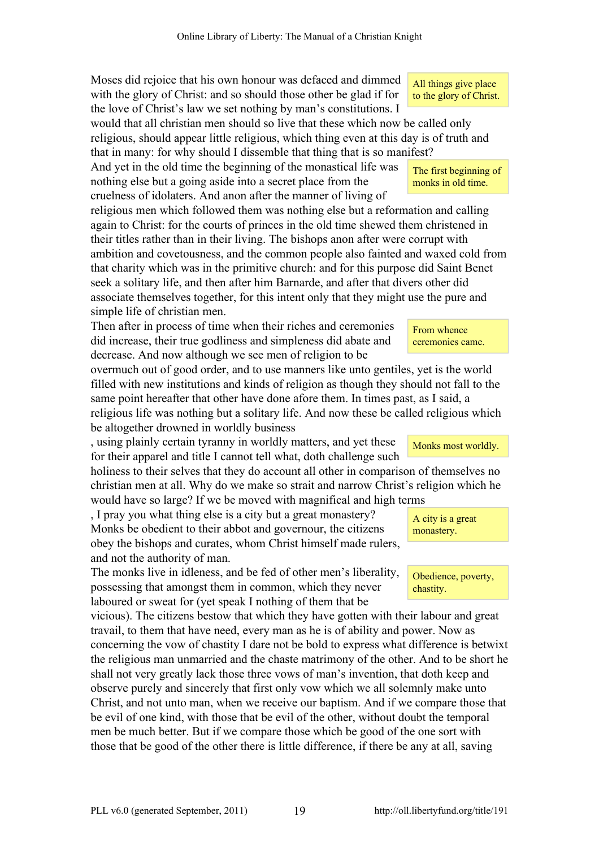Moses did rejoice that his own honour was defaced and dimmed with the glory of Christ: and so should those other be glad if for the love of Christ's law we set nothing by man's constitutions. I

would that all christian men should so live that these which now be called only religious, should appear little religious, which thing even at this day is of truth and that in many: for why should I dissemble that thing that is so manifest?

And yet in the old time the beginning of the monastical life was nothing else but a going aside into a secret place from the cruelness of idolaters. And anon after the manner of living of

religious men which followed them was nothing else but a reformation and calling again to Christ: for the courts of princes in the old time shewed them christened in their titles rather than in their living. The bishops anon after were corrupt with ambition and covetousness, and the common people also fainted and waxed cold from that charity which was in the primitive church: and for this purpose did Saint Benet seek a solitary life, and then after him Barnarde, and after that divers other did associate themselves together, for this intent only that they might use the pure and simple life of christian men.

Then after in process of time when their riches and ceremonies did increase, their true godliness and simpleness did abate and decrease. And now although we see men of religion to be

overmuch out of good order, and to use manners like unto gentiles, yet is the world filled with new institutions and kinds of religion as though they should not fall to the same point hereafter that other have done afore them. In times past, as I said, a religious life was nothing but a solitary life. And now these be called religious which be altogether drowned in worldly business

, using plainly certain tyranny in worldly matters, and yet these for their apparel and title I cannot tell what, doth challenge such

holiness to their selves that they do account all other in comparison of themselves no christian men at all. Why do we make so strait and narrow Christ's religion which he would have so large? If we be moved with magnifical and high terms

, I pray you what thing else is a city but a great monastery? Monks be obedient to their abbot and governour, the citizens obey the bishops and curates, whom Christ himself made rulers, and not the authority of man.

The monks live in idleness, and be fed of other men's liberality, possessing that amongst them in common, which they never laboured or sweat for (yet speak I nothing of them that be

vicious). The citizens bestow that which they have gotten with their labour and great travail, to them that have need, every man as he is of ability and power. Now as concerning the vow of chastity I dare not be bold to express what difference is betwixt the religious man unmarried and the chaste matrimony of the other. And to be short he shall not very greatly lack those three vows of man's invention, that doth keep and observe purely and sincerely that first only vow which we all solemnly make unto Christ, and not unto man, when we receive our baptism. And if we compare those that be evil of one kind, with those that be evil of the other, without doubt the temporal men be much better. But if we compare those which be good of the one sort with those that be good of the other there is little difference, if there be any at all, saving

All things give place to the glory of Christ.

The first beginning of monks in old time.

From whence ceremonies came.

A city is a great monastery.

Monks most worldly.

Obedience, poverty, chastity.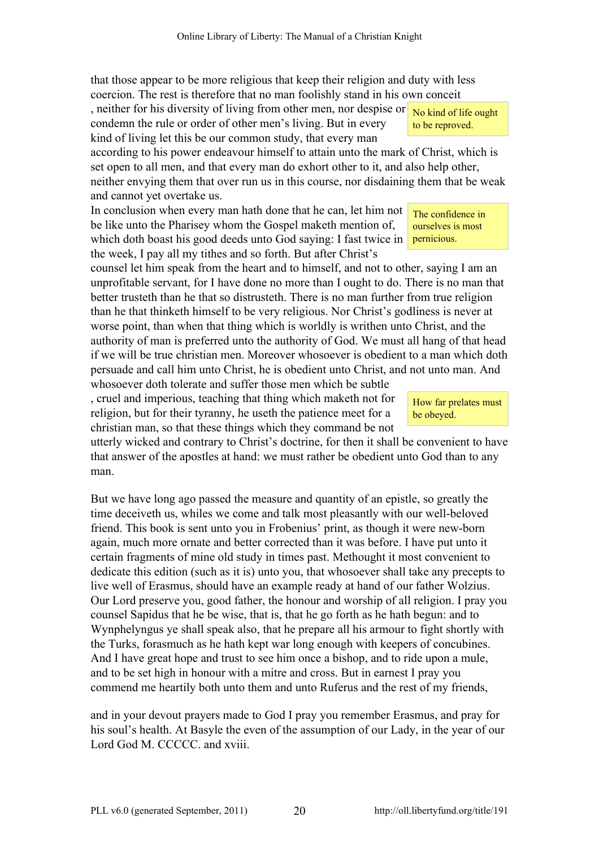that those appear to be more religious that keep their religion and duty with less coercion. The rest is therefore that no man foolishly stand in his own conceit

, neither for his diversity of living from other men, nor despise or condemn the rule or order of other men's living. But in every kind of living let this be our common study, that every man

according to his power endeavour himself to attain unto the mark of Christ, which is set open to all men, and that every man do exhort other to it, and also help other, neither envying them that over run us in this course, nor disdaining them that be weak

and cannot yet overtake us.

In conclusion when every man hath done that he can, let him not be like unto the Pharisey whom the Gospel maketh mention of, which doth boast his good deeds unto God saying: I fast twice in the week, I pay all my tithes and so forth. But after Christ's

counsel let him speak from the heart and to himself, and not to other, saying I am an unprofitable servant, for I have done no more than I ought to do. There is no man that better trusteth than he that so distrusteth. There is no man further from true religion than he that thinketh himself to be very religious. Nor Christ's godliness is never at worse point, than when that thing which is worldly is writhen unto Christ, and the authority of man is preferred unto the authority of God. We must all hang of that head if we will be true christian men. Moreover whosoever is obedient to a man which doth persuade and call him unto Christ, he is obedient unto Christ, and not unto man. And whosoever doth tolerate and suffer those men which be subtle

, cruel and imperious, teaching that thing which maketh not for religion, but for their tyranny, he useth the patience meet for a christian man, so that these things which they command be not

utterly wicked and contrary to Christ's doctrine, for then it shall be convenient to have that answer of the apostles at hand: we must rather be obedient unto God than to any man.

But we have long ago passed the measure and quantity of an epistle, so greatly the time deceiveth us, whiles we come and talk most pleasantly with our well-beloved friend. This book is sent unto you in Frobenius' print, as though it were new-born again, much more ornate and better corrected than it was before. I have put unto it certain fragments of mine old study in times past. Methought it most convenient to dedicate this edition (such as it is) unto you, that whosoever shall take any precepts to live well of Erasmus, should have an example ready at hand of our father Wolzius. Our Lord preserve you, good father, the honour and worship of all religion. I pray you counsel Sapidus that he be wise, that is, that he go forth as he hath begun: and to Wynphelyngus ye shall speak also, that he prepare all his armour to fight shortly with the Turks, forasmuch as he hath kept war long enough with keepers of concubines. And I have great hope and trust to see him once a bishop, and to ride upon a mule, and to be set high in honour with a mitre and cross. But in earnest I pray you commend me heartily both unto them and unto Ruferus and the rest of my friends,

and in your devout prayers made to God I pray you remember Erasmus, and pray for his soul's health. At Basyle the even of the assumption of our Lady, in the year of our Lord God M. CCCCC. and xviii.

The confidence in ourselves is most pernicious.

How far prelates must

be obeyed.

No kind of life ought to be reproved.

PLL v6.0 (generated September, 2011) 20 http://oll.libertyfund.org/title/191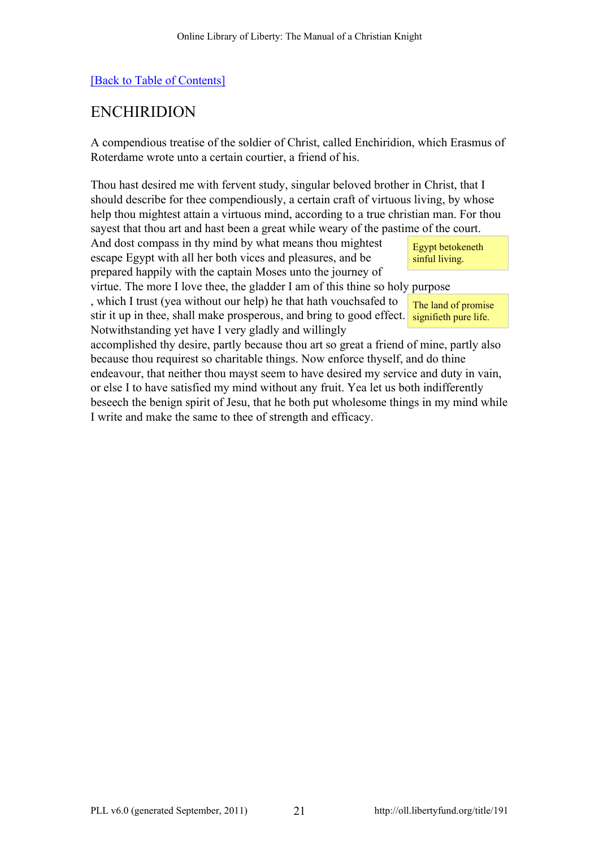### <span id="page-20-0"></span>[Back to Table of Contents]

### ENCHIRIDION

A compendious treatise of the soldier of Christ, called Enchiridion, which Erasmus of Roterdame wrote unto a certain courtier, a friend of his.

Thou hast desired me with fervent study, singular beloved brother in Christ, that I should describe for thee compendiously, a certain craft of virtuous living, by whose help thou mightest attain a virtuous mind, according to a true christian man. For thou sayest that thou art and hast been a great while weary of the pastime of the court.

And dost compass in thy mind by what means thou mightest escape Egypt with all her both vices and pleasures, and be prepared happily with the captain Moses unto the journey of

Egypt betokeneth sinful living.

virtue. The more I love thee, the gladder I am of this thine so holy purpose

, which I trust (yea without our help) he that hath vouchsafed to stir it up in thee, shall make prosperous, and bring to good effect. Notwithstanding yet have I very gladly and willingly

The land of promise signifieth pure life.

accomplished thy desire, partly because thou art so great a friend of mine, partly also because thou requirest so charitable things. Now enforce thyself, and do thine endeavour, that neither thou mayst seem to have desired my service and duty in vain, or else I to have satisfied my mind without any fruit. Yea let us both indifferently beseech the benign spirit of Jesu, that he both put wholesome things in my mind while I write and make the same to thee of strength and efficacy.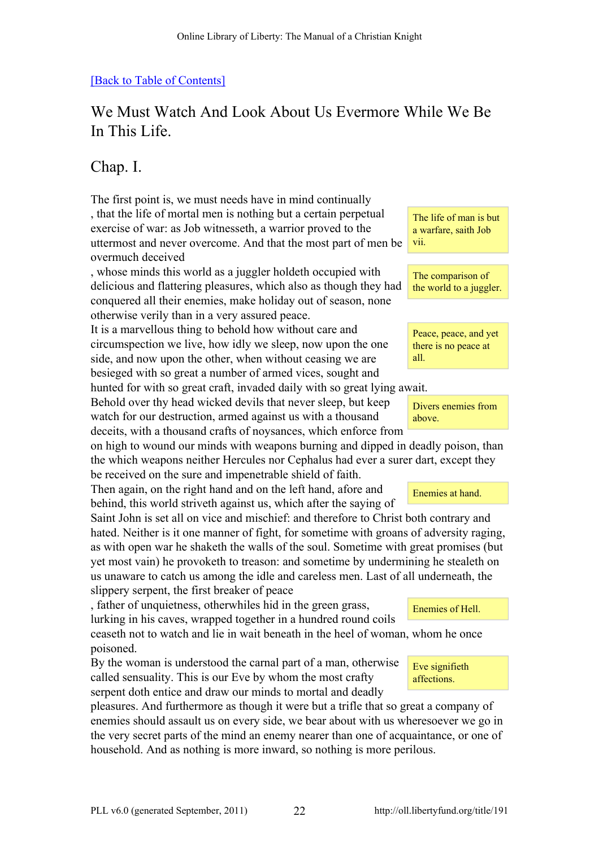#### <span id="page-21-0"></span>[Back to Table of Contents]

### We Must Watch And Look About Us Evermore While We Be In This Life.

### Chap. I.

The first point is, we must needs have in mind continually , that the life of mortal men is nothing but a certain perpetual exercise of war: as Job witnesseth, a warrior proved to the uttermost and never overcome. And that the most part of men be overmuch deceived

, whose minds this world as a juggler holdeth occupied with delicious and flattering pleasures, which also as though they had conquered all their enemies, make holiday out of season, none otherwise verily than in a very assured peace.

It is a marvellous thing to behold how without care and circumspection we live, how idly we sleep, now upon the one side, and now upon the other, when without ceasing we are besieged with so great a number of armed vices, sought and

hunted for with so great craft, invaded daily with so great lying await. Behold over thy head wicked devils that never sleep, but keep watch for our destruction, armed against us with a thousand deceits, with a thousand crafts of noysances, which enforce from

on high to wound our minds with weapons burning and dipped in deadly poison, than the which weapons neither Hercules nor Cephalus had ever a surer dart, except they be received on the sure and impenetrable shield of faith.

Then again, on the right hand and on the left hand, afore and behind, this world striveth against us, which after the saying of

Saint John is set all on vice and mischief: and therefore to Christ both contrary and hated. Neither is it one manner of fight, for sometime with groans of adversity raging, as with open war he shaketh the walls of the soul. Sometime with great promises (but yet most vain) he provoketh to treason: and sometime by undermining he stealeth on us unaware to catch us among the idle and careless men. Last of all underneath, the slippery serpent, the first breaker of peace

, father of unquietness, otherwhiles hid in the green grass, lurking in his caves, wrapped together in a hundred round coils

ceaseth not to watch and lie in wait beneath in the heel of woman, whom he once poisoned.

By the woman is understood the carnal part of a man, otherwise called sensuality. This is our Eve by whom the most crafty serpent doth entice and draw our minds to mortal and deadly

pleasures. And furthermore as though it were but a trifle that so great a company of enemies should assault us on every side, we bear about with us wheresoever we go in the very secret parts of the mind an enemy nearer than one of acquaintance, or one of household. And as nothing is more inward, so nothing is more perilous.

The life of man is but a warfare, saith Job vii.

The comparison of the world to a juggler.

Peace, peace, and yet there is no peace at all.

Divers enemies from above.

Enemies at hand.

Eve signifieth affections.

Enemies of Hell.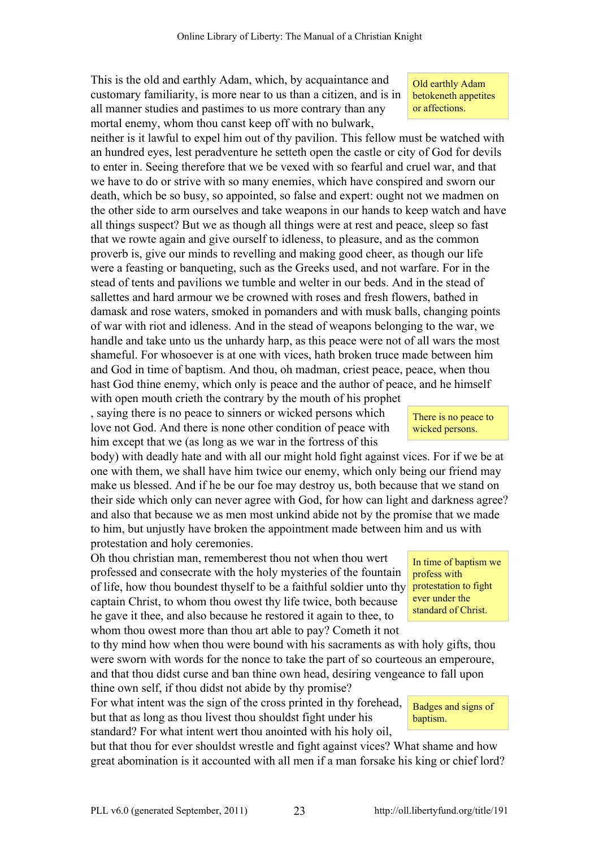This is the old and earthly Adam, which, by acquaintance and customary familiarity, is more near to us than a citizen, and is in all manner studies and pastimes to us more contrary than any mortal enemy, whom thou canst keep off with no bulwark,

neither is it lawful to expel him out of thy pavilion. This fellow must be watched with an hundred eyes, lest peradventure he setteth open the castle or city of God for devils to enter in. Seeing therefore that we be vexed with so fearful and cruel war, and that we have to do or strive with so many enemies, which have conspired and sworn our death, which be so busy, so appointed, so false and expert: ought not we madmen on the other side to arm ourselves and take weapons in our hands to keep watch and have all things suspect? But we as though all things were at rest and peace, sleep so fast that we rowte again and give ourself to idleness, to pleasure, and as the common proverb is, give our minds to revelling and making good cheer, as though our life were a feasting or banqueting, such as the Greeks used, and not warfare. For in the stead of tents and pavilions we tumble and welter in our beds. And in the stead of sallettes and hard armour we be crowned with roses and fresh flowers, bathed in damask and rose waters, smoked in pomanders and with musk balls, changing points of war with riot and idleness. And in the stead of weapons belonging to the war, we handle and take unto us the unhardy harp, as this peace were not of all wars the most shameful. For whosoever is at one with vices, hath broken truce made between him and God in time of baptism. And thou, oh madman, criest peace, peace, when thou hast God thine enemy, which only is peace and the author of peace, and he himself

with open mouth crieth the contrary by the mouth of his prophet , saying there is no peace to sinners or wicked persons which love not God. And there is none other condition of peace with him except that we (as long as we war in the fortress of this

body) with deadly hate and with all our might hold fight against vices. For if we be at one with them, we shall have him twice our enemy, which only being our friend may make us blessed. And if he be our foe may destroy us, both because that we stand on their side which only can never agree with God, for how can light and darkness agree? and also that because we as men most unkind abide not by the promise that we made to him, but unjustly have broken the appointment made between him and us with protestation and holy ceremonies.

Oh thou christian man, rememberest thou not when thou wert professed and consecrate with the holy mysteries of the fountain of life, how thou boundest thyself to be a faithful soldier unto thy captain Christ, to whom thou owest thy life twice, both because he gave it thee, and also because he restored it again to thee, to whom thou owest more than thou art able to pay? Cometh it not

to thy mind how when thou were bound with his sacraments as with holy gifts, thou were sworn with words for the nonce to take the part of so courteous an emperoure, and that thou didst curse and ban thine own head, desiring vengeance to fall upon thine own self, if thou didst not abide by thy promise?

For what intent was the sign of the cross printed in thy forehead, but that as long as thou livest thou shouldst fight under his standard? For what intent wert thou anointed with his holy oil,

but that thou for ever shouldst wrestle and fight against vices? What shame and how great abomination is it accounted with all men if a man forsake his king or chief lord?

Old earthly Adam betokeneth appetites or affections.

There is no peace to wicked persons.

In time of baptism we profess with protestation to fight ever under the standard of Christ.

Badges and signs of

baptism.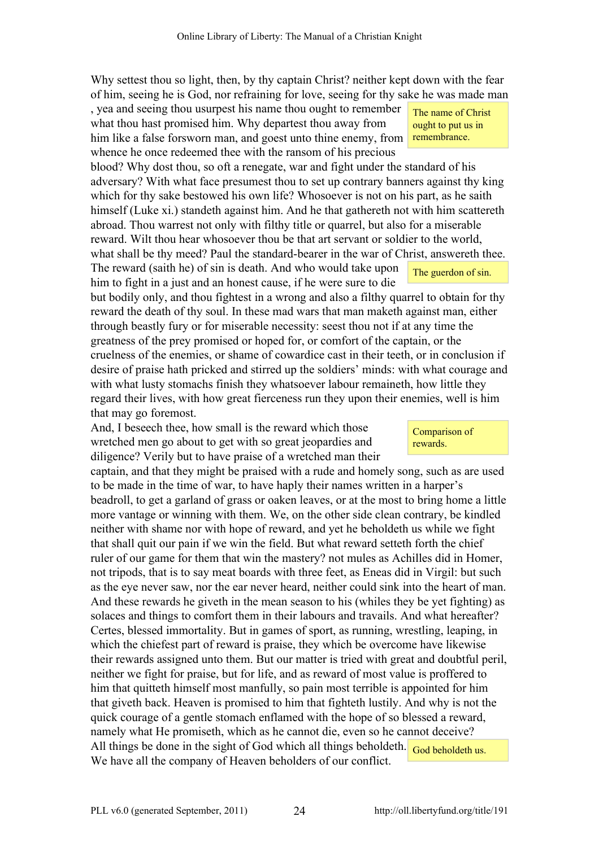Why settest thou so light, then, by thy captain Christ? neither kept down with the fear of him, seeing he is God, nor refraining for love, seeing for thy sake he was made man

, yea and seeing thou usurpest his name thou ought to remember what thou hast promised him. Why departest thou away from him like a false forsworn man, and goest unto thine enemy, from whence he once redeemed thee with the ransom of his precious

The guerdon of sin. blood? Why dost thou, so oft a renegate, war and fight under the standard of his adversary? With what face presumest thou to set up contrary banners against thy king which for thy sake bestowed his own life? Whosoever is not on his part, as he saith himself (Luke xi.) standeth against him. And he that gathereth not with him scattereth abroad. Thou warrest not only with filthy title or quarrel, but also for a miserable reward. Wilt thou hear whosoever thou be that art servant or soldier to the world, what shall be thy meed? Paul the standard-bearer in the war of Christ, answereth thee. The reward (saith he) of sin is death. And who would take upon him to fight in a just and an honest cause, if he were sure to die

but bodily only, and thou fightest in a wrong and also a filthy quarrel to obtain for thy reward the death of thy soul. In these mad wars that man maketh against man, either through beastly fury or for miserable necessity: seest thou not if at any time the greatness of the prey promised or hoped for, or comfort of the captain, or the cruelness of the enemies, or shame of cowardice cast in their teeth, or in conclusion if desire of praise hath pricked and stirred up the soldiers' minds: with what courage and with what lusty stomachs finish they whatsoever labour remaineth, how little they regard their lives, with how great fierceness run they upon their enemies, well is him that may go foremost.

And, I beseech thee, how small is the reward which those wretched men go about to get with so great jeopardies and diligence? Verily but to have praise of a wretched man their

All things be done in the sight of God which all things beholdeth.  $\frac{1}{\text{God behindeth us.}}$ captain, and that they might be praised with a rude and homely song, such as are used to be made in the time of war, to have haply their names written in a harper's beadroll, to get a garland of grass or oaken leaves, or at the most to bring home a little more vantage or winning with them. We, on the other side clean contrary, be kindled neither with shame nor with hope of reward, and yet he beholdeth us while we fight that shall quit our pain if we win the field. But what reward setteth forth the chief ruler of our game for them that win the mastery? not mules as Achilles did in Homer, not tripods, that is to say meat boards with three feet, as Eneas did in Virgil: but such as the eye never saw, nor the ear never heard, neither could sink into the heart of man. And these rewards he giveth in the mean season to his (whiles they be yet fighting) as solaces and things to comfort them in their labours and travails. And what hereafter? Certes, blessed immortality. But in games of sport, as running, wrestling, leaping, in which the chiefest part of reward is praise, they which be overcome have likewise their rewards assigned unto them. But our matter is tried with great and doubtful peril, neither we fight for praise, but for life, and as reward of most value is proffered to him that quitteth himself most manfully, so pain most terrible is appointed for him that giveth back. Heaven is promised to him that fighteth lustily. And why is not the quick courage of a gentle stomach enflamed with the hope of so blessed a reward, namely what He promiseth, which as he cannot die, even so he cannot deceive? We have all the company of Heaven beholders of our conflict.

The name of Christ ought to put us in remembrance.

Comparison of rewards.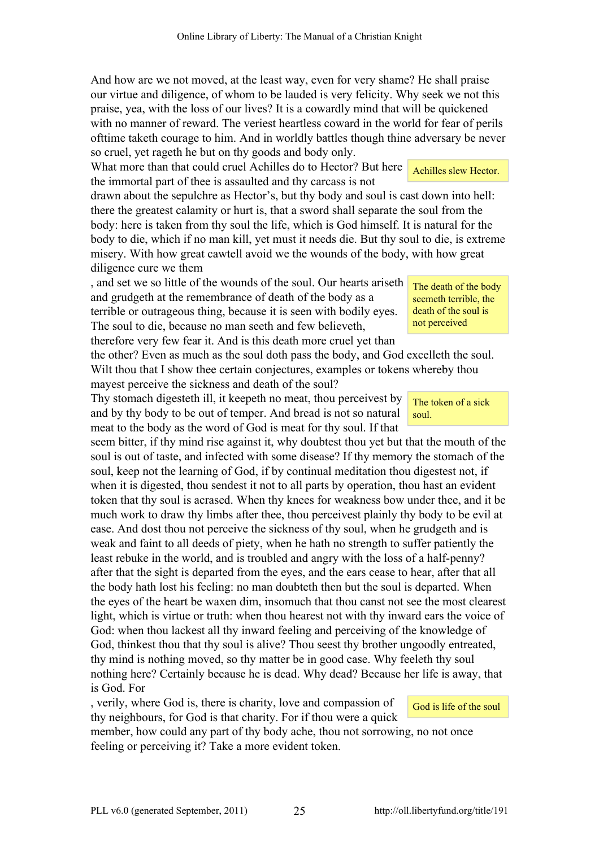And how are we not moved, at the least way, even for very shame? He shall praise our virtue and diligence, of whom to be lauded is very felicity. Why seek we not this praise, yea, with the loss of our lives? It is a cowardly mind that will be quickened with no manner of reward. The veriest heartless coward in the world for fear of perils ofttime taketh courage to him. And in worldly battles though thine adversary be never so cruel, yet rageth he but on thy goods and body only.

What more than that could cruel Achilles do to Hector? But here the immortal part of thee is assaulted and thy carcass is not

drawn about the sepulchre as Hector's, but thy body and soul is cast down into hell: there the greatest calamity or hurt is, that a sword shall separate the soul from the body: here is taken from thy soul the life, which is God himself. It is natural for the body to die, which if no man kill, yet must it needs die. But thy soul to die, is extreme misery. With how great cawtell avoid we the wounds of the body, with how great diligence cure we them

, and set we so little of the wounds of the soul. Our hearts ariseth and grudgeth at the remembrance of death of the body as a terrible or outrageous thing, because it is seen with bodily eyes. The soul to die, because no man seeth and few believeth, therefore very few fear it. And is this death more cruel yet than

the other? Even as much as the soul doth pass the body, and God excelleth the soul. Wilt thou that I show thee certain conjectures, examples or tokens whereby thou mayest perceive the sickness and death of the soul?

Thy stomach digesteth ill, it keepeth no meat, thou perceivest by and by thy body to be out of temper. And bread is not so natural meat to the body as the word of God is meat for thy soul. If that

seem bitter, if thy mind rise against it, why doubtest thou yet but that the mouth of the soul is out of taste, and infected with some disease? If thy memory the stomach of the soul, keep not the learning of God, if by continual meditation thou digestest not, if when it is digested, thou sendest it not to all parts by operation, thou hast an evident token that thy soul is acrased. When thy knees for weakness bow under thee, and it be much work to draw thy limbs after thee, thou perceivest plainly thy body to be evil at ease. And dost thou not perceive the sickness of thy soul, when he grudgeth and is weak and faint to all deeds of piety, when he hath no strength to suffer patiently the least rebuke in the world, and is troubled and angry with the loss of a half-penny? after that the sight is departed from the eyes, and the ears cease to hear, after that all the body hath lost his feeling: no man doubteth then but the soul is departed. When the eyes of the heart be waxen dim, insomuch that thou canst not see the most clearest light, which is virtue or truth: when thou hearest not with thy inward ears the voice of God: when thou lackest all thy inward feeling and perceiving of the knowledge of God, thinkest thou that thy soul is alive? Thou seest thy brother ungoodly entreated, thy mind is nothing moved, so thy matter be in good case. Why feeleth thy soul nothing here? Certainly because he is dead. Why dead? Because her life is away, that is God. For

, verily, where God is, there is charity, love and compassion of thy neighbours, for God is that charity. For if thou were a quick

member, how could any part of thy body ache, thou not sorrowing, no not once feeling or perceiving it? Take a more evident token.

The death of the body seemeth terrible, the death of the soul is not perceived

Achilles slew Hector.

The token of a sick soul.

God is life of the soul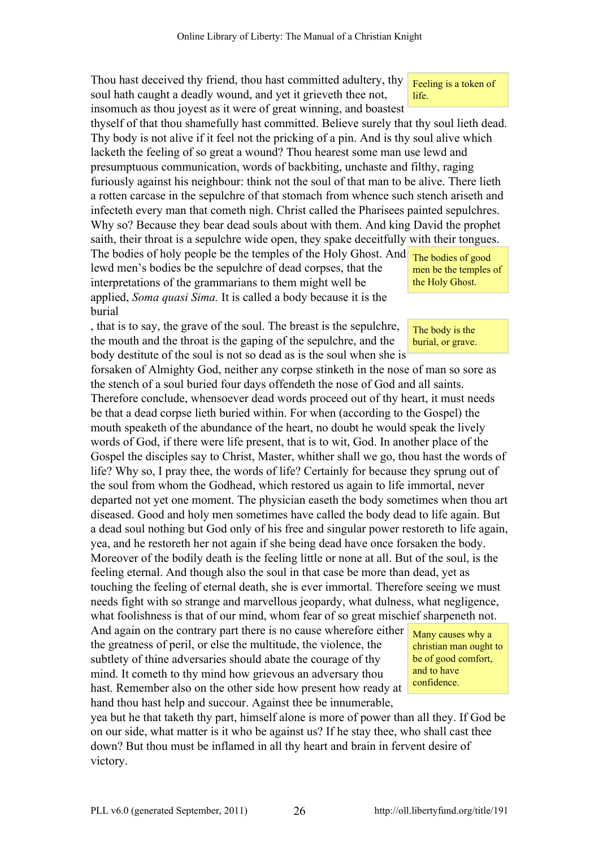Thou hast deceived thy friend, thou hast committed adultery, thy soul hath caught a deadly wound, and yet it grieveth thee not, insomuch as thou joyest as it were of great winning, and boastest

thyself of that thou shamefully hast committed. Believe surely that thy soul lieth dead. Thy body is not alive if it feel not the pricking of a pin. And is thy soul alive which lacketh the feeling of so great a wound? Thou hearest some man use lewd and presumptuous communication, words of backbiting, unchaste and filthy, raging furiously against his neighbour: think not the soul of that man to be alive. There lieth a rotten carcase in the sepulchre of that stomach from whence such stench ariseth and infecteth every man that cometh nigh. Christ called the Pharisees painted sepulchres. Why so? Because they bear dead souls about with them. And king David the prophet saith, their throat is a sepulchre wide open, they spake deceitfully with their tongues.

The bodies of holy people be the temples of the Holy Ghost. And lewd men's bodies be the sepulchre of dead corpses, that the interpretations of the grammarians to them might well be applied, *Soma quasi Sima.* It is called a body because it is the burial

, that is to say, the grave of the soul. The breast is the sepulchre, the mouth and the throat is the gaping of the sepulchre, and the body destitute of the soul is not so dead as is the soul when she is

forsaken of Almighty God, neither any corpse stinketh in the nose of man so sore as the stench of a soul buried four days offendeth the nose of God and all saints.

Therefore conclude, whensoever dead words proceed out of thy heart, it must needs be that a dead corpse lieth buried within. For when (according to the Gospel) the mouth speaketh of the abundance of the heart, no doubt he would speak the lively words of God, if there were life present, that is to wit, God. In another place of the Gospel the disciples say to Christ, Master, whither shall we go, thou hast the words of life? Why so, I pray thee, the words of life? Certainly for because they sprung out of the soul from whom the Godhead, which restored us again to life immortal, never departed not yet one moment. The physician easeth the body sometimes when thou art diseased. Good and holy men sometimes have called the body dead to life again. But a dead soul nothing but God only of his free and singular power restoreth to life again, yea, and he restoreth her not again if she being dead have once forsaken the body. Moreover of the bodily death is the feeling little or none at all. But of the soul, is the feeling eternal. And though also the soul in that case be more than dead, yet as touching the feeling of eternal death, she is ever immortal. Therefore seeing we must needs fight with so strange and marvellous jeopardy, what dulness, what negligence, what foolishness is that of our mind, whom fear of so great mischief sharpeneth not.

And again on the contrary part there is no cause wherefore either the greatness of peril, or else the multitude, the violence, the subtlety of thine adversaries should abate the courage of thy mind. It cometh to thy mind how grievous an adversary thou hast. Remember also on the other side how present how ready at hand thou hast help and succour. Against thee be innumerable,

Many causes why a christian man ought to be of good comfort, and to have confidence.

yea but he that taketh thy part, himself alone is more of power than all they. If God be on our side, what matter is it who be against us? If he stay thee, who shall cast thee down? But thou must be inflamed in all thy heart and brain in fervent desire of victory.

The bodies of good men be the temples of the Holy Ghost.

Feeling is a token of

life.

The body is the burial, or grave.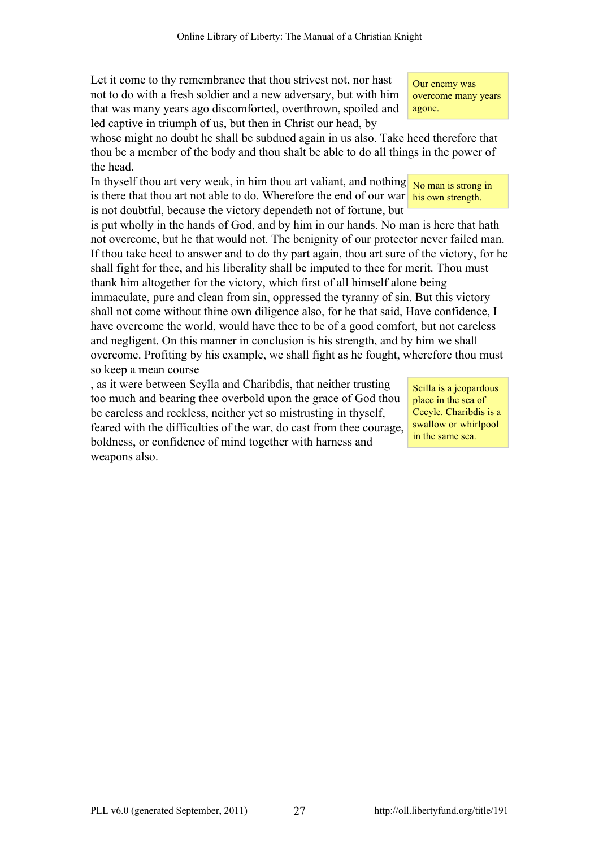Let it come to thy remembrance that thou strivest not, nor hast not to do with a fresh soldier and a new adversary, but with him that was many years ago discomforted, overthrown, spoiled and led captive in triumph of us, but then in Christ our head, by

whose might no doubt he shall be subdued again in us also. Take heed therefore that thou be a member of the body and thou shalt be able to do all things in the power of the head.

In thyself thou art very weak, in him thou art valiant, and nothing  $\frac{N_0}{N_0}$  man is strong in is there that thou art not able to do. Wherefore the end of our war his own strength. is not doubtful, because the victory dependeth not of fortune, but

is put wholly in the hands of God, and by him in our hands. No man is here that hath not overcome, but he that would not. The benignity of our protector never failed man. If thou take heed to answer and to do thy part again, thou art sure of the victory, for he shall fight for thee, and his liberality shall be imputed to thee for merit. Thou must thank him altogether for the victory, which first of all himself alone being immaculate, pure and clean from sin, oppressed the tyranny of sin. But this victory shall not come without thine own diligence also, for he that said, Have confidence, I have overcome the world, would have thee to be of a good comfort, but not careless and negligent. On this manner in conclusion is his strength, and by him we shall overcome. Profiting by his example, we shall fight as he fought, wherefore thou must

so keep a mean course

, as it were between Scylla and Charibdis, that neither trusting too much and bearing thee overbold upon the grace of God thou be careless and reckless, neither yet so mistrusting in thyself, feared with the difficulties of the war, do cast from thee courage, boldness, or confidence of mind together with harness and weapons also.

Our enemy was overcome many years agone.

Scilla is a jeopardous place in the sea of Cecyle. Charibdis is a swallow or whirlpool in the same sea.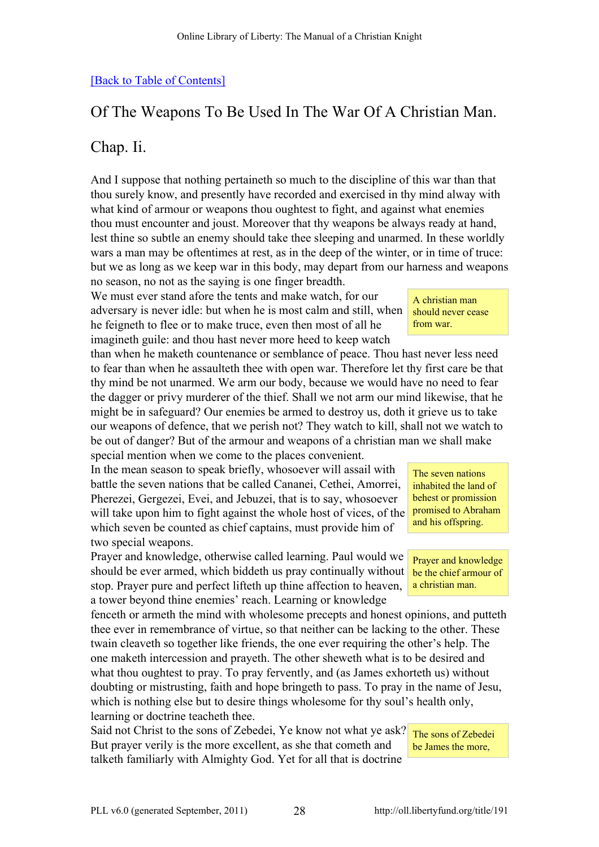#### <span id="page-27-0"></span>[Back to Table of Contents]

### Of The Weapons To Be Used In The War Of A Christian Man.

### Chap. Ii.

And I suppose that nothing pertaineth so much to the discipline of this war than that thou surely know, and presently have recorded and exercised in thy mind alway with what kind of armour or weapons thou oughtest to fight, and against what enemies thou must encounter and joust. Moreover that thy weapons be always ready at hand, lest thine so subtle an enemy should take thee sleeping and unarmed. In these worldly wars a man may be oftentimes at rest, as in the deep of the winter, or in time of truce: but we as long as we keep war in this body, may depart from our harness and weapons no season, no not as the saying is one finger breadth.

We must ever stand afore the tents and make watch, for our adversary is never idle: but when he is most calm and still, when he feigneth to flee or to make truce, even then most of all he imagineth guile: and thou hast never more heed to keep watch

than when he maketh countenance or semblance of peace. Thou hast never less need to fear than when he assaulteth thee with open war. Therefore let thy first care be that thy mind be not unarmed. We arm our body, because we would have no need to fear the dagger or privy murderer of the thief. Shall we not arm our mind likewise, that he might be in safeguard? Our enemies be armed to destroy us, doth it grieve us to take our weapons of defence, that we perish not? They watch to kill, shall not we watch to be out of danger? But of the armour and weapons of a christian man we shall make special mention when we come to the places convenient.

In the mean season to speak briefly, whosoever will assail with battle the seven nations that be called Cananei, Cethei, Amorrei, Pherezei, Gergezei, Evei, and Jebuzei, that is to say, whosoever will take upon him to fight against the whole host of vices, of the which seven be counted as chief captains, must provide him of two special weapons.

Prayer and knowledge, otherwise called learning. Paul would we should be ever armed, which biddeth us pray continually without stop. Prayer pure and perfect lifteth up thine affection to heaven, a tower beyond thine enemies' reach. Learning or knowledge

fenceth or armeth the mind with wholesome precepts and honest opinions, and putteth thee ever in remembrance of virtue, so that neither can be lacking to the other. These twain cleaveth so together like friends, the one ever requiring the other's help. The one maketh intercession and prayeth. The other sheweth what is to be desired and what thou oughtest to pray. To pray fervently, and (as James exhorteth us) without doubting or mistrusting, faith and hope bringeth to pass. To pray in the name of Jesu, which is nothing else but to desire things wholesome for thy soul's health only, learning or doctrine teacheth thee.

Said not Christ to the sons of Zebedei, Ye know not what ye ask? But prayer verily is the more excellent, as she that cometh and talketh familiarly with Almighty God. Yet for all that is doctrine

A christian man should never cease from war.

The seven nations inhabited the land of behest or promission promised to Abraham and his offspring.

Prayer and knowledge be the chief armour of a christian man.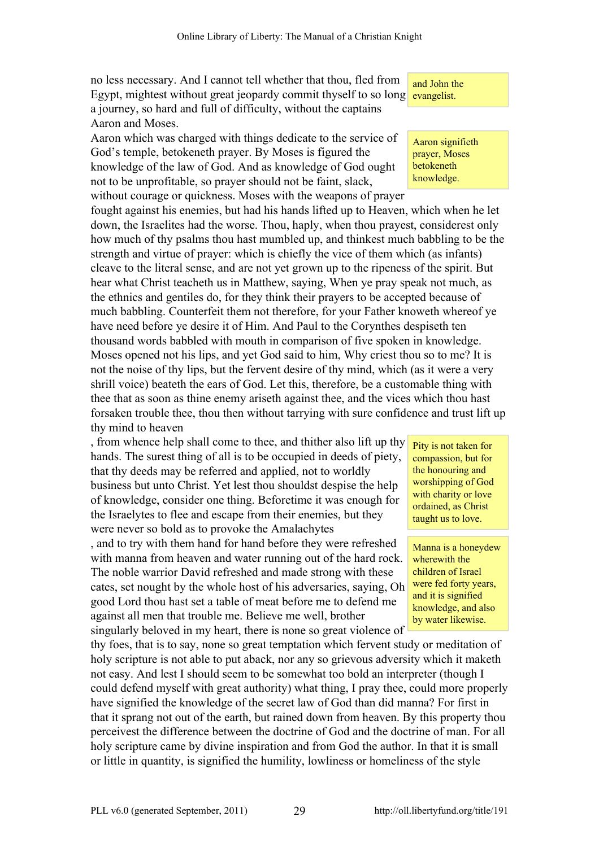no less necessary. And I cannot tell whether that thou, fled from Egypt, mightest without great jeopardy commit thyself to so long a journey, so hard and full of difficulty, without the captains Aaron and Moses.

Aaron which was charged with things dedicate to the service of God's temple, betokeneth prayer. By Moses is figured the knowledge of the law of God. And as knowledge of God ought not to be unprofitable, so prayer should not be faint, slack, without courage or quickness. Moses with the weapons of prayer

fought against his enemies, but had his hands lifted up to Heaven, which when he let down, the Israelites had the worse. Thou, haply, when thou prayest, considerest only how much of thy psalms thou hast mumbled up, and thinkest much babbling to be the strength and virtue of prayer: which is chiefly the vice of them which (as infants) cleave to the literal sense, and are not yet grown up to the ripeness of the spirit. But hear what Christ teacheth us in Matthew, saying, When ye pray speak not much, as the ethnics and gentiles do, for they think their prayers to be accepted because of much babbling. Counterfeit them not therefore, for your Father knoweth whereof ye have need before ye desire it of Him. And Paul to the Corynthes despiseth ten thousand words babbled with mouth in comparison of five spoken in knowledge. Moses opened not his lips, and yet God said to him, Why criest thou so to me? It is not the noise of thy lips, but the fervent desire of thy mind, which (as it were a very shrill voice) beateth the ears of God. Let this, therefore, be a customable thing with thee that as soon as thine enemy ariseth against thee, and the vices which thou hast forsaken trouble thee, thou then without tarrying with sure confidence and trust lift up thy mind to heaven

, from whence help shall come to thee, and thither also lift up thy hands. The surest thing of all is to be occupied in deeds of piety, that thy deeds may be referred and applied, not to worldly business but unto Christ. Yet lest thou shouldst despise the help of knowledge, consider one thing. Beforetime it was enough for the Israelytes to flee and escape from their enemies, but they were never so bold as to provoke the Amalachytes

, and to try with them hand for hand before they were refreshed with manna from heaven and water running out of the hard rock. The noble warrior David refreshed and made strong with these cates, set nought by the whole host of his adversaries, saying, Oh good Lord thou hast set a table of meat before me to defend me against all men that trouble me. Believe me well, brother singularly beloved in my heart, there is none so great violence of

thy foes, that is to say, none so great temptation which fervent study or meditation of holy scripture is not able to put aback, nor any so grievous adversity which it maketh not easy. And lest I should seem to be somewhat too bold an interpreter (though I could defend myself with great authority) what thing, I pray thee, could more properly have signified the knowledge of the secret law of God than did manna? For first in that it sprang not out of the earth, but rained down from heaven. By this property thou perceivest the difference between the doctrine of God and the doctrine of man. For all holy scripture came by divine inspiration and from God the author. In that it is small or little in quantity, is signified the humility, lowliness or homeliness of the style

and John the evangelist.

Aaron signifieth prayer, Moses betokeneth knowledge.

Pity is not taken for compassion, but for the honouring and worshipping of God with charity or love ordained, as Christ taught us to love.

Manna is a honeydew wherewith the children of Israel were fed forty years, and it is signified knowledge, and also by water likewise.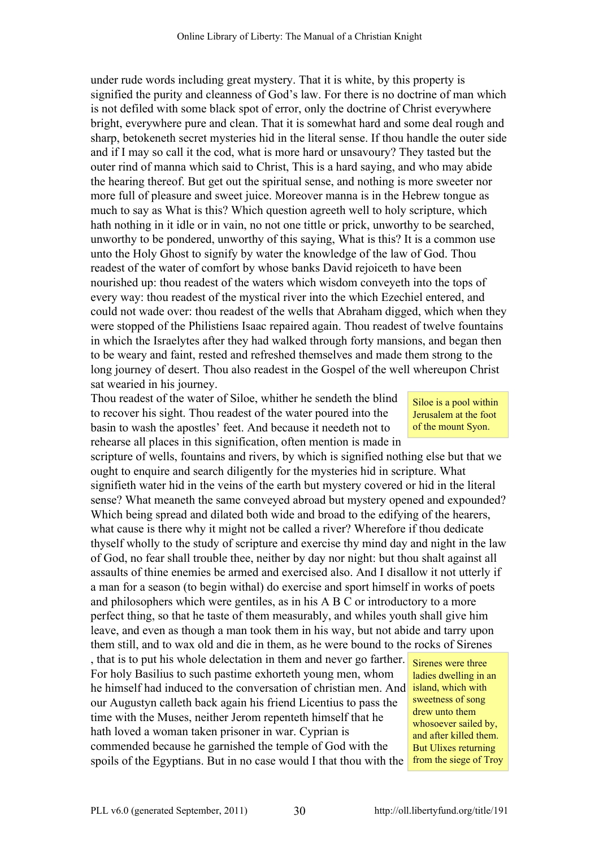under rude words including great mystery. That it is white, by this property is signified the purity and cleanness of God's law. For there is no doctrine of man which is not defiled with some black spot of error, only the doctrine of Christ everywhere bright, everywhere pure and clean. That it is somewhat hard and some deal rough and sharp, betokeneth secret mysteries hid in the literal sense. If thou handle the outer side and if I may so call it the cod, what is more hard or unsavoury? They tasted but the outer rind of manna which said to Christ, This is a hard saying, and who may abide the hearing thereof. But get out the spiritual sense, and nothing is more sweeter nor more full of pleasure and sweet juice. Moreover manna is in the Hebrew tongue as much to say as What is this? Which question agreeth well to holy scripture, which hath nothing in it idle or in vain, no not one tittle or prick, unworthy to be searched, unworthy to be pondered, unworthy of this saying, What is this? It is a common use unto the Holy Ghost to signify by water the knowledge of the law of God. Thou readest of the water of comfort by whose banks David rejoiceth to have been nourished up: thou readest of the waters which wisdom conveyeth into the tops of every way: thou readest of the mystical river into the which Ezechiel entered, and could not wade over: thou readest of the wells that Abraham digged, which when they were stopped of the Philistiens Isaac repaired again. Thou readest of twelve fountains in which the Israelytes after they had walked through forty mansions, and began then to be weary and faint, rested and refreshed themselves and made them strong to the long journey of desert. Thou also readest in the Gospel of the well whereupon Christ sat wearied in his journey.

Thou readest of the water of Siloe, whither he sendeth the blind to recover his sight. Thou readest of the water poured into the basin to wash the apostles' feet. And because it needeth not to rehearse all places in this signification, often mention is made in

Siloe is a pool within Jerusalem at the foot of the mount Syon.

scripture of wells, fountains and rivers, by which is signified nothing else but that we ought to enquire and search diligently for the mysteries hid in scripture. What signifieth water hid in the veins of the earth but mystery covered or hid in the literal sense? What meaneth the same conveyed abroad but mystery opened and expounded? Which being spread and dilated both wide and broad to the edifying of the hearers, what cause is there why it might not be called a river? Wherefore if thou dedicate thyself wholly to the study of scripture and exercise thy mind day and night in the law of God, no fear shall trouble thee, neither by day nor night: but thou shalt against all assaults of thine enemies be armed and exercised also. And I disallow it not utterly if a man for a season (to begin withal) do exercise and sport himself in works of poets and philosophers which were gentiles, as in his A B C or introductory to a more perfect thing, so that he taste of them measurably, and whiles youth shall give him leave, and even as though a man took them in his way, but not abide and tarry upon them still, and to wax old and die in them, as he were bound to the rocks of Sirenes

, that is to put his whole delectation in them and never go farther. For holy Basilius to such pastime exhorteth young men, whom he himself had induced to the conversation of christian men. And our Augustyn calleth back again his friend Licentius to pass the time with the Muses, neither Jerom repenteth himself that he hath loved a woman taken prisoner in war. Cyprian is commended because he garnished the temple of God with the spoils of the Egyptians. But in no case would I that thou with the

Sirenes were three ladies dwelling in an island, which with sweetness of song drew unto them whosoever sailed by, and after killed them. But Ulixes returning from the siege of Troy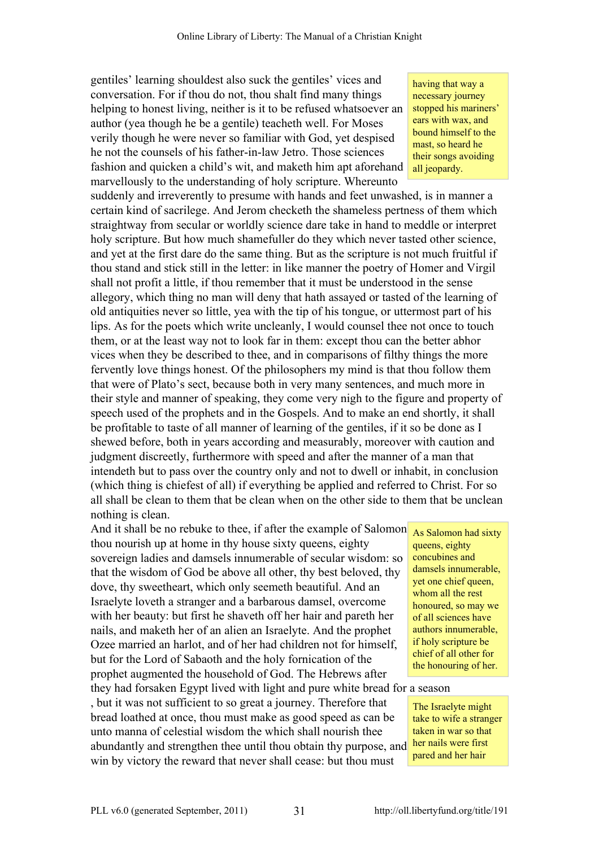gentiles' learning shouldest also suck the gentiles' vices and conversation. For if thou do not, thou shalt find many things helping to honest living, neither is it to be refused whatsoever an author (yea though he be a gentile) teacheth well. For Moses verily though he were never so familiar with God, yet despised he not the counsels of his father-in-law Jetro. Those sciences fashion and quicken a child's wit, and maketh him apt aforehand marvellously to the understanding of holy scripture. Whereunto

having that way a necessary journey stopped his mariners' ears with wax, and bound himself to the mast, so heard he their songs avoiding all jeopardy.

suddenly and irreverently to presume with hands and feet unwashed, is in manner a certain kind of sacrilege. And Jerom checketh the shameless pertness of them which straightway from secular or worldly science dare take in hand to meddle or interpret holy scripture. But how much shamefuller do they which never tasted other science, and yet at the first dare do the same thing. But as the scripture is not much fruitful if thou stand and stick still in the letter: in like manner the poetry of Homer and Virgil shall not profit a little, if thou remember that it must be understood in the sense allegory, which thing no man will deny that hath assayed or tasted of the learning of old antiquities never so little, yea with the tip of his tongue, or uttermost part of his lips. As for the poets which write uncleanly, I would counsel thee not once to touch them, or at the least way not to look far in them: except thou can the better abhor vices when they be described to thee, and in comparisons of filthy things the more fervently love things honest. Of the philosophers my mind is that thou follow them that were of Plato's sect, because both in very many sentences, and much more in their style and manner of speaking, they come very nigh to the figure and property of speech used of the prophets and in the Gospels. And to make an end shortly, it shall be profitable to taste of all manner of learning of the gentiles, if it so be done as I shewed before, both in years according and measurably, moreover with caution and judgment discreetly, furthermore with speed and after the manner of a man that intendeth but to pass over the country only and not to dwell or inhabit, in conclusion (which thing is chiefest of all) if everything be applied and referred to Christ. For so all shall be clean to them that be clean when on the other side to them that be unclean nothing is clean.

And it shall be no rebuke to thee, if after the example of Salomon thou nourish up at home in thy house sixty queens, eighty sovereign ladies and damsels innumerable of secular wisdom: so that the wisdom of God be above all other, thy best beloved, thy dove, thy sweetheart, which only seemeth beautiful. And an Israelyte loveth a stranger and a barbarous damsel, overcome with her beauty: but first he shaveth off her hair and pareth her nails, and maketh her of an alien an Israelyte. And the prophet Ozee married an harlot, and of her had children not for himself, but for the Lord of Sabaoth and the holy fornication of the prophet augmented the household of God. The Hebrews after they had forsaken Egypt lived with light and pure white bread for a season , but it was not sufficient to so great a journey. Therefore that bread loathed at once, thou must make as good speed as can be unto manna of celestial wisdom the which shall nourish thee abundantly and strengthen thee until thou obtain thy purpose, and win by victory the reward that never shall cease: but thou must

As Salomon had sixty queens, eighty concubines and damsels innumerable, yet one chief queen, whom all the rest honoured, so may we of all sciences have authors innumerable, if holy scripture be chief of all other for the honouring of her.

The Israelyte might take to wife a stranger taken in war so that her nails were first pared and her hair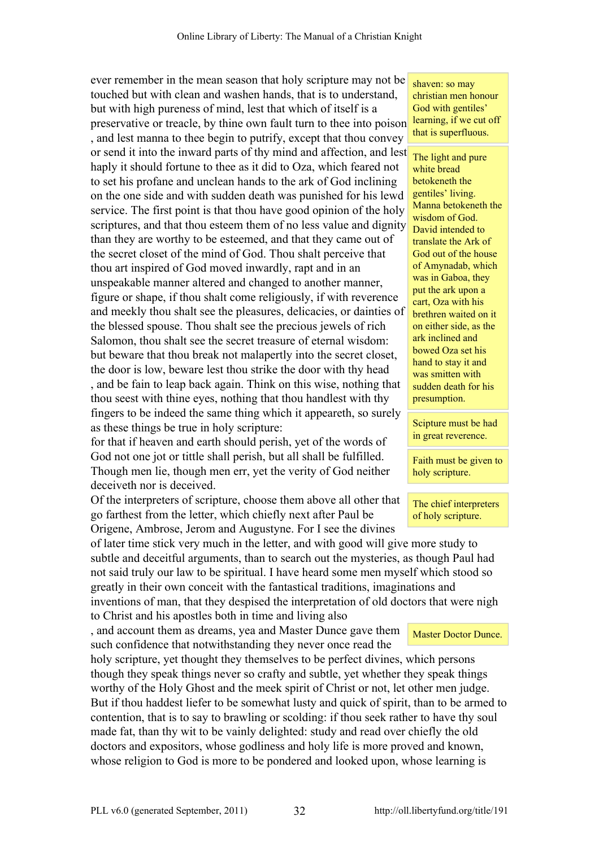ever remember in the mean season that holy scripture may not be touched but with clean and washen hands, that is to understand, but with high pureness of mind, lest that which of itself is a preservative or treacle, by thine own fault turn to thee into poison , and lest manna to thee begin to putrify, except that thou convey or send it into the inward parts of thy mind and affection, and lest haply it should fortune to thee as it did to Oza, which feared not to set his profane and unclean hands to the ark of God inclining on the one side and with sudden death was punished for his lewd service. The first point is that thou have good opinion of the holy scriptures, and that thou esteem them of no less value and dignity than they are worthy to be esteemed, and that they came out of the secret closet of the mind of God. Thou shalt perceive that thou art inspired of God moved inwardly, rapt and in an unspeakable manner altered and changed to another manner, figure or shape, if thou shalt come religiously, if with reverence and meekly thou shalt see the pleasures, delicacies, or dainties of the blessed spouse. Thou shalt see the precious jewels of rich Salomon, thou shalt see the secret treasure of eternal wisdom: but beware that thou break not malapertly into the secret closet, the door is low, beware lest thou strike the door with thy head , and be fain to leap back again. Think on this wise, nothing that thou seest with thine eyes, nothing that thou handlest with thy fingers to be indeed the same thing which it appeareth, so surely as these things be true in holy scripture:

for that if heaven and earth should perish, yet of the words of God not one jot or tittle shall perish, but all shall be fulfilled. Though men lie, though men err, yet the verity of God neither deceiveth nor is deceived.

Of the interpreters of scripture, choose them above all other that go farthest from the letter, which chiefly next after Paul be Origene, Ambrose, Jerom and Augustyne. For I see the divines

of later time stick very much in the letter, and with good will give more study to subtle and deceitful arguments, than to search out the mysteries, as though Paul had not said truly our law to be spiritual. I have heard some men myself which stood so greatly in their own conceit with the fantastical traditions, imaginations and inventions of man, that they despised the interpretation of old doctors that were nigh to Christ and his apostles both in time and living also

, and account them as dreams, yea and Master Dunce gave them such confidence that notwithstanding they never once read the

holy scripture, yet thought they themselves to be perfect divines, which persons though they speak things never so crafty and subtle, yet whether they speak things worthy of the Holy Ghost and the meek spirit of Christ or not, let other men judge. But if thou haddest liefer to be somewhat lusty and quick of spirit, than to be armed to contention, that is to say to brawling or scolding: if thou seek rather to have thy soul made fat, than thy wit to be vainly delighted: study and read over chiefly the old doctors and expositors, whose godliness and holy life is more proved and known, whose religion to God is more to be pondered and looked upon, whose learning is

shaven: so may christian men honour God with gentiles' learning, if we cut off that is superfluous.

The light and pure white bread betokeneth the gentiles' living. Manna betokeneth the wisdom of God. David intended to translate the Ark of God out of the house of Amynadab, which was in Gaboa, they put the ark upon a cart, Oza with his brethren waited on it on either side, as the ark inclined and bowed Oza set his hand to stay it and was smitten with sudden death for his presumption.

Scipture must be had in great reverence.

Faith must be given to holy scripture.

The chief interpreters of holy scripture.

Master Doctor Dunce.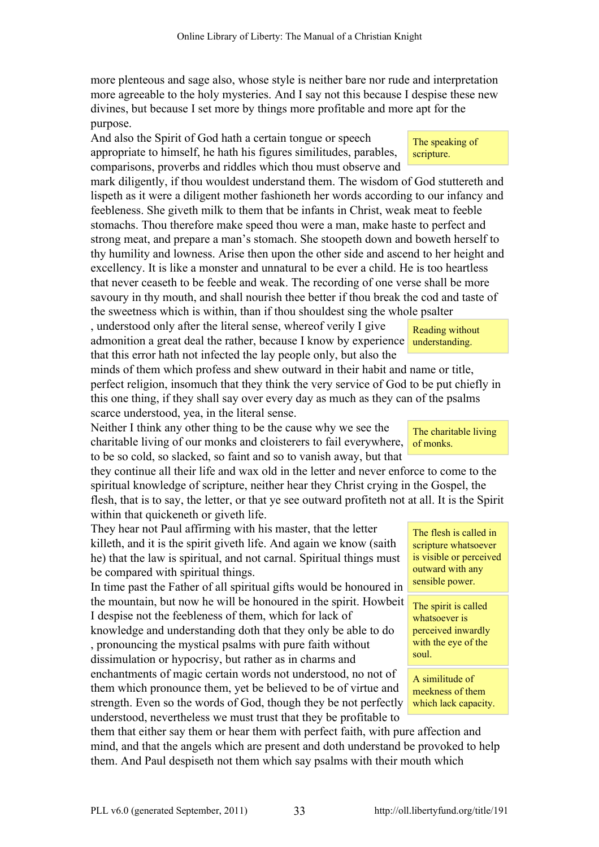more plenteous and sage also, whose style is neither bare nor rude and interpretation more agreeable to the holy mysteries. And I say not this because I despise these new divines, but because I set more by things more profitable and more apt for the purpose.

And also the Spirit of God hath a certain tongue or speech appropriate to himself, he hath his figures similitudes, parables, comparisons, proverbs and riddles which thou must observe and

mark diligently, if thou wouldest understand them. The wisdom of God stuttereth and lispeth as it were a diligent mother fashioneth her words according to our infancy and feebleness. She giveth milk to them that be infants in Christ, weak meat to feeble stomachs. Thou therefore make speed thou were a man, make haste to perfect and strong meat, and prepare a man's stomach. She stoopeth down and boweth herself to thy humility and lowness. Arise then upon the other side and ascend to her height and excellency. It is like a monster and unnatural to be ever a child. He is too heartless that never ceaseth to be feeble and weak. The recording of one verse shall be more savoury in thy mouth, and shall nourish thee better if thou break the cod and taste of the sweetness which is within, than if thou shouldest sing the whole psalter

, understood only after the literal sense, whereof verily I give admonition a great deal the rather, because I know by experience that this error hath not infected the lay people only, but also the

minds of them which profess and shew outward in their habit and name or title, perfect religion, insomuch that they think the very service of God to be put chiefly in this one thing, if they shall say over every day as much as they can of the psalms scarce understood, yea, in the literal sense.

Neither I think any other thing to be the cause why we see the charitable living of our monks and cloisterers to fail everywhere, to be so cold, so slacked, so faint and so to vanish away, but that

they continue all their life and wax old in the letter and never enforce to come to the spiritual knowledge of scripture, neither hear they Christ crying in the Gospel, the flesh, that is to say, the letter, or that ye see outward profiteth not at all. It is the Spirit within that quickeneth or giveth life.

They hear not Paul affirming with his master, that the letter killeth, and it is the spirit giveth life. And again we know (saith he) that the law is spiritual, and not carnal. Spiritual things must be compared with spiritual things.

In time past the Father of all spiritual gifts would be honoured in the mountain, but now he will be honoured in the spirit. Howbeit I despise not the feebleness of them, which for lack of

knowledge and understanding doth that they only be able to do , pronouncing the mystical psalms with pure faith without dissimulation or hypocrisy, but rather as in charms and

enchantments of magic certain words not understood, no not of them which pronounce them, yet be believed to be of virtue and strength. Even so the words of God, though they be not perfectly understood, nevertheless we must trust that they be profitable to

them that either say them or hear them with perfect faith, with pure affection and mind, and that the angels which are present and doth understand be provoked to help them. And Paul despiseth not them which say psalms with their mouth which

The charitable living of monks.

Reading without understanding.

The flesh is called in scripture whatsoever is visible or perceived outward with any sensible power.

The spirit is called whatsoever is perceived inwardly with the eye of the soul.

A similitude of meekness of them which lack capacity.

The speaking of scripture.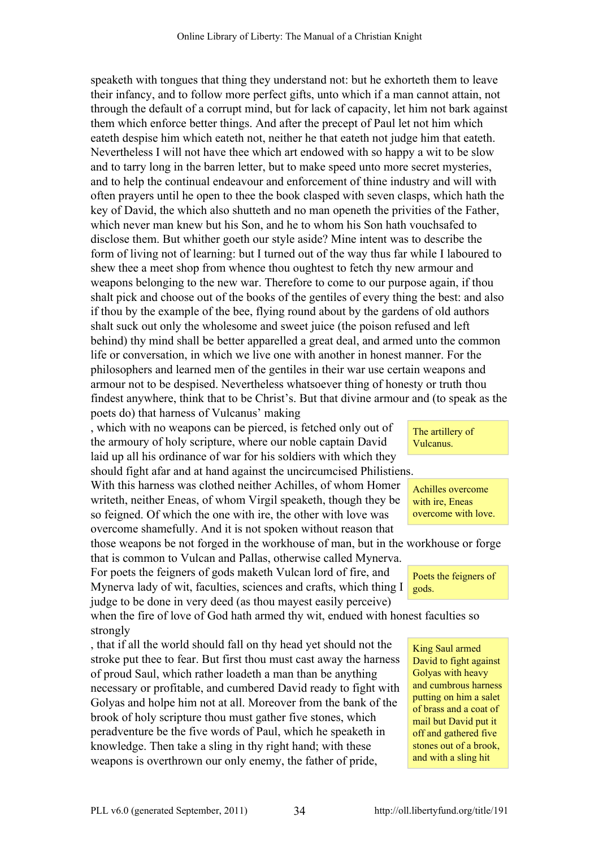speaketh with tongues that thing they understand not: but he exhorteth them to leave their infancy, and to follow more perfect gifts, unto which if a man cannot attain, not through the default of a corrupt mind, but for lack of capacity, let him not bark against them which enforce better things. And after the precept of Paul let not him which eateth despise him which eateth not, neither he that eateth not judge him that eateth. Nevertheless I will not have thee which art endowed with so happy a wit to be slow and to tarry long in the barren letter, but to make speed unto more secret mysteries, and to help the continual endeavour and enforcement of thine industry and will with often prayers until he open to thee the book clasped with seven clasps, which hath the key of David, the which also shutteth and no man openeth the privities of the Father, which never man knew but his Son, and he to whom his Son hath vouchsafed to disclose them. But whither goeth our style aside? Mine intent was to describe the form of living not of learning: but I turned out of the way thus far while I laboured to shew thee a meet shop from whence thou oughtest to fetch thy new armour and weapons belonging to the new war. Therefore to come to our purpose again, if thou shalt pick and choose out of the books of the gentiles of every thing the best: and also if thou by the example of the bee, flying round about by the gardens of old authors shalt suck out only the wholesome and sweet juice (the poison refused and left behind) thy mind shall be better apparelled a great deal, and armed unto the common life or conversation, in which we live one with another in honest manner. For the philosophers and learned men of the gentiles in their war use certain weapons and armour not to be despised. Nevertheless whatsoever thing of honesty or truth thou findest anywhere, think that to be Christ's. But that divine armour and (to speak as the poets do) that harness of Vulcanus' making

, which with no weapons can be pierced, is fetched only out of the armoury of holy scripture, where our noble captain David laid up all his ordinance of war for his soldiers with which they should fight afar and at hand against the uncircumcised Philistiens.

With this harness was clothed neither Achilles, of whom Homer writeth, neither Eneas, of whom Virgil speaketh, though they be so feigned. Of which the one with ire, the other with love was overcome shamefully. And it is not spoken without reason that

those weapons be not forged in the workhouse of man, but in the workhouse or forge that is common to Vulcan and Pallas, otherwise called Mynerva.

For poets the feigners of gods maketh Vulcan lord of fire, and Mynerva lady of wit, faculties, sciences and crafts, which thing I judge to be done in very deed (as thou mayest easily perceive)

when the fire of love of God hath armed thy wit, endued with honest faculties so strongly

, that if all the world should fall on thy head yet should not the stroke put thee to fear. But first thou must cast away the harness of proud Saul, which rather loadeth a man than be anything necessary or profitable, and cumbered David ready to fight with Golyas and holpe him not at all. Moreover from the bank of the brook of holy scripture thou must gather five stones, which peradventure be the five words of Paul, which he speaketh in knowledge. Then take a sling in thy right hand; with these weapons is overthrown our only enemy, the father of pride,

The artillery of Vulcanus.

Achilles overcome with ire, Eneas overcome with love.

Poets the feigners of gods.

King Saul armed David to fight against Golyas with heavy and cumbrous harness putting on him a salet of brass and a coat of mail but David put it off and gathered five stones out of a brook, and with a sling hit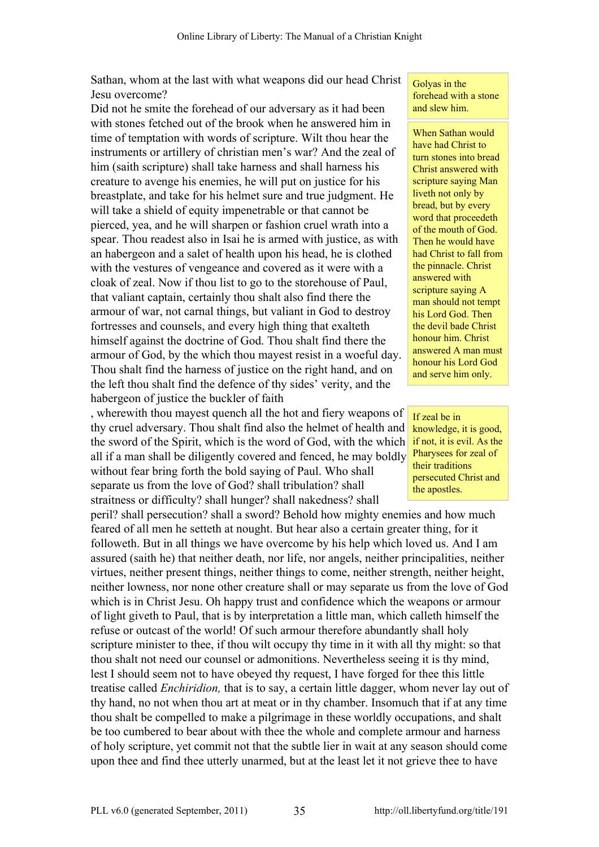Sathan, whom at the last with what weapons did our head Christ Jesu overcome?

Did not he smite the forehead of our adversary as it had been with stones fetched out of the brook when he answered him in time of temptation with words of scripture. Wilt thou hear the instruments or artillery of christian men's war? And the zeal of him (saith scripture) shall take harness and shall harness his creature to avenge his enemies, he will put on justice for his breastplate, and take for his helmet sure and true judgment. He will take a shield of equity impenetrable or that cannot be pierced, yea, and he will sharpen or fashion cruel wrath into a spear. Thou readest also in Isai he is armed with justice, as with an habergeon and a salet of health upon his head, he is clothed with the vestures of vengeance and covered as it were with a cloak of zeal. Now if thou list to go to the storehouse of Paul, that valiant captain, certainly thou shalt also find there the armour of war, not carnal things, but valiant in God to destroy fortresses and counsels, and every high thing that exalteth himself against the doctrine of God. Thou shalt find there the armour of God, by the which thou mayest resist in a woeful day. Thou shalt find the harness of justice on the right hand, and on the left thou shalt find the defence of thy sides' verity, and the habergeon of justice the buckler of faith

, wherewith thou mayest quench all the hot and fiery weapons of thy cruel adversary. Thou shalt find also the helmet of health and the sword of the Spirit, which is the word of God, with the which all if a man shall be diligently covered and fenced, he may boldly without fear bring forth the bold saying of Paul. Who shall separate us from the love of God? shall tribulation? shall straitness or difficulty? shall hunger? shall nakedness? shall

peril? shall persecution? shall a sword? Behold how mighty enemies and how much feared of all men he setteth at nought. But hear also a certain greater thing, for it followeth. But in all things we have overcome by his help which loved us. And I am assured (saith he) that neither death, nor life, nor angels, neither principalities, neither virtues, neither present things, neither things to come, neither strength, neither height, neither lowness, nor none other creature shall or may separate us from the love of God which is in Christ Jesu. Oh happy trust and confidence which the weapons or armour of light giveth to Paul, that is by interpretation a little man, which calleth himself the refuse or outcast of the world! Of such armour therefore abundantly shall holy scripture minister to thee, if thou wilt occupy thy time in it with all thy might: so that thou shalt not need our counsel or admonitions. Nevertheless seeing it is thy mind, lest I should seem not to have obeyed thy request, I have forged for thee this little treatise called *Enchiridion,* that is to say, a certain little dagger, whom never lay out of thy hand, no not when thou art at meat or in thy chamber. Insomuch that if at any time thou shalt be compelled to make a pilgrimage in these worldly occupations, and shalt be too cumbered to bear about with thee the whole and complete armour and harness of holy scripture, yet commit not that the subtle lier in wait at any season should come upon thee and find thee utterly unarmed, but at the least let it not grieve thee to have

Golyas in the forehead with a stone and slew him.

When Sathan would have had Christ to turn stones into bread Christ answered with scripture saying Man liveth not only by bread, but by every word that proceedeth of the mouth of God. Then he would have had Christ to fall from the pinnacle. Christ answered with scripture saying A man should not tempt his Lord God. Then the devil bade Christ honour him. Christ answered A man must honour his Lord God and serve him only.

If zeal be in knowledge, it is good, if not, it is evil. As the Pharysees for zeal of their traditions persecuted Christ and the apostles.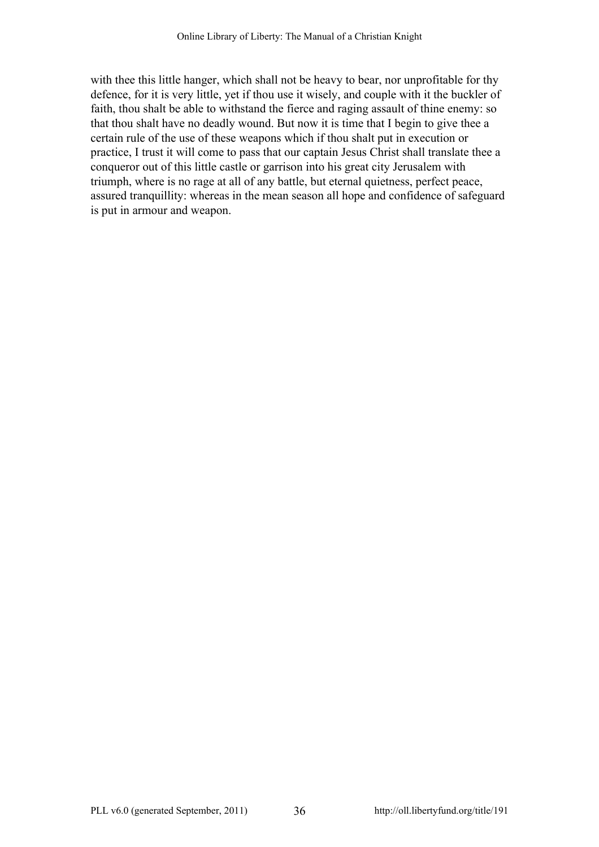with thee this little hanger, which shall not be heavy to bear, nor unprofitable for thy defence, for it is very little, yet if thou use it wisely, and couple with it the buckler of faith, thou shalt be able to withstand the fierce and raging assault of thine enemy: so that thou shalt have no deadly wound. But now it is time that I begin to give thee a certain rule of the use of these weapons which if thou shalt put in execution or practice, I trust it will come to pass that our captain Jesus Christ shall translate thee a conqueror out of this little castle or garrison into his great city Jerusalem with triumph, where is no rage at all of any battle, but eternal quietness, perfect peace, assured tranquillity: whereas in the mean season all hope and confidence of safeguard is put in armour and weapon.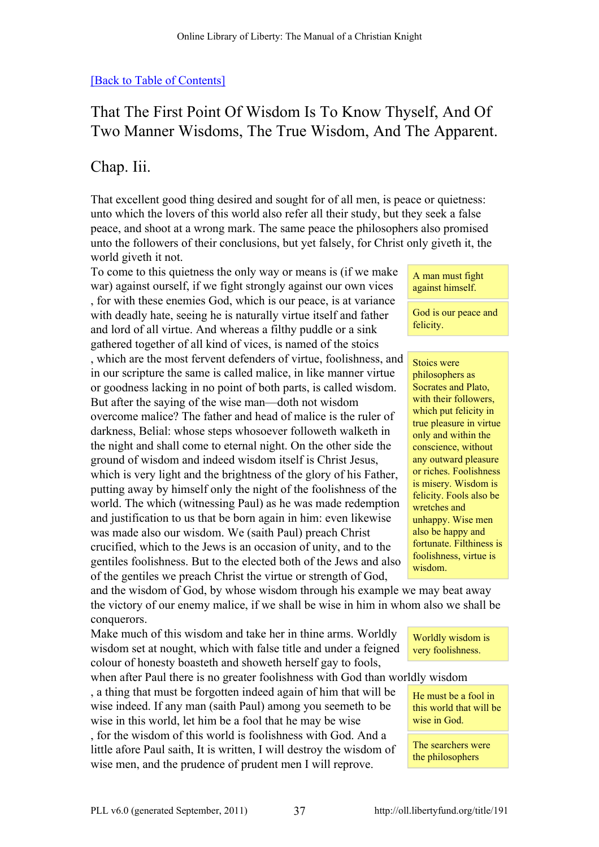# That The First Point Of Wisdom Is To Know Thyself, And Of Two Manner Wisdoms, The True Wisdom, And The Apparent.

## Chap. Iii.

That excellent good thing desired and sought for of all men, is peace or quietness: unto which the lovers of this world also refer all their study, but they seek a false peace, and shoot at a wrong mark. The same peace the philosophers also promised unto the followers of their conclusions, but yet falsely, for Christ only giveth it, the world giveth it not.

To come to this quietness the only way or means is (if we make war) against ourself, if we fight strongly against our own vices , for with these enemies God, which is our peace, is at variance with deadly hate, seeing he is naturally virtue itself and father and lord of all virtue. And whereas a filthy puddle or a sink gathered together of all kind of vices, is named of the stoics , which are the most fervent defenders of virtue, foolishness, and in our scripture the same is called malice, in like manner virtue or goodness lacking in no point of both parts, is called wisdom. But after the saying of the wise man—doth not wisdom overcome malice? The father and head of malice is the ruler of darkness, Belial: whose steps whosoever followeth walketh in the night and shall come to eternal night. On the other side the ground of wisdom and indeed wisdom itself is Christ Jesus, which is very light and the brightness of the glory of his Father, putting away by himself only the night of the foolishness of the world. The which (witnessing Paul) as he was made redemption and justification to us that be born again in him: even likewise was made also our wisdom. We (saith Paul) preach Christ crucified, which to the Jews is an occasion of unity, and to the gentiles foolishness. But to the elected both of the Jews and also of the gentiles we preach Christ the virtue or strength of God,

and the wisdom of God, by whose wisdom through his example we may beat away the victory of our enemy malice, if we shall be wise in him in whom also we shall be conquerors.

Make much of this wisdom and take her in thine arms. Worldly wisdom set at nought, which with false title and under a feigned colour of honesty boasteth and showeth herself gay to fools,

when after Paul there is no greater foolishness with God than worldly wisdom , a thing that must be forgotten indeed again of him that will be wise indeed. If any man (saith Paul) among you seemeth to be wise in this world, let him be a fool that he may be wise , for the wisdom of this world is foolishness with God. And a little afore Paul saith, It is written, I will destroy the wisdom of wise men, and the prudence of prudent men I will reprove.

A man must fight against himself.

God is our peace and felicity.

Stoics were philosophers as Socrates and Plato, with their followers, which put felicity in true pleasure in virtue only and within the conscience, without any outward pleasure or riches. Foolishness is misery. Wisdom is felicity. Fools also be wretches and unhappy. Wise men also be happy and fortunate. Filthiness is foolishness, virtue is wisdom.

Worldly wisdom is very foolishness.

He must be a fool in this world that will be

The searchers were the philosophers

wise in God.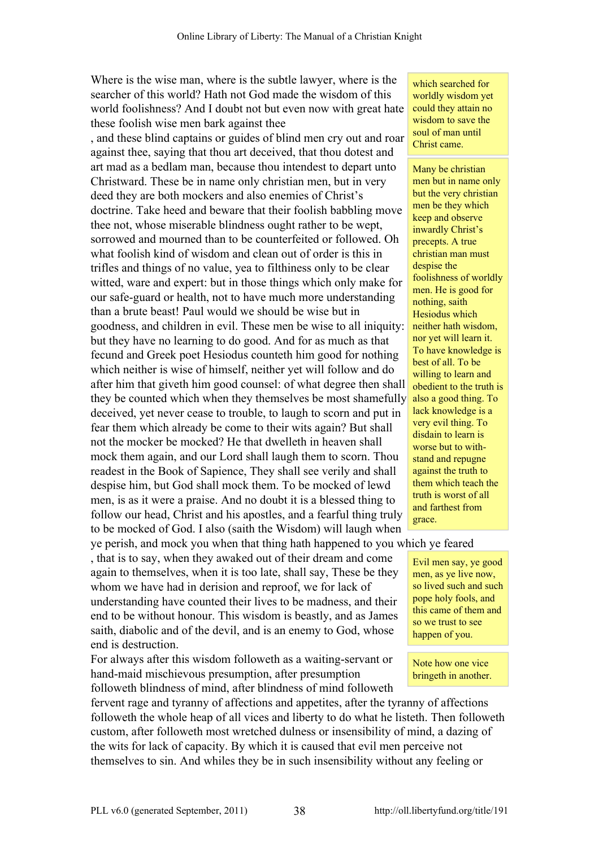Where is the wise man, where is the subtle lawyer, where is the searcher of this world? Hath not God made the wisdom of this world foolishness? And I doubt not but even now with great hate these foolish wise men bark against thee

, and these blind captains or guides of blind men cry out and roar against thee, saying that thou art deceived, that thou dotest and art mad as a bedlam man, because thou intendest to depart unto Christward. These be in name only christian men, but in very deed they are both mockers and also enemies of Christ's doctrine. Take heed and beware that their foolish babbling move thee not, whose miserable blindness ought rather to be wept, sorrowed and mourned than to be counterfeited or followed. Oh what foolish kind of wisdom and clean out of order is this in trifles and things of no value, yea to filthiness only to be clear witted, ware and expert: but in those things which only make for our safe-guard or health, not to have much more understanding than a brute beast! Paul would we should be wise but in goodness, and children in evil. These men be wise to all iniquity: but they have no learning to do good. And for as much as that fecund and Greek poet Hesiodus counteth him good for nothing which neither is wise of himself, neither yet will follow and do after him that giveth him good counsel: of what degree then shall they be counted which when they themselves be most shamefully deceived, yet never cease to trouble, to laugh to scorn and put in fear them which already be come to their wits again? But shall not the mocker be mocked? He that dwelleth in heaven shall mock them again, and our Lord shall laugh them to scorn. Thou readest in the Book of Sapience, They shall see verily and shall despise him, but God shall mock them. To be mocked of lewd men, is as it were a praise. And no doubt it is a blessed thing to follow our head, Christ and his apostles, and a fearful thing truly to be mocked of God. I also (saith the Wisdom) will laugh when ye perish, and mock you when that thing hath happened to you which ye feared , that is to say, when they awaked out of their dream and come again to themselves, when it is too late, shall say, These be they

whom we have had in derision and reproof, we for lack of understanding have counted their lives to be madness, and their end to be without honour. This wisdom is beastly, and as James saith, diabolic and of the devil, and is an enemy to God, whose end is destruction.

For always after this wisdom followeth as a waiting-servant or hand-maid mischievous presumption, after presumption followeth blindness of mind, after blindness of mind followeth which searched for worldly wisdom yet could they attain no wisdom to save the soul of man until Christ came.

Many be christian men but in name only but the very christian men be they which keep and observe inwardly Christ's precepts. A true christian man must despise the foolishness of worldly men. He is good for nothing, saith Hesiodus which neither hath wisdom, nor yet will learn it. To have knowledge is best of all. To be willing to learn and obedient to the truth is also a good thing. To lack knowledge is a very evil thing. To disdain to learn is worse but to withstand and repugne against the truth to them which teach the truth is worst of all and farthest from grace.

Evil men say, ye good men, as ye live now, so lived such and such pope holy fools, and this came of them and so we trust to see happen of you.

Note how one vice bringeth in another.

fervent rage and tyranny of affections and appetites, after the tyranny of affections followeth the whole heap of all vices and liberty to do what he listeth. Then followeth custom, after followeth most wretched dulness or insensibility of mind, a dazing of the wits for lack of capacity. By which it is caused that evil men perceive not themselves to sin. And whiles they be in such insensibility without any feeling or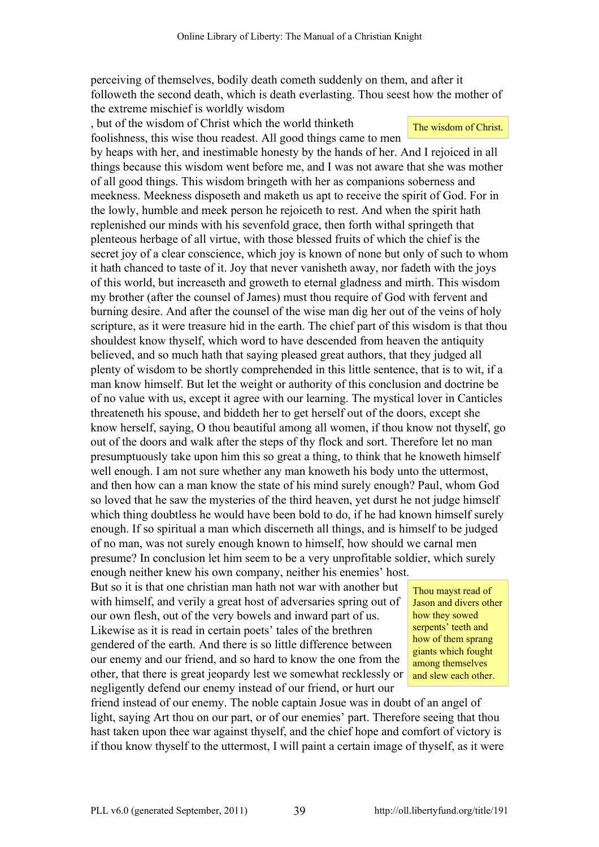perceiving of themselves, bodily death cometh suddenly on them, and after it followeth the second death, which is death everlasting. Thou seest how the mother of the extreme mischief is worldly wisdom

, but of the wisdom of Christ which the world thinketh

foolishness, this wise thou readest. All good things came to men

#### The wisdom of Christ.

by heaps with her, and inestimable honesty by the hands of her. And I rejoiced in all things because this wisdom went before me, and I was not aware that she was mother of all good things. This wisdom bringeth with her as companions soberness and meekness. Meekness disposeth and maketh us apt to receive the spirit of God. For in the lowly, humble and meek person he rejoiceth to rest. And when the spirit hath replenished our minds with his sevenfold grace, then forth withal springeth that plenteous herbage of all virtue, with those blessed fruits of which the chief is the secret joy of a clear conscience, which joy is known of none but only of such to whom it hath chanced to taste of it. Joy that never vanisheth away, nor fadeth with the joys of this world, but increaseth and groweth to eternal gladness and mirth. This wisdom my brother (after the counsel of James) must thou require of God with fervent and burning desire. And after the counsel of the wise man dig her out of the veins of holy scripture, as it were treasure hid in the earth. The chief part of this wisdom is that thou shouldest know thyself, which word to have descended from heaven the antiquity believed, and so much hath that saying pleased great authors, that they judged all plenty of wisdom to be shortly comprehended in this little sentence, that is to wit, if a man know himself. But let the weight or authority of this conclusion and doctrine be of no value with us, except it agree with our learning. The mystical lover in Canticles threateneth his spouse, and biddeth her to get herself out of the doors, except she know herself, saying, O thou beautiful among all women, if thou know not thyself, go out of the doors and walk after the steps of thy flock and sort. Therefore let no man presumptuously take upon him this so great a thing, to think that he knoweth himself well enough. I am not sure whether any man knoweth his body unto the uttermost, and then how can a man know the state of his mind surely enough? Paul, whom God so loved that he saw the mysteries of the third heaven, yet durst he not judge himself which thing doubtless he would have been bold to do, if he had known himself surely enough. If so spiritual a man which discerneth all things, and is himself to be judged of no man, was not surely enough known to himself, how should we carnal men presume? In conclusion let him seem to be a very unprofitable soldier, which surely enough neither knew his own company, neither his enemies' host.

But so it is that one christian man hath not war with another but with himself, and verily a great host of adversaries spring out of our own flesh, out of the very bowels and inward part of us. Likewise as it is read in certain poets' tales of the brethren gendered of the earth. And there is so little difference between our enemy and our friend, and so hard to know the one from the other, that there is great jeopardy lest we somewhat recklessly or negligently defend our enemy instead of our friend, or hurt our

Thou mayst read of Jason and divers other how they sowed serpents' teeth and how of them sprang giants which fought among themselves and slew each other.

friend instead of our enemy. The noble captain Josue was in doubt of an angel of light, saying Art thou on our part, or of our enemies' part. Therefore seeing that thou hast taken upon thee war against thyself, and the chief hope and comfort of victory is if thou know thyself to the uttermost, I will paint a certain image of thyself, as it were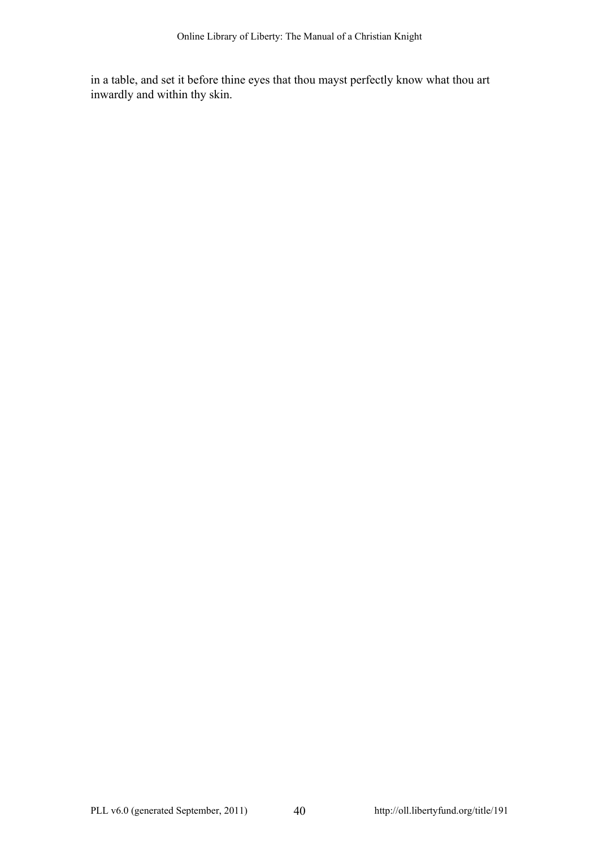in a table, and set it before thine eyes that thou mayst perfectly know what thou art inwardly and within thy skin.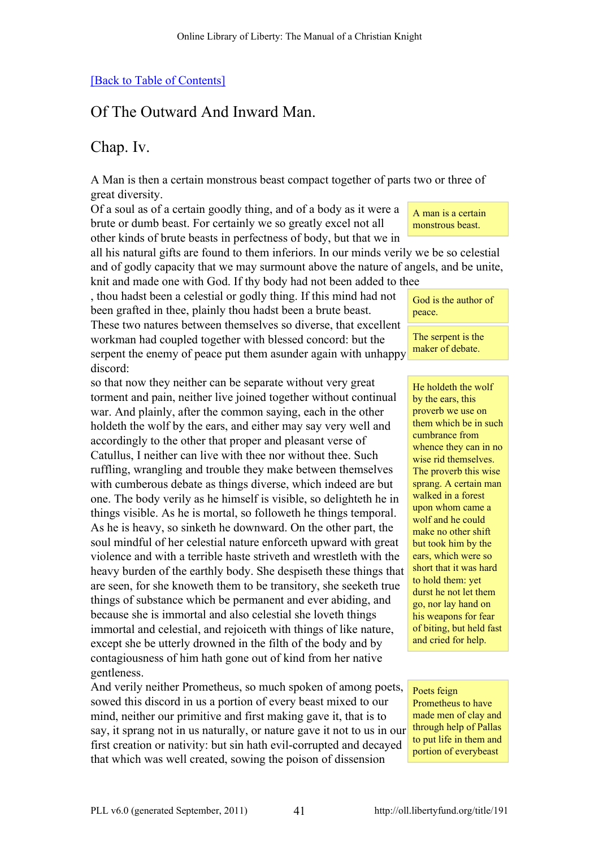# Of The Outward And Inward Man.

## Chap. Iv.

A Man is then a certain monstrous beast compact together of parts two or three of great diversity.

Of a soul as of a certain goodly thing, and of a body as it were a brute or dumb beast. For certainly we so greatly excel not all other kinds of brute beasts in perfectness of body, but that we in

A man is a certain monstrous beast.

all his natural gifts are found to them inferiors. In our minds verily we be so celestial and of godly capacity that we may surmount above the nature of angels, and be unite, knit and made one with God. If thy body had not been added to thee

, thou hadst been a celestial or godly thing. If this mind had not been grafted in thee, plainly thou hadst been a brute beast. These two natures between themselves so diverse, that excellent workman had coupled together with blessed concord: but the serpent the enemy of peace put them asunder again with unhappy discord:

so that now they neither can be separate without very great torment and pain, neither live joined together without continual war. And plainly, after the common saying, each in the other holdeth the wolf by the ears, and either may say very well and accordingly to the other that proper and pleasant verse of Catullus, I neither can live with thee nor without thee. Such ruffling, wrangling and trouble they make between themselves with cumberous debate as things diverse, which indeed are but one. The body verily as he himself is visible, so delighteth he in things visible. As he is mortal, so followeth he things temporal. As he is heavy, so sinketh he downward. On the other part, the soul mindful of her celestial nature enforceth upward with great violence and with a terrible haste striveth and wrestleth with the heavy burden of the earthly body. She despiseth these things that are seen, for she knoweth them to be transitory, she seeketh true things of substance which be permanent and ever abiding, and because she is immortal and also celestial she loveth things immortal and celestial, and rejoiceth with things of like nature, except she be utterly drowned in the filth of the body and by contagiousness of him hath gone out of kind from her native gentleness.

And verily neither Prometheus, so much spoken of among poets, sowed this discord in us a portion of every beast mixed to our mind, neither our primitive and first making gave it, that is to say, it sprang not in us naturally, or nature gave it not to us in our first creation or nativity: but sin hath evil-corrupted and decayed that which was well created, sowing the poison of dissension

God is the author of peace.

The serpent is the maker of debate.

He holdeth the wolf by the ears, this proverb we use on them which be in such cumbrance from whence they can in no wise rid themselves. The proverb this wise sprang. A certain man walked in a forest upon whom came a wolf and he could make no other shift but took him by the ears, which were so short that it was hard to hold them: yet durst he not let them go, nor lay hand on his weapons for fear of biting, but held fast and cried for help.

Poets feign Prometheus to have made men of clay and through help of Pallas to put life in them and portion of everybeast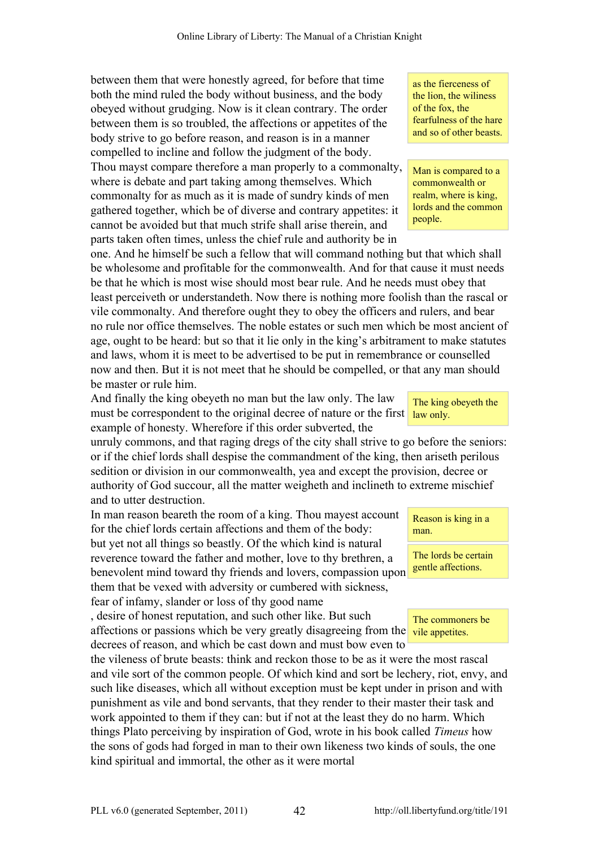between them that were honestly agreed, for before that time both the mind ruled the body without business, and the body obeyed without grudging. Now is it clean contrary. The order between them is so troubled, the affections or appetites of the body strive to go before reason, and reason is in a manner compelled to incline and follow the judgment of the body. Thou mayst compare therefore a man properly to a commonalty, where is debate and part taking among themselves. Which commonalty for as much as it is made of sundry kinds of men gathered together, which be of diverse and contrary appetites: it cannot be avoided but that much strife shall arise therein, and parts taken often times, unless the chief rule and authority be in

one. And he himself be such a fellow that will command nothing but that which shall be wholesome and profitable for the commonwealth. And for that cause it must needs be that he which is most wise should most bear rule. And he needs must obey that least perceiveth or understandeth. Now there is nothing more foolish than the rascal or vile commonalty. And therefore ought they to obey the officers and rulers, and bear no rule nor office themselves. The noble estates or such men which be most ancient of age, ought to be heard: but so that it lie only in the king's arbitrament to make statutes and laws, whom it is meet to be advertised to be put in remembrance or counselled now and then. But it is not meet that he should be compelled, or that any man should be master or rule him.

And finally the king obeyeth no man but the law only. The law must be correspondent to the original decree of nature or the first example of honesty. Wherefore if this order subverted, the

unruly commons, and that raging dregs of the city shall strive to go before the seniors: or if the chief lords shall despise the commandment of the king, then ariseth perilous sedition or division in our commonwealth, yea and except the provision, decree or authority of God succour, all the matter weigheth and inclineth to extreme mischief and to utter destruction.

In man reason beareth the room of a king. Thou mayest account for the chief lords certain affections and them of the body: but yet not all things so beastly. Of the which kind is natural reverence toward the father and mother, love to thy brethren, a benevolent mind toward thy friends and lovers, compassion upon them that be vexed with adversity or cumbered with sickness,

affections or passions which be very greatly disagreeing from the vile appetites. fear of infamy, slander or loss of thy good name , desire of honest reputation, and such other like. But such decrees of reason, and which be cast down and must bow even to

the vileness of brute beasts: think and reckon those to be as it were the most rascal and vile sort of the common people. Of which kind and sort be lechery, riot, envy, and such like diseases, which all without exception must be kept under in prison and with punishment as vile and bond servants, that they render to their master their task and work appointed to them if they can: but if not at the least they do no harm. Which things Plato perceiving by inspiration of God, wrote in his book called *Timeus* how the sons of gods had forged in man to their own likeness two kinds of souls, the one kind spiritual and immortal, the other as it were mortal

as the fierceness of the lion, the wiliness of the fox, the fearfulness of the hare and so of other beasts.

Man is compared to a commonwealth or realm, where is king, lords and the common people.

The king obeyeth the law only.

Reason is king in a man.

The lords be certain gentle affections.

The commoners be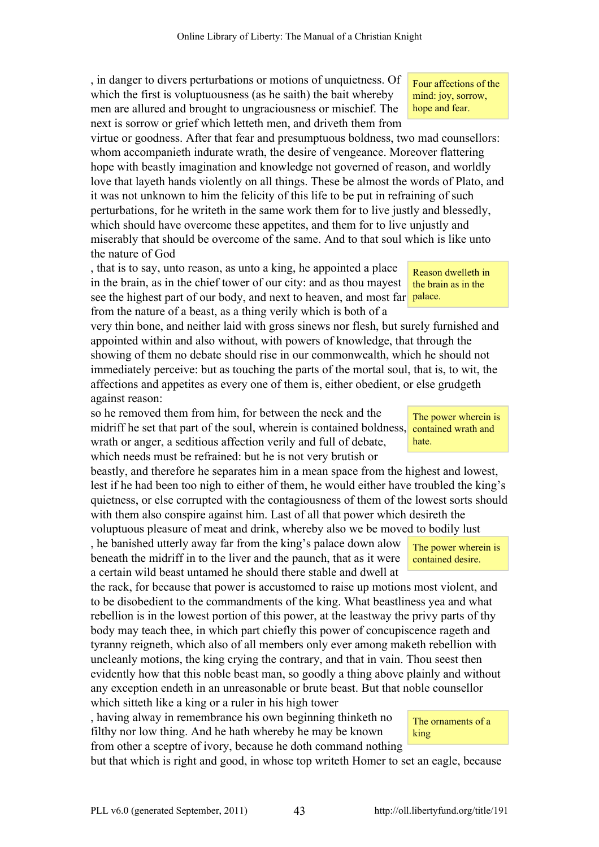, in danger to divers perturbations or motions of unquietness. Of which the first is voluptuousness (as he saith) the bait whereby men are allured and brought to ungraciousness or mischief. The next is sorrow or grief which letteth men, and driveth them from

virtue or goodness. After that fear and presumptuous boldness, two mad counsellors: whom accompanieth indurate wrath, the desire of vengeance. Moreover flattering hope with beastly imagination and knowledge not governed of reason, and worldly love that layeth hands violently on all things. These be almost the words of Plato, and it was not unknown to him the felicity of this life to be put in refraining of such perturbations, for he writeth in the same work them for to live justly and blessedly, which should have overcome these appetites, and them for to live unjustly and miserably that should be overcome of the same. And to that soul which is like unto the nature of God

see the highest part of our body, and next to heaven, and most far **palace**. , that is to say, unto reason, as unto a king, he appointed a place in the brain, as in the chief tower of our city: and as thou mayest from the nature of a beast, as a thing verily which is both of a

very thin bone, and neither laid with gross sinews nor flesh, but surely furnished and appointed within and also without, with powers of knowledge, that through the showing of them no debate should rise in our commonwealth, which he should not immediately perceive: but as touching the parts of the mortal soul, that is, to wit, the affections and appetites as every one of them is, either obedient, or else grudgeth against reason:

so he removed them from him, for between the neck and the midriff he set that part of the soul, wherein is contained boldness, wrath or anger, a seditious affection verily and full of debate, which needs must be refrained: but he is not very brutish or

beastly, and therefore he separates him in a mean space from the highest and lowest, lest if he had been too nigh to either of them, he would either have troubled the king's quietness, or else corrupted with the contagiousness of them of the lowest sorts should with them also conspire against him. Last of all that power which desireth the

The power wherein is contained desire. voluptuous pleasure of meat and drink, whereby also we be moved to bodily lust , he banished utterly away far from the king's palace down alow beneath the midriff in to the liver and the paunch, that as it were a certain wild beast untamed he should there stable and dwell at

the rack, for because that power is accustomed to raise up motions most violent, and to be disobedient to the commandments of the king. What beastliness yea and what rebellion is in the lowest portion of this power, at the leastway the privy parts of thy body may teach thee, in which part chiefly this power of concupiscence rageth and tyranny reigneth, which also of all members only ever among maketh rebellion with uncleanly motions, the king crying the contrary, and that in vain. Thou seest then evidently how that this noble beast man, so goodly a thing above plainly and without any exception endeth in an unreasonable or brute beast. But that noble counsellor which sitteth like a king or a ruler in his high tower

, having alway in remembrance his own beginning thinketh no filthy nor low thing. And he hath whereby he may be known from other a sceptre of ivory, because he doth command nothing

but that which is right and good, in whose top writeth Homer to set an eagle, because

The power wherein is contained wrath and hate.

Reason dwelleth in the brain as in the

Four affections of the mind: joy, sorrow, hope and fear.

The ornaments of a king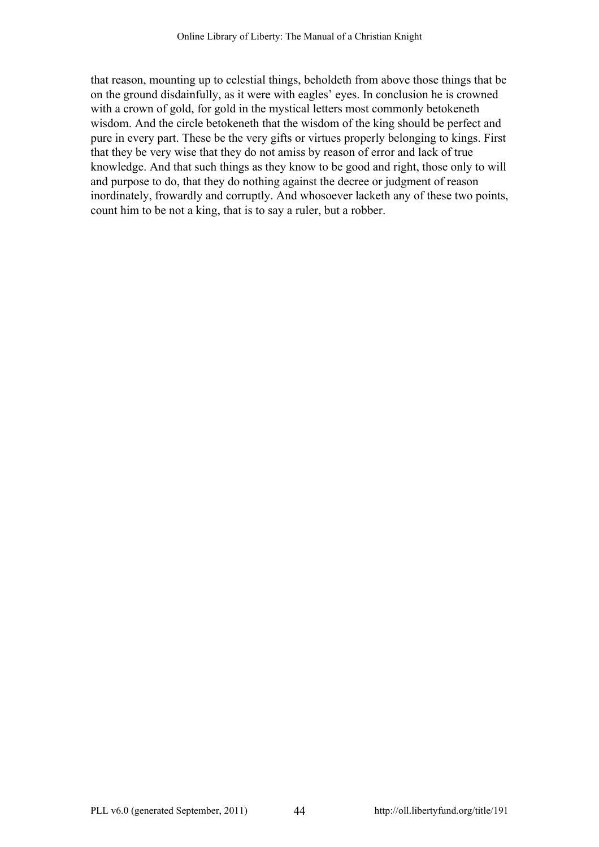that reason, mounting up to celestial things, beholdeth from above those things that be on the ground disdainfully, as it were with eagles' eyes. In conclusion he is crowned with a crown of gold, for gold in the mystical letters most commonly betokeneth wisdom. And the circle betokeneth that the wisdom of the king should be perfect and pure in every part. These be the very gifts or virtues properly belonging to kings. First that they be very wise that they do not amiss by reason of error and lack of true knowledge. And that such things as they know to be good and right, those only to will and purpose to do, that they do nothing against the decree or judgment of reason inordinately, frowardly and corruptly. And whosoever lacketh any of these two points, count him to be not a king, that is to say a ruler, but a robber.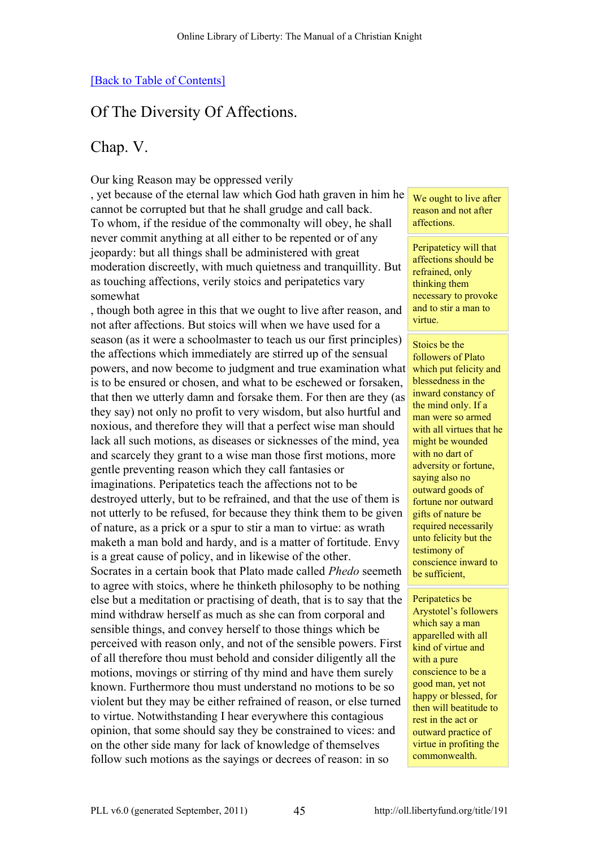## Of The Diversity Of Affections.

## Chap. V.

Our king Reason may be oppressed verily

, yet because of the eternal law which God hath graven in him he cannot be corrupted but that he shall grudge and call back. To whom, if the residue of the commonalty will obey, he shall never commit anything at all either to be repented or of any jeopardy: but all things shall be administered with great moderation discreetly, with much quietness and tranquillity. But as touching affections, verily stoics and peripatetics vary somewhat

, though both agree in this that we ought to live after reason, and not after affections. But stoics will when we have used for a season (as it were a schoolmaster to teach us our first principles) the affections which immediately are stirred up of the sensual powers, and now become to judgment and true examination what is to be ensured or chosen, and what to be eschewed or forsaken, that then we utterly damn and forsake them. For then are they (as they say) not only no profit to very wisdom, but also hurtful and noxious, and therefore they will that a perfect wise man should lack all such motions, as diseases or sicknesses of the mind, yea and scarcely they grant to a wise man those first motions, more gentle preventing reason which they call fantasies or imaginations. Peripatetics teach the affections not to be destroyed utterly, but to be refrained, and that the use of them is not utterly to be refused, for because they think them to be given of nature, as a prick or a spur to stir a man to virtue: as wrath maketh a man bold and hardy, and is a matter of fortitude. Envy is a great cause of policy, and in likewise of the other. Socrates in a certain book that Plato made called *Phedo* seemeth to agree with stoics, where he thinketh philosophy to be nothing else but a meditation or practising of death, that is to say that the mind withdraw herself as much as she can from corporal and sensible things, and convey herself to those things which be perceived with reason only, and not of the sensible powers. First of all therefore thou must behold and consider diligently all the motions, movings or stirring of thy mind and have them surely known. Furthermore thou must understand no motions to be so violent but they may be either refrained of reason, or else turned to virtue. Notwithstanding I hear everywhere this contagious opinion, that some should say they be constrained to vices: and on the other side many for lack of knowledge of themselves follow such motions as the sayings or decrees of reason: in so

We ought to live after reason and not after affections.

Peripateticy will that affections should be refrained, only thinking them necessary to provoke and to stir a man to virtue.

Stoics be the followers of Plato which put felicity and blessedness in the inward constancy of the mind only. If a man were so armed with all virtues that he might be wounded with no dart of adversity or fortune, saying also no outward goods of fortune nor outward gifts of nature be required necessarily unto felicity but the testimony of conscience inward to be sufficient,

Peripatetics be Arystotel's followers which say a man apparelled with all kind of virtue and with a pure conscience to be a good man, yet not happy or blessed, for then will beatitude to rest in the act or outward practice of virtue in profiting the commonwealth.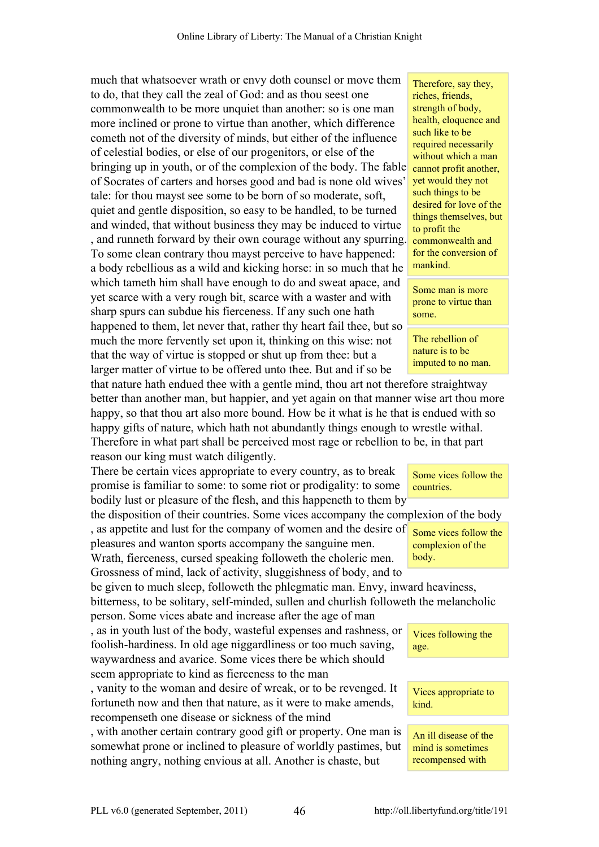much that whatsoever wrath or envy doth counsel or move them to do, that they call the zeal of God: and as thou seest one commonwealth to be more unquiet than another: so is one man more inclined or prone to virtue than another, which difference cometh not of the diversity of minds, but either of the influence of celestial bodies, or else of our progenitors, or else of the bringing up in youth, or of the complexion of the body. The fable of Socrates of carters and horses good and bad is none old wives' tale: for thou mayst see some to be born of so moderate, soft, quiet and gentle disposition, so easy to be handled, to be turned and winded, that without business they may be induced to virtue , and runneth forward by their own courage without any spurring. To some clean contrary thou mayst perceive to have happened: a body rebellious as a wild and kicking horse: in so much that he which tameth him shall have enough to do and sweat apace, and yet scarce with a very rough bit, scarce with a waster and with sharp spurs can subdue his fierceness. If any such one hath happened to them, let never that, rather thy heart fail thee, but so much the more fervently set upon it, thinking on this wise: not that the way of virtue is stopped or shut up from thee: but a larger matter of virtue to be offered unto thee. But and if so be

that nature hath endued thee with a gentle mind, thou art not therefore straightway better than another man, but happier, and yet again on that manner wise art thou more happy, so that thou art also more bound. How be it what is he that is endued with so happy gifts of nature, which hath not abundantly things enough to wrestle withal. Therefore in what part shall be perceived most rage or rebellion to be, in that part reason our king must watch diligently.

There be certain vices appropriate to every country, as to break promise is familiar to some: to some riot or prodigality: to some bodily lust or pleasure of the flesh, and this happeneth to them by

the disposition of their countries. Some vices accompany the complexion of the body

, as appetite and lust for the company of women and the desire of pleasures and wanton sports accompany the sanguine men. Wrath, fierceness, cursed speaking followeth the choleric men. Grossness of mind, lack of activity, sluggishness of body, and to

be given to much sleep, followeth the phlegmatic man. Envy, inward heaviness, bitterness, to be solitary, self-minded, sullen and churlish followeth the melancholic person. Some vices abate and increase after the age of man

, as in youth lust of the body, wasteful expenses and rashness, or foolish-hardiness. In old age niggardliness or too much saving, waywardness and avarice. Some vices there be which should seem appropriate to kind as fierceness to the man

, vanity to the woman and desire of wreak, or to be revenged. It fortuneth now and then that nature, as it were to make amends, recompenseth one disease or sickness of the mind

, with another certain contrary good gift or property. One man is somewhat prone or inclined to pleasure of worldly pastimes, but nothing angry, nothing envious at all. Another is chaste, but

Therefore, say they, riches, friends, strength of body, health, eloquence and such like to be required necessarily without which a man cannot profit another, yet would they not such things to be desired for love of the things themselves, but to profit the commonwealth and for the conversion of mankind.

Some man is more prone to virtue than some.

The rebellion of nature is to be imputed to no man.

Some vices follow the countries.

Some vices follow the complexion of the body.

Vices following the age.

Vices appropriate to kind.

An ill disease of the mind is sometimes recompensed with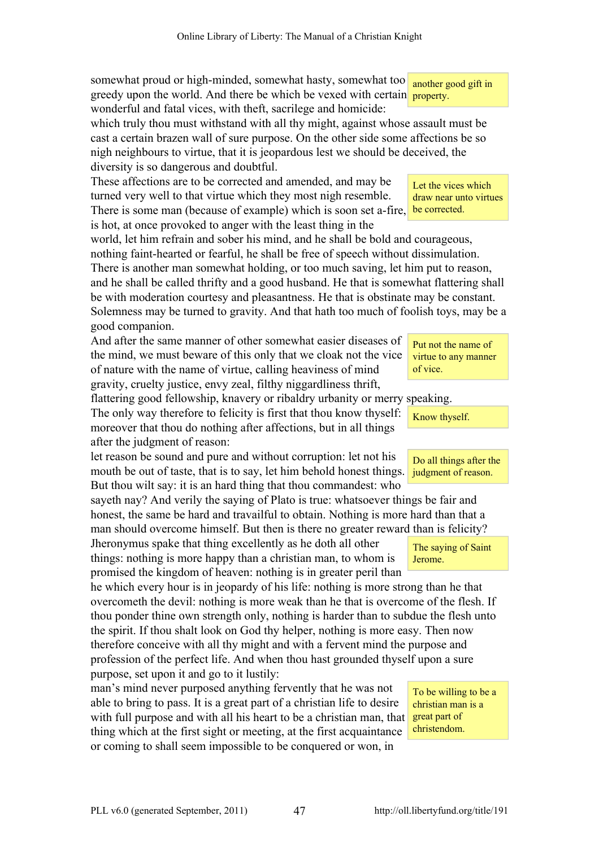another good gift in greedy upon the world. And there be which be vexed with certain property. somewhat proud or high-minded, somewhat hasty, somewhat too wonderful and fatal vices, with theft, sacrilege and homicide:

which truly thou must withstand with all thy might, against whose assault must be cast a certain brazen wall of sure purpose. On the other side some affections be so nigh neighbours to virtue, that it is jeopardous lest we should be deceived, the diversity is so dangerous and doubtful.

These affections are to be corrected and amended, and may be turned very well to that virtue which they most nigh resemble. There is some man (because of example) which is soon set a-fire, is hot, at once provoked to anger with the least thing in the

world, let him refrain and sober his mind, and he shall be bold and courageous, nothing faint-hearted or fearful, he shall be free of speech without dissimulation. There is another man somewhat holding, or too much saving, let him put to reason, and he shall be called thrifty and a good husband. He that is somewhat flattering shall be with moderation courtesy and pleasantness. He that is obstinate may be constant. Solemness may be turned to gravity. And that hath too much of foolish toys, may be a good companion.

And after the same manner of other somewhat easier diseases of the mind, we must beware of this only that we cloak not the vice of nature with the name of virtue, calling heaviness of mind gravity, cruelty justice, envy zeal, filthy niggardliness thrift,

flattering good fellowship, knavery or ribaldry urbanity or merry speaking.

The only way therefore to felicity is first that thou know thyself: moreover that thou do nothing after affections, but in all things after the judgment of reason:

let reason be sound and pure and without corruption: let not his mouth be out of taste, that is to say, let him behold honest things. But thou wilt say: it is an hard thing that thou commandest: who

sayeth nay? And verily the saying of Plato is true: whatsoever things be fair and honest, the same be hard and travailful to obtain. Nothing is more hard than that a man should overcome himself. But then is there no greater reward than is felicity?

Jheronymus spake that thing excellently as he doth all other things: nothing is more happy than a christian man, to whom is promised the kingdom of heaven: nothing is in greater peril than

he which every hour is in jeopardy of his life: nothing is more strong than he that overcometh the devil: nothing is more weak than he that is overcome of the flesh. If thou ponder thine own strength only, nothing is harder than to subdue the flesh unto the spirit. If thou shalt look on God thy helper, nothing is more easy. Then now therefore conceive with all thy might and with a fervent mind the purpose and profession of the perfect life. And when thou hast grounded thyself upon a sure purpose, set upon it and go to it lustily:

man's mind never purposed anything fervently that he was not able to bring to pass. It is a great part of a christian life to desire with full purpose and with all his heart to be a christian man, that thing which at the first sight or meeting, at the first acquaintance or coming to shall seem impossible to be conquered or won, in

Put not the name of virtue to any manner of vice.

Know thyself.

Do all things after the judgment of reason.

The saying of Saint

Jerome.

To be willing to be a christian man is a great part of christendom.

Let the vices which draw near unto virtues be corrected.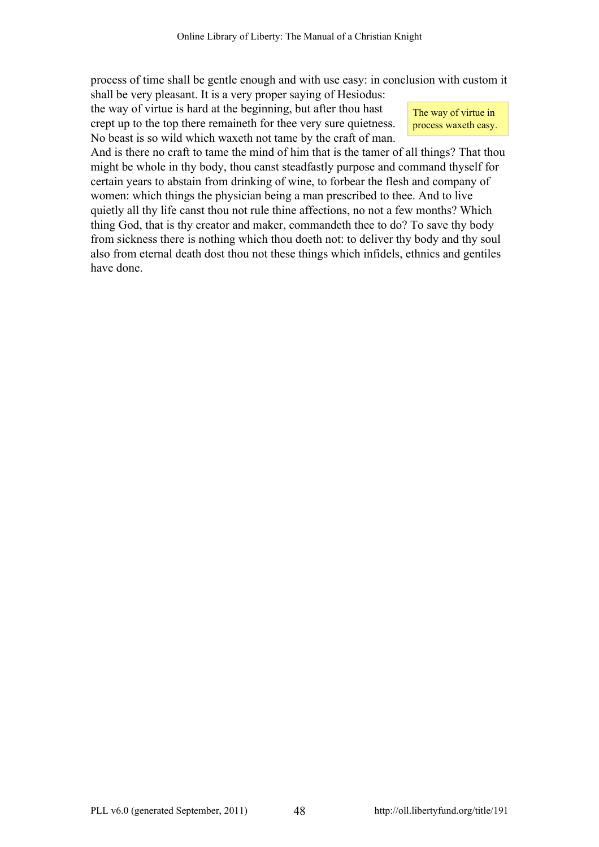process of time shall be gentle enough and with use easy: in conclusion with custom it shall be very pleasant. It is a very proper saying of Hesiodus:

the way of virtue is hard at the beginning, but after thou hast crept up to the top there remaineth for thee very sure quietness. No beast is so wild which waxeth not tame by the craft of man.

The way of virtue in process waxeth easy.

And is there no craft to tame the mind of him that is the tamer of all things? That thou might be whole in thy body, thou canst steadfastly purpose and command thyself for certain years to abstain from drinking of wine, to forbear the flesh and company of women: which things the physician being a man prescribed to thee. And to live quietly all thy life canst thou not rule thine affections, no not a few months? Which thing God, that is thy creator and maker, commandeth thee to do? To save thy body from sickness there is nothing which thou doeth not: to deliver thy body and thy soul also from eternal death dost thou not these things which infidels, ethnics and gentiles have done.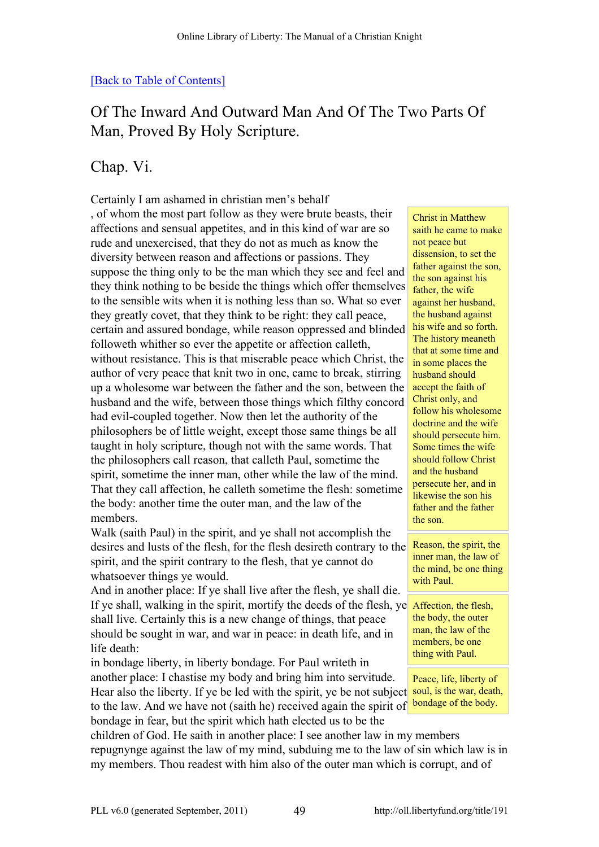# Of The Inward And Outward Man And Of The Two Parts Of Man, Proved By Holy Scripture.

## Chap. Vi.

Certainly I am ashamed in christian men's behalf , of whom the most part follow as they were brute beasts, their affections and sensual appetites, and in this kind of war are so rude and unexercised, that they do not as much as know the diversity between reason and affections or passions. They suppose the thing only to be the man which they see and feel and they think nothing to be beside the things which offer themselves to the sensible wits when it is nothing less than so. What so ever they greatly covet, that they think to be right: they call peace, certain and assured bondage, while reason oppressed and blinded followeth whither so ever the appetite or affection calleth, without resistance. This is that miserable peace which Christ, the author of very peace that knit two in one, came to break, stirring up a wholesome war between the father and the son, between the husband and the wife, between those things which filthy concord had evil-coupled together. Now then let the authority of the philosophers be of little weight, except those same things be all taught in holy scripture, though not with the same words. That the philosophers call reason, that calleth Paul, sometime the spirit, sometime the inner man, other while the law of the mind. That they call affection, he calleth sometime the flesh: sometime the body: another time the outer man, and the law of the members.

Walk (saith Paul) in the spirit, and ye shall not accomplish the desires and lusts of the flesh, for the flesh desireth contrary to the spirit, and the spirit contrary to the flesh, that ye cannot do whatsoever things ye would.

And in another place: If ye shall live after the flesh, ye shall die. If ye shall, walking in the spirit, mortify the deeds of the flesh, ye shall live. Certainly this is a new change of things, that peace should be sought in war, and war in peace: in death life, and in life death:

Hear also the liberty. If ye be led with the spirit, ye be not subject soul, is the war, death, to the law. And we have not (saith he) received again the spirit of **bondage of the body**. in bondage liberty, in liberty bondage. For Paul writeth in another place: I chastise my body and bring him into servitude. bondage in fear, but the spirit which hath elected us to be the

Christ in Matthew saith he came to make not peace but dissension, to set the father against the son, the son against his father, the wife against her husband, the husband against his wife and so forth. The history meaneth that at some time and in some places the husband should accept the faith of Christ only, and follow his wholesome doctrine and the wife should persecute him. Some times the wife should follow Christ and the husband persecute her, and in likewise the son his father and the father the son.

Reason, the spirit, the inner man, the law of the mind, be one thing with Paul

Affection, the flesh, the body, the outer man, the law of the members, be one thing with Paul.

Peace, life, liberty of

children of God. He saith in another place: I see another law in my members repugnynge against the law of my mind, subduing me to the law of sin which law is in my members. Thou readest with him also of the outer man which is corrupt, and of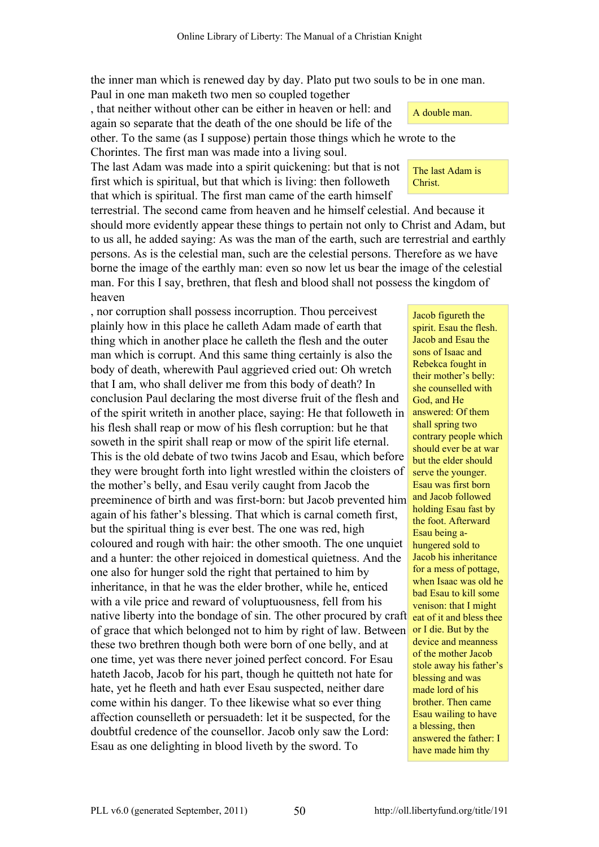the inner man which is renewed day by day. Plato put two souls to be in one man. Paul in one man maketh two men so coupled together

, that neither without other can be either in heaven or hell: and again so separate that the death of the one should be life of the

other. To the same (as I suppose) pertain those things which he wrote to the Chorintes. The first man was made into a living soul.

The last Adam was made into a spirit quickening: but that is not first which is spiritual, but that which is living: then followeth that which is spiritual. The first man came of the earth himself

terrestrial. The second came from heaven and he himself celestial. And because it should more evidently appear these things to pertain not only to Christ and Adam, but to us all, he added saying: As was the man of the earth, such are terrestrial and earthly persons. As is the celestial man, such are the celestial persons. Therefore as we have borne the image of the earthly man: even so now let us bear the image of the celestial man. For this I say, brethren, that flesh and blood shall not possess the kingdom of heaven

, nor corruption shall possess incorruption. Thou perceivest plainly how in this place he calleth Adam made of earth that thing which in another place he calleth the flesh and the outer man which is corrupt. And this same thing certainly is also the body of death, wherewith Paul aggrieved cried out: Oh wretch that I am, who shall deliver me from this body of death? In conclusion Paul declaring the most diverse fruit of the flesh and of the spirit writeth in another place, saying: He that followeth in his flesh shall reap or mow of his flesh corruption: but he that soweth in the spirit shall reap or mow of the spirit life eternal. This is the old debate of two twins Jacob and Esau, which before they were brought forth into light wrestled within the cloisters of the mother's belly, and Esau verily caught from Jacob the preeminence of birth and was first-born: but Jacob prevented him again of his father's blessing. That which is carnal cometh first, but the spiritual thing is ever best. The one was red, high coloured and rough with hair: the other smooth. The one unquiet and a hunter: the other rejoiced in domestical quietness. And the one also for hunger sold the right that pertained to him by inheritance, in that he was the elder brother, while he, enticed with a vile price and reward of voluptuousness, fell from his native liberty into the bondage of sin. The other procured by craft of grace that which belonged not to him by right of law. Between these two brethren though both were born of one belly, and at one time, yet was there never joined perfect concord. For Esau hateth Jacob, Jacob for his part, though he quitteth not hate for hate, yet he fleeth and hath ever Esau suspected, neither dare come within his danger. To thee likewise what so ever thing affection counselleth or persuadeth: let it be suspected, for the doubtful credence of the counsellor. Jacob only saw the Lord: Esau as one delighting in blood liveth by the sword. To

The last Adam is Christ.

A double man.

Jacob figureth the spirit. Esau the flesh. Jacob and Esau the sons of Isaac and Rebekca fought in their mother's belly: she counselled with God, and He answered: Of them shall spring two contrary people which should ever be at war but the elder should serve the younger. Esau was first born and Jacob followed holding Esau fast by the foot. Afterward Esau being ahungered sold to Jacob his inheritance for a mess of pottage, when Isaac was old he bad Esau to kill some venison: that I might eat of it and bless thee or I die. But by the device and meanness of the mother Jacob stole away his father's blessing and was made lord of his brother. Then came Esau wailing to have a blessing, then answered the father: I

have made him thy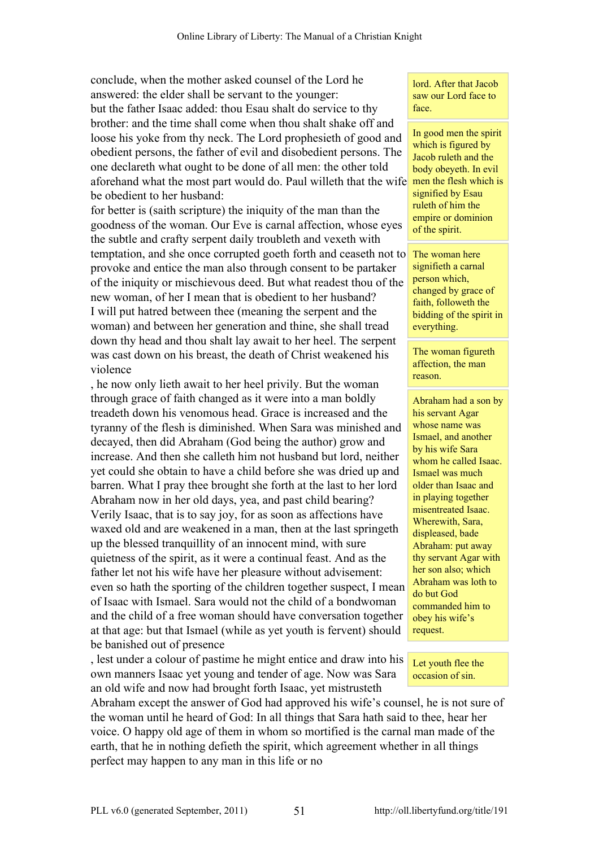conclude, when the mother asked counsel of the Lord he answered: the elder shall be servant to the younger: but the father Isaac added: thou Esau shalt do service to thy brother: and the time shall come when thou shalt shake off and loose his yoke from thy neck. The Lord prophesieth of good and obedient persons, the father of evil and disobedient persons. The one declareth what ought to be done of all men: the other told aforehand what the most part would do. Paul willeth that the wife be obedient to her husband:

for better is (saith scripture) the iniquity of the man than the goodness of the woman. Our Eve is carnal affection, whose eyes the subtle and crafty serpent daily troubleth and vexeth with temptation, and she once corrupted goeth forth and ceaseth not to provoke and entice the man also through consent to be partaker of the iniquity or mischievous deed. But what readest thou of the new woman, of her I mean that is obedient to her husband? I will put hatred between thee (meaning the serpent and the woman) and between her generation and thine, she shall tread down thy head and thou shalt lay await to her heel. The serpent was cast down on his breast, the death of Christ weakened his violence

, he now only lieth await to her heel privily. But the woman through grace of faith changed as it were into a man boldly treadeth down his venomous head. Grace is increased and the tyranny of the flesh is diminished. When Sara was minished and decayed, then did Abraham (God being the author) grow and increase. And then she calleth him not husband but lord, neither yet could she obtain to have a child before she was dried up and barren. What I pray thee brought she forth at the last to her lord Abraham now in her old days, yea, and past child bearing? Verily Isaac, that is to say joy, for as soon as affections have waxed old and are weakened in a man, then at the last springeth up the blessed tranquillity of an innocent mind, with sure quietness of the spirit, as it were a continual feast. And as the father let not his wife have her pleasure without advisement: even so hath the sporting of the children together suspect, I mean of Isaac with Ismael. Sara would not the child of a bondwoman and the child of a free woman should have conversation together at that age: but that Ismael (while as yet youth is fervent) should be banished out of presence

, lest under a colour of pastime he might entice and draw into his own manners Isaac yet young and tender of age. Now was Sara an old wife and now had brought forth Isaac, yet mistrusteth

Abraham except the answer of God had approved his wife's counsel, he is not sure of the woman until he heard of God: In all things that Sara hath said to thee, hear her voice. O happy old age of them in whom so mortified is the carnal man made of the earth, that he in nothing defieth the spirit, which agreement whether in all things perfect may happen to any man in this life or no

lord. After that Jacob saw our Lord face to face.

In good men the spirit which is figured by Jacob ruleth and the body obeyeth. In evil men the flesh which is signified by Esau ruleth of him the empire or dominion of the spirit.

The woman here signifieth a carnal person which, changed by grace of faith, followeth the bidding of the spirit in everything.

The woman figureth affection, the man reason.

Abraham had a son by his servant Agar whose name was Ismael, and another by his wife Sara whom he called Isaac. Ismael was much older than Isaac and in playing together misentreated Isaac. Wherewith, Sara, displeased, bade Abraham: put away thy servant Agar with her son also; which Abraham was loth to do but God commanded him to obey his wife's request.

Let youth flee the occasion of sin.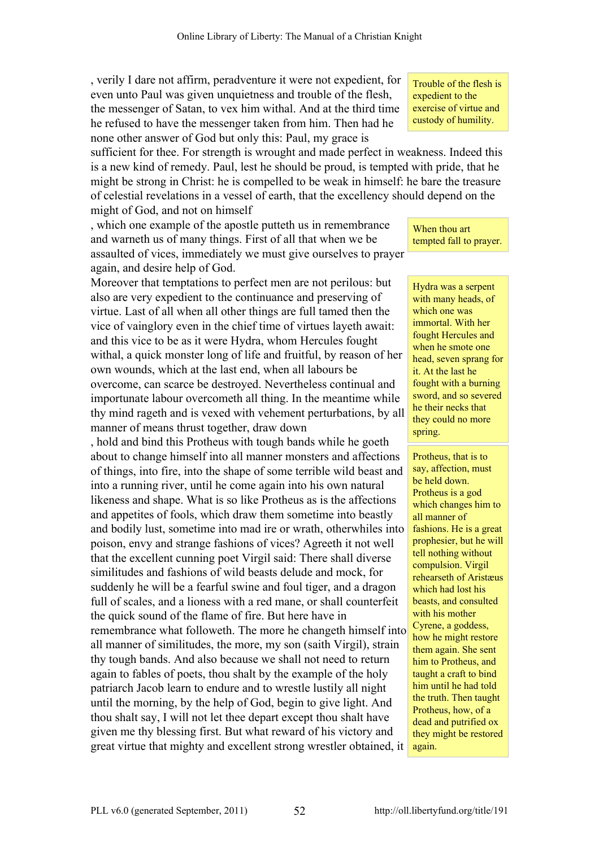, verily I dare not affirm, peradventure it were not expedient, for even unto Paul was given unquietness and trouble of the flesh, the messenger of Satan, to vex him withal. And at the third time he refused to have the messenger taken from him. Then had he none other answer of God but only this: Paul, my grace is

sufficient for thee. For strength is wrought and made perfect in weakness. Indeed this is a new kind of remedy. Paul, lest he should be proud, is tempted with pride, that he might be strong in Christ: he is compelled to be weak in himself: he bare the treasure of celestial revelations in a vessel of earth, that the excellency should depend on the might of God, and not on himself

, which one example of the apostle putteth us in remembrance and warneth us of many things. First of all that when we be assaulted of vices, immediately we must give ourselves to prayer again, and desire help of God.

Moreover that temptations to perfect men are not perilous: but also are very expedient to the continuance and preserving of virtue. Last of all when all other things are full tamed then the vice of vainglory even in the chief time of virtues layeth await: and this vice to be as it were Hydra, whom Hercules fought withal, a quick monster long of life and fruitful, by reason of her own wounds, which at the last end, when all labours be overcome, can scarce be destroyed. Nevertheless continual and importunate labour overcometh all thing. In the meantime while thy mind rageth and is vexed with vehement perturbations, by all manner of means thrust together, draw down

, hold and bind this Protheus with tough bands while he goeth about to change himself into all manner monsters and affections of things, into fire, into the shape of some terrible wild beast and into a running river, until he come again into his own natural likeness and shape. What is so like Protheus as is the affections and appetites of fools, which draw them sometime into beastly and bodily lust, sometime into mad ire or wrath, otherwhiles into poison, envy and strange fashions of vices? Agreeth it not well that the excellent cunning poet Virgil said: There shall diverse similitudes and fashions of wild beasts delude and mock, for suddenly he will be a fearful swine and foul tiger, and a dragon full of scales, and a lioness with a red mane, or shall counterfeit the quick sound of the flame of fire. But here have in remembrance what followeth. The more he changeth himself into all manner of similitudes, the more, my son (saith Virgil), strain thy tough bands. And also because we shall not need to return again to fables of poets, thou shalt by the example of the holy patriarch Jacob learn to endure and to wrestle lustily all night until the morning, by the help of God, begin to give light. And thou shalt say, I will not let thee depart except thou shalt have given me thy blessing first. But what reward of his victory and great virtue that mighty and excellent strong wrestler obtained, it

Trouble of the flesh is expedient to the exercise of virtue and custody of humility.

When thou art tempted fall to prayer.

Hydra was a serpent with many heads, of which one was immortal. With her fought Hercules and when he smote one head, seven sprang for it. At the last he fought with a burning sword, and so severed he their necks that they could no more spring.

Protheus, that is to say, affection, must be held down. Protheus is a god which changes him to all manner of fashions. He is a great prophesier, but he will tell nothing without compulsion. Virgil rehearseth of Aristæus which had lost his beasts, and consulted with his mother Cyrene, a goddess, how he might restore them again. She sent him to Protheus, and taught a craft to bind him until he had told the truth. Then taught Protheus, how, of a dead and putrified ox they might be restored again.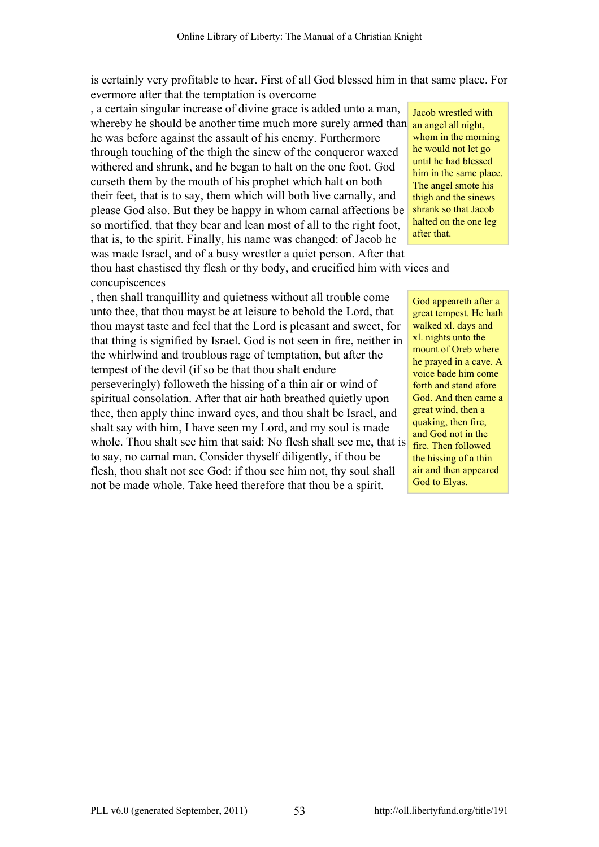is certainly very profitable to hear. First of all God blessed him in that same place. For evermore after that the temptation is overcome

, a certain singular increase of divine grace is added unto a man, whereby he should be another time much more surely armed than he was before against the assault of his enemy. Furthermore through touching of the thigh the sinew of the conqueror waxed withered and shrunk, and he began to halt on the one foot. God curseth them by the mouth of his prophet which halt on both their feet, that is to say, them which will both live carnally, and please God also. But they be happy in whom carnal affections be so mortified, that they bear and lean most of all to the right foot, that is, to the spirit. Finally, his name was changed: of Jacob he was made Israel, and of a busy wrestler a quiet person. After that thou hast chastised thy flesh or thy body, and crucified him with vices and concupiscences

Jacob wrestled with an angel all night, whom in the morning he would not let go until he had blessed him in the same place. The angel smote his thigh and the sinews shrank so that Jacob halted on the one leg after that.

, then shall tranquillity and quietness without all trouble come unto thee, that thou mayst be at leisure to behold the Lord, that thou mayst taste and feel that the Lord is pleasant and sweet, for that thing is signified by Israel. God is not seen in fire, neither in the whirlwind and troublous rage of temptation, but after the tempest of the devil (if so be that thou shalt endure perseveringly) followeth the hissing of a thin air or wind of spiritual consolation. After that air hath breathed quietly upon thee, then apply thine inward eyes, and thou shalt be Israel, and shalt say with him, I have seen my Lord, and my soul is made whole. Thou shalt see him that said: No flesh shall see me, that is to say, no carnal man. Consider thyself diligently, if thou be flesh, thou shalt not see God: if thou see him not, thy soul shall not be made whole. Take heed therefore that thou be a spirit.

God appeareth after a great tempest. He hath walked xl. days and xl. nights unto the mount of Oreb where he prayed in a cave. A voice bade him come forth and stand afore God. And then came a great wind, then a quaking, then fire, and God not in the fire. Then followed the hissing of a thin air and then appeared God to Elyas.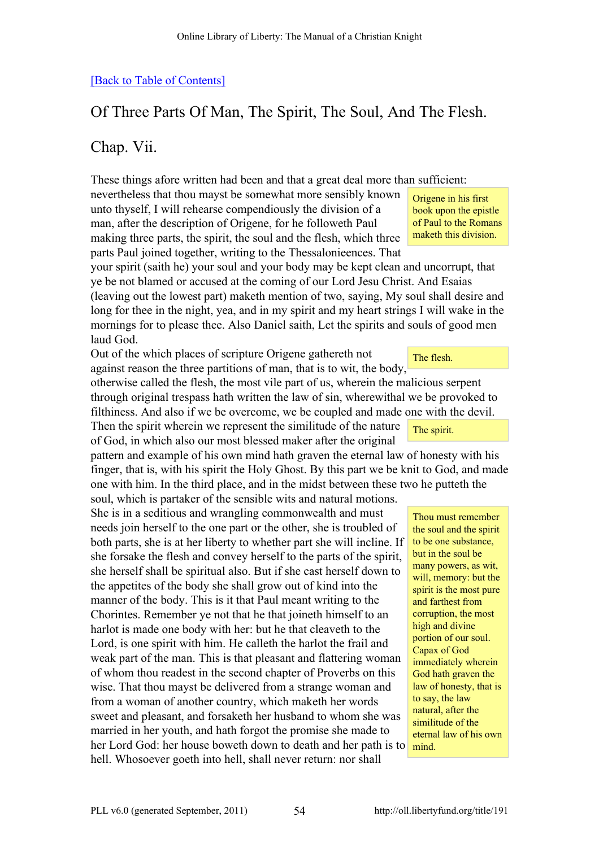# Of Three Parts Of Man, The Spirit, The Soul, And The Flesh.

## Chap. Vii.

These things afore written had been and that a great deal more than sufficient:

nevertheless that thou mayst be somewhat more sensibly known unto thyself, I will rehearse compendiously the division of a man, after the description of Origene, for he followeth Paul making three parts, the spirit, the soul and the flesh, which three parts Paul joined together, writing to the Thessalonieences. That

your spirit (saith he) your soul and your body may be kept clean and uncorrupt, that ye be not blamed or accused at the coming of our Lord Jesu Christ. And Esaias (leaving out the lowest part) maketh mention of two, saying, My soul shall desire and long for thee in the night, yea, and in my spirit and my heart strings I will wake in the mornings for to please thee. Also Daniel saith, Let the spirits and souls of good men laud God.

Out of the which places of scripture Origene gathereth not against reason the three partitions of man, that is to wit, the body,

otherwise called the flesh, the most vile part of us, wherein the malicious serpent through original trespass hath written the law of sin, wherewithal we be provoked to filthiness. And also if we be overcome, we be coupled and made one with the devil. Then the spirit wherein we represent the similitude of the nature

of God, in which also our most blessed maker after the original

pattern and example of his own mind hath graven the eternal law of honesty with his finger, that is, with his spirit the Holy Ghost. By this part we be knit to God, and made one with him. In the third place, and in the midst between these two he putteth the soul, which is partaker of the sensible wits and natural motions.

She is in a seditious and wrangling commonwealth and must needs join herself to the one part or the other, she is troubled of both parts, she is at her liberty to whether part she will incline. If she forsake the flesh and convey herself to the parts of the spirit, she herself shall be spiritual also. But if she cast herself down to the appetites of the body she shall grow out of kind into the manner of the body. This is it that Paul meant writing to the Chorintes. Remember ye not that he that joineth himself to an harlot is made one body with her: but he that cleaveth to the Lord, is one spirit with him. He calleth the harlot the frail and weak part of the man. This is that pleasant and flattering woman of whom thou readest in the second chapter of Proverbs on this wise. That thou mayst be delivered from a strange woman and from a woman of another country, which maketh her words sweet and pleasant, and forsaketh her husband to whom she was married in her youth, and hath forgot the promise she made to her Lord God: her house boweth down to death and her path is to hell. Whosoever goeth into hell, shall never return: nor shall

Origene in his first book upon the epistle of Paul to the Romans maketh this division.

The spirit.

The flesh.

Thou must remember the soul and the spirit to be one substance, but in the soul be many powers, as wit, will, memory: but the spirit is the most pure and farthest from corruption, the most high and divine portion of our soul. Capax of God immediately wherein God hath graven the law of honesty, that is to say, the law natural, after the similitude of the eternal law of his own mind.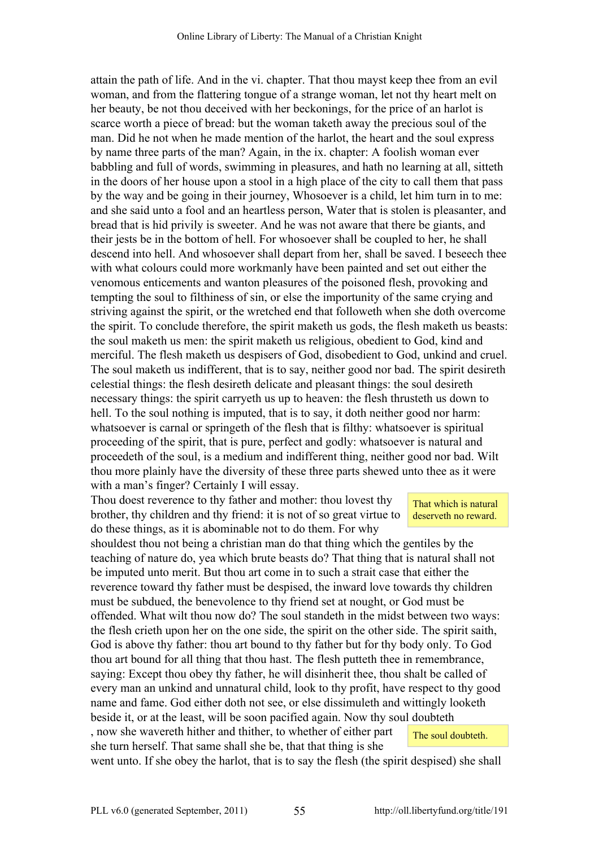attain the path of life. And in the vi. chapter. That thou mayst keep thee from an evil woman, and from the flattering tongue of a strange woman, let not thy heart melt on her beauty, be not thou deceived with her beckonings, for the price of an harlot is scarce worth a piece of bread: but the woman taketh away the precious soul of the man. Did he not when he made mention of the harlot, the heart and the soul express by name three parts of the man? Again, in the ix. chapter: A foolish woman ever babbling and full of words, swimming in pleasures, and hath no learning at all, sitteth in the doors of her house upon a stool in a high place of the city to call them that pass by the way and be going in their journey, Whosoever is a child, let him turn in to me: and she said unto a fool and an heartless person, Water that is stolen is pleasanter, and bread that is hid privily is sweeter. And he was not aware that there be giants, and their jests be in the bottom of hell. For whosoever shall be coupled to her, he shall descend into hell. And whosoever shall depart from her, shall be saved. I beseech thee with what colours could more workmanly have been painted and set out either the venomous enticements and wanton pleasures of the poisoned flesh, provoking and tempting the soul to filthiness of sin, or else the importunity of the same crying and striving against the spirit, or the wretched end that followeth when she doth overcome the spirit. To conclude therefore, the spirit maketh us gods, the flesh maketh us beasts: the soul maketh us men: the spirit maketh us religious, obedient to God, kind and merciful. The flesh maketh us despisers of God, disobedient to God, unkind and cruel. The soul maketh us indifferent, that is to say, neither good nor bad. The spirit desireth celestial things: the flesh desireth delicate and pleasant things: the soul desireth necessary things: the spirit carryeth us up to heaven: the flesh thrusteth us down to hell. To the soul nothing is imputed, that is to say, it doth neither good nor harm: whatsoever is carnal or springeth of the flesh that is filthy: whatsoever is spiritual proceeding of the spirit, that is pure, perfect and godly: whatsoever is natural and proceedeth of the soul, is a medium and indifferent thing, neither good nor bad. Wilt thou more plainly have the diversity of these three parts shewed unto thee as it were with a man's finger? Certainly I will essay.

Thou doest reverence to thy father and mother: thou lovest thy brother, thy children and thy friend: it is not of so great virtue to do these things, as it is abominable not to do them. For why

shouldest thou not being a christian man do that thing which the gentiles by the teaching of nature do, yea which brute beasts do? That thing that is natural shall not be imputed unto merit. But thou art come in to such a strait case that either the reverence toward thy father must be despised, the inward love towards thy children must be subdued, the benevolence to thy friend set at nought, or God must be offended. What wilt thou now do? The soul standeth in the midst between two ways: the flesh crieth upon her on the one side, the spirit on the other side. The spirit saith, God is above thy father: thou art bound to thy father but for thy body only. To God thou art bound for all thing that thou hast. The flesh putteth thee in remembrance, saying: Except thou obey thy father, he will disinherit thee, thou shalt be called of every man an unkind and unnatural child, look to thy profit, have respect to thy good name and fame. God either doth not see, or else dissimuleth and wittingly looketh beside it, or at the least, will be soon pacified again. Now thy soul doubteth

, now she wavereth hither and thither, to whether of either part she turn herself. That same shall she be, that that thing is she

The soul doubteth.

That which is natural deserveth no reward.

went unto. If she obey the harlot, that is to say the flesh (the spirit despised) she shall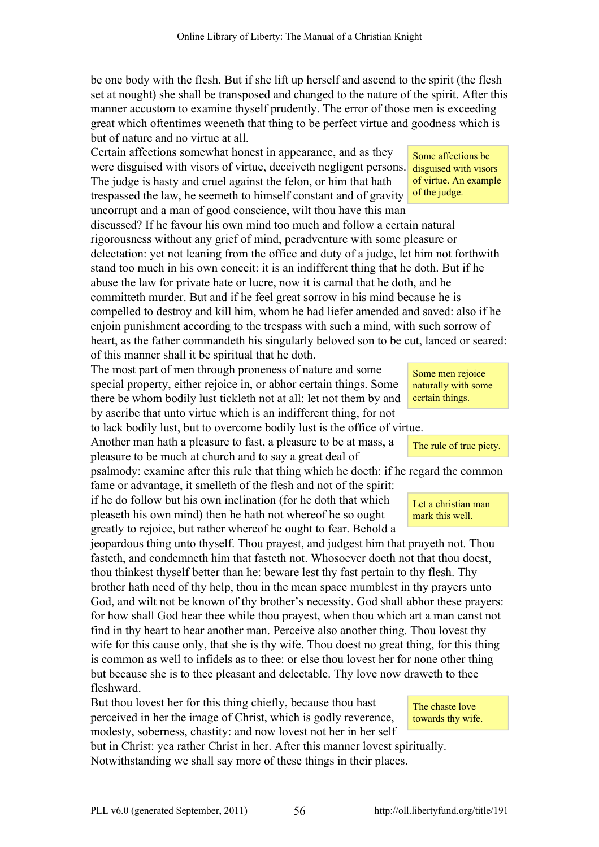be one body with the flesh. But if she lift up herself and ascend to the spirit (the flesh set at nought) she shall be transposed and changed to the nature of the spirit. After this manner accustom to examine thyself prudently. The error of those men is exceeding great which oftentimes weeneth that thing to be perfect virtue and goodness which is but of nature and no virtue at all.

Certain affections somewhat honest in appearance, and as they were disguised with visors of virtue, deceiveth negligent persons. The judge is hasty and cruel against the felon, or him that hath trespassed the law, he seemeth to himself constant and of gravity uncorrupt and a man of good conscience, wilt thou have this man

discussed? If he favour his own mind too much and follow a certain natural rigorousness without any grief of mind, peradventure with some pleasure or delectation: yet not leaning from the office and duty of a judge, let him not forthwith stand too much in his own conceit: it is an indifferent thing that he doth. But if he abuse the law for private hate or lucre, now it is carnal that he doth, and he committeth murder. But and if he feel great sorrow in his mind because he is compelled to destroy and kill him, whom he had liefer amended and saved: also if he enjoin punishment according to the trespass with such a mind, with such sorrow of heart, as the father commandeth his singularly beloved son to be cut, lanced or seared: of this manner shall it be spiritual that he doth.

The most part of men through proneness of nature and some special property, either rejoice in, or abhor certain things. Some there be whom bodily lust tickleth not at all: let not them by and by ascribe that unto virtue which is an indifferent thing, for not

to lack bodily lust, but to overcome bodily lust is the office of virtue. Another man hath a pleasure to fast, a pleasure to be at mass, a pleasure to be much at church and to say a great deal of

psalmody: examine after this rule that thing which he doeth: if he regard the common fame or advantage, it smelleth of the flesh and not of the spirit:

if he do follow but his own inclination (for he doth that which pleaseth his own mind) then he hath not whereof he so ought greatly to rejoice, but rather whereof he ought to fear. Behold a

jeopardous thing unto thyself. Thou prayest, and judgest him that prayeth not. Thou fasteth, and condemneth him that fasteth not. Whosoever doeth not that thou doest, thou thinkest thyself better than he: beware lest thy fast pertain to thy flesh. Thy brother hath need of thy help, thou in the mean space mumblest in thy prayers unto God, and wilt not be known of thy brother's necessity. God shall abhor these prayers: for how shall God hear thee while thou prayest, when thou which art a man canst not find in thy heart to hear another man. Perceive also another thing. Thou lovest thy wife for this cause only, that she is thy wife. Thou doest no great thing, for this thing is common as well to infidels as to thee: or else thou lovest her for none other thing but because she is to thee pleasant and delectable. Thy love now draweth to thee fleshward.

But thou lovest her for this thing chiefly, because thou hast perceived in her the image of Christ, which is godly reverence, modesty, soberness, chastity: and now lovest not her in her self

but in Christ: yea rather Christ in her. After this manner lovest spiritually. Notwithstanding we shall say more of these things in their places.

Some affections be disguised with visors of virtue. An example of the judge.

Some men rejoice naturally with some certain things.

The rule of true piety.

Let a christian man mark this well.

The chaste love towards thy wife.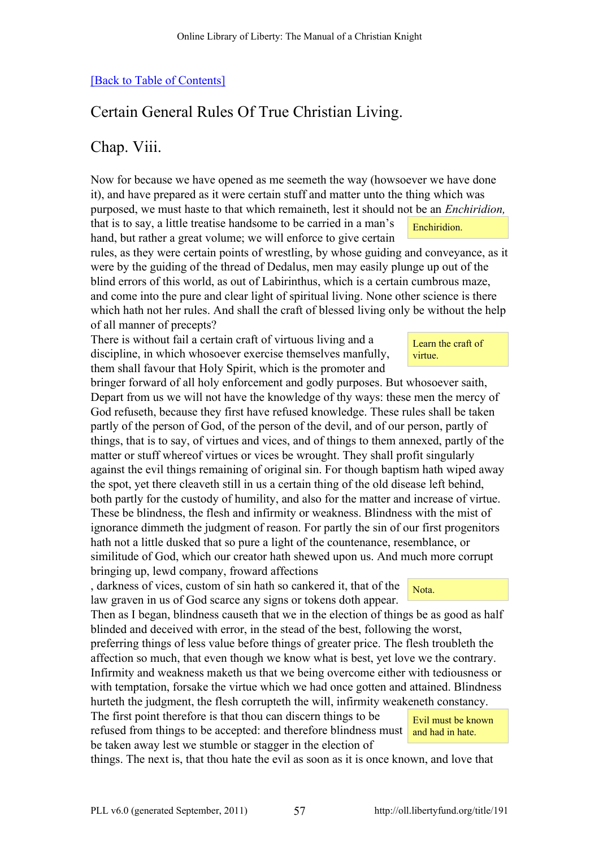# Certain General Rules Of True Christian Living.

## Chap. Viii.

Enchiridion. Now for because we have opened as me seemeth the way (howsoever we have done it), and have prepared as it were certain stuff and matter unto the thing which was purposed, we must haste to that which remaineth, lest it should not be an *Enchiridion,* that is to say, a little treatise handsome to be carried in a man's hand, but rather a great volume; we will enforce to give certain

rules, as they were certain points of wrestling, by whose guiding and conveyance, as it were by the guiding of the thread of Dedalus, men may easily plunge up out of the blind errors of this world, as out of Labirinthus, which is a certain cumbrous maze, and come into the pure and clear light of spiritual living. None other science is there which hath not her rules. And shall the craft of blessed living only be without the help of all manner of precepts?

There is without fail a certain craft of virtuous living and a discipline, in which whosoever exercise themselves manfully, them shall favour that Holy Spirit, which is the promoter and

bringer forward of all holy enforcement and godly purposes. But whosoever saith, Depart from us we will not have the knowledge of thy ways: these men the mercy of God refuseth, because they first have refused knowledge. These rules shall be taken partly of the person of God, of the person of the devil, and of our person, partly of things, that is to say, of virtues and vices, and of things to them annexed, partly of the matter or stuff whereof virtues or vices be wrought. They shall profit singularly against the evil things remaining of original sin. For though baptism hath wiped away the spot, yet there cleaveth still in us a certain thing of the old disease left behind, both partly for the custody of humility, and also for the matter and increase of virtue. These be blindness, the flesh and infirmity or weakness. Blindness with the mist of ignorance dimmeth the judgment of reason. For partly the sin of our first progenitors hath not a little dusked that so pure a light of the countenance, resemblance, or similitude of God, which our creator hath shewed upon us. And much more corrupt bringing up, lewd company, froward affections

, darkness of vices, custom of sin hath so cankered it, that of the law graven in us of God scarce any signs or tokens doth appear.

Nota.

Then as I began, blindness causeth that we in the election of things be as good as half blinded and deceived with error, in the stead of the best, following the worst,

preferring things of less value before things of greater price. The flesh troubleth the affection so much, that even though we know what is best, yet love we the contrary. Infirmity and weakness maketh us that we being overcome either with tediousness or with temptation, forsake the virtue which we had once gotten and attained. Blindness hurteth the judgment, the flesh corrupteth the will, infirmity weakeneth constancy.

The first point therefore is that thou can discern things to be refused from things to be accepted: and therefore blindness must be taken away lest we stumble or stagger in the election of

Evil must be known and had in hate.

things. The next is, that thou hate the evil as soon as it is once known, and love that

Learn the craft of virtue.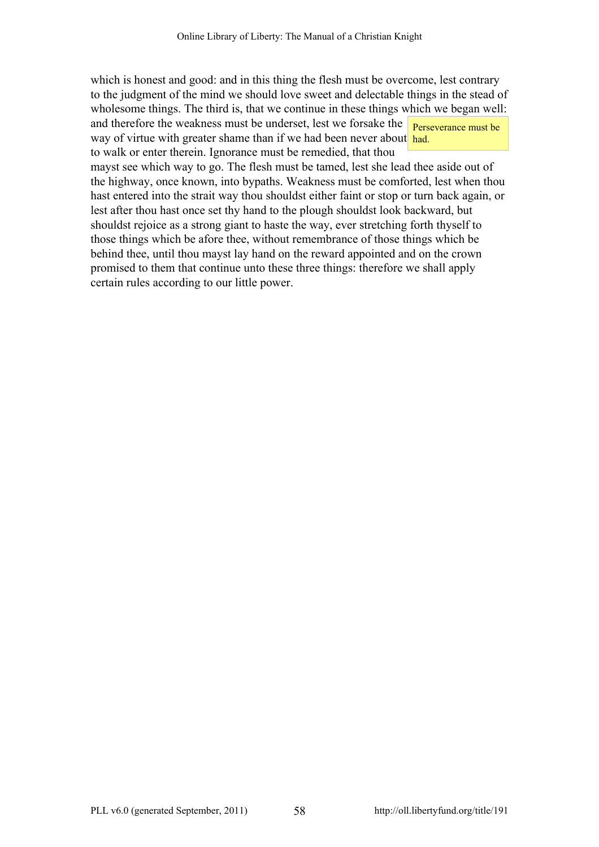and therefore the weakness must be underset, lest we forsake the **Perseverance must be** way of virtue with greater shame than if we had been never about had. which is honest and good: and in this thing the flesh must be overcome, lest contrary to the judgment of the mind we should love sweet and delectable things in the stead of wholesome things. The third is, that we continue in these things which we began well: to walk or enter therein. Ignorance must be remedied, that thou

mayst see which way to go. The flesh must be tamed, lest she lead thee aside out of the highway, once known, into bypaths. Weakness must be comforted, lest when thou hast entered into the strait way thou shouldst either faint or stop or turn back again, or lest after thou hast once set thy hand to the plough shouldst look backward, but shouldst rejoice as a strong giant to haste the way, ever stretching forth thyself to those things which be afore thee, without remembrance of those things which be behind thee, until thou mayst lay hand on the reward appointed and on the crown promised to them that continue unto these three things: therefore we shall apply certain rules according to our little power.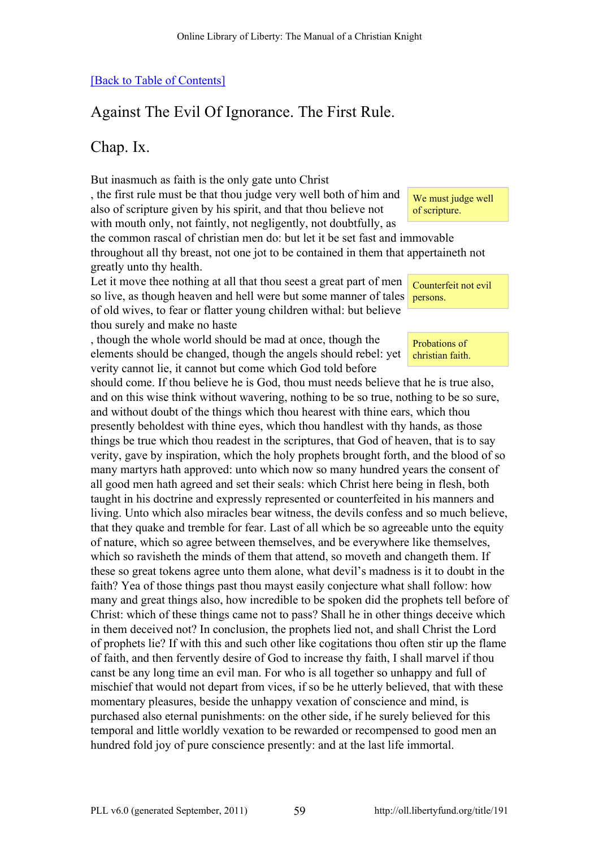# Against The Evil Of Ignorance. The First Rule.

## Chap. Ix.

But inasmuch as faith is the only gate unto Christ

, the first rule must be that thou judge very well both of him and also of scripture given by his spirit, and that thou believe not with mouth only, not faintly, not negligently, not doubtfully, as

the common rascal of christian men do: but let it be set fast and immovable throughout all thy breast, not one jot to be contained in them that appertaineth not greatly unto thy health.

Let it move thee nothing at all that thou seest a great part of men so live, as though heaven and hell were but some manner of tales of old wives, to fear or flatter young children withal: but believe thou surely and make no haste

, though the whole world should be mad at once, though the elements should be changed, though the angels should rebel: yet verity cannot lie, it cannot but come which God told before

should come. If thou believe he is God, thou must needs believe that he is true also, and on this wise think without wavering, nothing to be so true, nothing to be so sure, and without doubt of the things which thou hearest with thine ears, which thou presently beholdest with thine eyes, which thou handlest with thy hands, as those things be true which thou readest in the scriptures, that God of heaven, that is to say verity, gave by inspiration, which the holy prophets brought forth, and the blood of so many martyrs hath approved: unto which now so many hundred years the consent of all good men hath agreed and set their seals: which Christ here being in flesh, both taught in his doctrine and expressly represented or counterfeited in his manners and living. Unto which also miracles bear witness, the devils confess and so much believe, that they quake and tremble for fear. Last of all which be so agreeable unto the equity of nature, which so agree between themselves, and be everywhere like themselves, which so ravisheth the minds of them that attend, so moveth and changeth them. If these so great tokens agree unto them alone, what devil's madness is it to doubt in the faith? Yea of those things past thou mayst easily conjecture what shall follow: how many and great things also, how incredible to be spoken did the prophets tell before of Christ: which of these things came not to pass? Shall he in other things deceive which in them deceived not? In conclusion, the prophets lied not, and shall Christ the Lord of prophets lie? If with this and such other like cogitations thou often stir up the flame of faith, and then fervently desire of God to increase thy faith, I shall marvel if thou canst be any long time an evil man. For who is all together so unhappy and full of mischief that would not depart from vices, if so be he utterly believed, that with these momentary pleasures, beside the unhappy vexation of conscience and mind, is purchased also eternal punishments: on the other side, if he surely believed for this temporal and little worldly vexation to be rewarded or recompensed to good men an hundred fold joy of pure conscience presently: and at the last life immortal.

We must judge well of scripture.

Counterfeit not evil persons.

Probations of christian faith.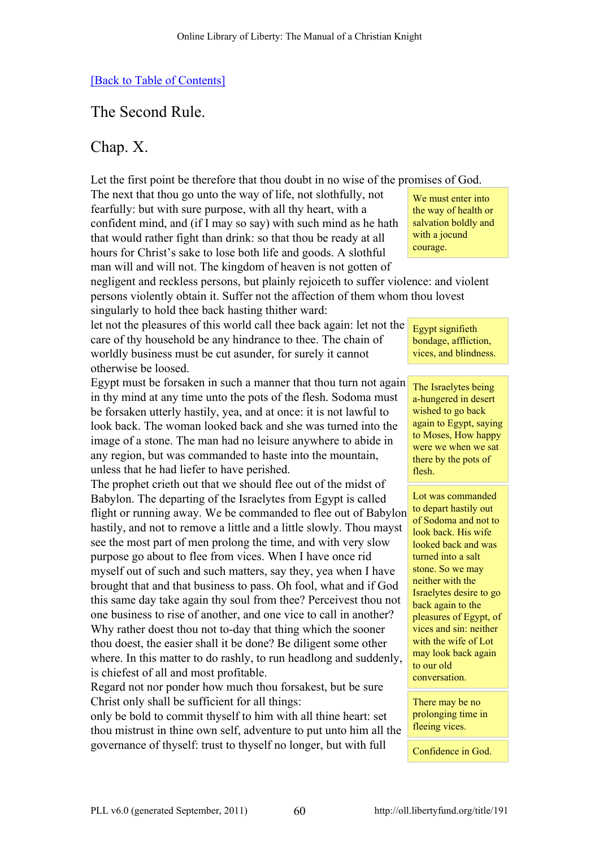# The Second Rule.

# Chap. X.

Let the first point be therefore that thou doubt in no wise of the promises of God.

The next that thou go unto the way of life, not slothfully, not fearfully: but with sure purpose, with all thy heart, with a confident mind, and (if I may so say) with such mind as he hath that would rather fight than drink: so that thou be ready at all hours for Christ's sake to lose both life and goods. A slothful man will and will not. The kingdom of heaven is not gotten of

negligent and reckless persons, but plainly rejoiceth to suffer violence: and violent persons violently obtain it. Suffer not the affection of them whom thou lovest singularly to hold thee back hasting thither ward:

let not the pleasures of this world call thee back again: let not the care of thy household be any hindrance to thee. The chain of worldly business must be cut asunder, for surely it cannot otherwise be loosed.

Egypt must be forsaken in such a manner that thou turn not again in thy mind at any time unto the pots of the flesh. Sodoma must be forsaken utterly hastily, yea, and at once: it is not lawful to look back. The woman looked back and she was turned into the image of a stone. The man had no leisure anywhere to abide in any region, but was commanded to haste into the mountain, unless that he had liefer to have perished.

The prophet crieth out that we should flee out of the midst of Babylon. The departing of the Israelytes from Egypt is called flight or running away. We be commanded to flee out of Babylon hastily, and not to remove a little and a little slowly. Thou mayst see the most part of men prolong the time, and with very slow purpose go about to flee from vices. When I have once rid myself out of such and such matters, say they, yea when I have brought that and that business to pass. Oh fool, what and if God this same day take again thy soul from thee? Perceivest thou not one business to rise of another, and one vice to call in another? Why rather doest thou not to-day that thing which the sooner thou doest, the easier shall it be done? Be diligent some other where. In this matter to do rashly, to run headlong and suddenly, is chiefest of all and most profitable.

Regard not nor ponder how much thou forsakest, but be sure Christ only shall be sufficient for all things:

only be bold to commit thyself to him with all thine heart: set thou mistrust in thine own self, adventure to put unto him all the governance of thyself: trust to thyself no longer, but with full

We must enter into the way of health or salvation boldly and with a jocund courage.

Egypt signifieth bondage, affliction, vices, and blindness.

The Israelytes being a-hungered in desert wished to go back again to Egypt, saying to Moses, How happy were we when we sat there by the pots of flesh.

Lot was commanded to depart hastily out of Sodoma and not to look back. His wife looked back and was turned into a salt stone. So we may neither with the Israelytes desire to go back again to the pleasures of Egypt, of vices and sin: neither with the wife of Lot may look back again to our old conversation.

There may be no prolonging time in fleeing vices.

Confidence in God.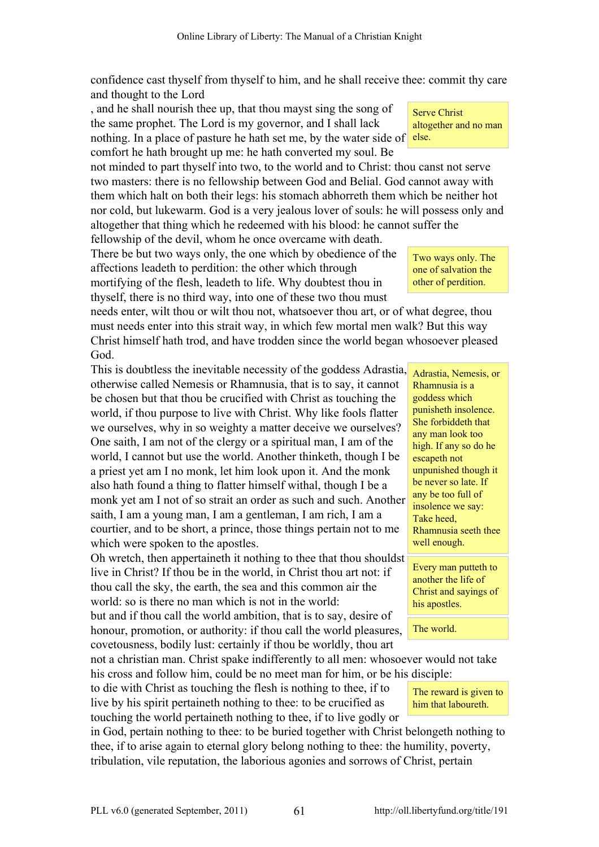confidence cast thyself from thyself to him, and he shall receive thee: commit thy care and thought to the Lord

nothing. In a place of pasture he hath set me, by the water side of **else**. , and he shall nourish thee up, that thou mayst sing the song of the same prophet. The Lord is my governor, and I shall lack comfort he hath brought up me: he hath converted my soul. Be

not minded to part thyself into two, to the world and to Christ: thou canst not serve two masters: there is no fellowship between God and Belial. God cannot away with them which halt on both their legs: his stomach abhorreth them which be neither hot nor cold, but lukewarm. God is a very jealous lover of souls: he will possess only and altogether that thing which he redeemed with his blood: he cannot suffer the fellowship of the devil, whom he once overcame with death.

There be but two ways only, the one which by obedience of the affections leadeth to perdition: the other which through mortifying of the flesh, leadeth to life. Why doubtest thou in thyself, there is no third way, into one of these two thou must

needs enter, wilt thou or wilt thou not, whatsoever thou art, or of what degree, thou must needs enter into this strait way, in which few mortal men walk? But this way Christ himself hath trod, and have trodden since the world began whosoever pleased God.

This is doubtless the inevitable necessity of the goddess Adrastia, otherwise called Nemesis or Rhamnusia, that is to say, it cannot be chosen but that thou be crucified with Christ as touching the world, if thou purpose to live with Christ. Why like fools flatter we ourselves, why in so weighty a matter deceive we ourselves? One saith, I am not of the clergy or a spiritual man, I am of the world, I cannot but use the world. Another thinketh, though I be a priest yet am I no monk, let him look upon it. And the monk also hath found a thing to flatter himself withal, though I be a monk yet am I not of so strait an order as such and such. Another saith, I am a young man, I am a gentleman, I am rich, I am a courtier, and to be short, a prince, those things pertain not to me which were spoken to the apostles.

Oh wretch, then appertaineth it nothing to thee that thou shouldst live in Christ? If thou be in the world, in Christ thou art not: if thou call the sky, the earth, the sea and this common air the world: so is there no man which is not in the world:

but and if thou call the world ambition, that is to say, desire of honour, promotion, or authority: if thou call the world pleasures, covetousness, bodily lust: certainly if thou be worldly, thou art

not a christian man. Christ spake indifferently to all men: whosoever would not take his cross and follow him, could be no meet man for him, or be his disciple:

to die with Christ as touching the flesh is nothing to thee, if to live by his spirit pertaineth nothing to thee: to be crucified as touching the world pertaineth nothing to thee, if to live godly or

The reward is given to him that laboureth.

in God, pertain nothing to thee: to be buried together with Christ belongeth nothing to thee, if to arise again to eternal glory belong nothing to thee: the humility, poverty, tribulation, vile reputation, the laborious agonies and sorrows of Christ, pertain

Serve Christ altogether and no man

Two ways only. The one of salvation the other of perdition.

Adrastia, Nemesis, or Rhamnusia is a goddess which punisheth insolence. She forbiddeth that any man look too high. If any so do he

unpunished though it be never so late. If any be too full of insolence we say: Take heed,

Rhamnusia seeth thee

Every man putteth to another the life of Christ and sayings of

escapeth not

well enough.

his apostles.

The world.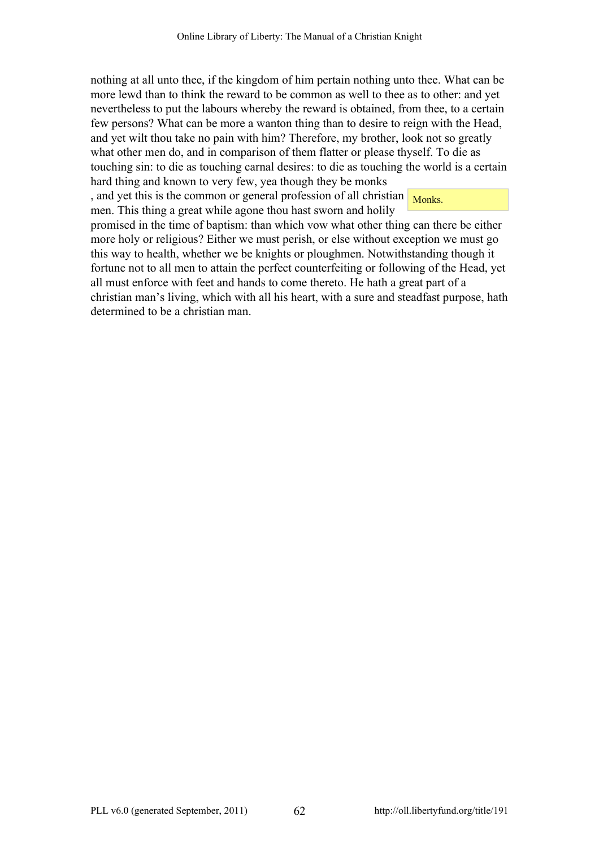nothing at all unto thee, if the kingdom of him pertain nothing unto thee. What can be more lewd than to think the reward to be common as well to thee as to other: and yet nevertheless to put the labours whereby the reward is obtained, from thee, to a certain few persons? What can be more a wanton thing than to desire to reign with the Head, and yet wilt thou take no pain with him? Therefore, my brother, look not so greatly what other men do, and in comparison of them flatter or please thyself. To die as touching sin: to die as touching carnal desires: to die as touching the world is a certain hard thing and known to very few, yea though they be monks

, and yet this is the common or general profession of all christian  $\sqrt{\frac{Mons}{m}}$ men. This thing a great while agone thou hast sworn and holily

promised in the time of baptism: than which vow what other thing can there be either more holy or religious? Either we must perish, or else without exception we must go this way to health, whether we be knights or ploughmen. Notwithstanding though it fortune not to all men to attain the perfect counterfeiting or following of the Head, yet all must enforce with feet and hands to come thereto. He hath a great part of a christian man's living, which with all his heart, with a sure and steadfast purpose, hath determined to be a christian man.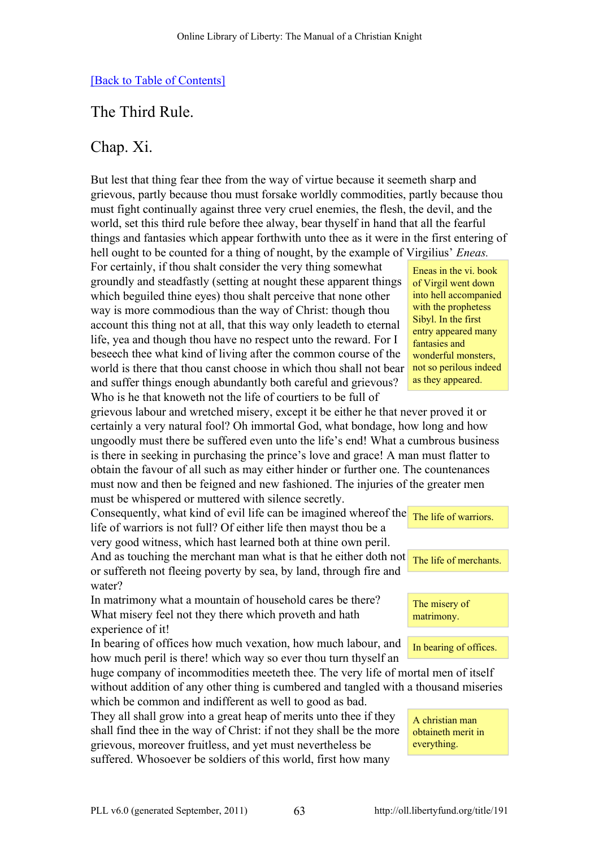# The Third Rule.

# Chap. Xi.

But lest that thing fear thee from the way of virtue because it seemeth sharp and grievous, partly because thou must forsake worldly commodities, partly because thou must fight continually against three very cruel enemies, the flesh, the devil, and the world, set this third rule before thee alway, bear thyself in hand that all the fearful things and fantasies which appear forthwith unto thee as it were in the first entering of hell ought to be counted for a thing of nought, by the example of Virgilius' *Eneas.*

For certainly, if thou shalt consider the very thing somewhat groundly and steadfastly (setting at nought these apparent things which beguiled thine eyes) thou shalt perceive that none other way is more commodious than the way of Christ: though thou account this thing not at all, that this way only leadeth to eternal life, yea and though thou have no respect unto the reward. For I beseech thee what kind of living after the common course of the world is there that thou canst choose in which thou shall not bear and suffer things enough abundantly both careful and grievous? Who is he that knoweth not the life of courtiers to be full of

grievous labour and wretched misery, except it be either he that never proved it or certainly a very natural fool? Oh immortal God, what bondage, how long and how ungoodly must there be suffered even unto the life's end! What a cumbrous business is there in seeking in purchasing the prince's love and grace! A man must flatter to obtain the favour of all such as may either hinder or further one. The countenances must now and then be feigned and new fashioned. The injuries of the greater men must be whispered or muttered with silence secretly.

Consequently, what kind of evil life can be imagined whereof the The life of warriors. life of warriors is not full? Of either life then mayst thou be a

very good witness, which hast learned both at thine own peril. And as touching the merchant man what is that he either doth not or suffereth not fleeing poverty by sea, by land, through fire and water?

In matrimony what a mountain of household cares be there? What misery feel not they there which proveth and hath experience of it!

In bearing of offices how much vexation, how much labour, and how much peril is there! which way so ever thou turn thyself an

huge company of incommodities meeteth thee. The very life of mortal men of itself without addition of any other thing is cumbered and tangled with a thousand miseries which be common and indifferent as well to good as bad.

They all shall grow into a great heap of merits unto thee if they shall find thee in the way of Christ: if not they shall be the more grievous, moreover fruitless, and yet must nevertheless be suffered. Whosoever be soldiers of this world, first how many

Eneas in the vi. book of Virgil went down into hell accompanied with the prophetess Sibyl. In the first entry appeared many fantasies and wonderful monsters, not so perilous indeed as they appeared.



The misery of matrimony.

In bearing of offices.

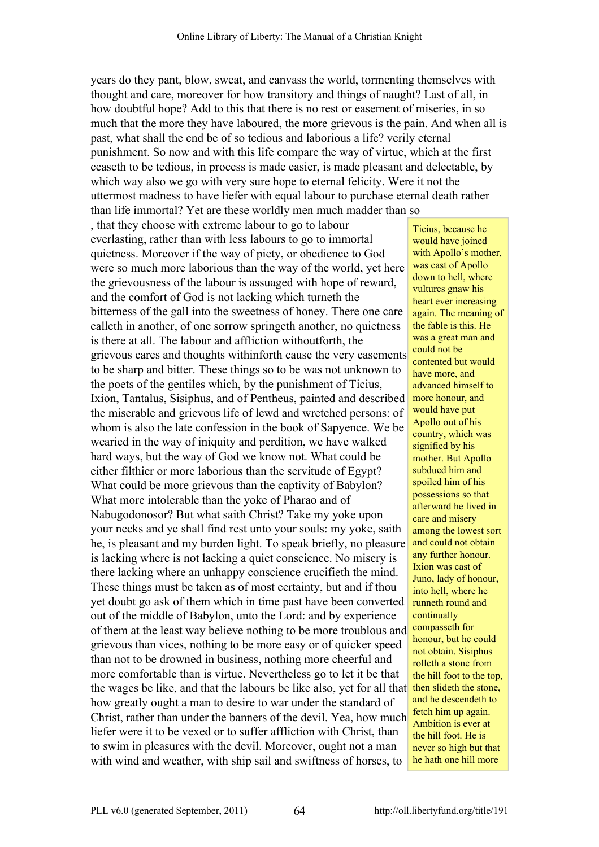years do they pant, blow, sweat, and canvass the world, tormenting themselves with thought and care, moreover for how transitory and things of naught? Last of all, in how doubtful hope? Add to this that there is no rest or easement of miseries, in so much that the more they have laboured, the more grievous is the pain. And when all is past, what shall the end be of so tedious and laborious a life? verily eternal punishment. So now and with this life compare the way of virtue, which at the first ceaseth to be tedious, in process is made easier, is made pleasant and delectable, by which way also we go with very sure hope to eternal felicity. Were it not the uttermost madness to have liefer with equal labour to purchase eternal death rather than life immortal? Yet are these worldly men much madder than so

, that they choose with extreme labour to go to labour everlasting, rather than with less labours to go to immortal quietness. Moreover if the way of piety, or obedience to God were so much more laborious than the way of the world, yet here the grievousness of the labour is assuaged with hope of reward, and the comfort of God is not lacking which turneth the bitterness of the gall into the sweetness of honey. There one care calleth in another, of one sorrow springeth another, no quietness is there at all. The labour and affliction withoutforth, the grievous cares and thoughts withinforth cause the very easements to be sharp and bitter. These things so to be was not unknown to the poets of the gentiles which, by the punishment of Ticius, Ixion, Tantalus, Sisiphus, and of Pentheus, painted and described the miserable and grievous life of lewd and wretched persons: of whom is also the late confession in the book of Sapyence. We be wearied in the way of iniquity and perdition, we have walked hard ways, but the way of God we know not. What could be either filthier or more laborious than the servitude of Egypt? What could be more grievous than the captivity of Babylon? What more intolerable than the yoke of Pharao and of Nabugodonosor? But what saith Christ? Take my yoke upon your necks and ye shall find rest unto your souls: my yoke, saith he, is pleasant and my burden light. To speak briefly, no pleasure is lacking where is not lacking a quiet conscience. No misery is there lacking where an unhappy conscience crucifieth the mind. These things must be taken as of most certainty, but and if thou yet doubt go ask of them which in time past have been converted out of the middle of Babylon, unto the Lord: and by experience of them at the least way believe nothing to be more troublous and grievous than vices, nothing to be more easy or of quicker speed than not to be drowned in business, nothing more cheerful and more comfortable than is virtue. Nevertheless go to let it be that the wages be like, and that the labours be like also, yet for all that how greatly ought a man to desire to war under the standard of Christ, rather than under the banners of the devil. Yea, how much liefer were it to be vexed or to suffer affliction with Christ, than to swim in pleasures with the devil. Moreover, ought not a man with wind and weather, with ship sail and swiftness of horses, to

Ticius, because he would have joined with Apollo's mother, was cast of Apollo down to hell, where vultures gnaw his heart ever increasing again. The meaning of the fable is this. He was a great man and could not be contented but would have more, and advanced himself to more honour, and would have put Apollo out of his country, which was signified by his mother. But Apollo subdued him and spoiled him of his possessions so that afterward he lived in care and misery among the lowest sort and could not obtain any further honour. Ixion was cast of Juno, lady of honour, into hell, where he runneth round and continually compasseth for honour, but he could not obtain. Sisiphus rolleth a stone from the hill foot to the top, then slideth the stone, and he descendeth to fetch him up again. Ambition is ever at the hill foot. He is never so high but that he hath one hill more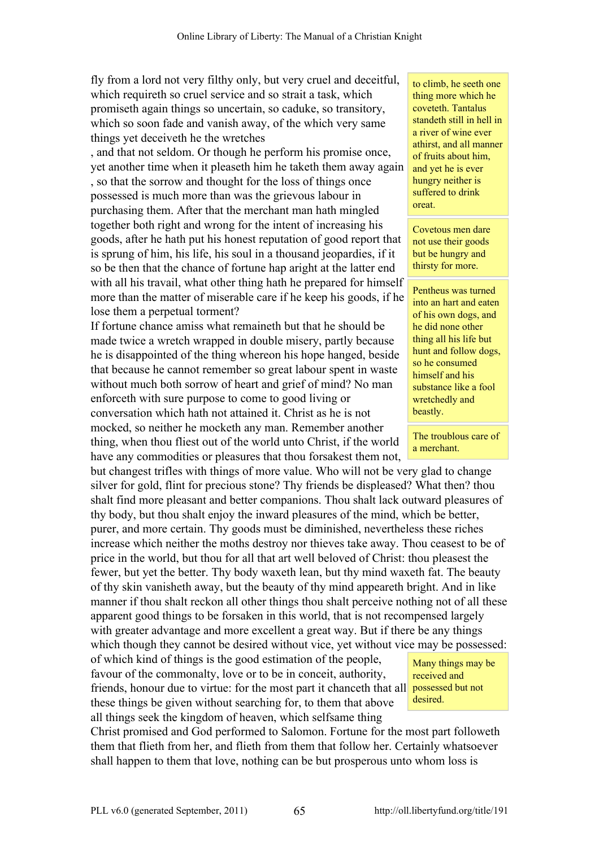fly from a lord not very filthy only, but very cruel and deceitful, which requireth so cruel service and so strait a task, which promiseth again things so uncertain, so caduke, so transitory, which so soon fade and vanish away, of the which very same things yet deceiveth he the wretches

, and that not seldom. Or though he perform his promise once, yet another time when it pleaseth him he taketh them away again , so that the sorrow and thought for the loss of things once possessed is much more than was the grievous labour in purchasing them. After that the merchant man hath mingled together both right and wrong for the intent of increasing his goods, after he hath put his honest reputation of good report that is sprung of him, his life, his soul in a thousand jeopardies, if it so be then that the chance of fortune hap aright at the latter end with all his travail, what other thing hath he prepared for himself more than the matter of miserable care if he keep his goods, if he lose them a perpetual torment?

If fortune chance amiss what remaineth but that he should be made twice a wretch wrapped in double misery, partly because he is disappointed of the thing whereon his hope hanged, beside that because he cannot remember so great labour spent in waste without much both sorrow of heart and grief of mind? No man enforceth with sure purpose to come to good living or conversation which hath not attained it. Christ as he is not mocked, so neither he mocketh any man. Remember another thing, when thou fliest out of the world unto Christ, if the world have any commodities or pleasures that thou forsakest them not,

but changest trifles with things of more value. Who will not be very glad to change silver for gold, flint for precious stone? Thy friends be displeased? What then? thou shalt find more pleasant and better companions. Thou shalt lack outward pleasures of thy body, but thou shalt enjoy the inward pleasures of the mind, which be better, purer, and more certain. Thy goods must be diminished, nevertheless these riches increase which neither the moths destroy nor thieves take away. Thou ceasest to be of price in the world, but thou for all that art well beloved of Christ: thou pleasest the fewer, but yet the better. Thy body waxeth lean, but thy mind waxeth fat. The beauty of thy skin vanisheth away, but the beauty of thy mind appeareth bright. And in like manner if thou shalt reckon all other things thou shalt perceive nothing not of all these apparent good things to be forsaken in this world, that is not recompensed largely with greater advantage and more excellent a great way. But if there be any things which though they cannot be desired without vice, yet without vice may be possessed:

friends, honour due to virtue: for the most part it chanceth that all possessed but not of which kind of things is the good estimation of the people, favour of the commonalty, love or to be in conceit, authority, these things be given without searching for, to them that above all things seek the kingdom of heaven, which selfsame thing

Christ promised and God performed to Salomon. Fortune for the most part followeth them that flieth from her, and flieth from them that follow her. Certainly whatsoever shall happen to them that love, nothing can be but prosperous unto whom loss is

to climb, he seeth one thing more which he coveteth. Tantalus standeth still in hell in a river of wine ever athirst, and all manner of fruits about him, and yet he is ever hungry neither is suffered to drink oreat.

Covetous men dare not use their goods but be hungry and thirsty for more.

Pentheus was turned into an hart and eaten of his own dogs, and he did none other thing all his life but hunt and follow dogs, so he consumed himself and his substance like a fool wretchedly and beastly.

The troublous care of a merchant.

received and desired.

Many things may be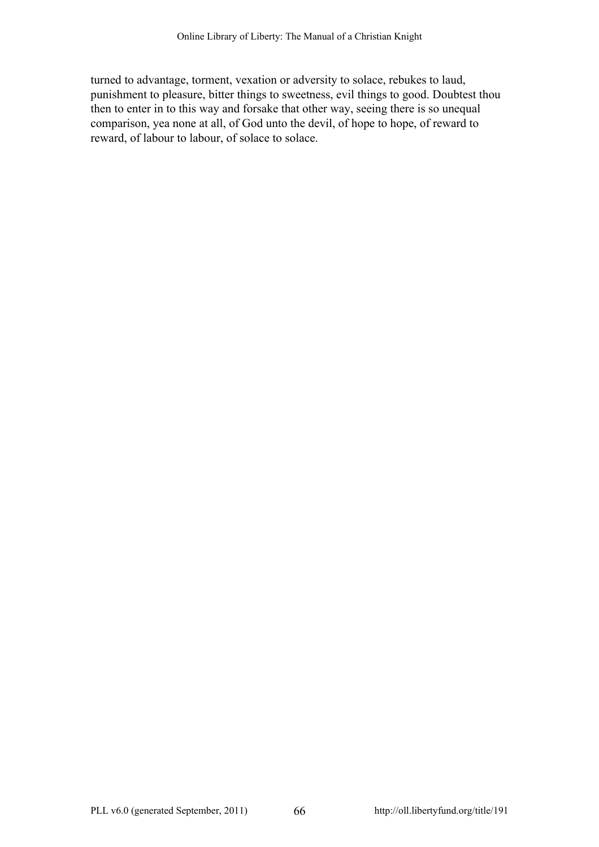turned to advantage, torment, vexation or adversity to solace, rebukes to laud, punishment to pleasure, bitter things to sweetness, evil things to good. Doubtest thou then to enter in to this way and forsake that other way, seeing there is so unequal comparison, yea none at all, of God unto the devil, of hope to hope, of reward to reward, of labour to labour, of solace to solace.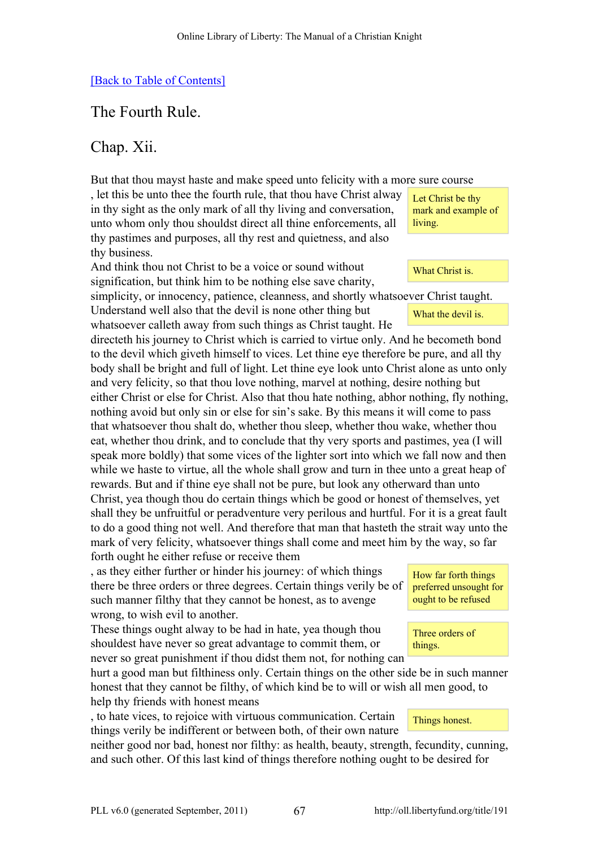## The Fourth Rule.

## Chap. Xii.

But that thou mayst haste and make speed unto felicity with a more sure course

, let this be unto thee the fourth rule, that thou have Christ alway in thy sight as the only mark of all thy living and conversation, unto whom only thou shouldst direct all thine enforcements, all thy pastimes and purposes, all thy rest and quietness, and also thy business.

And think thou not Christ to be a voice or sound without signification, but think him to be nothing else save charity,

simplicity, or innocency, patience, cleanness, and shortly whatsoever Christ taught. Understand well also that the devil is none other thing but whatsoever calleth away from such things as Christ taught. He

directeth his journey to Christ which is carried to virtue only. And he becometh bond to the devil which giveth himself to vices. Let thine eye therefore be pure, and all thy body shall be bright and full of light. Let thine eye look unto Christ alone as unto only and very felicity, so that thou love nothing, marvel at nothing, desire nothing but either Christ or else for Christ. Also that thou hate nothing, abhor nothing, fly nothing, nothing avoid but only sin or else for sin's sake. By this means it will come to pass that whatsoever thou shalt do, whether thou sleep, whether thou wake, whether thou eat, whether thou drink, and to conclude that thy very sports and pastimes, yea (I will speak more boldly) that some vices of the lighter sort into which we fall now and then while we haste to virtue, all the whole shall grow and turn in thee unto a great heap of rewards. But and if thine eye shall not be pure, but look any otherward than unto Christ, yea though thou do certain things which be good or honest of themselves, yet shall they be unfruitful or peradventure very perilous and hurtful. For it is a great fault to do a good thing not well. And therefore that man that hasteth the strait way unto the mark of very felicity, whatsoever things shall come and meet him by the way, so far forth ought he either refuse or receive them

, as they either further or hinder his journey: of which things there be three orders or three degrees. Certain things verily be of such manner filthy that they cannot be honest, as to avenge wrong, to wish evil to another.

These things ought alway to be had in hate, yea though thou shouldest have never so great advantage to commit them, or never so great punishment if thou didst them not, for nothing can

hurt a good man but filthiness only. Certain things on the other side be in such manner honest that they cannot be filthy, of which kind be to will or wish all men good, to help thy friends with honest means

, to hate vices, to rejoice with virtuous communication. Certain things verily be indifferent or between both, of their own nature

neither good nor bad, honest nor filthy: as health, beauty, strength, fecundity, cunning, and such other. Of this last kind of things therefore nothing ought to be desired for

Let Christ be thy mark and example of living.

What Christ is.

What the devil is.

How far forth things preferred unsought for ought to be refused

Three orders of things.

Things honest.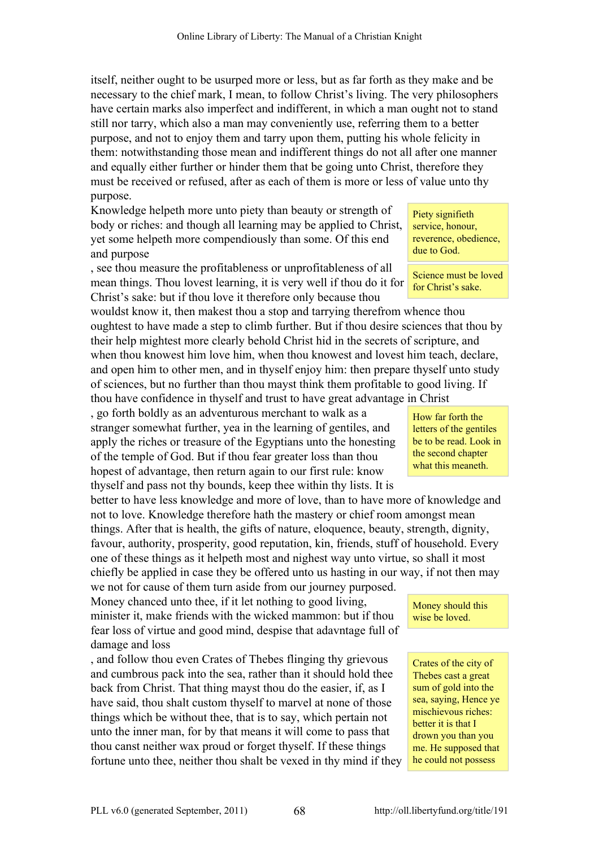itself, neither ought to be usurped more or less, but as far forth as they make and be necessary to the chief mark, I mean, to follow Christ's living. The very philosophers have certain marks also imperfect and indifferent, in which a man ought not to stand still nor tarry, which also a man may conveniently use, referring them to a better purpose, and not to enjoy them and tarry upon them, putting his whole felicity in them: notwithstanding those mean and indifferent things do not all after one manner and equally either further or hinder them that be going unto Christ, therefore they must be received or refused, after as each of them is more or less of value unto thy purpose.

Knowledge helpeth more unto piety than beauty or strength of body or riches: and though all learning may be applied to Christ, yet some helpeth more compendiously than some. Of this end and purpose

, see thou measure the profitableness or unprofitableness of all mean things. Thou lovest learning, it is very well if thou do it for Christ's sake: but if thou love it therefore only because thou

wouldst know it, then makest thou a stop and tarrying therefrom whence thou oughtest to have made a step to climb further. But if thou desire sciences that thou by their help mightest more clearly behold Christ hid in the secrets of scripture, and when thou knowest him love him, when thou knowest and lovest him teach, declare, and open him to other men, and in thyself enjoy him: then prepare thyself unto study of sciences, but no further than thou mayst think them profitable to good living. If thou have confidence in thyself and trust to have great advantage in Christ

, go forth boldly as an adventurous merchant to walk as a stranger somewhat further, yea in the learning of gentiles, and apply the riches or treasure of the Egyptians unto the honesting of the temple of God. But if thou fear greater loss than thou hopest of advantage, then return again to our first rule: know thyself and pass not thy bounds, keep thee within thy lists. It is

better to have less knowledge and more of love, than to have more of knowledge and not to love. Knowledge therefore hath the mastery or chief room amongst mean things. After that is health, the gifts of nature, eloquence, beauty, strength, dignity, favour, authority, prosperity, good reputation, kin, friends, stuff of household. Every one of these things as it helpeth most and nighest way unto virtue, so shall it most chiefly be applied in case they be offered unto us hasting in our way, if not then may we not for cause of them turn aside from our journey purposed.

Money chanced unto thee, if it let nothing to good living, minister it, make friends with the wicked mammon: but if thou fear loss of virtue and good mind, despise that adavntage full of damage and loss

, and follow thou even Crates of Thebes flinging thy grievous and cumbrous pack into the sea, rather than it should hold thee back from Christ. That thing mayst thou do the easier, if, as I have said, thou shalt custom thyself to marvel at none of those things which be without thee, that is to say, which pertain not unto the inner man, for by that means it will come to pass that thou canst neither wax proud or forget thyself. If these things fortune unto thee, neither thou shalt be vexed in thy mind if they

Piety signifieth service, honour, reverence, obedience, due to God.

Science must be loved for Christ's sake.

How far forth the letters of the gentiles be to be read. Look in the second chapter what this meaneth.

Money should this wise be loved.

Crates of the city of Thebes cast a great sum of gold into the sea, saying, Hence ye mischievous riches: better it is that I drown you than you me. He supposed that he could not possess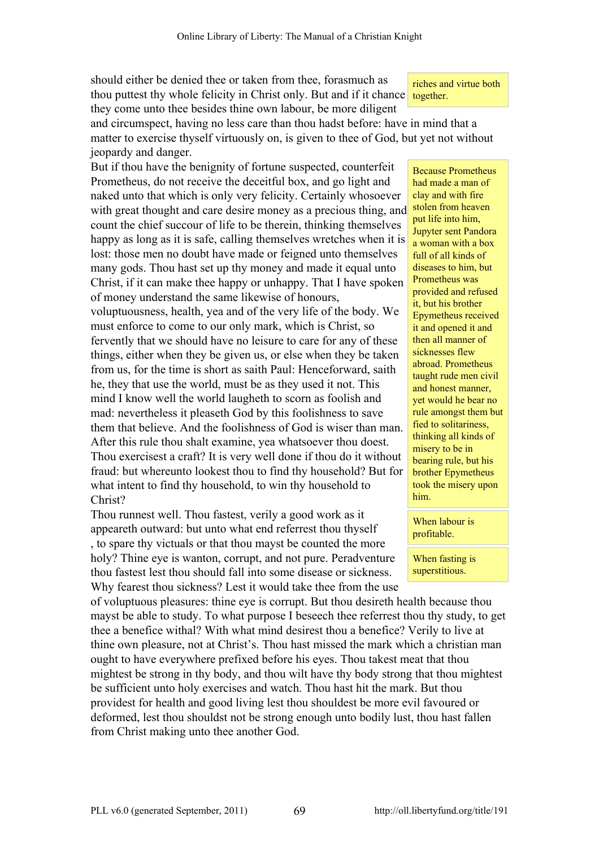should either be denied thee or taken from thee, forasmuch as thou puttest thy whole felicity in Christ only. But and if it chance they come unto thee besides thine own labour, be more diligent

riches and virtue both together.

and circumspect, having no less care than thou hadst before: have in mind that a matter to exercise thyself virtuously on, is given to thee of God, but yet not without jeopardy and danger.

But if thou have the benignity of fortune suspected, counterfeit Prometheus, do not receive the deceitful box, and go light and naked unto that which is only very felicity. Certainly whosoever with great thought and care desire money as a precious thing, and count the chief succour of life to be therein, thinking themselves happy as long as it is safe, calling themselves wretches when it is lost: those men no doubt have made or feigned unto themselves many gods. Thou hast set up thy money and made it equal unto Christ, if it can make thee happy or unhappy. That I have spoken of money understand the same likewise of honours, voluptuousness, health, yea and of the very life of the body. We must enforce to come to our only mark, which is Christ, so fervently that we should have no leisure to care for any of these things, either when they be given us, or else when they be taken from us, for the time is short as saith Paul: Henceforward, saith he, they that use the world, must be as they used it not. This mind I know well the world laugheth to scorn as foolish and mad: nevertheless it pleaseth God by this foolishness to save them that believe. And the foolishness of God is wiser than man. After this rule thou shalt examine, yea whatsoever thou doest. Thou exercisest a craft? It is very well done if thou do it without fraud: but whereunto lookest thou to find thy household? But for what intent to find thy household, to win thy household to Christ?

Thou runnest well. Thou fastest, verily a good work as it appeareth outward: but unto what end referrest thou thyself , to spare thy victuals or that thou mayst be counted the more holy? Thine eye is wanton, corrupt, and not pure. Peradventure thou fastest lest thou should fall into some disease or sickness.

Why fearest thou sickness? Lest it would take thee from the use of voluptuous pleasures: thine eye is corrupt. But thou desireth health because thou mayst be able to study. To what purpose I beseech thee referrest thou thy study, to get thee a benefice withal? With what mind desirest thou a benefice? Verily to live at thine own pleasure, not at Christ's. Thou hast missed the mark which a christian man ought to have everywhere prefixed before his eyes. Thou takest meat that thou mightest be strong in thy body, and thou wilt have thy body strong that thou mightest be sufficient unto holy exercises and watch. Thou hast hit the mark. But thou providest for health and good living lest thou shouldest be more evil favoured or deformed, lest thou shouldst not be strong enough unto bodily lust, thou hast fallen from Christ making unto thee another God.

Because Prometheus had made a man of clay and with fire stolen from heaven put life into him, Jupyter sent Pandora a woman with a box full of all kinds of diseases to him, but Prometheus was provided and refused it, but his brother Epymetheus received it and opened it and then all manner of sicknesses flew abroad. Prometheus taught rude men civil and honest manner, yet would he bear no rule amongst them but fied to solitariness, thinking all kinds of misery to be in bearing rule, but his brother Epymetheus took the misery upon him.

When labour is profitable.

When fasting is superstitious.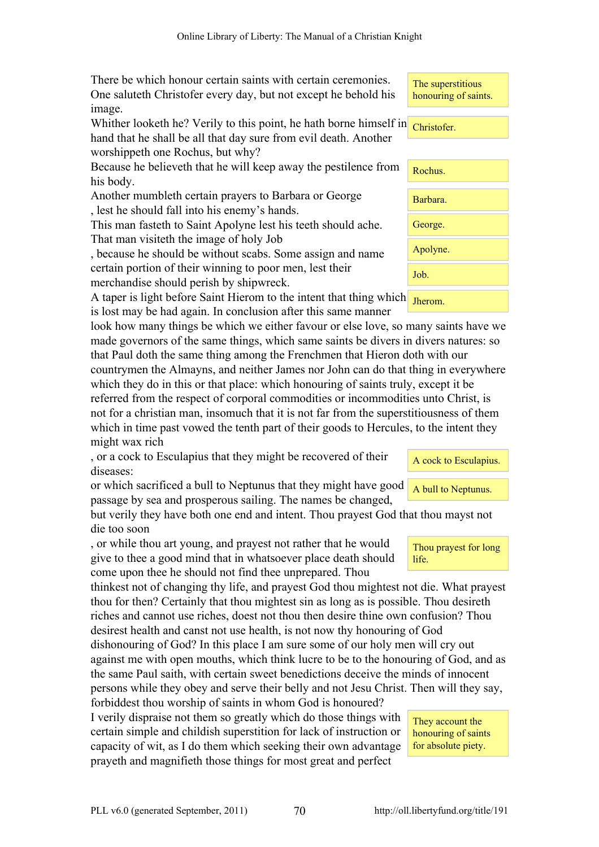The superstitious honouring of saints. Whither looketh he? Verily to this point, he hath borne himself in Christofer. Rochus. Barbara. George. Apolyne. Job. There be which honour certain saints with certain ceremonies. One saluteth Christofer every day, but not except he behold his image. hand that he shall be all that day sure from evil death. Another worshippeth one Rochus, but why? Because he believeth that he will keep away the pestilence from his body. Another mumbleth certain prayers to Barbara or George , lest he should fall into his enemy's hands. This man fasteth to Saint Apolyne lest his teeth should ache. That man visiteth the image of holy Job , because he should be without scabs. Some assign and name certain portion of their winning to poor men, lest their merchandise should perish by shipwreck.

A taper is light before Saint Hierom to the intent that thing which Jherom. is lost may be had again. In conclusion after this same manner

look how many things be which we either favour or else love, so many saints have we made governors of the same things, which same saints be divers in divers natures: so that Paul doth the same thing among the Frenchmen that Hieron doth with our countrymen the Almayns, and neither James nor John can do that thing in everywhere which they do in this or that place: which honouring of saints truly, except it be referred from the respect of corporal commodities or incommodities unto Christ, is not for a christian man, insomuch that it is not far from the superstitiousness of them which in time past vowed the tenth part of their goods to Hercules, to the intent they might wax rich

, or a cock to Esculapius that they might be recovered of their diseases:

or which sacrificed a bull to Neptunus that they might have good passage by sea and prosperous sailing. The names be changed,

but verily they have both one end and intent. Thou prayest God that thou mayst not die too soon

, or while thou art young, and prayest not rather that he would give to thee a good mind that in whatsoever place death should come upon thee he should not find thee unprepared. Thou

thinkest not of changing thy life, and prayest God thou mightest not die. What prayest thou for then? Certainly that thou mightest sin as long as is possible. Thou desireth riches and cannot use riches, doest not thou then desire thine own confusion? Thou desirest health and canst not use health, is not now thy honouring of God

dishonouring of God? In this place I am sure some of our holy men will cry out against me with open mouths, which think lucre to be to the honouring of God, and as the same Paul saith, with certain sweet benedictions deceive the minds of innocent persons while they obey and serve their belly and not Jesu Christ. Then will they say, forbiddest thou worship of saints in whom God is honoured?

I verily dispraise not them so greatly which do those things with certain simple and childish superstition for lack of instruction or capacity of wit, as I do them which seeking their own advantage prayeth and magnifieth those things for most great and perfect

A bull to Neptunus.

A cock to Esculapius.

Thou prayest for long life.

They account the honouring of saints for absolute piety.

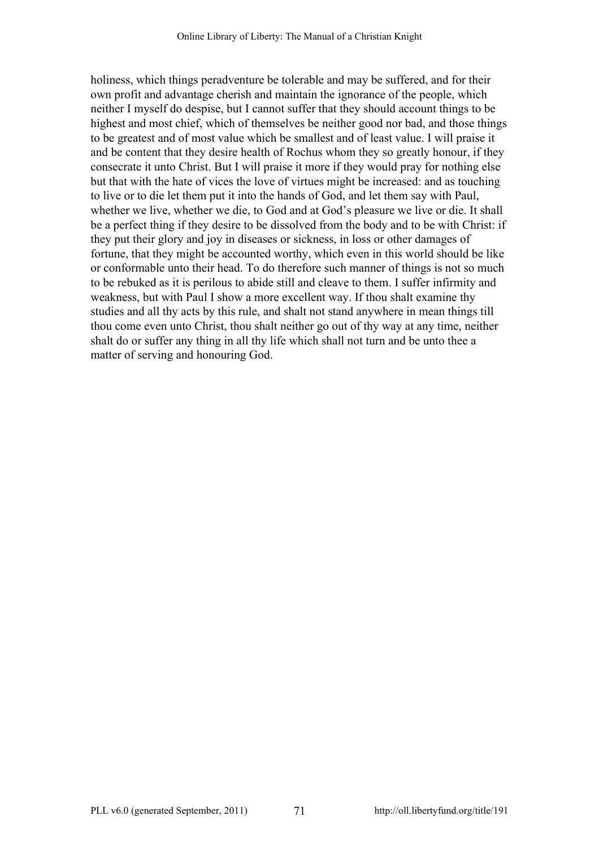holiness, which things peradventure be tolerable and may be suffered, and for their own profit and advantage cherish and maintain the ignorance of the people, which neither I myself do despise, but I cannot suffer that they should account things to be highest and most chief, which of themselves be neither good nor bad, and those things to be greatest and of most value which be smallest and of least value. I will praise it and be content that they desire health of Rochus whom they so greatly honour, if they consecrate it unto Christ. But I will praise it more if they would pray for nothing else but that with the hate of vices the love of virtues might be increased: and as touching to live or to die let them put it into the hands of God, and let them say with Paul, whether we live, whether we die, to God and at God's pleasure we live or die. It shall be a perfect thing if they desire to be dissolved from the body and to be with Christ: if they put their glory and joy in diseases or sickness, in loss or other damages of fortune, that they might be accounted worthy, which even in this world should be like or conformable unto their head. To do therefore such manner of things is not so much to be rebuked as it is perilous to abide still and cleave to them. I suffer infirmity and weakness, but with Paul I show a more excellent way. If thou shalt examine thy studies and all thy acts by this rule, and shalt not stand anywhere in mean things till thou come even unto Christ, thou shalt neither go out of thy way at any time, neither shalt do or suffer any thing in all thy life which shall not turn and be unto thee a matter of serving and honouring God.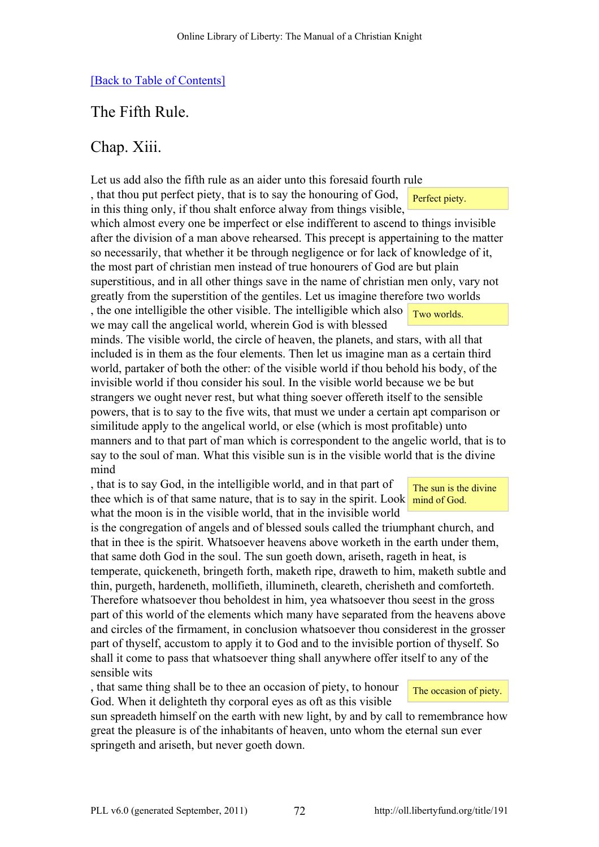# The Fifth Rule.

## Chap. Xiii.

Perfect piety. Two worlds. Let us add also the fifth rule as an aider unto this foresaid fourth rule , that thou put perfect piety, that is to say the honouring of God, in this thing only, if thou shalt enforce alway from things visible, which almost every one be imperfect or else indifferent to ascend to things invisible after the division of a man above rehearsed. This precept is appertaining to the matter so necessarily, that whether it be through negligence or for lack of knowledge of it, the most part of christian men instead of true honourers of God are but plain superstitious, and in all other things save in the name of christian men only, vary not greatly from the superstition of the gentiles. Let us imagine therefore two worlds , the one intelligible the other visible. The intelligible which also we may call the angelical world, wherein God is with blessed

minds. The visible world, the circle of heaven, the planets, and stars, with all that included is in them as the four elements. Then let us imagine man as a certain third world, partaker of both the other: of the visible world if thou behold his body, of the invisible world if thou consider his soul. In the visible world because we be but strangers we ought never rest, but what thing soever offereth itself to the sensible powers, that is to say to the five wits, that must we under a certain apt comparison or similitude apply to the angelical world, or else (which is most profitable) unto manners and to that part of man which is correspondent to the angelic world, that is to say to the soul of man. What this visible sun is in the visible world that is the divine mind

thee which is of that same nature, that is to say in the spirit. Look mind of God. , that is to say God, in the intelligible world, and in that part of what the moon is in the visible world, that in the invisible world

is the congregation of angels and of blessed souls called the triumphant church, and that in thee is the spirit. Whatsoever heavens above worketh in the earth under them, that same doth God in the soul. The sun goeth down, ariseth, rageth in heat, is temperate, quickeneth, bringeth forth, maketh ripe, draweth to him, maketh subtle and thin, purgeth, hardeneth, mollifieth, illumineth, cleareth, cherisheth and comforteth. Therefore whatsoever thou beholdest in him, yea whatsoever thou seest in the gross part of this world of the elements which many have separated from the heavens above and circles of the firmament, in conclusion whatsoever thou considerest in the grosser part of thyself, accustom to apply it to God and to the invisible portion of thyself. So shall it come to pass that whatsoever thing shall anywhere offer itself to any of the sensible wits

, that same thing shall be to thee an occasion of piety, to honour God. When it delighteth thy corporal eyes as oft as this visible

The occasion of piety.

sun spreadeth himself on the earth with new light, by and by call to remembrance how great the pleasure is of the inhabitants of heaven, unto whom the eternal sun ever springeth and ariseth, but never goeth down.

The sun is the divine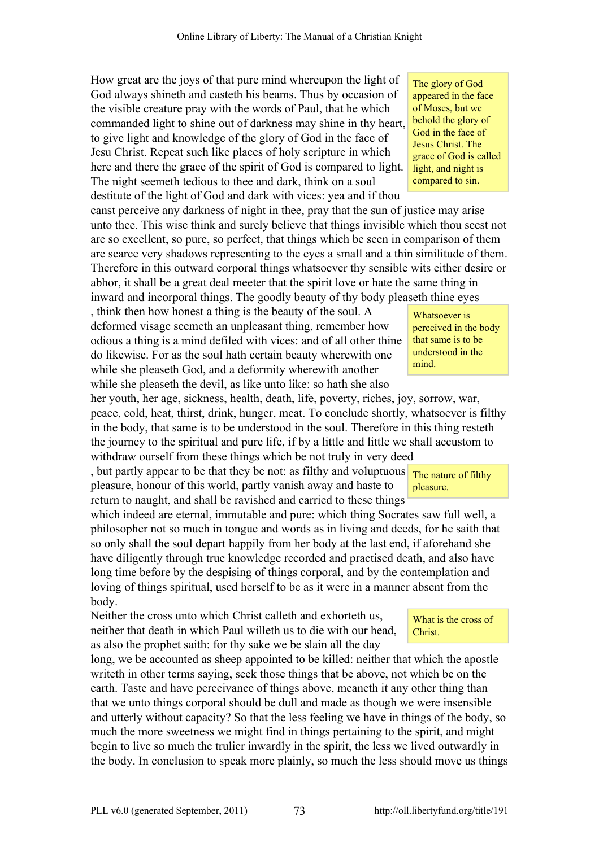How great are the joys of that pure mind whereupon the light of God always shineth and casteth his beams. Thus by occasion of the visible creature pray with the words of Paul, that he which commanded light to shine out of darkness may shine in thy heart, to give light and knowledge of the glory of God in the face of Jesu Christ. Repeat such like places of holy scripture in which here and there the grace of the spirit of God is compared to light. The night seemeth tedious to thee and dark, think on a soul destitute of the light of God and dark with vices: yea and if thou

canst perceive any darkness of night in thee, pray that the sun of justice may arise unto thee. This wise think and surely believe that things invisible which thou seest not are so excellent, so pure, so perfect, that things which be seen in comparison of them are scarce very shadows representing to the eyes a small and a thin similitude of them. Therefore in this outward corporal things whatsoever thy sensible wits either desire or abhor, it shall be a great deal meeter that the spirit love or hate the same thing in inward and incorporal things. The goodly beauty of thy body pleaseth thine eyes

, think then how honest a thing is the beauty of the soul. A deformed visage seemeth an unpleasant thing, remember how odious a thing is a mind defiled with vices: and of all other thine do likewise. For as the soul hath certain beauty wherewith one while she pleaseth God, and a deformity wherewith another while she pleaseth the devil, as like unto like: so hath she also

her youth, her age, sickness, health, death, life, poverty, riches, joy, sorrow, war, peace, cold, heat, thirst, drink, hunger, meat. To conclude shortly, whatsoever is filthy in the body, that same is to be understood in the soul. Therefore in this thing resteth the journey to the spiritual and pure life, if by a little and little we shall accustom to withdraw ourself from these things which be not truly in very deed

, but partly appear to be that they be not: as filthy and voluptuous The nature of filthy pleasure, honour of this world, partly vanish away and haste to return to naught, and shall be ravished and carried to these things

which indeed are eternal, immutable and pure: which thing Socrates saw full well, a philosopher not so much in tongue and words as in living and deeds, for he saith that so only shall the soul depart happily from her body at the last end, if aforehand she have diligently through true knowledge recorded and practised death, and also have long time before by the despising of things corporal, and by the contemplation and loving of things spiritual, used herself to be as it were in a manner absent from the body.

Neither the cross unto which Christ calleth and exhorteth us, neither that death in which Paul willeth us to die with our head, as also the prophet saith: for thy sake we be slain all the day

long, we be accounted as sheep appointed to be killed: neither that which the apostle writeth in other terms saying, seek those things that be above, not which be on the earth. Taste and have perceivance of things above, meaneth it any other thing than that we unto things corporal should be dull and made as though we were insensible and utterly without capacity? So that the less feeling we have in things of the body, so much the more sweetness we might find in things pertaining to the spirit, and might begin to live so much the trulier inwardly in the spirit, the less we lived outwardly in the body. In conclusion to speak more plainly, so much the less should move us things

The glory of God appeared in the face of Moses, but we behold the glory of God in the face of Jesus Christ. The grace of God is called light, and night is compared to sin.

Whatsoever is perceived in the body that same is to be understood in the mind.

pleasure.

What is the cross of

Christ.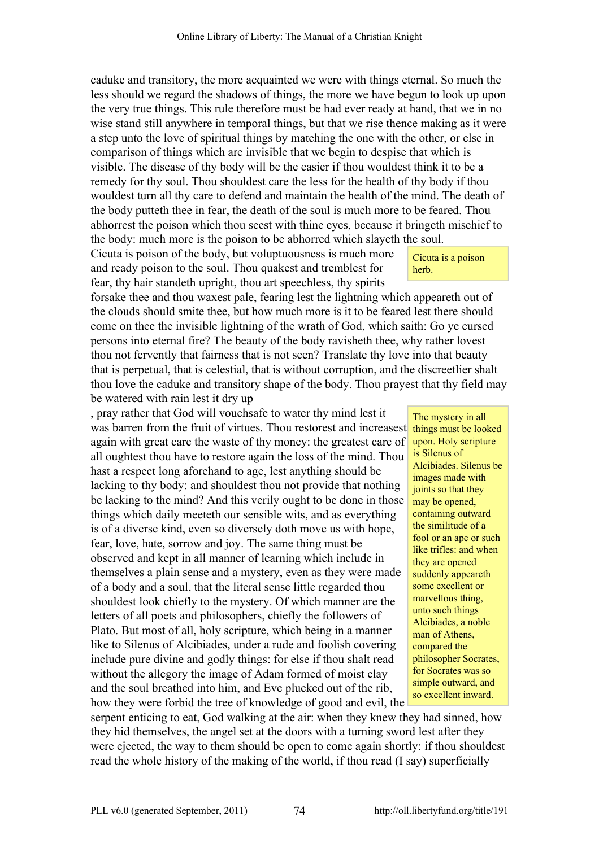caduke and transitory, the more acquainted we were with things eternal. So much the less should we regard the shadows of things, the more we have begun to look up upon the very true things. This rule therefore must be had ever ready at hand, that we in no wise stand still anywhere in temporal things, but that we rise thence making as it were a step unto the love of spiritual things by matching the one with the other, or else in comparison of things which are invisible that we begin to despise that which is visible. The disease of thy body will be the easier if thou wouldest think it to be a remedy for thy soul. Thou shouldest care the less for the health of thy body if thou wouldest turn all thy care to defend and maintain the health of the mind. The death of the body putteth thee in fear, the death of the soul is much more to be feared. Thou abhorrest the poison which thou seest with thine eyes, because it bringeth mischief to the body: much more is the poison to be abhorred which slayeth the soul.

Cicuta is poison of the body, but voluptuousness is much more and ready poison to the soul. Thou quakest and tremblest for fear, thy hair standeth upright, thou art speechless, thy spirits

forsake thee and thou waxest pale, fearing lest the lightning which appeareth out of the clouds should smite thee, but how much more is it to be feared lest there should come on thee the invisible lightning of the wrath of God, which saith: Go ye cursed persons into eternal fire? The beauty of the body ravisheth thee, why rather lovest thou not fervently that fairness that is not seen? Translate thy love into that beauty that is perpetual, that is celestial, that is without corruption, and the discreetlier shalt thou love the caduke and transitory shape of the body. Thou prayest that thy field may be watered with rain lest it dry up

, pray rather that God will vouchsafe to water thy mind lest it was barren from the fruit of virtues. Thou restorest and increasest again with great care the waste of thy money: the greatest care of all oughtest thou have to restore again the loss of the mind. Thou hast a respect long aforehand to age, lest anything should be lacking to thy body: and shouldest thou not provide that nothing be lacking to the mind? And this verily ought to be done in those things which daily meeteth our sensible wits, and as everything is of a diverse kind, even so diversely doth move us with hope, fear, love, hate, sorrow and joy. The same thing must be observed and kept in all manner of learning which include in themselves a plain sense and a mystery, even as they were made of a body and a soul, that the literal sense little regarded thou shouldest look chiefly to the mystery. Of which manner are the letters of all poets and philosophers, chiefly the followers of Plato. But most of all, holy scripture, which being in a manner like to Silenus of Alcibiades, under a rude and foolish covering include pure divine and godly things: for else if thou shalt read without the allegory the image of Adam formed of moist clay and the soul breathed into him, and Eve plucked out of the rib, how they were forbid the tree of knowledge of good and evil, the

The mystery in all things must be looked upon. Holy scripture is Silenus of Alcibiades. Silenus be images made with joints so that they may be opened, containing outward the similitude of a fool or an ape or such like trifles: and when they are opened suddenly appeareth some excellent or marvellous thing, unto such things Alcibiades, a noble man of Athens, compared the philosopher Socrates, for Socrates was so simple outward, and so excellent inward.

serpent enticing to eat, God walking at the air: when they knew they had sinned, how they hid themselves, the angel set at the doors with a turning sword lest after they were ejected, the way to them should be open to come again shortly: if thou shouldest read the whole history of the making of the world, if thou read (I say) superficially

Cicuta is a poison herb.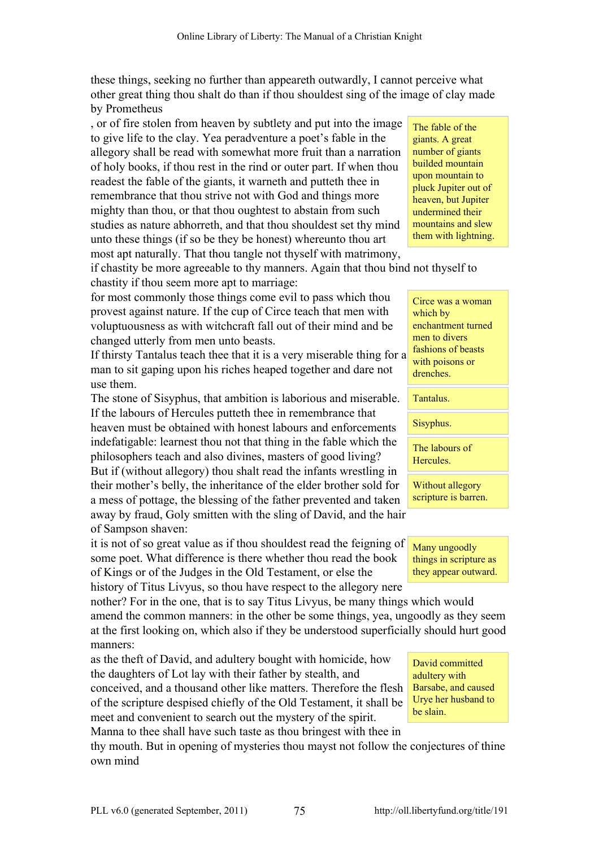these things, seeking no further than appeareth outwardly, I cannot perceive what other great thing thou shalt do than if thou shouldest sing of the image of clay made by Prometheus

, or of fire stolen from heaven by subtlety and put into the image to give life to the clay. Yea peradventure a poet's fable in the allegory shall be read with somewhat more fruit than a narration of holy books, if thou rest in the rind or outer part. If when thou readest the fable of the giants, it warneth and putteth thee in remembrance that thou strive not with God and things more mighty than thou, or that thou oughtest to abstain from such studies as nature abhorreth, and that thou shouldest set thy mind unto these things (if so be they be honest) whereunto thou art most apt naturally. That thou tangle not thyself with matrimony,

if chastity be more agreeable to thy manners. Again that thou bind not thyself to chastity if thou seem more apt to marriage:

for most commonly those things come evil to pass which thou provest against nature. If the cup of Circe teach that men with voluptuousness as with witchcraft fall out of their mind and be changed utterly from men unto beasts.

If thirsty Tantalus teach thee that it is a very miserable thing for a man to sit gaping upon his riches heaped together and dare not use them.

The stone of Sisyphus, that ambition is laborious and miserable. If the labours of Hercules putteth thee in remembrance that heaven must be obtained with honest labours and enforcements indefatigable: learnest thou not that thing in the fable which the philosophers teach and also divines, masters of good living?

But if (without allegory) thou shalt read the infants wrestling in their mother's belly, the inheritance of the elder brother sold for a mess of pottage, the blessing of the father prevented and taken away by fraud, Goly smitten with the sling of David, and the hair of Sampson shaven:

it is not of so great value as if thou shouldest read the feigning of some poet. What difference is there whether thou read the book of Kings or of the Judges in the Old Testament, or else the history of Titus Livyus, so thou have respect to the allegory nere

nother? For in the one, that is to say Titus Livyus, be many things which would amend the common manners: in the other be some things, yea, ungoodly as they seem at the first looking on, which also if they be understood superficially should hurt good manners:

as the theft of David, and adultery bought with homicide, how the daughters of Lot lay with their father by stealth, and conceived, and a thousand other like matters. Therefore the flesh of the scripture despised chiefly of the Old Testament, it shall be meet and convenient to search out the mystery of the spirit. Manna to thee shall have such taste as thou bringest with thee in

thy mouth. But in opening of mysteries thou mayst not follow the conjectures of thine own mind

The fable of the giants. A great number of giants builded mountain upon mountain to pluck Jupiter out of heaven, but Jupiter undermined their mountains and slew them with lightning.

Circe was a woman which by enchantment turned men to divers fashions of beasts with poisons or drenches.

#### Tantalus.

Sisyphus.

The labours of Hercules.

Without allegory scripture is barren.

Many ungoodly things in scripture as they appear outward.

David committed adultery with Barsabe, and caused Urye her husband to

be slain.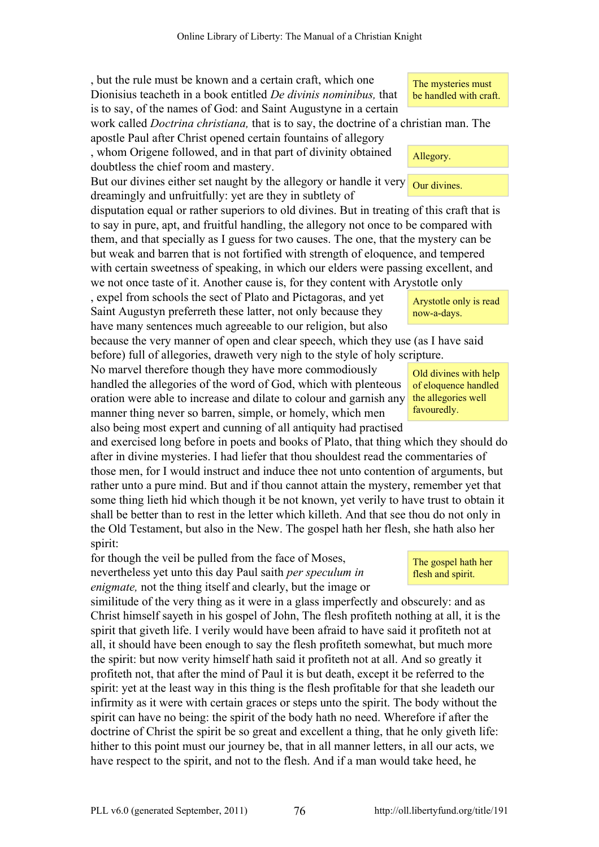, but the rule must be known and a certain craft, which one Dionisius teacheth in a book entitled *De divinis nominibus,* that is to say, of the names of God: and Saint Augustyne in a certain

work called *Doctrina christiana,* that is to say, the doctrine of a christian man. The apostle Paul after Christ opened certain fountains of allegory

, whom Origene followed, and in that part of divinity obtained doubtless the chief room and mastery.

Our divines. But our divines either set naught by the allegory or handle it very dreamingly and unfruitfully: yet are they in subtlety of

disputation equal or rather superiors to old divines. But in treating of this craft that is to say in pure, apt, and fruitful handling, the allegory not once to be compared with them, and that specially as I guess for two causes. The one, that the mystery can be but weak and barren that is not fortified with strength of eloquence, and tempered with certain sweetness of speaking, in which our elders were passing excellent, and we not once taste of it. Another cause is, for they content with Arystotle only

, expel from schools the sect of Plato and Pictagoras, and yet Saint Augustyn preferreth these latter, not only because they have many sentences much agreeable to our religion, but also

because the very manner of open and clear speech, which they use (as I have said before) full of allegories, draweth very nigh to the style of holy scripture.

No marvel therefore though they have more commodiously handled the allegories of the word of God, which with plenteous oration were able to increase and dilate to colour and garnish any manner thing never so barren, simple, or homely, which men also being most expert and cunning of all antiquity had practised

and exercised long before in poets and books of Plato, that thing which they should do after in divine mysteries. I had liefer that thou shouldest read the commentaries of those men, for I would instruct and induce thee not unto contention of arguments, but rather unto a pure mind. But and if thou cannot attain the mystery, remember yet that some thing lieth hid which though it be not known, yet verily to have trust to obtain it shall be better than to rest in the letter which killeth. And that see thou do not only in the Old Testament, but also in the New. The gospel hath her flesh, she hath also her spirit:

for though the veil be pulled from the face of Moses, nevertheless yet unto this day Paul saith *per speculum in enigmate,* not the thing itself and clearly, but the image or

similitude of the very thing as it were in a glass imperfectly and obscurely: and as Christ himself sayeth in his gospel of John, The flesh profiteth nothing at all, it is the spirit that giveth life. I verily would have been afraid to have said it profiteth not at all, it should have been enough to say the flesh profiteth somewhat, but much more the spirit: but now verity himself hath said it profiteth not at all. And so greatly it profiteth not, that after the mind of Paul it is but death, except it be referred to the spirit: yet at the least way in this thing is the flesh profitable for that she leadeth our infirmity as it were with certain graces or steps unto the spirit. The body without the spirit can have no being: the spirit of the body hath no need. Wherefore if after the doctrine of Christ the spirit be so great and excellent a thing, that he only giveth life: hither to this point must our journey be, that in all manner letters, in all our acts, we have respect to the spirit, and not to the flesh. And if a man would take heed, he

The mysteries must be handled with craft.

Allegory.

Arystotle only is read now-a-days.

Old divines with help of eloquence handled the allegories well favouredly.

The gospel hath her flesh and spirit.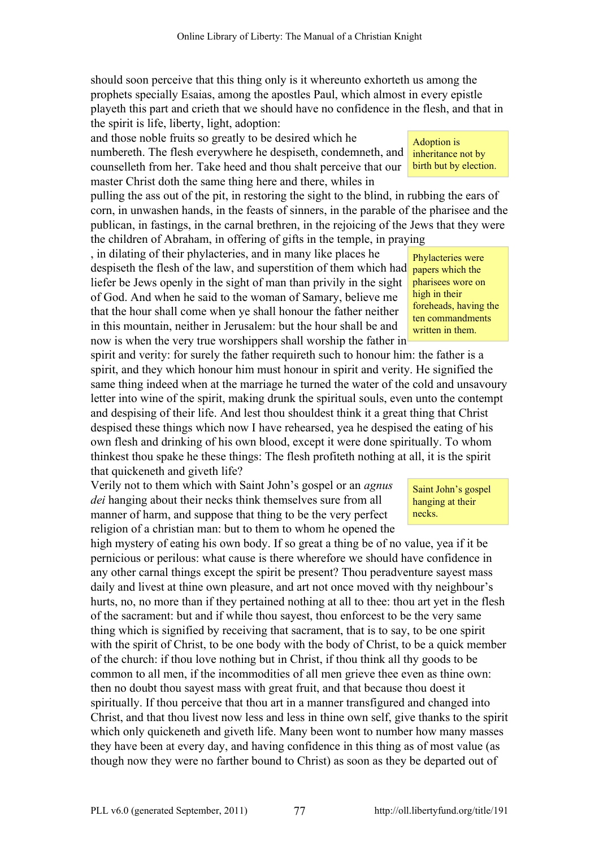should soon perceive that this thing only is it whereunto exhorteth us among the prophets specially Esaias, among the apostles Paul, which almost in every epistle playeth this part and crieth that we should have no confidence in the flesh, and that in the spirit is life, liberty, light, adoption:

and those noble fruits so greatly to be desired which he numbereth. The flesh everywhere he despiseth, condemneth, and counselleth from her. Take heed and thou shalt perceive that our master Christ doth the same thing here and there, whiles in

pulling the ass out of the pit, in restoring the sight to the blind, in rubbing the ears of corn, in unwashen hands, in the feasts of sinners, in the parable of the pharisee and the publican, in fastings, in the carnal brethren, in the rejoicing of the Jews that they were the children of Abraham, in offering of gifts in the temple, in praying

despiseth the flesh of the law, and superstition of them which had papers which the , in dilating of their phylacteries, and in many like places he liefer be Jews openly in the sight of man than privily in the sight of God. And when he said to the woman of Samary, believe me that the hour shall come when ye shall honour the father neither in this mountain, neither in Jerusalem: but the hour shall be and now is when the very true worshippers shall worship the father in

spirit and verity: for surely the father requireth such to honour him: the father is a spirit, and they which honour him must honour in spirit and verity. He signified the same thing indeed when at the marriage he turned the water of the cold and unsavoury letter into wine of the spirit, making drunk the spiritual souls, even unto the contempt and despising of their life. And lest thou shouldest think it a great thing that Christ despised these things which now I have rehearsed, yea he despised the eating of his own flesh and drinking of his own blood, except it were done spiritually. To whom thinkest thou spake he these things: The flesh profiteth nothing at all, it is the spirit that quickeneth and giveth life?

Verily not to them which with Saint John's gospel or an *agnus dei* hanging about their necks think themselves sure from all manner of harm, and suppose that thing to be the very perfect religion of a christian man: but to them to whom he opened the

high mystery of eating his own body. If so great a thing be of no value, yea if it be pernicious or perilous: what cause is there wherefore we should have confidence in any other carnal things except the spirit be present? Thou peradventure sayest mass daily and livest at thine own pleasure, and art not once moved with thy neighbour's hurts, no, no more than if they pertained nothing at all to thee: thou art yet in the flesh of the sacrament: but and if while thou sayest, thou enforcest to be the very same thing which is signified by receiving that sacrament, that is to say, to be one spirit with the spirit of Christ, to be one body with the body of Christ, to be a quick member of the church: if thou love nothing but in Christ, if thou think all thy goods to be common to all men, if the incommodities of all men grieve thee even as thine own: then no doubt thou sayest mass with great fruit, and that because thou doest it spiritually. If thou perceive that thou art in a manner transfigured and changed into Christ, and that thou livest now less and less in thine own self, give thanks to the spirit which only quickeneth and giveth life. Many been wont to number how many masses they have been at every day, and having confidence in this thing as of most value (as though now they were no farther bound to Christ) as soon as they be departed out of

Adoption is inheritance not by birth but by election.

Phylacteries were

pharisees wore on high in their

foreheads, having the ten commandments written in them.

Saint John's gospel hanging at their necks.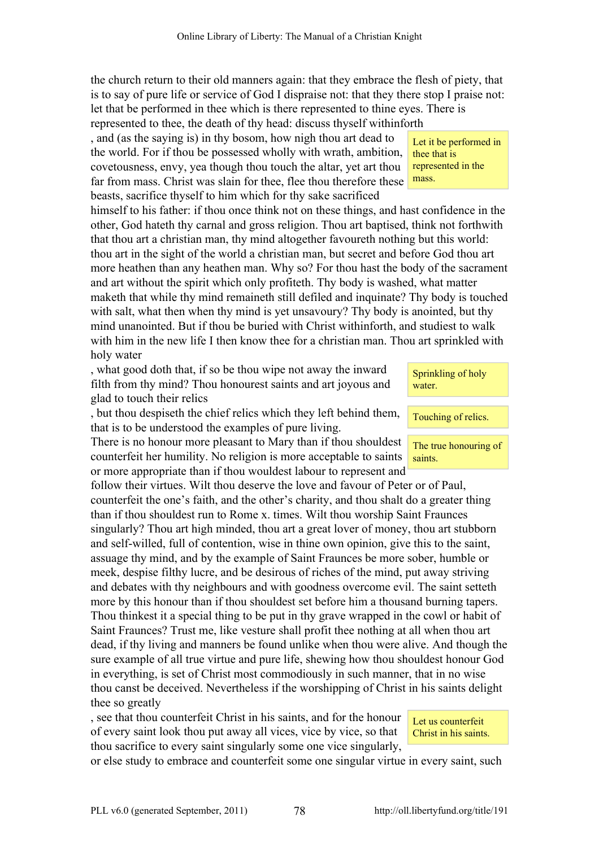the church return to their old manners again: that they embrace the flesh of piety, that is to say of pure life or service of God I dispraise not: that they there stop I praise not: let that be performed in thee which is there represented to thine eyes. There is represented to thee, the death of thy head: discuss thyself withinforth

, and (as the saying is) in thy bosom, how nigh thou art dead to the world. For if thou be possessed wholly with wrath, ambition, covetousness, envy, yea though thou touch the altar, yet art thou far from mass. Christ was slain for thee, flee thou therefore these beasts, sacrifice thyself to him which for thy sake sacrificed

himself to his father: if thou once think not on these things, and hast confidence in the other, God hateth thy carnal and gross religion. Thou art baptised, think not forthwith that thou art a christian man, thy mind altogether favoureth nothing but this world: thou art in the sight of the world a christian man, but secret and before God thou art more heathen than any heathen man. Why so? For thou hast the body of the sacrament and art without the spirit which only profiteth. Thy body is washed, what matter maketh that while thy mind remaineth still defiled and inquinate? Thy body is touched with salt, what then when thy mind is yet unsayoury? Thy body is anointed, but thy mind unanointed. But if thou be buried with Christ withinforth, and studiest to walk with him in the new life I then know thee for a christian man. Thou art sprinkled with holy water

, what good doth that, if so be thou wipe not away the inward filth from thy mind? Thou honourest saints and art joyous and glad to touch their relics

, but thou despiseth the chief relics which they left behind them, that is to be understood the examples of pure living.

There is no honour more pleasant to Mary than if thou shouldest counterfeit her humility. No religion is more acceptable to saints or more appropriate than if thou wouldest labour to represent and

follow their virtues. Wilt thou deserve the love and favour of Peter or of Paul, counterfeit the one's faith, and the other's charity, and thou shalt do a greater thing than if thou shouldest run to Rome x. times. Wilt thou worship Saint Fraunces singularly? Thou art high minded, thou art a great lover of money, thou art stubborn and self-willed, full of contention, wise in thine own opinion, give this to the saint, assuage thy mind, and by the example of Saint Fraunces be more sober, humble or meek, despise filthy lucre, and be desirous of riches of the mind, put away striving and debates with thy neighbours and with goodness overcome evil. The saint setteth more by this honour than if thou shouldest set before him a thousand burning tapers. Thou thinkest it a special thing to be put in thy grave wrapped in the cowl or habit of Saint Fraunces? Trust me, like vesture shall profit thee nothing at all when thou art dead, if thy living and manners be found unlike when thou were alive. And though the sure example of all true virtue and pure life, shewing how thou shouldest honour God in everything, is set of Christ most commodiously in such manner, that in no wise thou canst be deceived. Nevertheless if the worshipping of Christ in his saints delight thee so greatly

, see that thou counterfeit Christ in his saints, and for the honour of every saint look thou put away all vices, vice by vice, so that thou sacrifice to every saint singularly some one vice singularly,

Let us counterfeit Christ in his saints.

or else study to embrace and counterfeit some one singular virtue in every saint, such

Let it be performed in thee that is represented in the mass.

Sprinkling of holy water.

Touching of relics.

The true honouring of saints.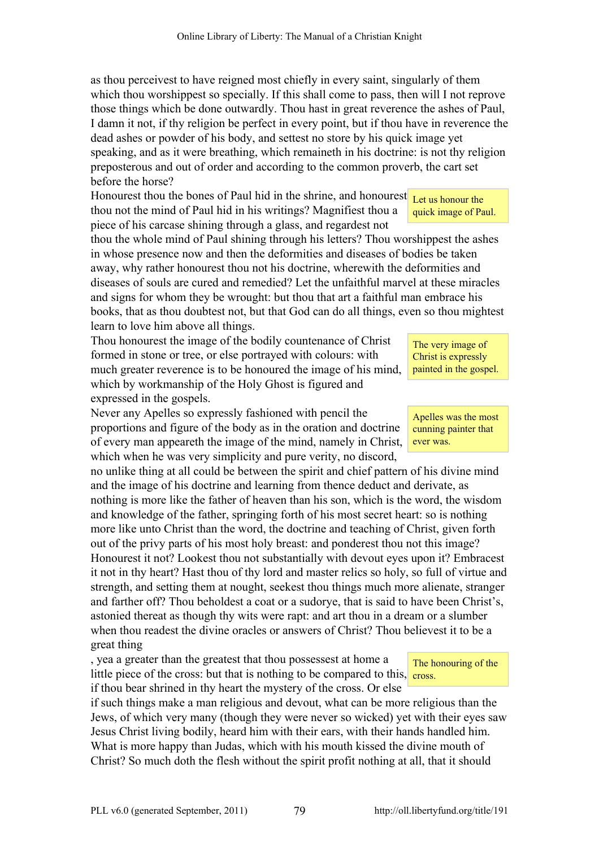as thou perceivest to have reigned most chiefly in every saint, singularly of them which thou worshippest so specially. If this shall come to pass, then will I not reprove those things which be done outwardly. Thou hast in great reverence the ashes of Paul, I damn it not, if thy religion be perfect in every point, but if thou have in reverence the dead ashes or powder of his body, and settest no store by his quick image yet speaking, and as it were breathing, which remaineth in his doctrine: is not thy religion preposterous and out of order and according to the common proverb, the cart set before the horse?

Honourest thou the bones of Paul hid in the shrine, and honourest Let us honour the quick image of Paul. thou not the mind of Paul hid in his writings? Magnifiest thou a piece of his carcase shining through a glass, and regardest not

thou the whole mind of Paul shining through his letters? Thou worshippest the ashes in whose presence now and then the deformities and diseases of bodies be taken away, why rather honourest thou not his doctrine, wherewith the deformities and diseases of souls are cured and remedied? Let the unfaithful marvel at these miracles and signs for whom they be wrought: but thou that art a faithful man embrace his books, that as thou doubtest not, but that God can do all things, even so thou mightest learn to love him above all things.

Thou honourest the image of the bodily countenance of Christ formed in stone or tree, or else portrayed with colours: with much greater reverence is to be honoured the image of his mind, which by workmanship of the Holy Ghost is figured and expressed in the gospels.

Never any Apelles so expressly fashioned with pencil the proportions and figure of the body as in the oration and doctrine of every man appeareth the image of the mind, namely in Christ, which when he was very simplicity and pure verity, no discord,

no unlike thing at all could be between the spirit and chief pattern of his divine mind and the image of his doctrine and learning from thence deduct and derivate, as nothing is more like the father of heaven than his son, which is the word, the wisdom and knowledge of the father, springing forth of his most secret heart: so is nothing more like unto Christ than the word, the doctrine and teaching of Christ, given forth out of the privy parts of his most holy breast: and ponderest thou not this image? Honourest it not? Lookest thou not substantially with devout eyes upon it? Embracest it not in thy heart? Hast thou of thy lord and master relics so holy, so full of virtue and strength, and setting them at nought, seekest thou things much more alienate, stranger and farther off? Thou beholdest a coat or a sudorye, that is said to have been Christ's, astonied thereat as though thy wits were rapt: and art thou in a dream or a slumber when thou readest the divine oracles or answers of Christ? Thou believest it to be a great thing

The honouring of the little piece of the cross: but that is nothing to be compared to this, cross. , yea a greater than the greatest that thou possessest at home a if thou bear shrined in thy heart the mystery of the cross. Or else

if such things make a man religious and devout, what can be more religious than the Jews, of which very many (though they were never so wicked) yet with their eyes saw Jesus Christ living bodily, heard him with their ears, with their hands handled him. What is more happy than Judas, which with his mouth kissed the divine mouth of Christ? So much doth the flesh without the spirit profit nothing at all, that it should

The very image of Christ is expressly painted in the gospel.

Apelles was the most cunning painter that ever was.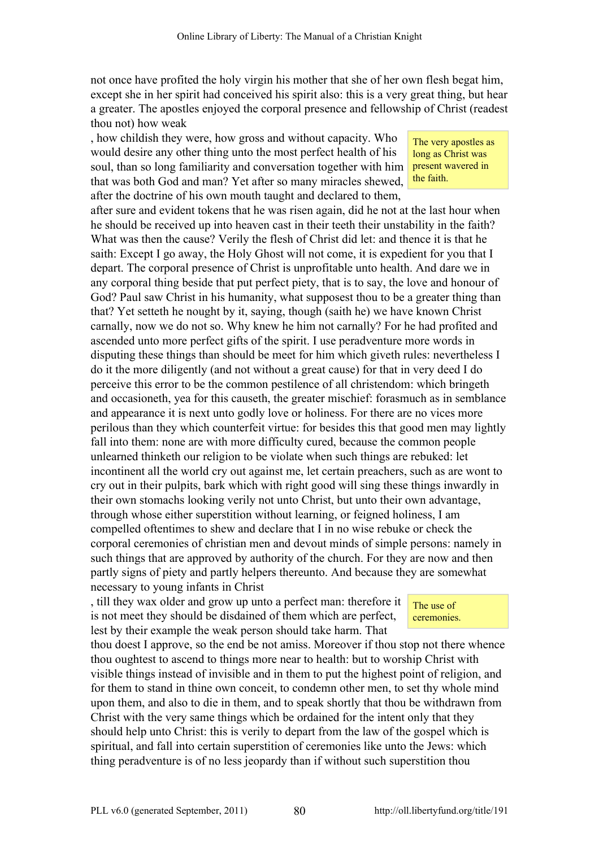not once have profited the holy virgin his mother that she of her own flesh begat him, except she in her spirit had conceived his spirit also: this is a very great thing, but hear a greater. The apostles enjoyed the corporal presence and fellowship of Christ (readest thou not) how weak

, how childish they were, how gross and without capacity. Who would desire any other thing unto the most perfect health of his soul, than so long familiarity and conversation together with him that was both God and man? Yet after so many miracles shewed, after the doctrine of his own mouth taught and declared to them,

The very apostles as long as Christ was present wavered in the faith.

after sure and evident tokens that he was risen again, did he not at the last hour when he should be received up into heaven cast in their teeth their unstability in the faith? What was then the cause? Verily the flesh of Christ did let: and thence it is that he saith: Except I go away, the Holy Ghost will not come, it is expedient for you that I depart. The corporal presence of Christ is unprofitable unto health. And dare we in any corporal thing beside that put perfect piety, that is to say, the love and honour of God? Paul saw Christ in his humanity, what supposest thou to be a greater thing than that? Yet setteth he nought by it, saying, though (saith he) we have known Christ carnally, now we do not so. Why knew he him not carnally? For he had profited and ascended unto more perfect gifts of the spirit. I use peradventure more words in disputing these things than should be meet for him which giveth rules: nevertheless I do it the more diligently (and not without a great cause) for that in very deed I do perceive this error to be the common pestilence of all christendom: which bringeth and occasioneth, yea for this causeth, the greater mischief: forasmuch as in semblance and appearance it is next unto godly love or holiness. For there are no vices more perilous than they which counterfeit virtue: for besides this that good men may lightly fall into them: none are with more difficulty cured, because the common people unlearned thinketh our religion to be violate when such things are rebuked: let incontinent all the world cry out against me, let certain preachers, such as are wont to cry out in their pulpits, bark which with right good will sing these things inwardly in their own stomachs looking verily not unto Christ, but unto their own advantage, through whose either superstition without learning, or feigned holiness, I am compelled oftentimes to shew and declare that I in no wise rebuke or check the corporal ceremonies of christian men and devout minds of simple persons: namely in such things that are approved by authority of the church. For they are now and then partly signs of piety and partly helpers thereunto. And because they are somewhat necessary to young infants in Christ

, till they wax older and grow up unto a perfect man: therefore it is not meet they should be disdained of them which are perfect, lest by their example the weak person should take harm. That

The use of ceremonies.

thou doest I approve, so the end be not amiss. Moreover if thou stop not there whence thou oughtest to ascend to things more near to health: but to worship Christ with visible things instead of invisible and in them to put the highest point of religion, and for them to stand in thine own conceit, to condemn other men, to set thy whole mind upon them, and also to die in them, and to speak shortly that thou be withdrawn from Christ with the very same things which be ordained for the intent only that they should help unto Christ: this is verily to depart from the law of the gospel which is spiritual, and fall into certain superstition of ceremonies like unto the Jews: which thing peradventure is of no less jeopardy than if without such superstition thou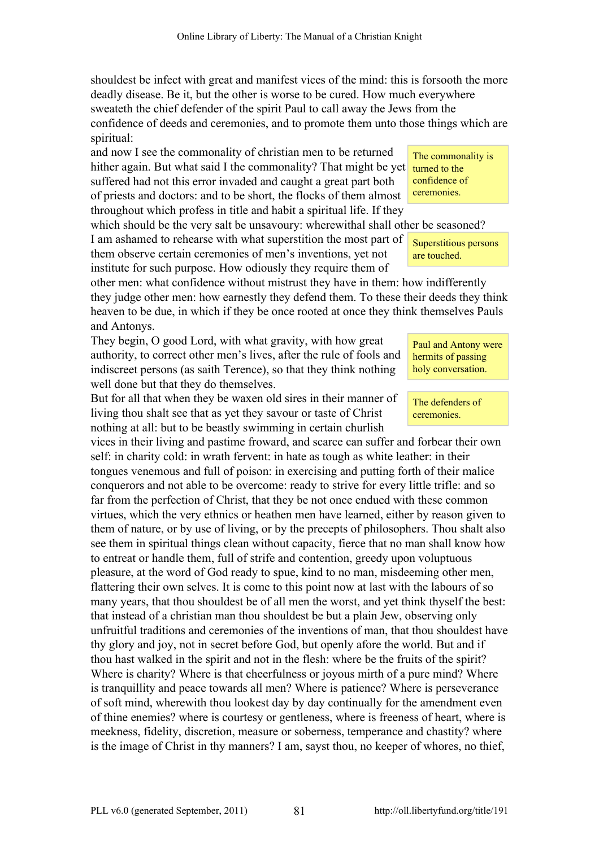shouldest be infect with great and manifest vices of the mind: this is forsooth the more deadly disease. Be it, but the other is worse to be cured. How much everywhere sweateth the chief defender of the spirit Paul to call away the Jews from the confidence of deeds and ceremonies, and to promote them unto those things which are spiritual:

and now I see the commonality of christian men to be returned hither again. But what said I the commonality? That might be yet suffered had not this error invaded and caught a great part both of priests and doctors: and to be short, the flocks of them almost throughout which profess in title and habit a spiritual life. If they

which should be the very salt be unsavoury: wherewithal shall other be seasoned?

I am ashamed to rehearse with what superstition the most part of them observe certain ceremonies of men's inventions, yet not institute for such purpose. How odiously they require them of

other men: what confidence without mistrust they have in them: how indifferently they judge other men: how earnestly they defend them. To these their deeds they think heaven to be due, in which if they be once rooted at once they think themselves Pauls and Antonys.

They begin, O good Lord, with what gravity, with how great authority, to correct other men's lives, after the rule of fools and indiscreet persons (as saith Terence), so that they think nothing well done but that they do themselves.

But for all that when they be waxen old sires in their manner of living thou shalt see that as yet they savour or taste of Christ nothing at all: but to be beastly swimming in certain churlish

vices in their living and pastime froward, and scarce can suffer and forbear their own self: in charity cold: in wrath fervent: in hate as tough as white leather: in their tongues venemous and full of poison: in exercising and putting forth of their malice conquerors and not able to be overcome: ready to strive for every little trifle: and so far from the perfection of Christ, that they be not once endued with these common virtues, which the very ethnics or heathen men have learned, either by reason given to them of nature, or by use of living, or by the precepts of philosophers. Thou shalt also see them in spiritual things clean without capacity, fierce that no man shall know how to entreat or handle them, full of strife and contention, greedy upon voluptuous pleasure, at the word of God ready to spue, kind to no man, misdeeming other men, flattering their own selves. It is come to this point now at last with the labours of so many years, that thou shouldest be of all men the worst, and yet think thyself the best: that instead of a christian man thou shouldest be but a plain Jew, observing only unfruitful traditions and ceremonies of the inventions of man, that thou shouldest have thy glory and joy, not in secret before God, but openly afore the world. But and if thou hast walked in the spirit and not in the flesh: where be the fruits of the spirit? Where is charity? Where is that cheerfulness or joyous mirth of a pure mind? Where is tranquillity and peace towards all men? Where is patience? Where is perseverance of soft mind, wherewith thou lookest day by day continually for the amendment even of thine enemies? where is courtesy or gentleness, where is freeness of heart, where is meekness, fidelity, discretion, measure or soberness, temperance and chastity? where is the image of Christ in thy manners? I am, sayst thou, no keeper of whores, no thief,

The commonality is turned to the confidence of ceremonies.

Superstitious persons

are touched.

hermits of passing holy conversation.

Paul and Antony were

The defenders of ceremonies.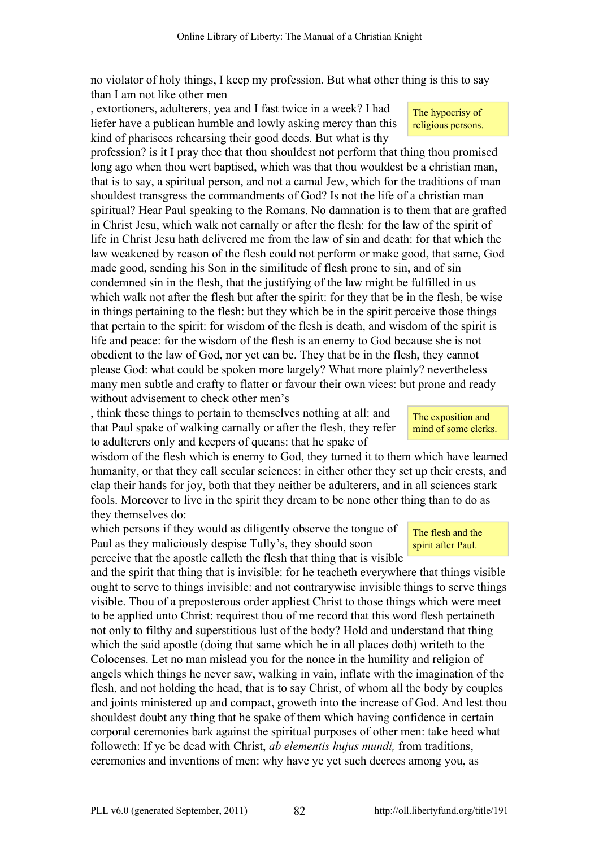no violator of holy things, I keep my profession. But what other thing is this to say than I am not like other men

, extortioners, adulterers, yea and I fast twice in a week? I had liefer have a publican humble and lowly asking mercy than this kind of pharisees rehearsing their good deeds. But what is thy

profession? is it I pray thee that thou shouldest not perform that thing thou promised long ago when thou wert baptised, which was that thou wouldest be a christian man, that is to say, a spiritual person, and not a carnal Jew, which for the traditions of man shouldest transgress the commandments of God? Is not the life of a christian man spiritual? Hear Paul speaking to the Romans. No damnation is to them that are grafted in Christ Jesu, which walk not carnally or after the flesh: for the law of the spirit of life in Christ Jesu hath delivered me from the law of sin and death: for that which the law weakened by reason of the flesh could not perform or make good, that same, God made good, sending his Son in the similitude of flesh prone to sin, and of sin condemned sin in the flesh, that the justifying of the law might be fulfilled in us which walk not after the flesh but after the spirit: for they that be in the flesh, be wise in things pertaining to the flesh: but they which be in the spirit perceive those things that pertain to the spirit: for wisdom of the flesh is death, and wisdom of the spirit is life and peace: for the wisdom of the flesh is an enemy to God because she is not obedient to the law of God, nor yet can be. They that be in the flesh, they cannot please God: what could be spoken more largely? What more plainly? nevertheless many men subtle and crafty to flatter or favour their own vices: but prone and ready without advisement to check other men's

, think these things to pertain to themselves nothing at all: and that Paul spake of walking carnally or after the flesh, they refer to adulterers only and keepers of queans: that he spake of

wisdom of the flesh which is enemy to God, they turned it to them which have learned humanity, or that they call secular sciences: in either other they set up their crests, and clap their hands for joy, both that they neither be adulterers, and in all sciences stark fools. Moreover to live in the spirit they dream to be none other thing than to do as they themselves do:

which persons if they would as diligently observe the tongue of Paul as they maliciously despise Tully's, they should soon perceive that the apostle calleth the flesh that thing that is visible

and the spirit that thing that is invisible: for he teacheth everywhere that things visible ought to serve to things invisible: and not contrarywise invisible things to serve things visible. Thou of a preposterous order appliest Christ to those things which were meet to be applied unto Christ: requirest thou of me record that this word flesh pertaineth not only to filthy and superstitious lust of the body? Hold and understand that thing which the said apostle (doing that same which he in all places doth) writeth to the Colocenses. Let no man mislead you for the nonce in the humility and religion of angels which things he never saw, walking in vain, inflate with the imagination of the flesh, and not holding the head, that is to say Christ, of whom all the body by couples and joints ministered up and compact, groweth into the increase of God. And lest thou shouldest doubt any thing that he spake of them which having confidence in certain corporal ceremonies bark against the spiritual purposes of other men: take heed what followeth: If ye be dead with Christ, *ab elementis hujus mundi,* from traditions, ceremonies and inventions of men: why have ye yet such decrees among you, as

The exposition and mind of some clerks.

The flesh and the spirit after Paul.

The hypocrisy of religious persons.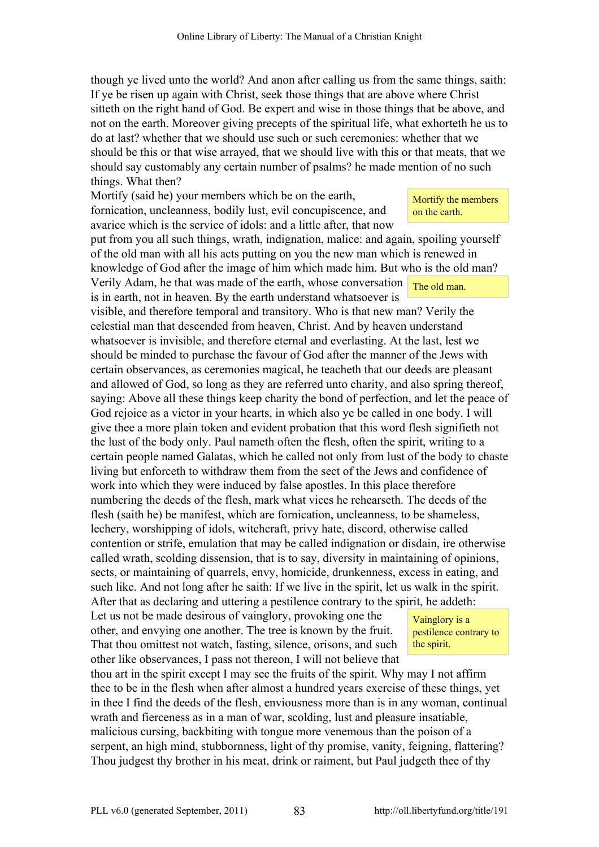though ye lived unto the world? And anon after calling us from the same things, saith: If ye be risen up again with Christ, seek those things that are above where Christ sitteth on the right hand of God. Be expert and wise in those things that be above, and not on the earth. Moreover giving precepts of the spiritual life, what exhorteth he us to do at last? whether that we should use such or such ceremonies: whether that we should be this or that wise arrayed, that we should live with this or that meats, that we should say customably any certain number of psalms? he made mention of no such things. What then?

Mortify (said he) your members which be on the earth, fornication, uncleanness, bodily lust, evil concupiscence, and avarice which is the service of idols: and a little after, that now

Mortify the members on the earth.

Verily Adam, he that was made of the earth, whose conversation The old man. put from you all such things, wrath, indignation, malice: and again, spoiling yourself of the old man with all his acts putting on you the new man which is renewed in knowledge of God after the image of him which made him. But who is the old man?

is in earth, not in heaven. By the earth understand whatsoever is visible, and therefore temporal and transitory. Who is that new man? Verily the celestial man that descended from heaven, Christ. And by heaven understand whatsoever is invisible, and therefore eternal and everlasting. At the last, lest we should be minded to purchase the favour of God after the manner of the Jews with certain observances, as ceremonies magical, he teacheth that our deeds are pleasant and allowed of God, so long as they are referred unto charity, and also spring thereof, saying: Above all these things keep charity the bond of perfection, and let the peace of God rejoice as a victor in your hearts, in which also ye be called in one body. I will give thee a more plain token and evident probation that this word flesh signifieth not the lust of the body only. Paul nameth often the flesh, often the spirit, writing to a certain people named Galatas, which he called not only from lust of the body to chaste living but enforceth to withdraw them from the sect of the Jews and confidence of work into which they were induced by false apostles. In this place therefore numbering the deeds of the flesh, mark what vices he rehearseth. The deeds of the flesh (saith he) be manifest, which are fornication, uncleanness, to be shameless, lechery, worshipping of idols, witchcraft, privy hate, discord, otherwise called contention or strife, emulation that may be called indignation or disdain, ire otherwise called wrath, scolding dissension, that is to say, diversity in maintaining of opinions, sects, or maintaining of quarrels, envy, homicide, drunkenness, excess in eating, and such like. And not long after he saith: If we live in the spirit, let us walk in the spirit. After that as declaring and uttering a pestilence contrary to the spirit, he addeth:

Let us not be made desirous of vainglory, provoking one the other, and envying one another. The tree is known by the fruit. That thou omittest not watch, fasting, silence, orisons, and such other like observances, I pass not thereon, I will not believe that

Vainglory is a pestilence contrary to the spirit.

thou art in the spirit except I may see the fruits of the spirit. Why may I not affirm thee to be in the flesh when after almost a hundred years exercise of these things, yet in thee I find the deeds of the flesh, enviousness more than is in any woman, continual wrath and fierceness as in a man of war, scolding, lust and pleasure insatiable, malicious cursing, backbiting with tongue more venemous than the poison of a serpent, an high mind, stubbornness, light of thy promise, vanity, feigning, flattering? Thou judgest thy brother in his meat, drink or raiment, but Paul judgeth thee of thy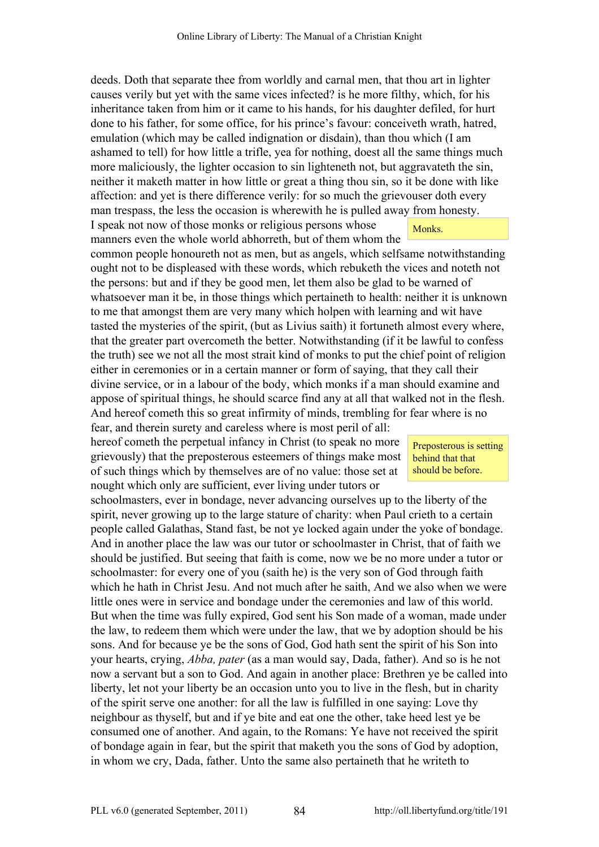Monks. deeds. Doth that separate thee from worldly and carnal men, that thou art in lighter causes verily but yet with the same vices infected? is he more filthy, which, for his inheritance taken from him or it came to his hands, for his daughter defiled, for hurt done to his father, for some office, for his prince's favour: conceiveth wrath, hatred, emulation (which may be called indignation or disdain), than thou which (I am ashamed to tell) for how little a trifle, yea for nothing, doest all the same things much more maliciously, the lighter occasion to sin lighteneth not, but aggravateth the sin, neither it maketh matter in how little or great a thing thou sin, so it be done with like affection: and yet is there difference verily: for so much the grievouser doth every man trespass, the less the occasion is wherewith he is pulled away from honesty. I speak not now of those monks or religious persons whose

manners even the whole world abhorreth, but of them whom the

common people honoureth not as men, but as angels, which selfsame notwithstanding ought not to be displeased with these words, which rebuketh the vices and noteth not the persons: but and if they be good men, let them also be glad to be warned of whatsoever man it be, in those things which pertaineth to health: neither it is unknown to me that amongst them are very many which holpen with learning and wit have tasted the mysteries of the spirit, (but as Livius saith) it fortuneth almost every where, that the greater part overcometh the better. Notwithstanding (if it be lawful to confess the truth) see we not all the most strait kind of monks to put the chief point of religion either in ceremonies or in a certain manner or form of saying, that they call their divine service, or in a labour of the body, which monks if a man should examine and appose of spiritual things, he should scarce find any at all that walked not in the flesh. And hereof cometh this so great infirmity of minds, trembling for fear where is no fear, and therein surety and careless where is most peril of all:

hereof cometh the perpetual infancy in Christ (to speak no more grievously) that the preposterous esteemers of things make most of such things which by themselves are of no value: those set at nought which only are sufficient, ever living under tutors or

schoolmasters, ever in bondage, never advancing ourselves up to the liberty of the spirit, never growing up to the large stature of charity: when Paul crieth to a certain people called Galathas, Stand fast, be not ye locked again under the yoke of bondage. And in another place the law was our tutor or schoolmaster in Christ, that of faith we should be justified. But seeing that faith is come, now we be no more under a tutor or schoolmaster: for every one of you (saith he) is the very son of God through faith which he hath in Christ Jesu. And not much after he saith, And we also when we were little ones were in service and bondage under the ceremonies and law of this world. But when the time was fully expired, God sent his Son made of a woman, made under the law, to redeem them which were under the law, that we by adoption should be his sons. And for because ye be the sons of God, God hath sent the spirit of his Son into your hearts, crying, *Abba, pater* (as a man would say, Dada, father). And so is he not now a servant but a son to God. And again in another place: Brethren ye be called into liberty, let not your liberty be an occasion unto you to live in the flesh, but in charity of the spirit serve one another: for all the law is fulfilled in one saying: Love thy neighbour as thyself, but and if ye bite and eat one the other, take heed lest ye be consumed one of another. And again, to the Romans: Ye have not received the spirit of bondage again in fear, but the spirit that maketh you the sons of God by adoption, in whom we cry, Dada, father. Unto the same also pertaineth that he writeth to

Preposterous is setting behind that that should be before.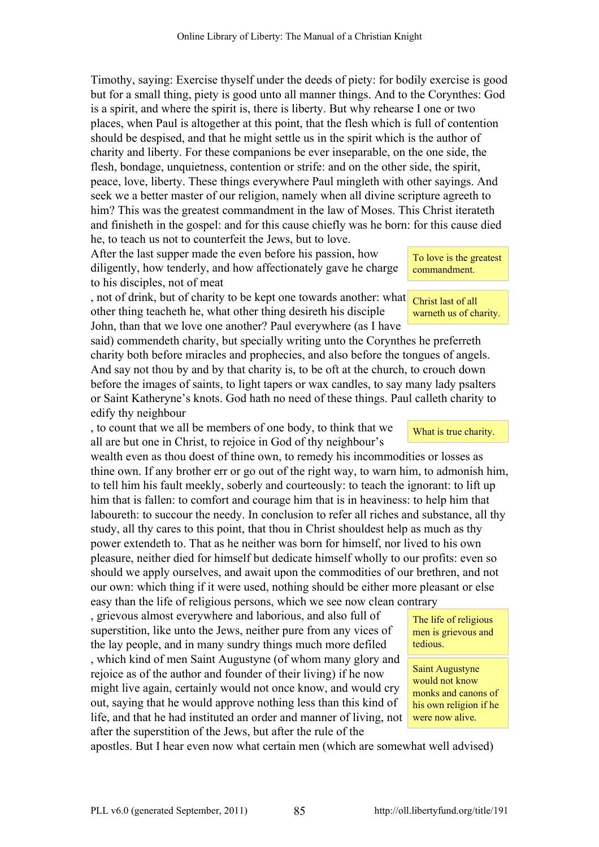Timothy, saying: Exercise thyself under the deeds of piety: for bodily exercise is good but for a small thing, piety is good unto all manner things. And to the Corynthes: God is a spirit, and where the spirit is, there is liberty. But why rehearse I one or two places, when Paul is altogether at this point, that the flesh which is full of contention should be despised, and that he might settle us in the spirit which is the author of charity and liberty. For these companions be ever inseparable, on the one side, the flesh, bondage, unquietness, contention or strife: and on the other side, the spirit, peace, love, liberty. These things everywhere Paul mingleth with other sayings. And seek we a better master of our religion, namely when all divine scripture agreeth to him? This was the greatest commandment in the law of Moses. This Christ iterateth and finisheth in the gospel: and for this cause chiefly was he born: for this cause died he, to teach us not to counterfeit the Jews, but to love.

After the last supper made the even before his passion, how diligently, how tenderly, and how affectionately gave he charge to his disciples, not of meat

, not of drink, but of charity to be kept one towards another: what other thing teacheth he, what other thing desireth his disciple John, than that we love one another? Paul everywhere (as I have

said) commendeth charity, but specially writing unto the Corynthes he preferreth charity both before miracles and prophecies, and also before the tongues of angels. And say not thou by and by that charity is, to be oft at the church, to crouch down before the images of saints, to light tapers or wax candles, to say many lady psalters or Saint Katheryne's knots. God hath no need of these things. Paul calleth charity to edify thy neighbour

, to count that we all be members of one body, to think that we all are but one in Christ, to rejoice in God of thy neighbour's

wealth even as thou doest of thine own, to remedy his incommodities or losses as thine own. If any brother err or go out of the right way, to warn him, to admonish him, to tell him his fault meekly, soberly and courteously: to teach the ignorant: to lift up him that is fallen: to comfort and courage him that is in heaviness: to help him that laboureth: to succour the needy. In conclusion to refer all riches and substance, all thy study, all thy cares to this point, that thou in Christ shouldest help as much as thy power extendeth to. That as he neither was born for himself, nor lived to his own pleasure, neither died for himself but dedicate himself wholly to our profits: even so should we apply ourselves, and await upon the commodities of our brethren, and not our own: which thing if it were used, nothing should be either more pleasant or else easy than the life of religious persons, which we see now clean contrary

, grievous almost everywhere and laborious, and also full of superstition, like unto the Jews, neither pure from any vices of the lay people, and in many sundry things much more defiled

, which kind of men Saint Augustyne (of whom many glory and rejoice as of the author and founder of their living) if he now might live again, certainly would not once know, and would cry out, saying that he would approve nothing less than this kind of life, and that he had instituted an order and manner of living, not after the superstition of the Jews, but after the rule of the

apostles. But I hear even now what certain men (which are somewhat well advised)

To love is the greatest commandment.

Christ last of all warneth us of charity.

What is true charity.

The life of religious men is grievous and tedious.

Saint Augustyne would not know monks and canons of his own religion if he were now alive.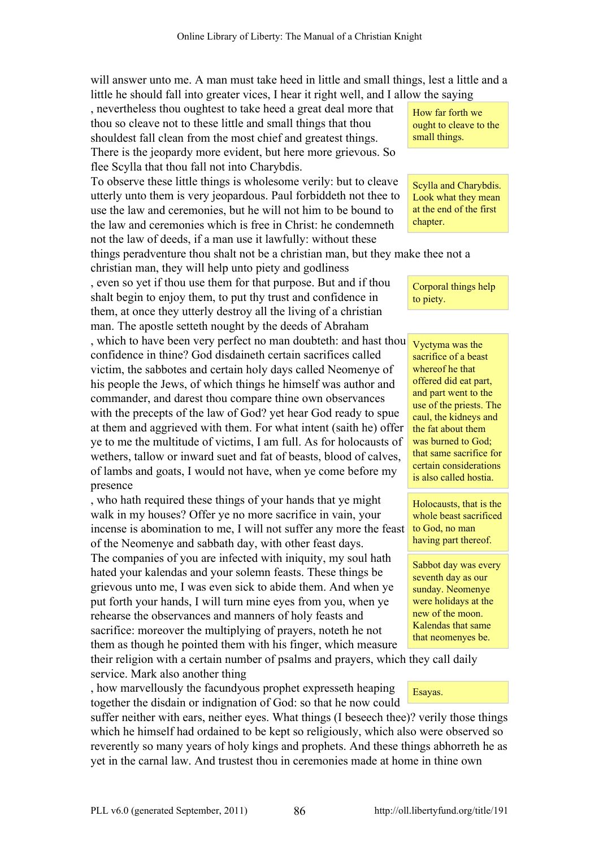will answer unto me. A man must take heed in little and small things, lest a little and a little he should fall into greater vices, I hear it right well, and I allow the saying

, nevertheless thou oughtest to take heed a great deal more that thou so cleave not to these little and small things that thou shouldest fall clean from the most chief and greatest things. There is the jeopardy more evident, but here more grievous. So flee Scylla that thou fall not into Charybdis.

To observe these little things is wholesome verily: but to cleave utterly unto them is very jeopardous. Paul forbiddeth not thee to use the law and ceremonies, but he will not him to be bound to the law and ceremonies which is free in Christ: he condemneth not the law of deeds, if a man use it lawfully: without these

things peradventure thou shalt not be a christian man, but they make thee not a

christian man, they will help unto piety and godliness , even so yet if thou use them for that purpose. But and if thou shalt begin to enjoy them, to put thy trust and confidence in them, at once they utterly destroy all the living of a christian man. The apostle setteth nought by the deeds of Abraham

, which to have been very perfect no man doubteth: and hast thou confidence in thine? God disdaineth certain sacrifices called victim, the sabbotes and certain holy days called Neomenye of his people the Jews, of which things he himself was author and commander, and darest thou compare thine own observances with the precepts of the law of God? yet hear God ready to spue at them and aggrieved with them. For what intent (saith he) offer ye to me the multitude of victims, I am full. As for holocausts of wethers, tallow or inward suet and fat of beasts, blood of calves, of lambs and goats, I would not have, when ye come before my presence

, who hath required these things of your hands that ye might walk in my houses? Offer ye no more sacrifice in vain, your incense is abomination to me, I will not suffer any more the feast of the Neomenye and sabbath day, with other feast days. The companies of you are infected with iniquity, my soul hath hated your kalendas and your solemn feasts. These things be grievous unto me, I was even sick to abide them. And when ye put forth your hands, I will turn mine eyes from you, when ye rehearse the observances and manners of holy feasts and sacrifice: moreover the multiplying of prayers, noteth he not them as though he pointed them with his finger, which measure

their religion with a certain number of psalms and prayers, which they call daily service. Mark also another thing

, how marvellously the facundyous prophet expresseth heaping together the disdain or indignation of God: so that he now could

suffer neither with ears, neither eyes. What things (I beseech thee)? verily those things which he himself had ordained to be kept so religiously, which also were observed so reverently so many years of holy kings and prophets. And these things abhorreth he as yet in the carnal law. And trustest thou in ceremonies made at home in thine own

How far forth we ought to cleave to the small things.

Scylla and Charybdis. Look what they mean at the end of the first chapter.

Corporal things help to piety.

Vyctyma was the sacrifice of a beast whereof he that offered did eat part, and part went to the use of the priests. The caul, the kidneys and the fat about them was burned to God; that same sacrifice for certain considerations is also called hostia.

Holocausts, that is the whole beast sacrificed to God, no man having part thereof.

Sabbot day was every seventh day as our sunday. Neomenye were holidays at the new of the moon. Kalendas that same that neomenyes be.

Esayas.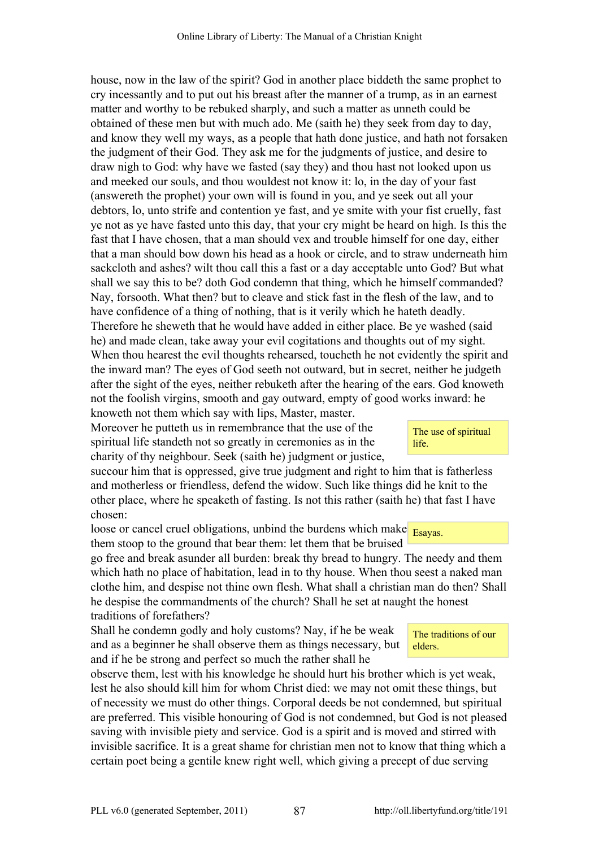house, now in the law of the spirit? God in another place biddeth the same prophet to cry incessantly and to put out his breast after the manner of a trump, as in an earnest matter and worthy to be rebuked sharply, and such a matter as unneth could be obtained of these men but with much ado. Me (saith he) they seek from day to day, and know they well my ways, as a people that hath done justice, and hath not forsaken the judgment of their God. They ask me for the judgments of justice, and desire to draw nigh to God: why have we fasted (say they) and thou hast not looked upon us and meeked our souls, and thou wouldest not know it: lo, in the day of your fast (answereth the prophet) your own will is found in you, and ye seek out all your debtors, lo, unto strife and contention ye fast, and ye smite with your fist cruelly, fast ye not as ye have fasted unto this day, that your cry might be heard on high. Is this the fast that I have chosen, that a man should vex and trouble himself for one day, either that a man should bow down his head as a hook or circle, and to straw underneath him sackcloth and ashes? wilt thou call this a fast or a day acceptable unto God? But what shall we say this to be? doth God condemn that thing, which he himself commanded? Nay, forsooth. What then? but to cleave and stick fast in the flesh of the law, and to have confidence of a thing of nothing, that is it verily which he hateth deadly. Therefore he sheweth that he would have added in either place. Be ye washed (said he) and made clean, take away your evil cogitations and thoughts out of my sight. When thou hearest the evil thoughts rehearsed, toucheth he not evidently the spirit and

the inward man? The eyes of God seeth not outward, but in secret, neither he judgeth after the sight of the eyes, neither rebuketh after the hearing of the ears. God knoweth not the foolish virgins, smooth and gay outward, empty of good works inward: he knoweth not them which say with lips, Master, master.

Moreover he putteth us in remembrance that the use of the spiritual life standeth not so greatly in ceremonies as in the charity of thy neighbour. Seek (saith he) judgment or justice,

succour him that is oppressed, give true judgment and right to him that is fatherless and motherless or friendless, defend the widow. Such like things did he knit to the other place, where he speaketh of fasting. Is not this rather (saith he) that fast I have chosen:

loose or cancel cruel obligations, unbind the burdens which make Esayas. them stoop to the ground that bear them: let them that be bruised

go free and break asunder all burden: break thy bread to hungry. The needy and them which hath no place of habitation, lead in to thy house. When thou seest a naked man clothe him, and despise not thine own flesh. What shall a christian man do then? Shall he despise the commandments of the church? Shall he set at naught the honest traditions of forefathers?

Shall he condemn godly and holy customs? Nay, if he be weak and as a beginner he shall observe them as things necessary, but and if he be strong and perfect so much the rather shall he

observe them, lest with his knowledge he should hurt his brother which is yet weak, lest he also should kill him for whom Christ died: we may not omit these things, but of necessity we must do other things. Corporal deeds be not condemned, but spiritual are preferred. This visible honouring of God is not condemned, but God is not pleased saving with invisible piety and service. God is a spirit and is moved and stirred with invisible sacrifice. It is a great shame for christian men not to know that thing which a certain poet being a gentile knew right well, which giving a precept of due serving

The use of spiritual life.

The traditions of our

elders.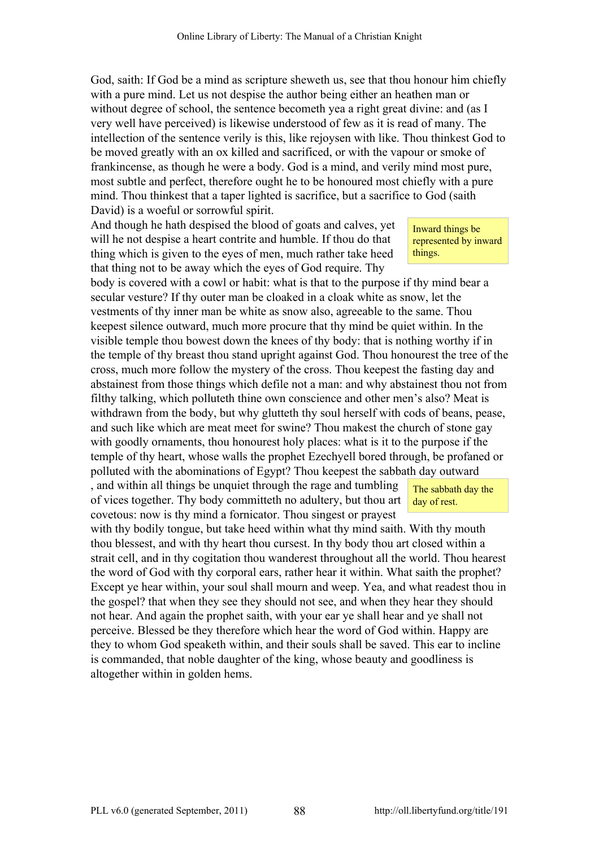God, saith: If God be a mind as scripture sheweth us, see that thou honour him chiefly with a pure mind. Let us not despise the author being either an heathen man or without degree of school, the sentence becometh yea a right great divine: and (as I very well have perceived) is likewise understood of few as it is read of many. The intellection of the sentence verily is this, like rejoysen with like. Thou thinkest God to be moved greatly with an ox killed and sacrificed, or with the vapour or smoke of frankincense, as though he were a body. God is a mind, and verily mind most pure, most subtle and perfect, therefore ought he to be honoured most chiefly with a pure mind. Thou thinkest that a taper lighted is sacrifice, but a sacrifice to God (saith David) is a woeful or sorrowful spirit.

And though he hath despised the blood of goats and calves, yet will he not despise a heart contrite and humble. If thou do that thing which is given to the eyes of men, much rather take heed that thing not to be away which the eyes of God require. Thy

Inward things be represented by inward things.

The sabbath day the

day of rest.

body is covered with a cowl or habit: what is that to the purpose if thy mind bear a secular vesture? If thy outer man be cloaked in a cloak white as snow, let the vestments of thy inner man be white as snow also, agreeable to the same. Thou keepest silence outward, much more procure that thy mind be quiet within. In the visible temple thou bowest down the knees of thy body: that is nothing worthy if in the temple of thy breast thou stand upright against God. Thou honourest the tree of the cross, much more follow the mystery of the cross. Thou keepest the fasting day and abstainest from those things which defile not a man: and why abstainest thou not from filthy talking, which polluteth thine own conscience and other men's also? Meat is withdrawn from the body, but why glutteth thy soul herself with cods of beans, pease, and such like which are meat meet for swine? Thou makest the church of stone gay with goodly ornaments, thou honourest holy places: what is it to the purpose if the temple of thy heart, whose walls the prophet Ezechyell bored through, be profaned or polluted with the abominations of Egypt? Thou keepest the sabbath day outward

, and within all things be unquiet through the rage and tumbling of vices together. Thy body committeth no adultery, but thou art covetous: now is thy mind a fornicator. Thou singest or prayest

with thy bodily tongue, but take heed within what thy mind saith. With thy mouth thou blessest, and with thy heart thou cursest. In thy body thou art closed within a strait cell, and in thy cogitation thou wanderest throughout all the world. Thou hearest the word of God with thy corporal ears, rather hear it within. What saith the prophet? Except ye hear within, your soul shall mourn and weep. Yea, and what readest thou in

the gospel? that when they see they should not see, and when they hear they should not hear. And again the prophet saith, with your ear ye shall hear and ye shall not perceive. Blessed be they therefore which hear the word of God within. Happy are they to whom God speaketh within, and their souls shall be saved. This ear to incline is commanded, that noble daughter of the king, whose beauty and goodliness is altogether within in golden hems.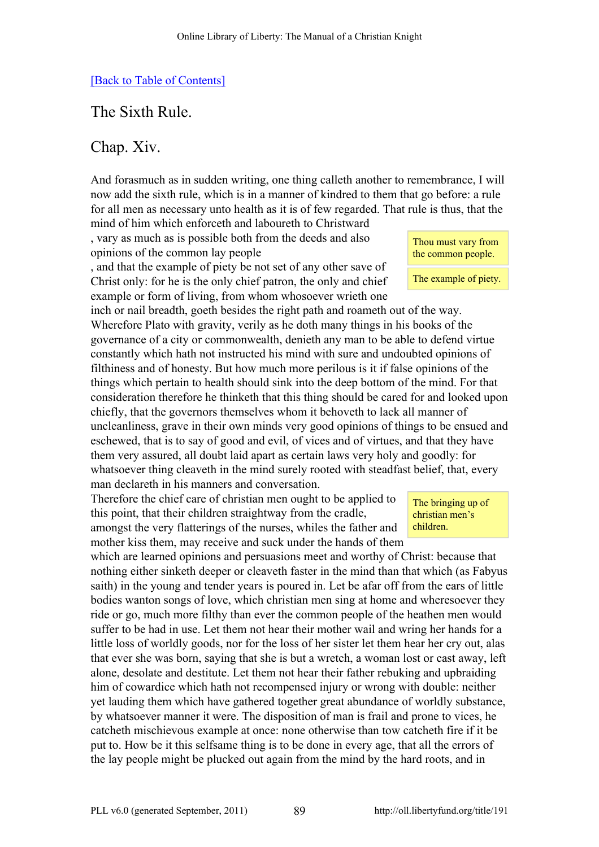## [Back to Table of Contents]

# The Sixth Rule.

# Chap. Xiv.

And forasmuch as in sudden writing, one thing calleth another to remembrance, I will now add the sixth rule, which is in a manner of kindred to them that go before: a rule for all men as necessary unto health as it is of few regarded. That rule is thus, that the

mind of him which enforceth and laboureth to Christward , vary as much as is possible both from the deeds and also opinions of the common lay people

, and that the example of piety be not set of any other save of Christ only: for he is the only chief patron, the only and chief example or form of living, from whom whosoever wrieth one

inch or nail breadth, goeth besides the right path and roameth out of the way. Wherefore Plato with gravity, verily as he doth many things in his books of the governance of a city or commonwealth, denieth any man to be able to defend virtue constantly which hath not instructed his mind with sure and undoubted opinions of filthiness and of honesty. But how much more perilous is it if false opinions of the things which pertain to health should sink into the deep bottom of the mind. For that consideration therefore he thinketh that this thing should be cared for and looked upon chiefly, that the governors themselves whom it behoveth to lack all manner of uncleanliness, grave in their own minds very good opinions of things to be ensued and eschewed, that is to say of good and evil, of vices and of virtues, and that they have them very assured, all doubt laid apart as certain laws very holy and goodly: for whatsoever thing cleaveth in the mind surely rooted with steadfast belief, that, every man declareth in his manners and conversation.

Therefore the chief care of christian men ought to be applied to this point, that their children straightway from the cradle, amongst the very flatterings of the nurses, whiles the father and mother kiss them, may receive and suck under the hands of them

which are learned opinions and persuasions meet and worthy of Christ: because that nothing either sinketh deeper or cleaveth faster in the mind than that which (as Fabyus saith) in the young and tender years is poured in. Let be afar off from the ears of little bodies wanton songs of love, which christian men sing at home and wheresoever they ride or go, much more filthy than ever the common people of the heathen men would suffer to be had in use. Let them not hear their mother wail and wring her hands for a little loss of worldly goods, nor for the loss of her sister let them hear her cry out, alas that ever she was born, saying that she is but a wretch, a woman lost or cast away, left alone, desolate and destitute. Let them not hear their father rebuking and upbraiding him of cowardice which hath not recompensed injury or wrong with double: neither yet lauding them which have gathered together great abundance of worldly substance, by whatsoever manner it were. The disposition of man is frail and prone to vices, he catcheth mischievous example at once: none otherwise than tow catcheth fire if it be put to. How be it this selfsame thing is to be done in every age, that all the errors of the lay people might be plucked out again from the mind by the hard roots, and in

Thou must vary from the common people.

The example of piety.

The bringing up of christian men's children.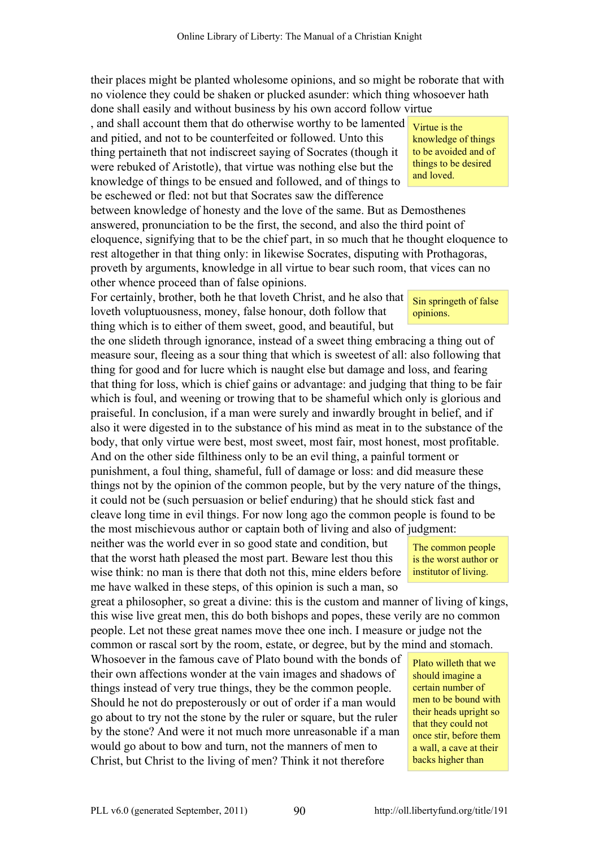their places might be planted wholesome opinions, and so might be roborate that with no violence they could be shaken or plucked asunder: which thing whosoever hath

done shall easily and without business by his own accord follow virtue , and shall account them that do otherwise worthy to be lamented and pitied, and not to be counterfeited or followed. Unto this thing pertaineth that not indiscreet saying of Socrates (though it were rebuked of Aristotle), that virtue was nothing else but the knowledge of things to be ensued and followed, and of things to be eschewed or fled: not but that Socrates saw the difference

between knowledge of honesty and the love of the same. But as Demosthenes answered, pronunciation to be the first, the second, and also the third point of eloquence, signifying that to be the chief part, in so much that he thought eloquence to rest altogether in that thing only: in likewise Socrates, disputing with Prothagoras, proveth by arguments, knowledge in all virtue to bear such room, that vices can no other whence proceed than of false opinions.

For certainly, brother, both he that loveth Christ, and he also that loveth voluptuousness, money, false honour, doth follow that thing which is to either of them sweet, good, and beautiful, but

the one slideth through ignorance, instead of a sweet thing embracing a thing out of measure sour, fleeing as a sour thing that which is sweetest of all: also following that thing for good and for lucre which is naught else but damage and loss, and fearing that thing for loss, which is chief gains or advantage: and judging that thing to be fair which is foul, and weening or trowing that to be shameful which only is glorious and praiseful. In conclusion, if a man were surely and inwardly brought in belief, and if also it were digested in to the substance of his mind as meat in to the substance of the body, that only virtue were best, most sweet, most fair, most honest, most profitable. And on the other side filthiness only to be an evil thing, a painful torment or punishment, a foul thing, shameful, full of damage or loss: and did measure these things not by the opinion of the common people, but by the very nature of the things, it could not be (such persuasion or belief enduring) that he should stick fast and cleave long time in evil things. For now long ago the common people is found to be the most mischievous author or captain both of living and also of judgment:

neither was the world ever in so good state and condition, but that the worst hath pleased the most part. Beware lest thou this wise think: no man is there that doth not this, mine elders before me have walked in these steps, of this opinion is such a man, so

great a philosopher, so great a divine: this is the custom and manner of living of kings, this wise live great men, this do both bishops and popes, these verily are no common people. Let not these great names move thee one inch. I measure or judge not the common or rascal sort by the room, estate, or degree, but by the mind and stomach.

Whosoever in the famous cave of Plato bound with the bonds of their own affections wonder at the vain images and shadows of things instead of very true things, they be the common people. Should he not do preposterously or out of order if a man would go about to try not the stone by the ruler or square, but the ruler by the stone? And were it not much more unreasonable if a man would go about to bow and turn, not the manners of men to Christ, but Christ to the living of men? Think it not therefore

Virtue is the knowledge of things to be avoided and of things to be desired and loved.

Sin springeth of false opinions.

The common people is the worst author or institutor of living.

Plato willeth that we should imagine a certain number of men to be bound with their heads upright so that they could not once stir, before them a wall, a cave at their backs higher than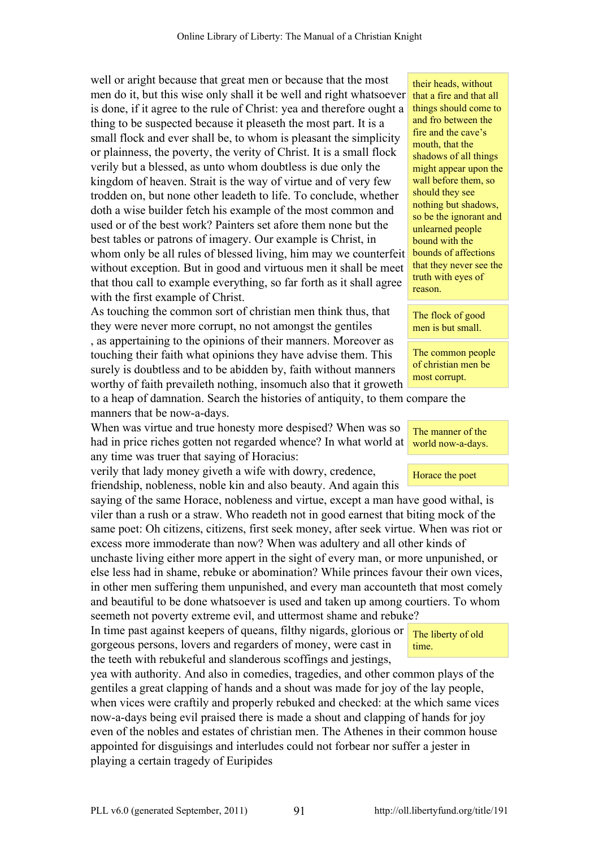well or aright because that great men or because that the most men do it, but this wise only shall it be well and right whatsoever is done, if it agree to the rule of Christ: yea and therefore ought a thing to be suspected because it pleaseth the most part. It is a small flock and ever shall be, to whom is pleasant the simplicity or plainness, the poverty, the verity of Christ. It is a small flock verily but a blessed, as unto whom doubtless is due only the kingdom of heaven. Strait is the way of virtue and of very few trodden on, but none other leadeth to life. To conclude, whether doth a wise builder fetch his example of the most common and used or of the best work? Painters set afore them none but the best tables or patrons of imagery. Our example is Christ, in whom only be all rules of blessed living, him may we counterfeit without exception. But in good and virtuous men it shall be meet that thou call to example everything, so far forth as it shall agree with the first example of Christ.

As touching the common sort of christian men think thus, that they were never more corrupt, no not amongst the gentiles

, as appertaining to the opinions of their manners. Moreover as touching their faith what opinions they have advise them. This surely is doubtless and to be abidden by, faith without manners worthy of faith prevaileth nothing, insomuch also that it groweth

to a heap of damnation. Search the histories of antiquity, to them compare the manners that be now-a-days.

When was virtue and true honesty more despised? When was so had in price riches gotten not regarded whence? In what world at any time was truer that saying of Horacius:

verily that lady money giveth a wife with dowry, credence, friendship, nobleness, noble kin and also beauty. And again this

saying of the same Horace, nobleness and virtue, except a man have good withal, is viler than a rush or a straw. Who readeth not in good earnest that biting mock of the same poet: Oh citizens, citizens, first seek money, after seek virtue. When was riot or excess more immoderate than now? When was adultery and all other kinds of unchaste living either more appert in the sight of every man, or more unpunished, or

else less had in shame, rebuke or abomination? While princes favour their own vices, in other men suffering them unpunished, and every man accounteth that most comely and beautiful to be done whatsoever is used and taken up among courtiers. To whom seemeth not poverty extreme evil, and uttermost shame and rebuke?

The liberty of old time. In time past against keepers of queans, filthy nigards, glorious or gorgeous persons, lovers and regarders of money, were cast in the teeth with rebukeful and slanderous scoffings and jestings,

yea with authority. And also in comedies, tragedies, and other common plays of the gentiles a great clapping of hands and a shout was made for joy of the lay people, when vices were craftily and properly rebuked and checked: at the which same vices now-a-days being evil praised there is made a shout and clapping of hands for joy even of the nobles and estates of christian men. The Athenes in their common house appointed for disguisings and interludes could not forbear nor suffer a jester in playing a certain tragedy of Euripides

their heads, without that a fire and that all things should come to and fro between the fire and the cave's mouth, that the shadows of all things might appear upon the wall before them, so should they see nothing but shadows, so be the ignorant and unlearned people bound with the bounds of affections that they never see the truth with eyes of reason.

The flock of good men is but small.

The common people of christian men be most corrupt.

The manner of the world now-a-days.

Horace the poet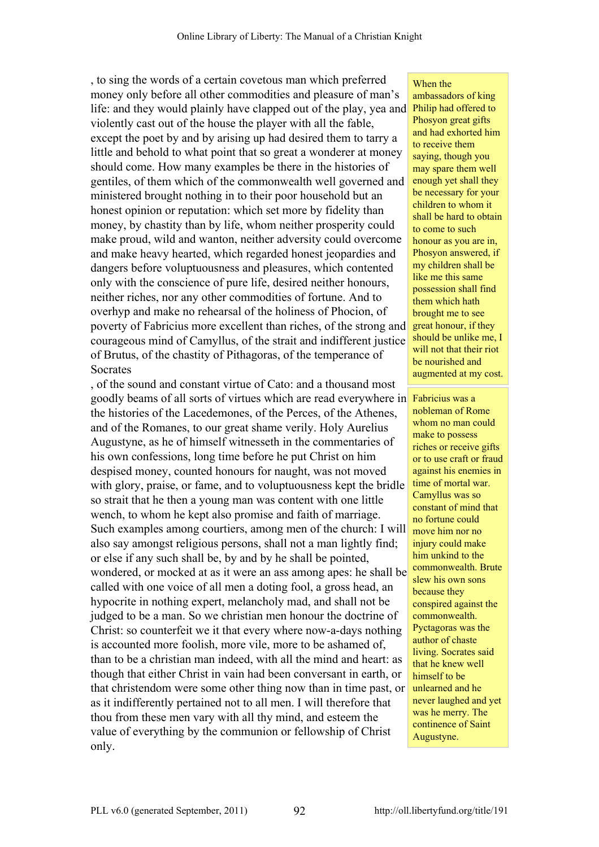, to sing the words of a certain covetous man which preferred money only before all other commodities and pleasure of man's life: and they would plainly have clapped out of the play, yea and violently cast out of the house the player with all the fable, except the poet by and by arising up had desired them to tarry a little and behold to what point that so great a wonderer at money should come. How many examples be there in the histories of gentiles, of them which of the commonwealth well governed and ministered brought nothing in to their poor household but an honest opinion or reputation: which set more by fidelity than money, by chastity than by life, whom neither prosperity could make proud, wild and wanton, neither adversity could overcome and make heavy hearted, which regarded honest jeopardies and dangers before voluptuousness and pleasures, which contented only with the conscience of pure life, desired neither honours, neither riches, nor any other commodities of fortune. And to overhyp and make no rehearsal of the holiness of Phocion, of poverty of Fabricius more excellent than riches, of the strong and courageous mind of Camyllus, of the strait and indifferent justice of Brutus, of the chastity of Pithagoras, of the temperance of **Socrates** 

, of the sound and constant virtue of Cato: and a thousand most goodly beams of all sorts of virtues which are read everywhere in the histories of the Lacedemones, of the Perces, of the Athenes, and of the Romanes, to our great shame verily. Holy Aurelius Augustyne, as he of himself witnesseth in the commentaries of his own confessions, long time before he put Christ on him despised money, counted honours for naught, was not moved with glory, praise, or fame, and to voluptuousness kept the bridle so strait that he then a young man was content with one little wench, to whom he kept also promise and faith of marriage. Such examples among courtiers, among men of the church: I will also say amongst religious persons, shall not a man lightly find; or else if any such shall be, by and by he shall be pointed, wondered, or mocked at as it were an ass among apes: he shall be called with one voice of all men a doting fool, a gross head, an hypocrite in nothing expert, melancholy mad, and shall not be judged to be a man. So we christian men honour the doctrine of Christ: so counterfeit we it that every where now-a-days nothing is accounted more foolish, more vile, more to be ashamed of, than to be a christian man indeed, with all the mind and heart: as though that either Christ in vain had been conversant in earth, or that christendom were some other thing now than in time past, or as it indifferently pertained not to all men. I will therefore that thou from these men vary with all thy mind, and esteem the value of everything by the communion or fellowship of Christ only.

#### When the ambassadors of king Philip had offered to Phosyon great gifts and had exhorted him to receive them saying, though you may spare them well enough yet shall they be necessary for your children to whom it shall be hard to obtain to come to such honour as you are in, Phosyon answered, if my children shall be like me this same possession shall find them which hath brought me to see great honour, if they should be unlike me, I will not that their riot be nourished and

augmented at my cost.

Fabricius was a nobleman of Rome whom no man could make to possess riches or receive gifts or to use craft or fraud against his enemies in time of mortal war. Camyllus was so constant of mind that no fortune could move him nor no injury could make him unkind to the commonwealth. Brute slew his own sons because they conspired against the commonwealth. Pyctagoras was the author of chaste living. Socrates said that he knew well himself to be unlearned and he never laughed and yet was he merry. The continence of Saint Augustyne.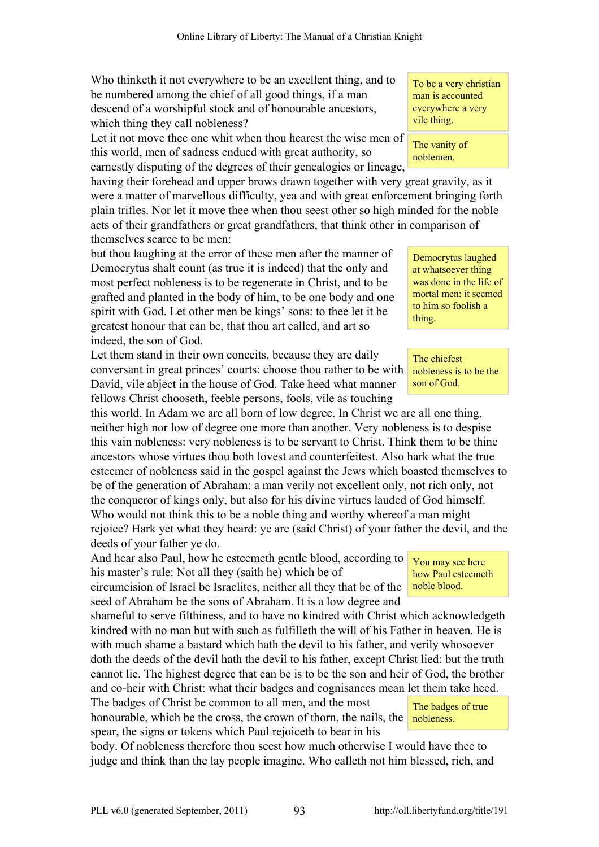Who thinketh it not everywhere to be an excellent thing, and to be numbered among the chief of all good things, if a man descend of a worshipful stock and of honourable ancestors, which thing they call nobleness?

Let it not move thee one whit when thou hearest the wise men of this world, men of sadness endued with great authority, so earnestly disputing of the degrees of their genealogies or lineage,

having their forehead and upper brows drawn together with very great gravity, as it were a matter of marvellous difficulty, yea and with great enforcement bringing forth plain trifles. Nor let it move thee when thou seest other so high minded for the noble acts of their grandfathers or great grandfathers, that think other in comparison of themselves scarce to be men:

but thou laughing at the error of these men after the manner of Democrytus shalt count (as true it is indeed) that the only and most perfect nobleness is to be regenerate in Christ, and to be grafted and planted in the body of him, to be one body and one spirit with God. Let other men be kings' sons: to thee let it be greatest honour that can be, that thou art called, and art so indeed, the son of God.

Let them stand in their own conceits, because they are daily conversant in great princes' courts: choose thou rather to be with David, vile abject in the house of God. Take heed what manner fellows Christ chooseth, feeble persons, fools, vile as touching

this world. In Adam we are all born of low degree. In Christ we are all one thing, neither high nor low of degree one more than another. Very nobleness is to despise this vain nobleness: very nobleness is to be servant to Christ. Think them to be thine ancestors whose virtues thou both lovest and counterfeitest. Also hark what the true esteemer of nobleness said in the gospel against the Jews which boasted themselves to be of the generation of Abraham: a man verily not excellent only, not rich only, not the conqueror of kings only, but also for his divine virtues lauded of God himself. Who would not think this to be a noble thing and worthy whereof a man might rejoice? Hark yet what they heard: ye are (said Christ) of your father the devil, and the deeds of your father ye do.

And hear also Paul, how he esteemeth gentle blood, according to his master's rule: Not all they (saith he) which be of

circumcision of Israel be Israelites, neither all they that be of the seed of Abraham be the sons of Abraham. It is a low degree and

shameful to serve filthiness, and to have no kindred with Christ which acknowledgeth kindred with no man but with such as fulfilleth the will of his Father in heaven. He is with much shame a bastard which hath the devil to his father, and verily whosoever doth the deeds of the devil hath the devil to his father, except Christ lied: but the truth cannot lie. The highest degree that can be is to be the son and heir of God, the brother and co-heir with Christ: what their badges and cognisances mean let them take heed.

The badges of Christ be common to all men, and the most honourable, which be the cross, the crown of thorn, the nails, the spear, the signs or tokens which Paul rejoiceth to bear in his

body. Of nobleness therefore thou seest how much otherwise I would have thee to judge and think than the lay people imagine. Who calleth not him blessed, rich, and

To be a very christian man is accounted everywhere a very vile thing.

The vanity of noblemen.

Democrytus laughed at whatsoever thing was done in the life of mortal men: it seemed to him so foolish a thing.

The chiefest nobleness is to be the son of God.

You may see here how Paul esteemeth noble blood.

The badges of true

nobleness.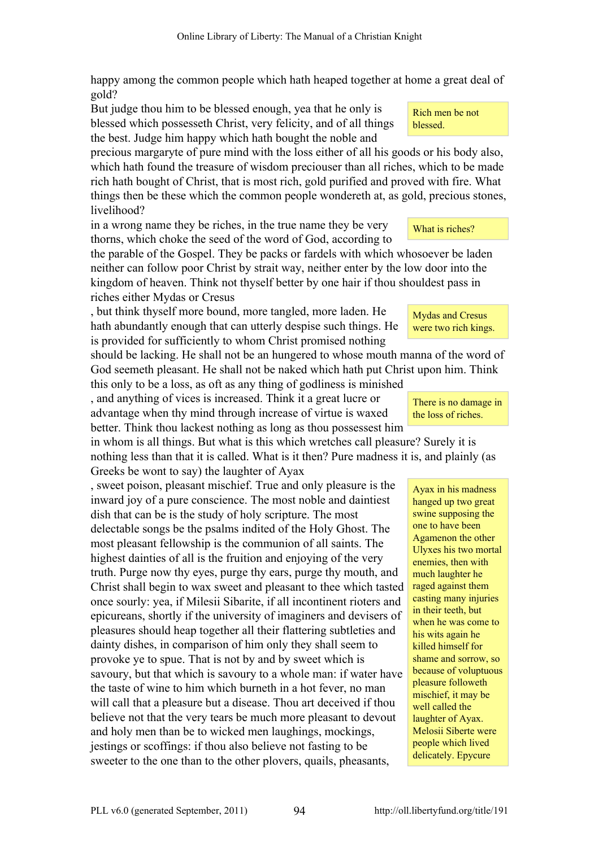happy among the common people which hath heaped together at home a great deal of gold?

But judge thou him to be blessed enough, yea that he only is blessed which possesseth Christ, very felicity, and of all things the best. Judge him happy which hath bought the noble and

precious margaryte of pure mind with the loss either of all his goods or his body also, which hath found the treasure of wisdom preciouser than all riches, which to be made rich hath bought of Christ, that is most rich, gold purified and proved with fire. What things then be these which the common people wondereth at, as gold, precious stones, livelihood?

in a wrong name they be riches, in the true name they be very thorns, which choke the seed of the word of God, according to

the parable of the Gospel. They be packs or fardels with which whosoever be laden neither can follow poor Christ by strait way, neither enter by the low door into the kingdom of heaven. Think not thyself better by one hair if thou shouldest pass in riches either Mydas or Cresus

, but think thyself more bound, more tangled, more laden. He hath abundantly enough that can utterly despise such things. He is provided for sufficiently to whom Christ promised nothing

should be lacking. He shall not be an hungered to whose mouth manna of the word of God seemeth pleasant. He shall not be naked which hath put Christ upon him. Think this only to be a loss, as oft as any thing of godliness is minished

, and anything of vices is increased. Think it a great lucre or advantage when thy mind through increase of virtue is waxed better. Think thou lackest nothing as long as thou possessest him

in whom is all things. But what is this which wretches call pleasure? Surely it is nothing less than that it is called. What is it then? Pure madness it is, and plainly (as Greeks be wont to say) the laughter of Ayax

, sweet poison, pleasant mischief. True and only pleasure is the inward joy of a pure conscience. The most noble and daintiest dish that can be is the study of holy scripture. The most delectable songs be the psalms indited of the Holy Ghost. The most pleasant fellowship is the communion of all saints. The highest dainties of all is the fruition and enjoying of the very truth. Purge now thy eyes, purge thy ears, purge thy mouth, and Christ shall begin to wax sweet and pleasant to thee which tasted once sourly: yea, if Milesii Sibarite, if all incontinent rioters and epicureans, shortly if the university of imaginers and devisers of pleasures should heap together all their flattering subtleties and dainty dishes, in comparison of him only they shall seem to provoke ye to spue. That is not by and by sweet which is savoury, but that which is savoury to a whole man: if water have the taste of wine to him which burneth in a hot fever, no man will call that a pleasure but a disease. Thou art deceived if thou believe not that the very tears be much more pleasant to devout and holy men than be to wicked men laughings, mockings, jestings or scoffings: if thou also believe not fasting to be sweeter to the one than to the other plovers, quails, pheasants,

There is no damage in the loss of riches.

Ayax in his madness hanged up two great swine supposing the one to have been Agamenon the other Ulyxes his two mortal enemies, then with much laughter he raged against them casting many injuries in their teeth, but when he was come to his wits again he killed himself for shame and sorrow, so because of voluptuous pleasure followeth mischief, it may be well called the laughter of Ayax. Melosii Siberte were people which lived delicately. Epycure

What is riches?

Mydas and Cresus were two rich kings.

Rich men be not blessed.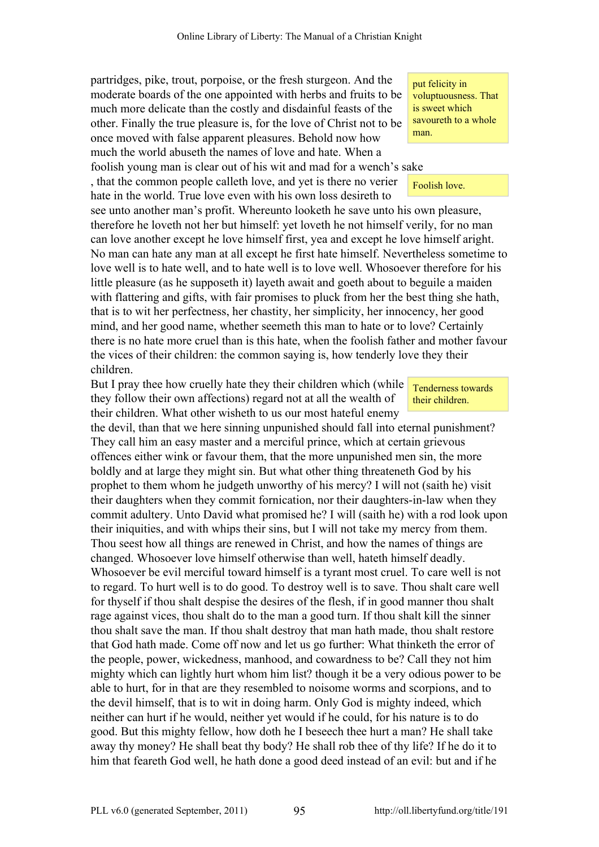partridges, pike, trout, porpoise, or the fresh sturgeon. And the moderate boards of the one appointed with herbs and fruits to be much more delicate than the costly and disdainful feasts of the other. Finally the true pleasure is, for the love of Christ not to be once moved with false apparent pleasures. Behold now how much the world abuseth the names of love and hate. When a foolish young man is clear out of his wit and mad for a wench's sake

, that the common people calleth love, and yet is there no verier hate in the world. True love even with his own loss desireth to

see unto another man's profit. Whereunto looketh he save unto his own pleasure, therefore he loveth not her but himself: yet loveth he not himself verily, for no man can love another except he love himself first, yea and except he love himself aright. No man can hate any man at all except he first hate himself. Nevertheless sometime to love well is to hate well, and to hate well is to love well. Whosoever therefore for his little pleasure (as he supposeth it) layeth await and goeth about to beguile a maiden with flattering and gifts, with fair promises to pluck from her the best thing she hath, that is to wit her perfectness, her chastity, her simplicity, her innocency, her good mind, and her good name, whether seemeth this man to hate or to love? Certainly there is no hate more cruel than is this hate, when the foolish father and mother favour the vices of their children: the common saying is, how tenderly love they their children.

But I pray thee how cruelly hate they their children which (while they follow their own affections) regard not at all the wealth of their children. What other wisheth to us our most hateful enemy

the devil, than that we here sinning unpunished should fall into eternal punishment? They call him an easy master and a merciful prince, which at certain grievous offences either wink or favour them, that the more unpunished men sin, the more boldly and at large they might sin. But what other thing threateneth God by his prophet to them whom he judgeth unworthy of his mercy? I will not (saith he) visit their daughters when they commit fornication, nor their daughters-in-law when they commit adultery. Unto David what promised he? I will (saith he) with a rod look upon their iniquities, and with whips their sins, but I will not take my mercy from them. Thou seest how all things are renewed in Christ, and how the names of things are changed. Whosoever love himself otherwise than well, hateth himself deadly. Whosoever be evil merciful toward himself is a tyrant most cruel. To care well is not to regard. To hurt well is to do good. To destroy well is to save. Thou shalt care well for thyself if thou shalt despise the desires of the flesh, if in good manner thou shalt rage against vices, thou shalt do to the man a good turn. If thou shalt kill the sinner thou shalt save the man. If thou shalt destroy that man hath made, thou shalt restore that God hath made. Come off now and let us go further: What thinketh the error of the people, power, wickedness, manhood, and cowardness to be? Call they not him mighty which can lightly hurt whom him list? though it be a very odious power to be able to hurt, for in that are they resembled to noisome worms and scorpions, and to the devil himself, that is to wit in doing harm. Only God is mighty indeed, which neither can hurt if he would, neither yet would if he could, for his nature is to do good. But this mighty fellow, how doth he I beseech thee hurt a man? He shall take away thy money? He shall beat thy body? He shall rob thee of thy life? If he do it to him that feareth God well, he hath done a good deed instead of an evil: but and if he

put felicity in voluptuousness. That is sweet which savoureth to a whole man.

Foolish love.

Tenderness towards their children.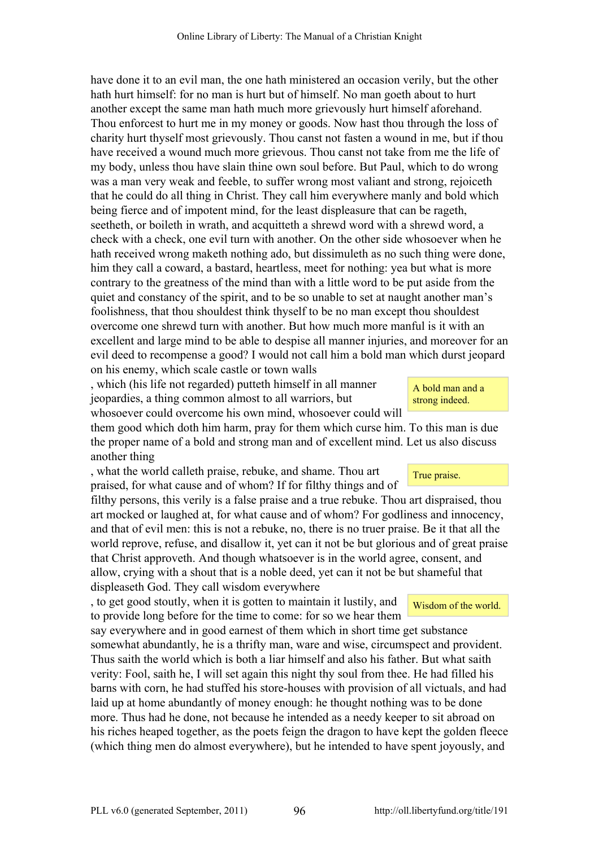have done it to an evil man, the one hath ministered an occasion verily, but the other hath hurt himself: for no man is hurt but of himself. No man goeth about to hurt another except the same man hath much more grievously hurt himself aforehand. Thou enforcest to hurt me in my money or goods. Now hast thou through the loss of charity hurt thyself most grievously. Thou canst not fasten a wound in me, but if thou have received a wound much more grievous. Thou canst not take from me the life of my body, unless thou have slain thine own soul before. But Paul, which to do wrong was a man very weak and feeble, to suffer wrong most valiant and strong, rejoiceth that he could do all thing in Christ. They call him everywhere manly and bold which being fierce and of impotent mind, for the least displeasure that can be rageth, seetheth, or boileth in wrath, and acquitteth a shrewd word with a shrewd word, a check with a check, one evil turn with another. On the other side whosoever when he hath received wrong maketh nothing ado, but dissimuleth as no such thing were done, him they call a coward, a bastard, heartless, meet for nothing: yea but what is more contrary to the greatness of the mind than with a little word to be put aside from the quiet and constancy of the spirit, and to be so unable to set at naught another man's foolishness, that thou shouldest think thyself to be no man except thou shouldest overcome one shrewd turn with another. But how much more manful is it with an excellent and large mind to be able to despise all manner injuries, and moreover for an evil deed to recompense a good? I would not call him a bold man which durst jeopard on his enemy, which scale castle or town walls

, which (his life not regarded) putteth himself in all manner jeopardies, a thing common almost to all warriors, but whosoever could overcome his own mind, whosoever could will

them good which doth him harm, pray for them which curse him. To this man is due the proper name of a bold and strong man and of excellent mind. Let us also discuss another thing

, what the world calleth praise, rebuke, and shame. Thou art praised, for what cause and of whom? If for filthy things and of

filthy persons, this verily is a false praise and a true rebuke. Thou art dispraised, thou art mocked or laughed at, for what cause and of whom? For godliness and innocency, and that of evil men: this is not a rebuke, no, there is no truer praise. Be it that all the world reprove, refuse, and disallow it, yet can it not be but glorious and of great praise that Christ approveth. And though whatsoever is in the world agree, consent, and allow, crying with a shout that is a noble deed, yet can it not be but shameful that displeaseth God. They call wisdom everywhere

, to get good stoutly, when it is gotten to maintain it lustily, and to provide long before for the time to come: for so we hear them

say everywhere and in good earnest of them which in short time get substance somewhat abundantly, he is a thrifty man, ware and wise, circumspect and provident. Thus saith the world which is both a liar himself and also his father. But what saith verity: Fool, saith he, I will set again this night thy soul from thee. He had filled his barns with corn, he had stuffed his store-houses with provision of all victuals, and had laid up at home abundantly of money enough: he thought nothing was to be done more. Thus had he done, not because he intended as a needy keeper to sit abroad on his riches heaped together, as the poets feign the dragon to have kept the golden fleece (which thing men do almost everywhere), but he intended to have spent joyously, and

A bold man and a strong indeed.

True praise.

## Wisdom of the world.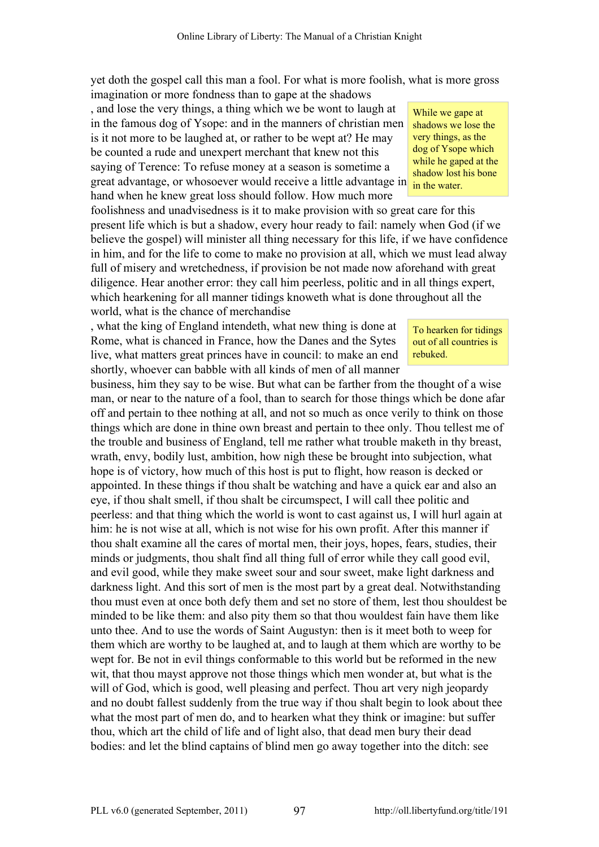yet doth the gospel call this man a fool. For what is more foolish, what is more gross imagination or more fondness than to gape at the shadows

, and lose the very things, a thing which we be wont to laugh at in the famous dog of Ysope: and in the manners of christian men is it not more to be laughed at, or rather to be wept at? He may be counted a rude and unexpert merchant that knew not this saying of Terence: To refuse money at a season is sometime a great advantage, or whosoever would receive a little advantage in hand when he knew great loss should follow. How much more

foolishness and unadvisedness is it to make provision with so great care for this present life which is but a shadow, every hour ready to fail: namely when God (if we believe the gospel) will minister all thing necessary for this life, if we have confidence in him, and for the life to come to make no provision at all, which we must lead alway full of misery and wretchedness, if provision be not made now aforehand with great diligence. Hear another error: they call him peerless, politic and in all things expert, which hearkening for all manner tidings knoweth what is done throughout all the world, what is the chance of merchandise

, what the king of England intendeth, what new thing is done at Rome, what is chanced in France, how the Danes and the Sytes live, what matters great princes have in council: to make an end shortly, whoever can babble with all kinds of men of all manner

business, him they say to be wise. But what can be farther from the thought of a wise man, or near to the nature of a fool, than to search for those things which be done afar off and pertain to thee nothing at all, and not so much as once verily to think on those things which are done in thine own breast and pertain to thee only. Thou tellest me of the trouble and business of England, tell me rather what trouble maketh in thy breast, wrath, envy, bodily lust, ambition, how nigh these be brought into subjection, what hope is of victory, how much of this host is put to flight, how reason is decked or appointed. In these things if thou shalt be watching and have a quick ear and also an eye, if thou shalt smell, if thou shalt be circumspect, I will call thee politic and peerless: and that thing which the world is wont to cast against us, I will hurl again at him: he is not wise at all, which is not wise for his own profit. After this manner if thou shalt examine all the cares of mortal men, their joys, hopes, fears, studies, their minds or judgments, thou shalt find all thing full of error while they call good evil, and evil good, while they make sweet sour and sour sweet, make light darkness and darkness light. And this sort of men is the most part by a great deal. Notwithstanding thou must even at once both defy them and set no store of them, lest thou shouldest be minded to be like them: and also pity them so that thou wouldest fain have them like unto thee. And to use the words of Saint Augustyn: then is it meet both to weep for them which are worthy to be laughed at, and to laugh at them which are worthy to be wept for. Be not in evil things conformable to this world but be reformed in the new wit, that thou mayst approve not those things which men wonder at, but what is the will of God, which is good, well pleasing and perfect. Thou art very nigh jeopardy and no doubt fallest suddenly from the true way if thou shalt begin to look about thee what the most part of men do, and to hearken what they think or imagine: but suffer thou, which art the child of life and of light also, that dead men bury their dead bodies: and let the blind captains of blind men go away together into the ditch: see

While we gape at shadows we lose the very things, as the dog of Ysope which while he gaped at the shadow lost his bone in the water.

To hearken for tidings out of all countries is

rebuked.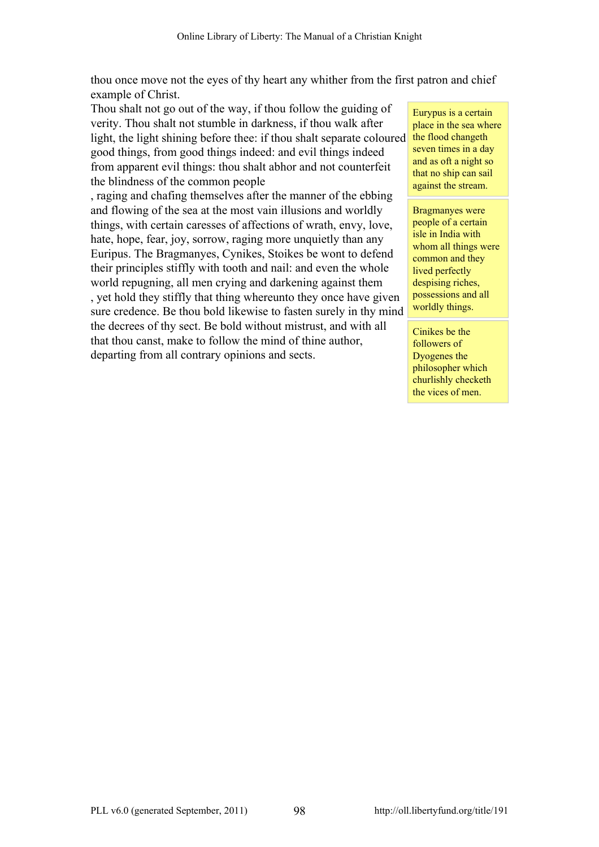thou once move not the eyes of thy heart any whither from the first patron and chief example of Christ.

Thou shalt not go out of the way, if thou follow the guiding of verity. Thou shalt not stumble in darkness, if thou walk after light, the light shining before thee: if thou shalt separate coloured good things, from good things indeed: and evil things indeed from apparent evil things: thou shalt abhor and not counterfeit the blindness of the common people

, raging and chafing themselves after the manner of the ebbing and flowing of the sea at the most vain illusions and worldly things, with certain caresses of affections of wrath, envy, love, hate, hope, fear, joy, sorrow, raging more unquietly than any Euripus. The Bragmanyes, Cynikes, Stoikes be wont to defend their principles stiffly with tooth and nail: and even the whole world repugning, all men crying and darkening against them , yet hold they stiffly that thing whereunto they once have given sure credence. Be thou bold likewise to fasten surely in thy mind the decrees of thy sect. Be bold without mistrust, and with all that thou canst, make to follow the mind of thine author, departing from all contrary opinions and sects.

Eurypus is a certain place in the sea where the flood changeth seven times in a day and as oft a night so that no ship can sail against the stream.

Bragmanyes were people of a certain isle in India with whom all things were common and they lived perfectly despising riches, possessions and all worldly things.

Cinikes be the followers of Dyogenes the philosopher which churlishly checketh the vices of men.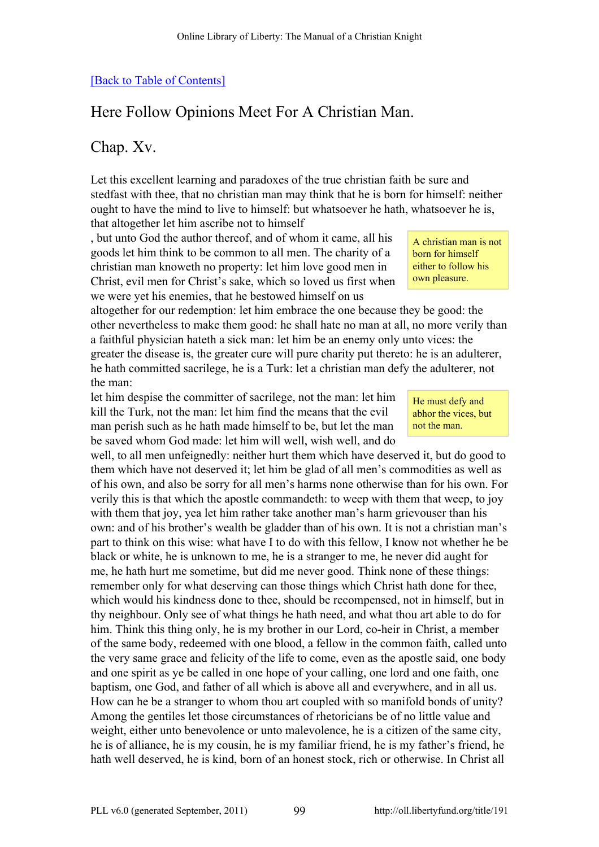## [Back to Table of Contents]

# Here Follow Opinions Meet For A Christian Man.

## Chap. Xv.

Let this excellent learning and paradoxes of the true christian faith be sure and stedfast with thee, that no christian man may think that he is born for himself: neither ought to have the mind to live to himself: but whatsoever he hath, whatsoever he is, that altogether let him ascribe not to himself

, but unto God the author thereof, and of whom it came, all his goods let him think to be common to all men. The charity of a christian man knoweth no property: let him love good men in Christ, evil men for Christ's sake, which so loved us first when we were yet his enemies, that he bestowed himself on us

altogether for our redemption: let him embrace the one because they be good: the other nevertheless to make them good: he shall hate no man at all, no more verily than a faithful physician hateth a sick man: let him be an enemy only unto vices: the greater the disease is, the greater cure will pure charity put thereto: he is an adulterer, he hath committed sacrilege, he is a Turk: let a christian man defy the adulterer, not the man:

let him despise the committer of sacrilege, not the man: let him kill the Turk, not the man: let him find the means that the evil man perish such as he hath made himself to be, but let the man be saved whom God made: let him will well, wish well, and do

well, to all men unfeignedly: neither hurt them which have deserved it, but do good to them which have not deserved it; let him be glad of all men's commodities as well as of his own, and also be sorry for all men's harms none otherwise than for his own. For verily this is that which the apostle commandeth: to weep with them that weep, to joy with them that joy, yea let him rather take another man's harm grievouser than his own: and of his brother's wealth be gladder than of his own. It is not a christian man's part to think on this wise: what have I to do with this fellow, I know not whether he be black or white, he is unknown to me, he is a stranger to me, he never did aught for me, he hath hurt me sometime, but did me never good. Think none of these things: remember only for what deserving can those things which Christ hath done for thee, which would his kindness done to thee, should be recompensed, not in himself, but in thy neighbour. Only see of what things he hath need, and what thou art able to do for him. Think this thing only, he is my brother in our Lord, co-heir in Christ, a member of the same body, redeemed with one blood, a fellow in the common faith, called unto the very same grace and felicity of the life to come, even as the apostle said, one body and one spirit as ye be called in one hope of your calling, one lord and one faith, one baptism, one God, and father of all which is above all and everywhere, and in all us. How can he be a stranger to whom thou art coupled with so manifold bonds of unity? Among the gentiles let those circumstances of rhetoricians be of no little value and weight, either unto benevolence or unto malevolence, he is a citizen of the same city, he is of alliance, he is my cousin, he is my familiar friend, he is my father's friend, he hath well deserved, he is kind, born of an honest stock, rich or otherwise. In Christ all

A christian man is not born for himself either to follow his own pleasure.

He must defy and abhor the vices, but not the man.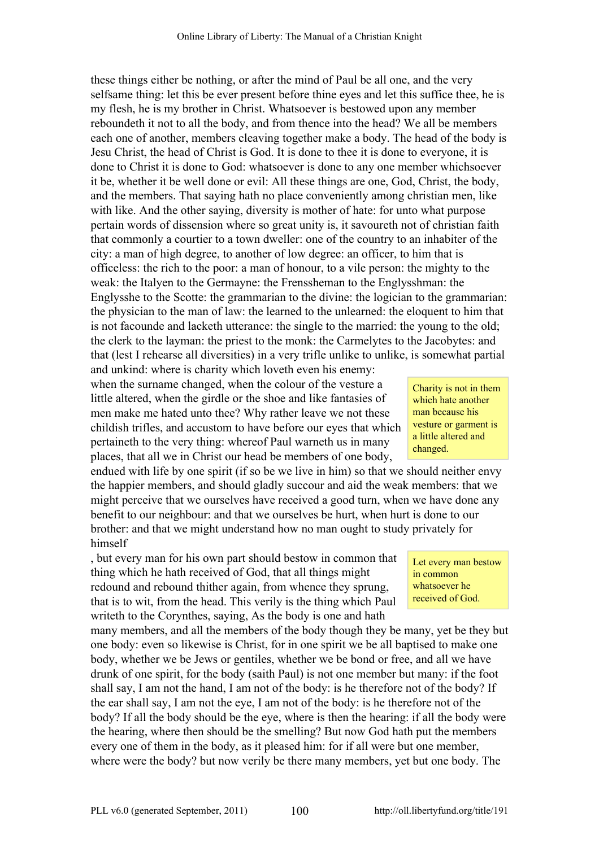these things either be nothing, or after the mind of Paul be all one, and the very selfsame thing: let this be ever present before thine eyes and let this suffice thee, he is my flesh, he is my brother in Christ. Whatsoever is bestowed upon any member reboundeth it not to all the body, and from thence into the head? We all be members each one of another, members cleaving together make a body. The head of the body is Jesu Christ, the head of Christ is God. It is done to thee it is done to everyone, it is done to Christ it is done to God: whatsoever is done to any one member whichsoever it be, whether it be well done or evil: All these things are one, God, Christ, the body, and the members. That saying hath no place conveniently among christian men, like with like. And the other saying, diversity is mother of hate: for unto what purpose pertain words of dissension where so great unity is, it savoureth not of christian faith that commonly a courtier to a town dweller: one of the country to an inhabiter of the city: a man of high degree, to another of low degree: an officer, to him that is officeless: the rich to the poor: a man of honour, to a vile person: the mighty to the weak: the Italyen to the Germayne: the Frenssheman to the Englysshman: the Englysshe to the Scotte: the grammarian to the divine: the logician to the grammarian: the physician to the man of law: the learned to the unlearned: the eloquent to him that is not facounde and lacketh utterance: the single to the married: the young to the old; the clerk to the layman: the priest to the monk: the Carmelytes to the Jacobytes: and that (lest I rehearse all diversities) in a very trifle unlike to unlike, is somewhat partial and unkind: where is charity which loveth even his enemy:

when the surname changed, when the colour of the vesture a little altered, when the girdle or the shoe and like fantasies of men make me hated unto thee? Why rather leave we not these childish trifles, and accustom to have before our eyes that which pertaineth to the very thing: whereof Paul warneth us in many places, that all we in Christ our head be members of one body,

endued with life by one spirit (if so be we live in him) so that we should neither envy the happier members, and should gladly succour and aid the weak members: that we might perceive that we ourselves have received a good turn, when we have done any benefit to our neighbour: and that we ourselves be hurt, when hurt is done to our brother: and that we might understand how no man ought to study privately for himself

, but every man for his own part should bestow in common that thing which he hath received of God, that all things might redound and rebound thither again, from whence they sprung, that is to wit, from the head. This verily is the thing which Paul writeth to the Corynthes, saying, As the body is one and hath

many members, and all the members of the body though they be many, yet be they but one body: even so likewise is Christ, for in one spirit we be all baptised to make one body, whether we be Jews or gentiles, whether we be bond or free, and all we have drunk of one spirit, for the body (saith Paul) is not one member but many: if the foot shall say, I am not the hand, I am not of the body: is he therefore not of the body? If the ear shall say, I am not the eye, I am not of the body: is he therefore not of the body? If all the body should be the eye, where is then the hearing: if all the body were the hearing, where then should be the smelling? But now God hath put the members every one of them in the body, as it pleased him: for if all were but one member, where were the body? but now verily be there many members, yet but one body. The

Charity is not in them which hate another man because his vesture or garment is a little altered and changed.

Let every man bestow in common whatsoever he received of God.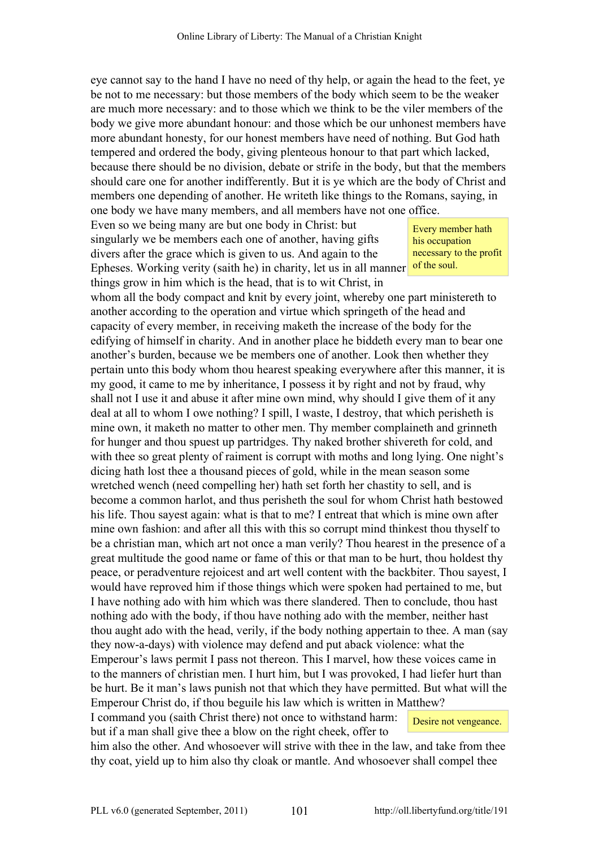eye cannot say to the hand I have no need of thy help, or again the head to the feet, ye be not to me necessary: but those members of the body which seem to be the weaker are much more necessary: and to those which we think to be the viler members of the body we give more abundant honour: and those which be our unhonest members have more abundant honesty, for our honest members have need of nothing. But God hath tempered and ordered the body, giving plenteous honour to that part which lacked, because there should be no division, debate or strife in the body, but that the members should care one for another indifferently. But it is ye which are the body of Christ and members one depending of another. He writeth like things to the Romans, saying, in one body we have many members, and all members have not one office.

Epheses. Working verity (saith he) in charity, let us in all manner of the soul. Even so we being many are but one body in Christ: but singularly we be members each one of another, having gifts divers after the grace which is given to us. And again to the things grow in him which is the head, that is to wit Christ, in

Every member hath his occupation necessary to the profit

whom all the body compact and knit by every joint, whereby one part ministereth to another according to the operation and virtue which springeth of the head and capacity of every member, in receiving maketh the increase of the body for the edifying of himself in charity. And in another place he biddeth every man to bear one another's burden, because we be members one of another. Look then whether they pertain unto this body whom thou hearest speaking everywhere after this manner, it is my good, it came to me by inheritance, I possess it by right and not by fraud, why shall not I use it and abuse it after mine own mind, why should I give them of it any deal at all to whom I owe nothing? I spill, I waste, I destroy, that which perisheth is mine own, it maketh no matter to other men. Thy member complaineth and grinneth for hunger and thou spuest up partridges. Thy naked brother shivereth for cold, and with thee so great plenty of raiment is corrupt with moths and long lying. One night's dicing hath lost thee a thousand pieces of gold, while in the mean season some wretched wench (need compelling her) hath set forth her chastity to sell, and is become a common harlot, and thus perisheth the soul for whom Christ hath bestowed his life. Thou sayest again: what is that to me? I entreat that which is mine own after mine own fashion: and after all this with this so corrupt mind thinkest thou thyself to be a christian man, which art not once a man verily? Thou hearest in the presence of a great multitude the good name or fame of this or that man to be hurt, thou holdest thy peace, or peradventure rejoicest and art well content with the backbiter. Thou sayest, I would have reproved him if those things which were spoken had pertained to me, but I have nothing ado with him which was there slandered. Then to conclude, thou hast nothing ado with the body, if thou have nothing ado with the member, neither hast thou aught ado with the head, verily, if the body nothing appertain to thee. A man (say they now-a-days) with violence may defend and put aback violence: what the Emperour's laws permit I pass not thereon. This I marvel, how these voices came in to the manners of christian men. I hurt him, but I was provoked, I had liefer hurt than be hurt. Be it man's laws punish not that which they have permitted. But what will the Emperour Christ do, if thou beguile his law which is written in Matthew?

I command you (saith Christ there) not once to withstand harm: but if a man shall give thee a blow on the right cheek, offer to

Desire not vengeance.

him also the other. And whosoever will strive with thee in the law, and take from thee thy coat, yield up to him also thy cloak or mantle. And whosoever shall compel thee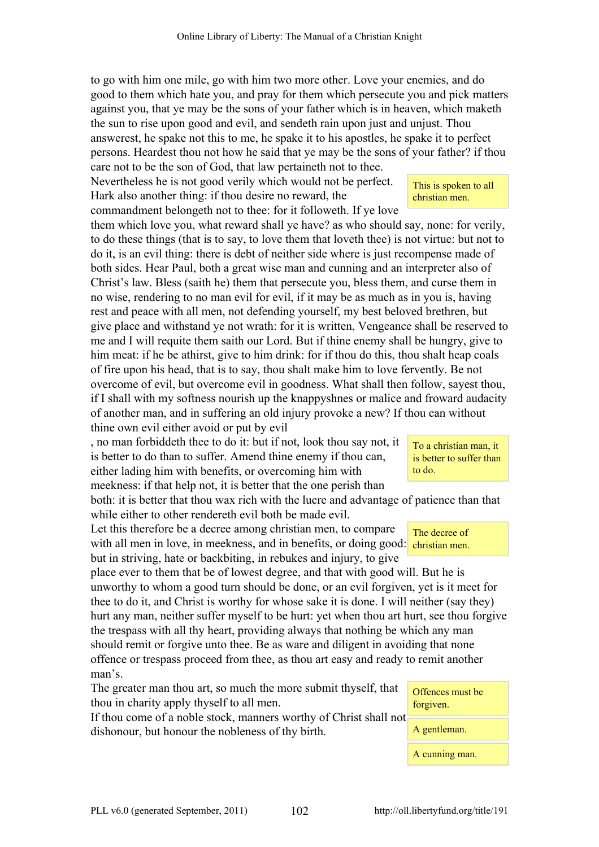to go with him one mile, go with him two more other. Love your enemies, and do good to them which hate you, and pray for them which persecute you and pick matters against you, that ye may be the sons of your father which is in heaven, which maketh the sun to rise upon good and evil, and sendeth rain upon just and unjust. Thou answerest, he spake not this to me, he spake it to his apostles, he spake it to perfect persons. Heardest thou not how he said that ye may be the sons of your father? if thou care not to be the son of God, that law pertaineth not to thee.

Nevertheless he is not good verily which would not be perfect. Hark also another thing: if thou desire no reward, the commandment belongeth not to thee: for it followeth. If ye love

them which love you, what reward shall ye have? as who should say, none: for verily, to do these things (that is to say, to love them that loveth thee) is not virtue: but not to do it, is an evil thing: there is debt of neither side where is just recompense made of both sides. Hear Paul, both a great wise man and cunning and an interpreter also of Christ's law. Bless (saith he) them that persecute you, bless them, and curse them in no wise, rendering to no man evil for evil, if it may be as much as in you is, having rest and peace with all men, not defending yourself, my best beloved brethren, but give place and withstand ye not wrath: for it is written, Vengeance shall be reserved to me and I will requite them saith our Lord. But if thine enemy shall be hungry, give to him meat: if he be athirst, give to him drink: for if thou do this, thou shalt heap coals of fire upon his head, that is to say, thou shalt make him to love fervently. Be not overcome of evil, but overcome evil in goodness. What shall then follow, sayest thou, if I shall with my softness nourish up the knappyshnes or malice and froward audacity of another man, and in suffering an old injury provoke a new? If thou can without thine own evil either avoid or put by evil

, no man forbiddeth thee to do it: but if not, look thou say not, it is better to do than to suffer. Amend thine enemy if thou can, either lading him with benefits, or overcoming him with meekness: if that help not, it is better that the one perish than

both: it is better that thou wax rich with the lucre and advantage of patience than that while either to other rendereth evil both be made evil.

with all men in love, in meekness, and in benefits, or doing good: christian men. Let this therefore be a decree among christian men, to compare but in striving, hate or backbiting, in rebukes and injury, to give

place ever to them that be of lowest degree, and that with good will. But he is unworthy to whom a good turn should be done, or an evil forgiven, yet is it meet for thee to do it, and Christ is worthy for whose sake it is done. I will neither (say they) hurt any man, neither suffer myself to be hurt: yet when thou art hurt, see thou forgive the trespass with all thy heart, providing always that nothing be which any man should remit or forgive unto thee. Be as ware and diligent in avoiding that none offence or trespass proceed from thee, as thou art easy and ready to remit another man's.

The greater man thou art, so much the more submit thyself, that thou in charity apply thyself to all men.

A gentleman. If thou come of a noble stock, manners worthy of Christ shall not dishonour, but honour the nobleness of thy birth.

Offences must be

forgiven.

To a christian man, it is better to suffer than to do.

This is spoken to all christian men.

The decree of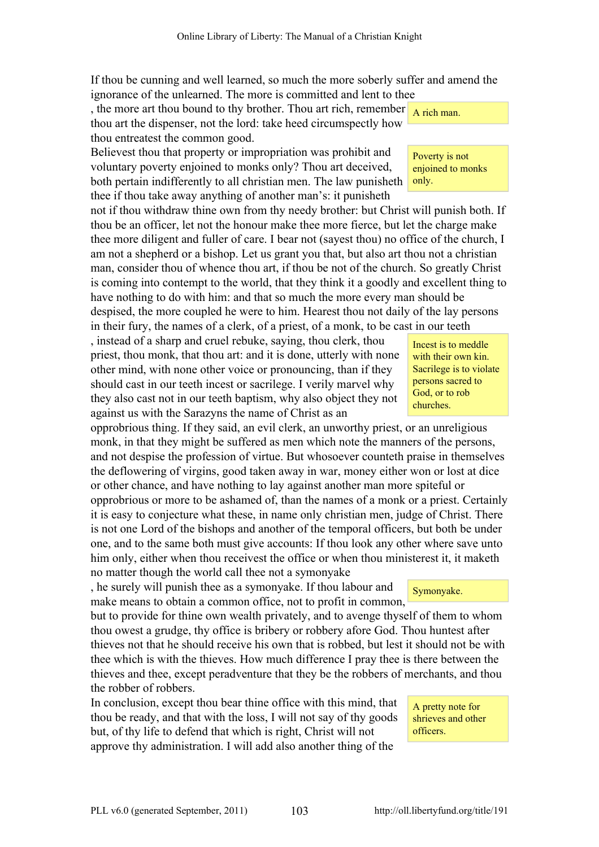If thou be cunning and well learned, so much the more soberly suffer and amend the ignorance of the unlearned. The more is committed and lent to thee

, the more art thou bound to thy brother. Thou art rich, remember  $\Delta t$  rich man. thou art the dispenser, not the lord: take heed circumspectly how thou entreatest the common good.

Believest thou that property or impropriation was prohibit and voluntary poverty enjoined to monks only? Thou art deceived, both pertain indifferently to all christian men. The law punisheth thee if thou take away anything of another man's: it punisheth

not if thou withdraw thine own from thy needy brother: but Christ will punish both. If thou be an officer, let not the honour make thee more fierce, but let the charge make thee more diligent and fuller of care. I bear not (sayest thou) no office of the church, I am not a shepherd or a bishop. Let us grant you that, but also art thou not a christian man, consider thou of whence thou art, if thou be not of the church. So greatly Christ is coming into contempt to the world, that they think it a goodly and excellent thing to have nothing to do with him: and that so much the more every man should be despised, the more coupled he were to him. Hearest thou not daily of the lay persons in their fury, the names of a clerk, of a priest, of a monk, to be cast in our teeth

, instead of a sharp and cruel rebuke, saying, thou clerk, thou priest, thou monk, that thou art: and it is done, utterly with none other mind, with none other voice or pronouncing, than if they should cast in our teeth incest or sacrilege. I verily marvel why they also cast not in our teeth baptism, why also object they not against us with the Sarazyns the name of Christ as an

opprobrious thing. If they said, an evil clerk, an unworthy priest, or an unreligious monk, in that they might be suffered as men which note the manners of the persons, and not despise the profession of virtue. But whosoever counteth praise in themselves the deflowering of virgins, good taken away in war, money either won or lost at dice or other chance, and have nothing to lay against another man more spiteful or opprobrious or more to be ashamed of, than the names of a monk or a priest. Certainly it is easy to conjecture what these, in name only christian men, judge of Christ. There is not one Lord of the bishops and another of the temporal officers, but both be under one, and to the same both must give accounts: If thou look any other where save unto him only, either when thou receivest the office or when thou ministerest it, it maketh no matter though the world call thee not a symonyake

, he surely will punish thee as a symonyake. If thou labour and make means to obtain a common office, not to profit in common,

but to provide for thine own wealth privately, and to avenge thyself of them to whom thou owest a grudge, thy office is bribery or robbery afore God. Thou huntest after thieves not that he should receive his own that is robbed, but lest it should not be with thee which is with the thieves. How much difference I pray thee is there between the thieves and thee, except peradventure that they be the robbers of merchants, and thou the robber of robbers.

In conclusion, except thou bear thine office with this mind, that thou be ready, and that with the loss, I will not say of thy goods but, of thy life to defend that which is right, Christ will not approve thy administration. I will add also another thing of the

Poverty is not enjoined to monks only.

Incest is to meddle with their own kin. Sacrilege is to violate persons sacred to God, or to rob. churches.

Symonyake.

A pretty note for shrieves and other

officers.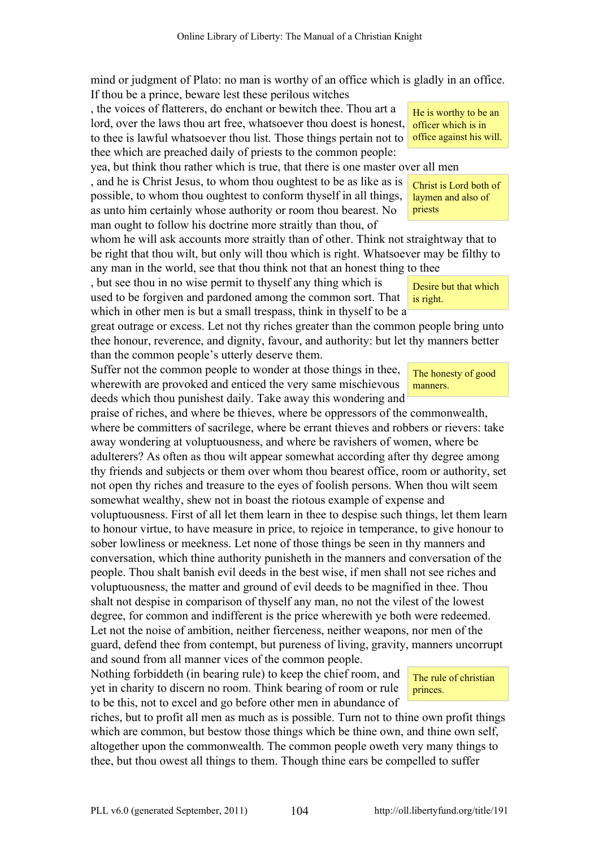mind or judgment of Plato: no man is worthy of an office which is gladly in an office. If thou be a prince, beware lest these perilous witches

, the voices of flatterers, do enchant or bewitch thee. Thou art a lord, over the laws thou art free, whatsoever thou doest is honest, to thee is lawful whatsoever thou list. Those things pertain not to thee which are preached daily of priests to the common people:

yea, but think thou rather which is true, that there is one master over all men

, and he is Christ Jesus, to whom thou oughtest to be as like as is possible, to whom thou oughtest to conform thyself in all things, as unto him certainly whose authority or room thou bearest. No man ought to follow his doctrine more straitly than thou, of

whom he will ask accounts more straitly than of other. Think not straightway that to be right that thou wilt, but only will thou which is right. Whatsoever may be filthy to any man in the world, see that thou think not that an honest thing to thee

, but see thou in no wise permit to thyself any thing which is used to be forgiven and pardoned among the common sort. That which in other men is but a small trespass, think in thyself to be a

great outrage or excess. Let not thy riches greater than the common people bring unto thee honour, reverence, and dignity, favour, and authority: but let thy manners better than the common people's utterly deserve them.

Suffer not the common people to wonder at those things in thee, wherewith are provoked and enticed the very same mischievous deeds which thou punishest daily. Take away this wondering and

praise of riches, and where be thieves, where be oppressors of the commonwealth, where be committers of sacrilege, where be errant thieves and robbers or rievers: take away wondering at voluptuousness, and where be ravishers of women, where be adulterers? As often as thou wilt appear somewhat according after thy degree among thy friends and subjects or them over whom thou bearest office, room or authority, set not open thy riches and treasure to the eyes of foolish persons. When thou wilt seem somewhat wealthy, shew not in boast the riotous example of expense and voluptuousness. First of all let them learn in thee to despise such things, let them learn to honour virtue, to have measure in price, to rejoice in temperance, to give honour to sober lowliness or meekness. Let none of those things be seen in thy manners and conversation, which thine authority punisheth in the manners and conversation of the people. Thou shalt banish evil deeds in the best wise, if men shall not see riches and voluptuousness, the matter and ground of evil deeds to be magnified in thee. Thou shalt not despise in comparison of thyself any man, no not the vilest of the lowest degree, for common and indifferent is the price wherewith ye both were redeemed. Let not the noise of ambition, neither fierceness, neither weapons, nor men of the guard, defend thee from contempt, but pureness of living, gravity, manners uncorrupt and sound from all manner vices of the common people.

Nothing forbiddeth (in bearing rule) to keep the chief room, and yet in charity to discern no room. Think bearing of room or rule to be this, not to excel and go before other men in abundance of

riches, but to profit all men as much as is possible. Turn not to thine own profit things which are common, but bestow those things which be thine own, and thine own self, altogether upon the commonwealth. The common people oweth very many things to thee, but thou owest all things to them. Though thine ears be compelled to suffer

He is worthy to be an officer which is in office against his will.

Christ is Lord both of laymen and also of

priests

is right.

Desire but that which

The honesty of good manners.

The rule of christian

princes.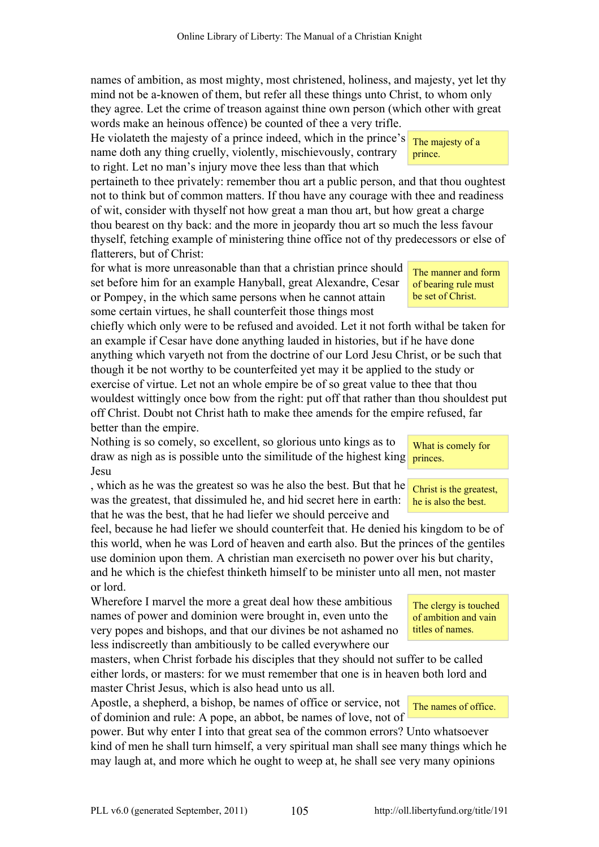names of ambition, as most mighty, most christened, holiness, and majesty, yet let thy mind not be a-knowen of them, but refer all these things unto Christ, to whom only they agree. Let the crime of treason against thine own person (which other with great words make an heinous offence) be counted of thee a very trifle.

He violateth the majesty of a prince indeed, which in the prince's The majesty of a name doth any thing cruelly, violently, mischievously, contrary to right. Let no man's injury move thee less than that which

pertaineth to thee privately: remember thou art a public person, and that thou oughtest not to think but of common matters. If thou have any courage with thee and readiness of wit, consider with thyself not how great a man thou art, but how great a charge thou bearest on thy back: and the more in jeopardy thou art so much the less favour thyself, fetching example of ministering thine office not of thy predecessors or else of flatterers, but of Christ:

for what is more unreasonable than that a christian prince should set before him for an example Hanyball, great Alexandre, Cesar or Pompey, in the which same persons when he cannot attain some certain virtues, he shall counterfeit those things most

chiefly which only were to be refused and avoided. Let it not forth withal be taken for an example if Cesar have done anything lauded in histories, but if he have done anything which varyeth not from the doctrine of our Lord Jesu Christ, or be such that though it be not worthy to be counterfeited yet may it be applied to the study or exercise of virtue. Let not an whole empire be of so great value to thee that thou wouldest wittingly once bow from the right: put off that rather than thou shouldest put off Christ. Doubt not Christ hath to make thee amends for the empire refused, far better than the empire.

Nothing is so comely, so excellent, so glorious unto kings as to draw as nigh as is possible unto the similitude of the highest king Jesu

, which as he was the greatest so was he also the best. But that he was the greatest, that dissimuled he, and hid secret here in earth: that he was the best, that he had liefer we should perceive and

feel, because he had liefer we should counterfeit that. He denied his kingdom to be of this world, when he was Lord of heaven and earth also. But the princes of the gentiles use dominion upon them. A christian man exerciseth no power over his but charity, and he which is the chiefest thinketh himself to be minister unto all men, not master or lord.

Wherefore I marvel the more a great deal how these ambitious names of power and dominion were brought in, even unto the very popes and bishops, and that our divines be not ashamed no less indiscreetly than ambitiously to be called everywhere our

masters, when Christ forbade his disciples that they should not suffer to be called either lords, or masters: for we must remember that one is in heaven both lord and master Christ Jesus, which is also head unto us all.

Apostle, a shepherd, a bishop, be names of office or service, not of dominion and rule: A pope, an abbot, be names of love, not of

power. But why enter I into that great sea of the common errors? Unto whatsoever kind of men he shall turn himself, a very spiritual man shall see many things which he may laugh at, and more which he ought to weep at, he shall see very many opinions

What is comely for princes.

Christ is the greatest, he is also the best.

prince.

The manner and form of bearing rule must be set of Christ.

The names of office.

The clergy is touched of ambition and vain titles of names.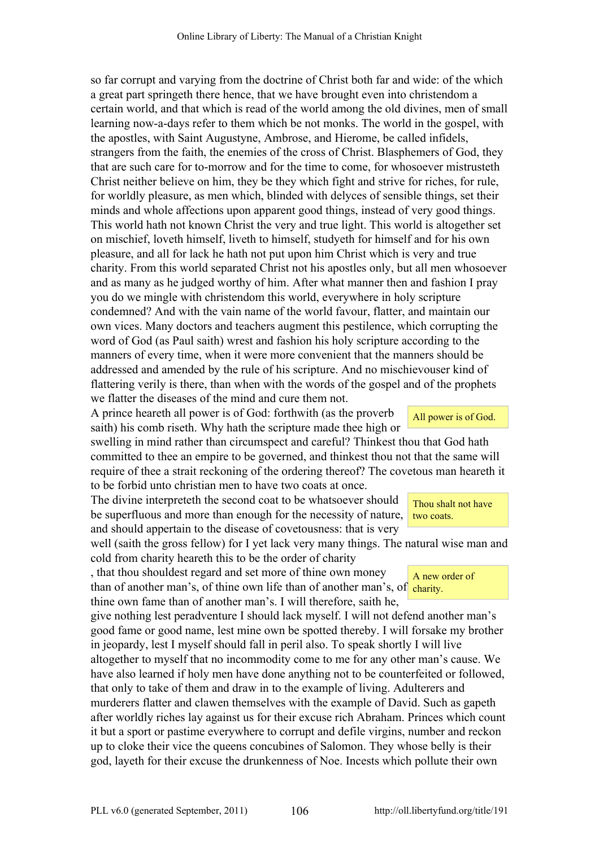so far corrupt and varying from the doctrine of Christ both far and wide: of the which a great part springeth there hence, that we have brought even into christendom a certain world, and that which is read of the world among the old divines, men of small learning now-a-days refer to them which be not monks. The world in the gospel, with the apostles, with Saint Augustyne, Ambrose, and Hierome, be called infidels, strangers from the faith, the enemies of the cross of Christ. Blasphemers of God, they that are such care for to-morrow and for the time to come, for whosoever mistrusteth Christ neither believe on him, they be they which fight and strive for riches, for rule, for worldly pleasure, as men which, blinded with delyces of sensible things, set their minds and whole affections upon apparent good things, instead of very good things. This world hath not known Christ the very and true light. This world is altogether set on mischief, loveth himself, liveth to himself, studyeth for himself and for his own pleasure, and all for lack he hath not put upon him Christ which is very and true charity. From this world separated Christ not his apostles only, but all men whosoever and as many as he judged worthy of him. After what manner then and fashion I pray you do we mingle with christendom this world, everywhere in holy scripture condemned? And with the vain name of the world favour, flatter, and maintain our own vices. Many doctors and teachers augment this pestilence, which corrupting the word of God (as Paul saith) wrest and fashion his holy scripture according to the manners of every time, when it were more convenient that the manners should be addressed and amended by the rule of his scripture. And no mischievouser kind of flattering verily is there, than when with the words of the gospel and of the prophets we flatter the diseases of the mind and cure them not.

A prince heareth all power is of God: forthwith (as the proverb saith) his comb riseth. Why hath the scripture made thee high or

swelling in mind rather than circumspect and careful? Thinkest thou that God hath committed to thee an empire to be governed, and thinkest thou not that the same will require of thee a strait reckoning of the ordering thereof? The covetous man heareth it to be forbid unto christian men to have two coats at once.

The divine interpreteth the second coat to be whatsoever should be superfluous and more than enough for the necessity of nature, and should appertain to the disease of covetousness: that is very

well (saith the gross fellow) for I yet lack very many things. The natural wise man and cold from charity heareth this to be the order of charity

A new order of than of another man's, of thine own life than of another man's, of charity. , that thou shouldest regard and set more of thine own money thine own fame than of another man's. I will therefore, saith he,

give nothing lest peradventure I should lack myself. I will not defend another man's good fame or good name, lest mine own be spotted thereby. I will forsake my brother in jeopardy, lest I myself should fall in peril also. To speak shortly I will live altogether to myself that no incommodity come to me for any other man's cause. We have also learned if holy men have done anything not to be counterfeited or followed, that only to take of them and draw in to the example of living. Adulterers and murderers flatter and clawen themselves with the example of David. Such as gapeth after worldly riches lay against us for their excuse rich Abraham. Princes which count it but a sport or pastime everywhere to corrupt and defile virgins, number and reckon up to cloke their vice the queens concubines of Salomon. They whose belly is their god, layeth for their excuse the drunkenness of Noe. Incests which pollute their own

Thou shalt not have two coats.

All power is of God.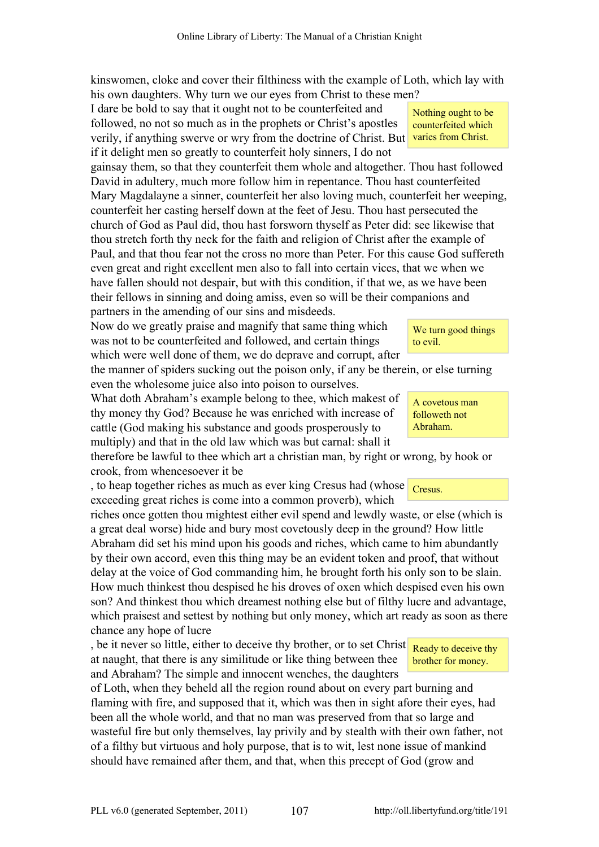kinswomen, cloke and cover their filthiness with the example of Loth, which lay with his own daughters. Why turn we our eyes from Christ to these men?

I dare be bold to say that it ought not to be counterfeited and followed, no not so much as in the prophets or Christ's apostles verily, if anything swerve or wry from the doctrine of Christ. But if it delight men so greatly to counterfeit holy sinners, I do not

gainsay them, so that they counterfeit them whole and altogether. Thou hast followed David in adultery, much more follow him in repentance. Thou hast counterfeited Mary Magdalayne a sinner, counterfeit her also loving much, counterfeit her weeping, counterfeit her casting herself down at the feet of Jesu. Thou hast persecuted the church of God as Paul did, thou hast forsworn thyself as Peter did: see likewise that thou stretch forth thy neck for the faith and religion of Christ after the example of Paul, and that thou fear not the cross no more than Peter. For this cause God suffereth even great and right excellent men also to fall into certain vices, that we when we have fallen should not despair, but with this condition, if that we, as we have been their fellows in sinning and doing amiss, even so will be their companions and partners in the amending of our sins and misdeeds.

Now do we greatly praise and magnify that same thing which was not to be counterfeited and followed, and certain things which were well done of them, we do deprave and corrupt, after

the manner of spiders sucking out the poison only, if any be therein, or else turning even the wholesome juice also into poison to ourselves.

What doth Abraham's example belong to thee, which makest of thy money thy God? Because he was enriched with increase of cattle (God making his substance and goods prosperously to multiply) and that in the old law which was but carnal: shall it

therefore be lawful to thee which art a christian man, by right or wrong, by hook or crook, from whencesoever it be

to heap together riches as much as ever king Cresus had (whose Cresus. exceeding great riches is come into a common proverb), which

riches once gotten thou mightest either evil spend and lewdly waste, or else (which is a great deal worse) hide and bury most covetously deep in the ground? How little Abraham did set his mind upon his goods and riches, which came to him abundantly by their own accord, even this thing may be an evident token and proof, that without delay at the voice of God commanding him, he brought forth his only son to be slain. How much thinkest thou despised he his droves of oxen which despised even his own son? And thinkest thou which dreamest nothing else but of filthy lucre and advantage, which praisest and settest by nothing but only money, which art ready as soon as there chance any hope of lucre

, be it never so little, either to deceive thy brother, or to set Christ at naught, that there is any similitude or like thing between thee and Abraham? The simple and innocent wenches, the daughters

of Loth, when they beheld all the region round about on every part burning and flaming with fire, and supposed that it, which was then in sight afore their eyes, had been all the whole world, and that no man was preserved from that so large and wasteful fire but only themselves, lay privily and by stealth with their own father, not of a filthy but virtuous and holy purpose, that is to wit, lest none issue of mankind should have remained after them, and that, when this precept of God (grow and

Nothing ought to be counterfeited which varies from Christ.

A covetous man followeth not Abraham.

We turn good things

to evil.

Ready to deceive thy brother for money.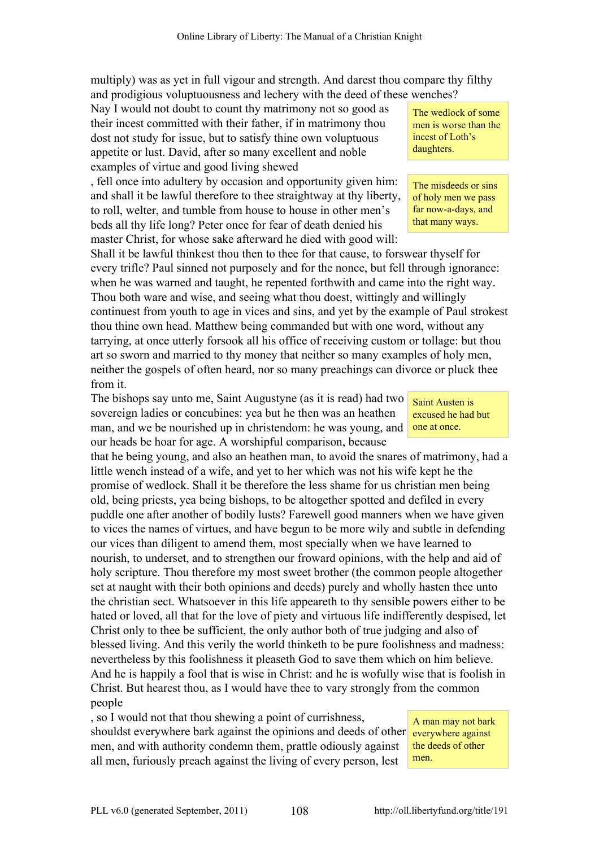multiply) was as yet in full vigour and strength. And darest thou compare thy filthy and prodigious voluptuousness and lechery with the deed of these wenches?

Nay I would not doubt to count thy matrimony not so good as their incest committed with their father, if in matrimony thou dost not study for issue, but to satisfy thine own voluptuous appetite or lust. David, after so many excellent and noble examples of virtue and good living shewed

, fell once into adultery by occasion and opportunity given him: and shall it be lawful therefore to thee straightway at thy liberty, to roll, welter, and tumble from house to house in other men's beds all thy life long? Peter once for fear of death denied his master Christ, for whose sake afterward he died with good will:

Shall it be lawful thinkest thou then to thee for that cause, to forswear thyself for every trifle? Paul sinned not purposely and for the nonce, but fell through ignorance: when he was warned and taught, he repented forthwith and came into the right way. Thou both ware and wise, and seeing what thou doest, wittingly and willingly continuest from youth to age in vices and sins, and yet by the example of Paul strokest thou thine own head. Matthew being commanded but with one word, without any tarrying, at once utterly forsook all his office of receiving custom or tollage: but thou art so sworn and married to thy money that neither so many examples of holy men, neither the gospels of often heard, nor so many preachings can divorce or pluck thee from it.

The bishops say unto me, Saint Augustyne (as it is read) had two sovereign ladies or concubines: yea but he then was an heathen man, and we be nourished up in christendom: he was young, and our heads be hoar for age. A worshipful comparison, because

that he being young, and also an heathen man, to avoid the snares of matrimony, had a little wench instead of a wife, and yet to her which was not his wife kept he the promise of wedlock. Shall it be therefore the less shame for us christian men being old, being priests, yea being bishops, to be altogether spotted and defiled in every puddle one after another of bodily lusts? Farewell good manners when we have given to vices the names of virtues, and have begun to be more wily and subtle in defending our vices than diligent to amend them, most specially when we have learned to nourish, to underset, and to strengthen our froward opinions, with the help and aid of holy scripture. Thou therefore my most sweet brother (the common people altogether set at naught with their both opinions and deeds) purely and wholly hasten thee unto the christian sect. Whatsoever in this life appeareth to thy sensible powers either to be hated or loved, all that for the love of piety and virtuous life indifferently despised, let Christ only to thee be sufficient, the only author both of true judging and also of blessed living. And this verily the world thinketh to be pure foolishness and madness: nevertheless by this foolishness it pleaseth God to save them which on him believe. And he is happily a fool that is wise in Christ: and he is wofully wise that is foolish in Christ. But hearest thou, as I would have thee to vary strongly from the common people

, so I would not that thou shewing a point of currishness, shouldst everywhere bark against the opinions and deeds of other men, and with authority condemn them, prattle odiously against all men, furiously preach against the living of every person, lest

A man may not bark everywhere against the deeds of other men.

The wedlock of some men is worse than the incest of Loth's daughters.

The misdeeds or sins of holy men we pass far now-a-days, and that many ways.

Saint Austen is excused he had but one at once.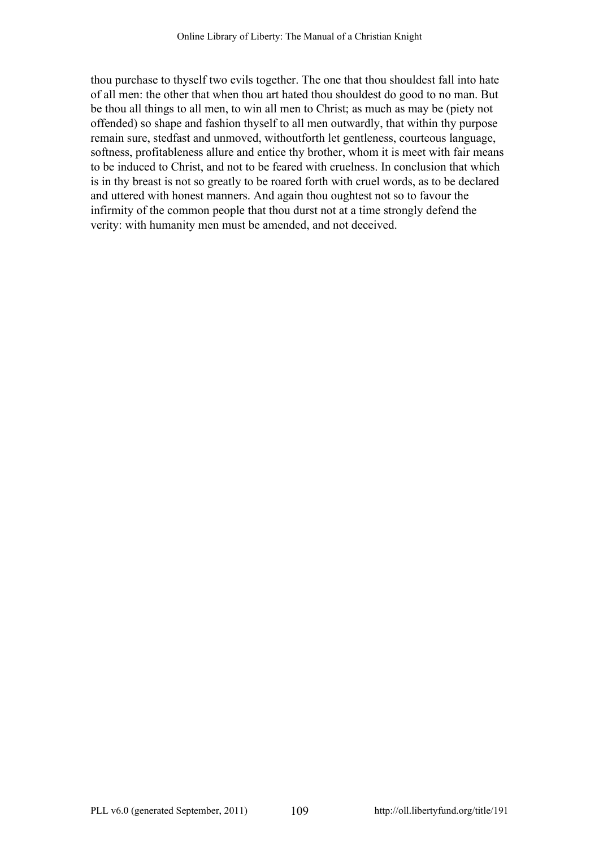thou purchase to thyself two evils together. The one that thou shouldest fall into hate of all men: the other that when thou art hated thou shouldest do good to no man. But be thou all things to all men, to win all men to Christ; as much as may be (piety not offended) so shape and fashion thyself to all men outwardly, that within thy purpose remain sure, stedfast and unmoved, withoutforth let gentleness, courteous language, softness, profitableness allure and entice thy brother, whom it is meet with fair means to be induced to Christ, and not to be feared with cruelness. In conclusion that which is in thy breast is not so greatly to be roared forth with cruel words, as to be declared and uttered with honest manners. And again thou oughtest not so to favour the infirmity of the common people that thou durst not at a time strongly defend the verity: with humanity men must be amended, and not deceived.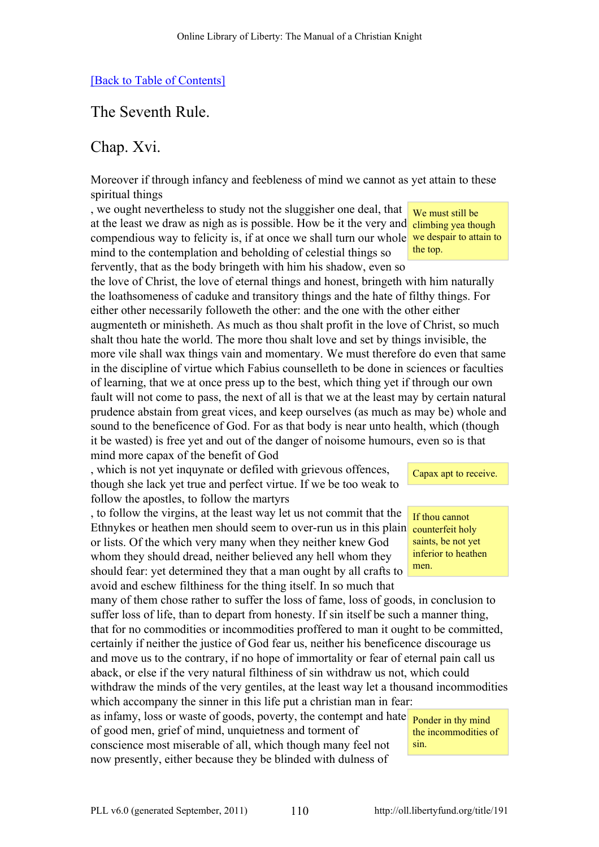#### The Seventh Rule.

#### Chap. Xvi.

Moreover if through infancy and feebleness of mind we cannot as yet attain to these spiritual things

at the least we draw as nigh as is possible. How be it the very and climbing yea though compendious way to felicity is, if at once we shall turn our whole we despair to attain to , we ought nevertheless to study not the sluggisher one deal, that mind to the contemplation and beholding of celestial things so fervently, that as the body bringeth with him his shadow, even so

the love of Christ, the love of eternal things and honest, bringeth with him naturally the loathsomeness of caduke and transitory things and the hate of filthy things. For either other necessarily followeth the other: and the one with the other either augmenteth or minisheth. As much as thou shalt profit in the love of Christ, so much shalt thou hate the world. The more thou shalt love and set by things invisible, the more vile shall wax things vain and momentary. We must therefore do even that same in the discipline of virtue which Fabius counselleth to be done in sciences or faculties of learning, that we at once press up to the best, which thing yet if through our own fault will not come to pass, the next of all is that we at the least may by certain natural prudence abstain from great vices, and keep ourselves (as much as may be) whole and sound to the beneficence of God. For as that body is near unto health, which (though it be wasted) is free yet and out of the danger of noisome humours, even so is that mind more capax of the benefit of God

, which is not yet inquynate or defiled with grievous offences, though she lack yet true and perfect virtue. If we be too weak to follow the apostles, to follow the martyrs

, to follow the virgins, at the least way let us not commit that the Ethnykes or heathen men should seem to over-run us in this plain or lists. Of the which very many when they neither knew God whom they should dread, neither believed any hell whom they should fear: yet determined they that a man ought by all crafts to avoid and eschew filthiness for the thing itself. In so much that

many of them chose rather to suffer the loss of fame, loss of goods, in conclusion to suffer loss of life, than to depart from honesty. If sin itself be such a manner thing, that for no commodities or incommodities proffered to man it ought to be committed, certainly if neither the justice of God fear us, neither his beneficence discourage us and move us to the contrary, if no hope of immortality or fear of eternal pain call us aback, or else if the very natural filthiness of sin withdraw us not, which could withdraw the minds of the very gentiles, at the least way let a thousand incommodities which accompany the sinner in this life put a christian man in fear:

as infamy, loss or waste of goods, poverty, the contempt and hate of good men, grief of mind, unquietness and torment of conscience most miserable of all, which though many feel not now presently, either because they be blinded with dulness of

We must still be the top.

Capax apt to receive.

If thou cannot counterfeit holy saints, be not yet inferior to heathen men.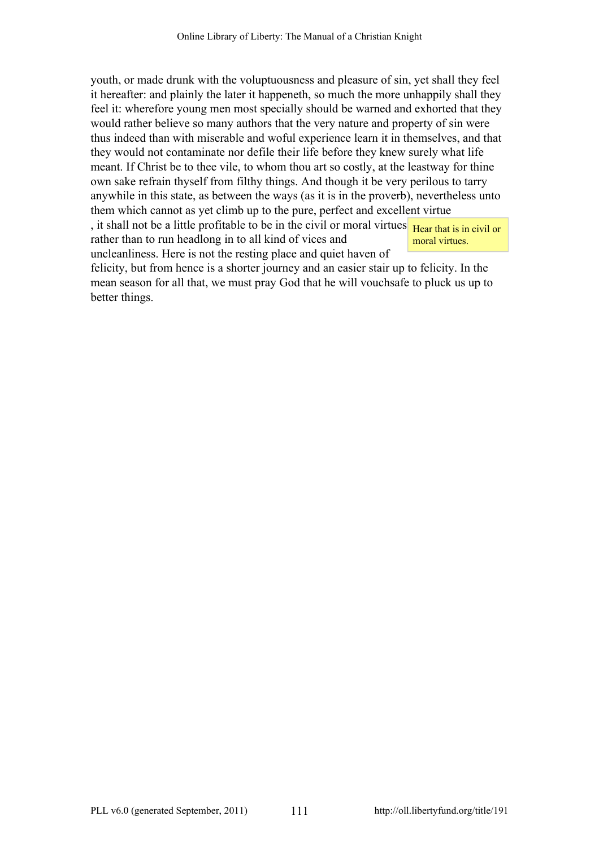youth, or made drunk with the voluptuousness and pleasure of sin, yet shall they feel it hereafter: and plainly the later it happeneth, so much the more unhappily shall they feel it: wherefore young men most specially should be warned and exhorted that they would rather believe so many authors that the very nature and property of sin were thus indeed than with miserable and woful experience learn it in themselves, and that they would not contaminate nor defile their life before they knew surely what life meant. If Christ be to thee vile, to whom thou art so costly, at the leastway for thine own sake refrain thyself from filthy things. And though it be very perilous to tarry anywhile in this state, as between the ways (as it is in the proverb), nevertheless unto them which cannot as yet climb up to the pure, perfect and excellent virtue

, it shall not be a little profitable to be in the civil or moral virtues  $\frac{1}{\sqrt{1-\frac{1}{n}}}\$ rather than to run headlong in to all kind of vices and uncleanliness. Here is not the resting place and quiet haven of

moral virtues.

felicity, but from hence is a shorter journey and an easier stair up to felicity. In the mean season for all that, we must pray God that he will vouchsafe to pluck us up to better things.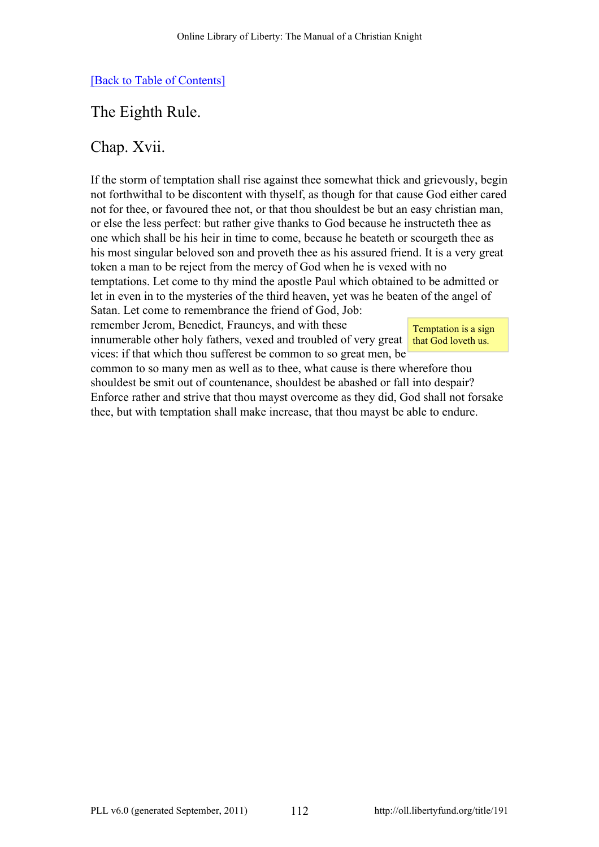# The Eighth Rule.

#### Chap. Xvii.

If the storm of temptation shall rise against thee somewhat thick and grievously, begin not forthwithal to be discontent with thyself, as though for that cause God either cared not for thee, or favoured thee not, or that thou shouldest be but an easy christian man, or else the less perfect: but rather give thanks to God because he instructeth thee as one which shall be his heir in time to come, because he beateth or scourgeth thee as his most singular beloved son and proveth thee as his assured friend. It is a very great token a man to be reject from the mercy of God when he is vexed with no temptations. Let come to thy mind the apostle Paul which obtained to be admitted or let in even in to the mysteries of the third heaven, yet was he beaten of the angel of Satan. Let come to remembrance the friend of God, Job:

remember Jerom, Benedict, Frauncys, and with these innumerable other holy fathers, vexed and troubled of very great vices: if that which thou sufferest be common to so great men, be

Temptation is a sign that God loveth us.

common to so many men as well as to thee, what cause is there wherefore thou shouldest be smit out of countenance, shouldest be abashed or fall into despair? Enforce rather and strive that thou mayst overcome as they did, God shall not forsake thee, but with temptation shall make increase, that thou mayst be able to endure.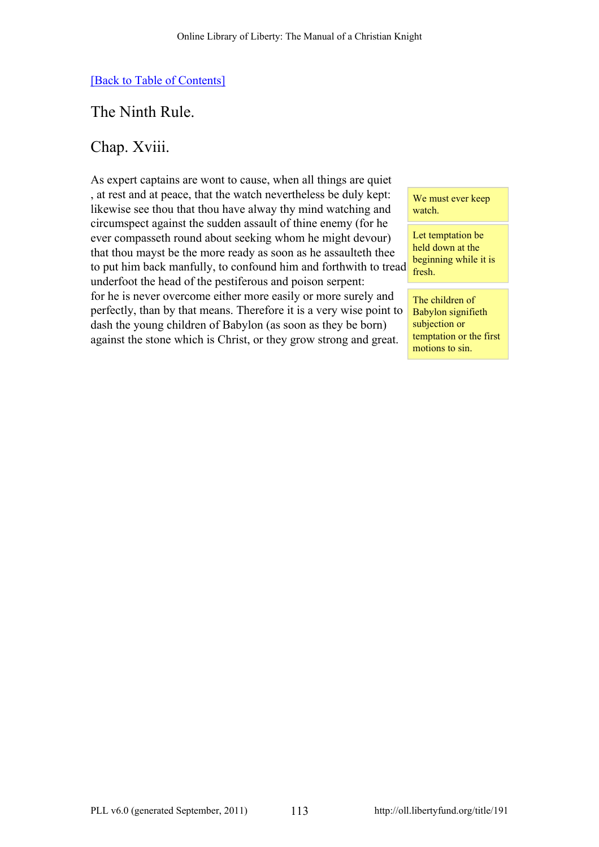# The Ninth Rule.

# Chap. Xviii.

As expert captains are wont to cause, when all things are quiet , at rest and at peace, that the watch nevertheless be duly kept: likewise see thou that thou have alway thy mind watching and circumspect against the sudden assault of thine enemy (for he ever compasseth round about seeking whom he might devour) that thou mayst be the more ready as soon as he assaulteth thee to put him back manfully, to confound him and forthwith to tread underfoot the head of the pestiferous and poison serpent: for he is never overcome either more easily or more surely and perfectly, than by that means. Therefore it is a very wise point to dash the young children of Babylon (as soon as they be born) against the stone which is Christ, or they grow strong and great.

We must ever keep watch.

Let temptation be held down at the beginning while it is fresh.

The children of Babylon signifieth subjection or temptation or the first motions to sin.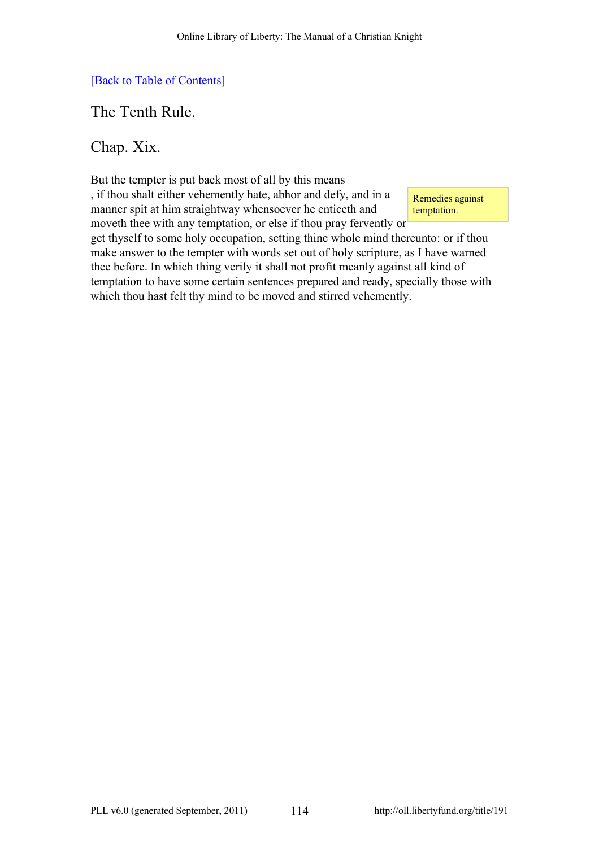The Tenth Rule.

Chap. Xix.

But the tempter is put back most of all by this means

, if thou shalt either vehemently hate, abhor and defy, and in a manner spit at him straightway whensoever he enticeth and moveth thee with any temptation, or else if thou pray fervently or

Remedies against temptation.

get thyself to some holy occupation, setting thine whole mind thereunto: or if thou make answer to the tempter with words set out of holy scripture, as I have warned thee before. In which thing verily it shall not profit meanly against all kind of temptation to have some certain sentences prepared and ready, specially those with which thou hast felt thy mind to be moved and stirred vehemently.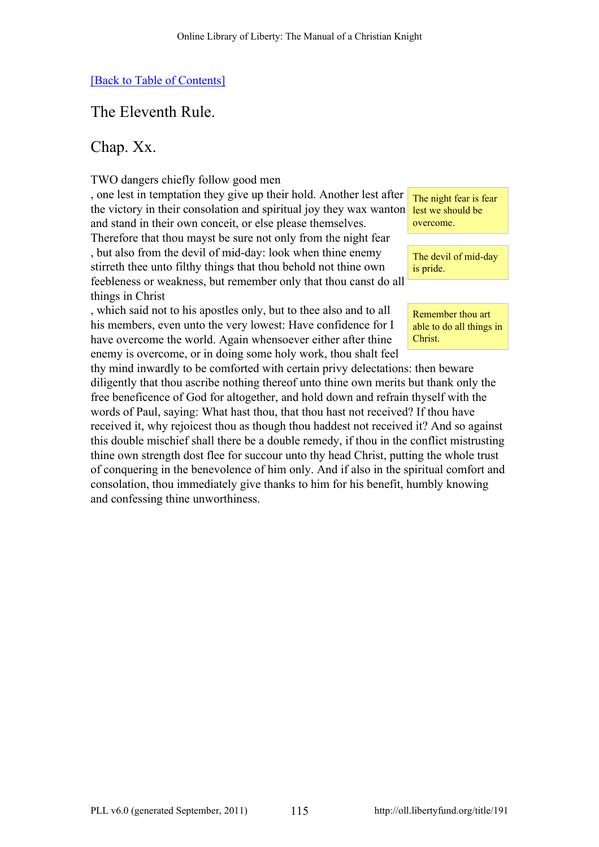# The Eleventh Rule.

#### Chap. Xx.

#### TWO dangers chiefly follow good men

, one lest in temptation they give up their hold. Another lest after the victory in their consolation and spiritual joy they wax wanton and stand in their own conceit, or else please themselves. Therefore that thou mayst be sure not only from the night fear

, but also from the devil of mid-day: look when thine enemy stirreth thee unto filthy things that thou behold not thine own feebleness or weakness, but remember only that thou canst do all things in Christ

, which said not to his apostles only, but to thee also and to all his members, even unto the very lowest: Have confidence for I have overcome the world. Again whensoever either after thine enemy is overcome, or in doing some holy work, thou shalt feel The night fear is fear lest we should be overcome.

The devil of mid-day is pride.

Remember thou art able to do all things in Christ.

thy mind inwardly to be comforted with certain privy delectations: then beware diligently that thou ascribe nothing thereof unto thine own merits but thank only the free beneficence of God for altogether, and hold down and refrain thyself with the words of Paul, saying: What hast thou, that thou hast not received? If thou have received it, why rejoicest thou as though thou haddest not received it? And so against this double mischief shall there be a double remedy, if thou in the conflict mistrusting thine own strength dost flee for succour unto thy head Christ, putting the whole trust of conquering in the benevolence of him only. And if also in the spiritual comfort and consolation, thou immediately give thanks to him for his benefit, humbly knowing and confessing thine unworthiness.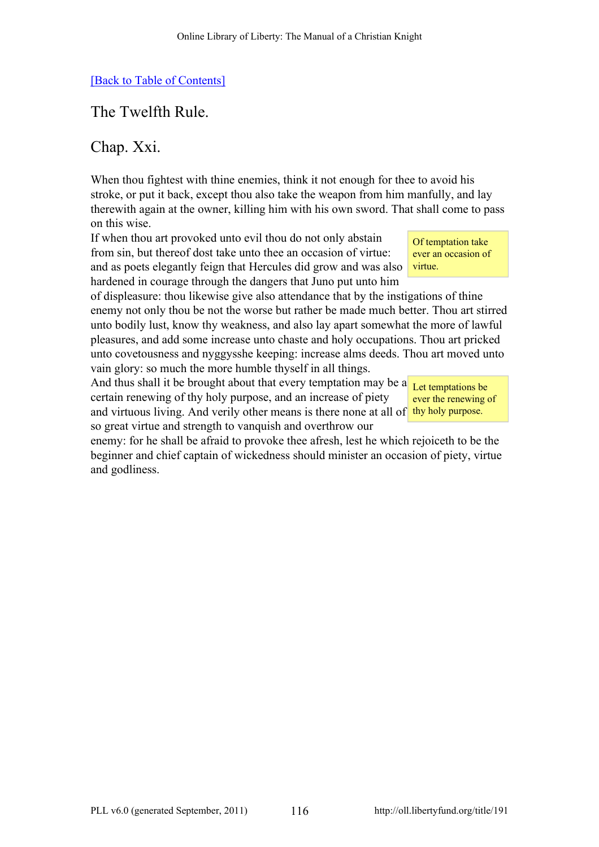# The Twelfth Rule.

# Chap. Xxi.

When thou fightest with thine enemies, think it not enough for thee to avoid his stroke, or put it back, except thou also take the weapon from him manfully, and lay therewith again at the owner, killing him with his own sword. That shall come to pass on this wise.

If when thou art provoked unto evil thou do not only abstain from sin, but thereof dost take unto thee an occasion of virtue: and as poets elegantly feign that Hercules did grow and was also hardened in courage through the dangers that Juno put unto him

Of temptation take ever an occasion of virtue.

of displeasure: thou likewise give also attendance that by the instigations of thine enemy not only thou be not the worse but rather be made much better. Thou art stirred unto bodily lust, know thy weakness, and also lay apart somewhat the more of lawful pleasures, and add some increase unto chaste and holy occupations. Thou art pricked unto covetousness and nyggysshe keeping: increase alms deeds. Thou art moved unto vain glory: so much the more humble thyself in all things.

And thus shall it be brought about that every temptation may be a Let temptations be and virtuous living. And verily other means is there none at all of thy holy purpose. certain renewing of thy holy purpose, and an increase of piety so great virtue and strength to vanquish and overthrow our

ever the renewing of

enemy: for he shall be afraid to provoke thee afresh, lest he which rejoiceth to be the beginner and chief captain of wickedness should minister an occasion of piety, virtue and godliness.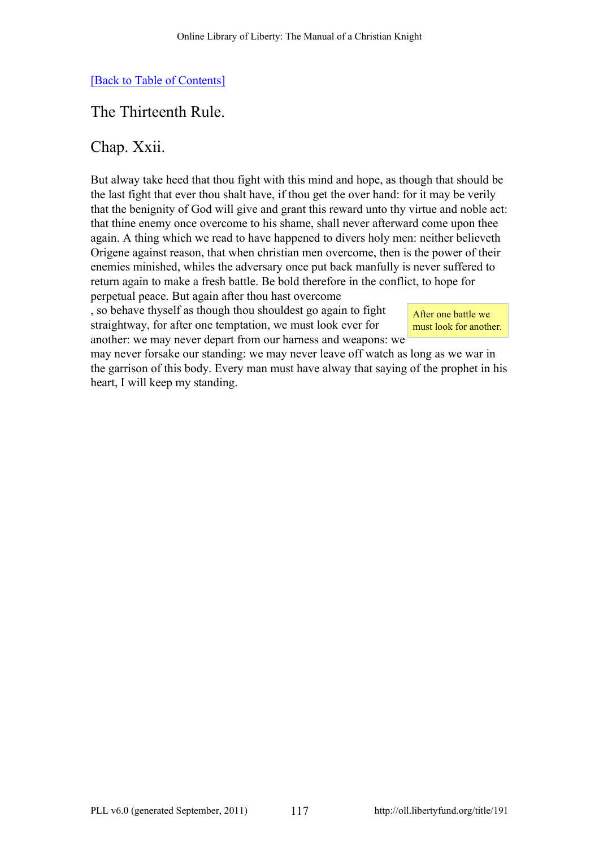# The Thirteenth Rule.

#### Chap. Xxii.

But alway take heed that thou fight with this mind and hope, as though that should be the last fight that ever thou shalt have, if thou get the over hand: for it may be verily that the benignity of God will give and grant this reward unto thy virtue and noble act: that thine enemy once overcome to his shame, shall never afterward come upon thee again. A thing which we read to have happened to divers holy men: neither believeth Origene against reason, that when christian men overcome, then is the power of their enemies minished, whiles the adversary once put back manfully is never suffered to return again to make a fresh battle. Be bold therefore in the conflict, to hope for perpetual peace. But again after thou hast overcome

, so behave thyself as though thou shouldest go again to fight straightway, for after one temptation, we must look ever for another: we may never depart from our harness and weapons: we

After one battle we must look for another

may never forsake our standing: we may never leave off watch as long as we war in the garrison of this body. Every man must have alway that saying of the prophet in his heart, I will keep my standing.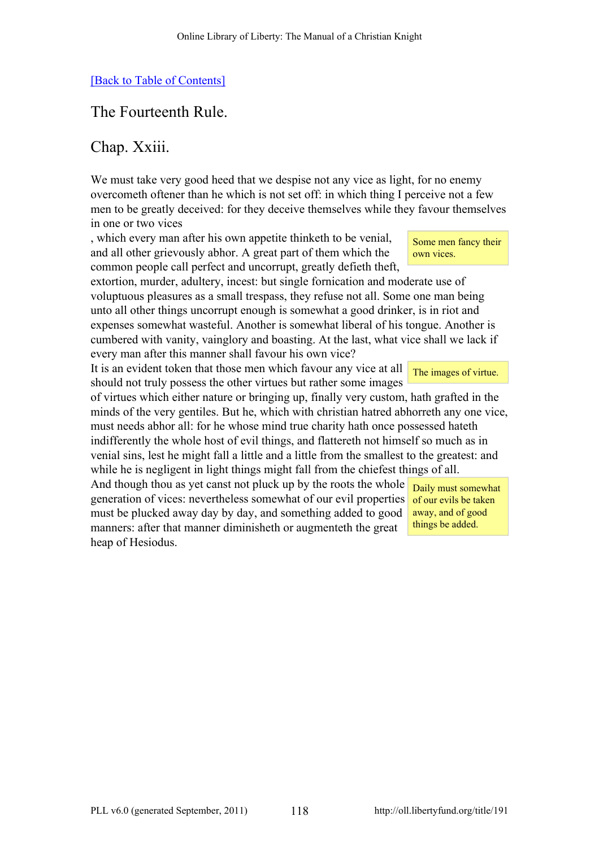#### The Fourteenth Rule.

#### Chap. Xxiii.

We must take very good heed that we despise not any vice as light, for no enemy overcometh oftener than he which is not set off: in which thing I perceive not a few men to be greatly deceived: for they deceive themselves while they favour themselves in one or two vices

, which every man after his own appetite thinketh to be venial, and all other grievously abhor. A great part of them which the common people call perfect and uncorrupt, greatly defieth theft,

extortion, murder, adultery, incest: but single fornication and moderate use of voluptuous pleasures as a small trespass, they refuse not all. Some one man being unto all other things uncorrupt enough is somewhat a good drinker, is in riot and expenses somewhat wasteful. Another is somewhat liberal of his tongue. Another is cumbered with vanity, vainglory and boasting. At the last, what vice shall we lack if every man after this manner shall favour his own vice?

It is an evident token that those men which favour any vice at all should not truly possess the other virtues but rather some images

of virtues which either nature or bringing up, finally very custom, hath grafted in the minds of the very gentiles. But he, which with christian hatred abhorreth any one vice, must needs abhor all: for he whose mind true charity hath once possessed hateth indifferently the whole host of evil things, and flattereth not himself so much as in venial sins, lest he might fall a little and a little from the smallest to the greatest: and while he is negligent in light things might fall from the chiefest things of all.

And though thou as yet canst not pluck up by the roots the whole generation of vices: nevertheless somewhat of our evil properties must be plucked away day by day, and something added to good manners: after that manner diminisheth or augmenteth the great heap of Hesiodus.

Daily must somewhat of our evils be taken away, and of good things be added.

The images of virtue.

Some men fancy their own vices.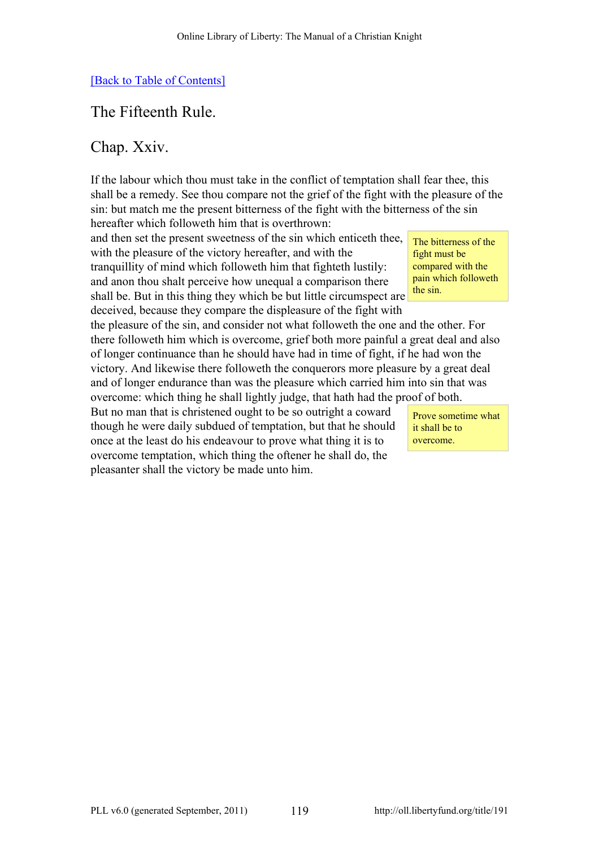# The Fifteenth Rule.

#### Chap. Xxiv.

If the labour which thou must take in the conflict of temptation shall fear thee, this shall be a remedy. See thou compare not the grief of the fight with the pleasure of the sin: but match me the present bitterness of the fight with the bitterness of the sin hereafter which followeth him that is overthrown:

and then set the present sweetness of the sin which enticeth thee, with the pleasure of the victory hereafter, and with the tranquillity of mind which followeth him that fighteth lustily: and anon thou shalt perceive how unequal a comparison there shall be. But in this thing they which be but little circumspect are deceived, because they compare the displeasure of the fight with

The bitterness of the fight must be compared with the pain which followeth the sin.

the pleasure of the sin, and consider not what followeth the one and the other. For there followeth him which is overcome, grief both more painful a great deal and also of longer continuance than he should have had in time of fight, if he had won the victory. And likewise there followeth the conquerors more pleasure by a great deal and of longer endurance than was the pleasure which carried him into sin that was overcome: which thing he shall lightly judge, that hath had the proof of both.

But no man that is christened ought to be so outright a coward though he were daily subdued of temptation, but that he should once at the least do his endeavour to prove what thing it is to overcome temptation, which thing the oftener he shall do, the pleasanter shall the victory be made unto him.

Prove sometime what it shall be to overcome.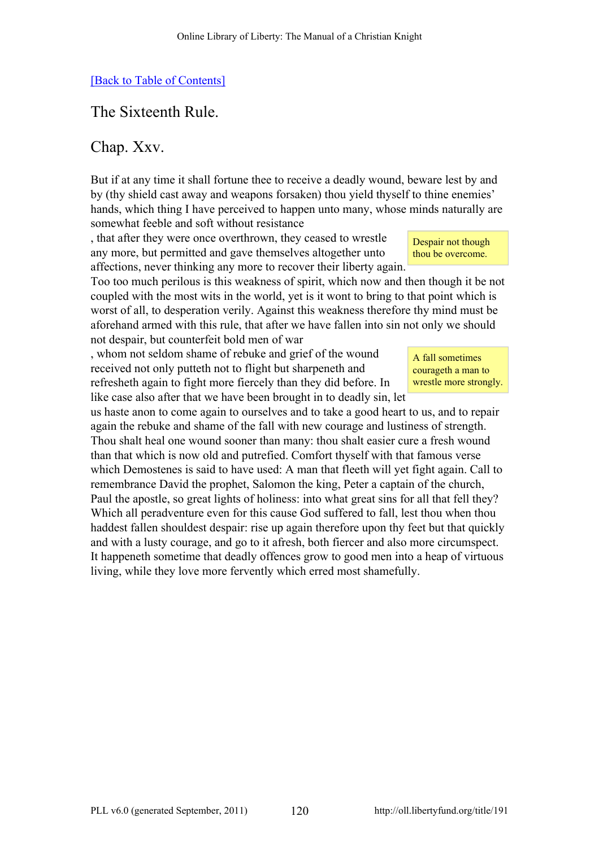#### The Sixteenth Rule.

#### Chap. Xxv.

But if at any time it shall fortune thee to receive a deadly wound, beware lest by and by (thy shield cast away and weapons forsaken) thou yield thyself to thine enemies' hands, which thing I have perceived to happen unto many, whose minds naturally are somewhat feeble and soft without resistance

, that after they were once overthrown, they ceased to wrestle any more, but permitted and gave themselves altogether unto affections, never thinking any more to recover their liberty again.

Despair not though thou be overcome.

Too too much perilous is this weakness of spirit, which now and then though it be not coupled with the most wits in the world, yet is it wont to bring to that point which is worst of all, to desperation verily. Against this weakness therefore thy mind must be aforehand armed with this rule, that after we have fallen into sin not only we should not despair, but counterfeit bold men of war

, whom not seldom shame of rebuke and grief of the wound received not only putteth not to flight but sharpeneth and refresheth again to fight more fiercely than they did before. In like case also after that we have been brought in to deadly sin, let

us haste anon to come again to ourselves and to take a good heart to us, and to repair again the rebuke and shame of the fall with new courage and lustiness of strength. Thou shalt heal one wound sooner than many: thou shalt easier cure a fresh wound than that which is now old and putrefied. Comfort thyself with that famous verse which Demostenes is said to have used: A man that fleeth will yet fight again. Call to remembrance David the prophet, Salomon the king, Peter a captain of the church, Paul the apostle, so great lights of holiness: into what great sins for all that fell they? Which all peradventure even for this cause God suffered to fall, lest thou when thou haddest fallen shouldest despair: rise up again therefore upon thy feet but that quickly and with a lusty courage, and go to it afresh, both fiercer and also more circumspect. It happeneth sometime that deadly offences grow to good men into a heap of virtuous living, while they love more fervently which erred most shamefully.

A fall sometimes courageth a man to wrestle more strongly.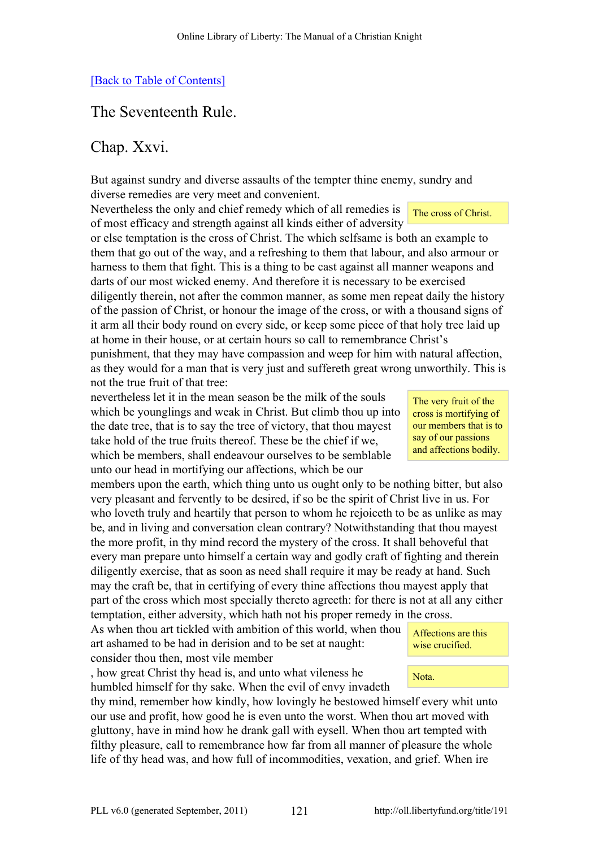#### The Seventeenth Rule.

#### Chap. Xxvi.

But against sundry and diverse assaults of the tempter thine enemy, sundry and diverse remedies are very meet and convenient.

The cross of Christ. Nevertheless the only and chief remedy which of all remedies is of most efficacy and strength against all kinds either of adversity

or else temptation is the cross of Christ. The which selfsame is both an example to them that go out of the way, and a refreshing to them that labour, and also armour or harness to them that fight. This is a thing to be cast against all manner weapons and darts of our most wicked enemy. And therefore it is necessary to be exercised diligently therein, not after the common manner, as some men repeat daily the history of the passion of Christ, or honour the image of the cross, or with a thousand signs of it arm all their body round on every side, or keep some piece of that holy tree laid up at home in their house, or at certain hours so call to remembrance Christ's

punishment, that they may have compassion and weep for him with natural affection, as they would for a man that is very just and suffereth great wrong unworthily. This is not the true fruit of that tree:

nevertheless let it in the mean season be the milk of the souls which be younglings and weak in Christ. But climb thou up into the date tree, that is to say the tree of victory, that thou mayest take hold of the true fruits thereof. These be the chief if we, which be members, shall endeavour ourselves to be semblable unto our head in mortifying our affections, which be our

members upon the earth, which thing unto us ought only to be nothing bitter, but also very pleasant and fervently to be desired, if so be the spirit of Christ live in us. For who loveth truly and heartily that person to whom he rejoiceth to be as unlike as may be, and in living and conversation clean contrary? Notwithstanding that thou mayest the more profit, in thy mind record the mystery of the cross. It shall behoveful that every man prepare unto himself a certain way and godly craft of fighting and therein diligently exercise, that as soon as need shall require it may be ready at hand. Such may the craft be, that in certifying of every thine affections thou mayest apply that part of the cross which most specially thereto agreeth: for there is not at all any either temptation, either adversity, which hath not his proper remedy in the cross.

As when thou art tickled with ambition of this world, when thou art ashamed to be had in derision and to be set at naught: consider thou then, most vile member

, how great Christ thy head is, and unto what vileness he humbled himself for thy sake. When the evil of envy invadeth

thy mind, remember how kindly, how lovingly he bestowed himself every whit unto our use and profit, how good he is even unto the worst. When thou art moved with gluttony, have in mind how he drank gall with eysell. When thou art tempted with filthy pleasure, call to remembrance how far from all manner of pleasure the whole life of thy head was, and how full of incommodities, vexation, and grief. When ire

The very fruit of the cross is mortifying of our members that is to say of our passions and affections bodily.

Affections are this wise crucified.

Nota.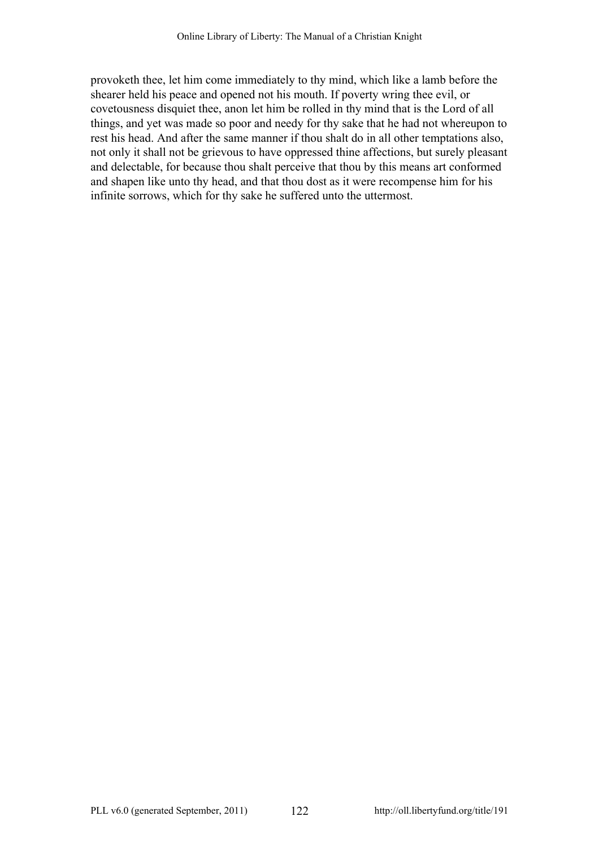provoketh thee, let him come immediately to thy mind, which like a lamb before the shearer held his peace and opened not his mouth. If poverty wring thee evil, or covetousness disquiet thee, anon let him be rolled in thy mind that is the Lord of all things, and yet was made so poor and needy for thy sake that he had not whereupon to rest his head. And after the same manner if thou shalt do in all other temptations also, not only it shall not be grievous to have oppressed thine affections, but surely pleasant and delectable, for because thou shalt perceive that thou by this means art conformed and shapen like unto thy head, and that thou dost as it were recompense him for his infinite sorrows, which for thy sake he suffered unto the uttermost.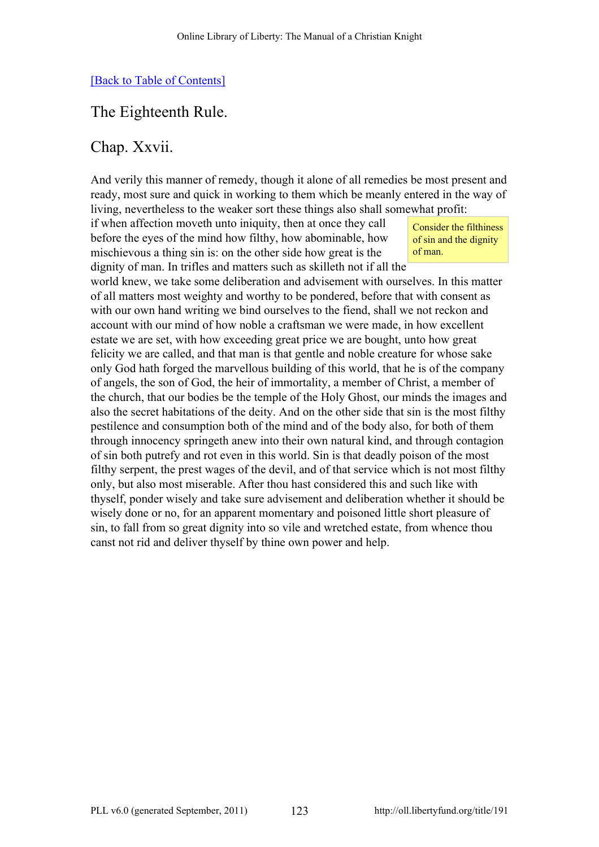#### The Eighteenth Rule.

#### Chap. Xxvii.

And verily this manner of remedy, though it alone of all remedies be most present and ready, most sure and quick in working to them which be meanly entered in the way of living, nevertheless to the weaker sort these things also shall somewhat profit:

if when affection moveth unto iniquity, then at once they call before the eyes of the mind how filthy, how abominable, how mischievous a thing sin is: on the other side how great is the dignity of man. In trifles and matters such as skilleth not if all the

Consider the filthiness of sin and the dignity of man.

world knew, we take some deliberation and advisement with ourselves. In this matter of all matters most weighty and worthy to be pondered, before that with consent as with our own hand writing we bind ourselves to the fiend, shall we not reckon and account with our mind of how noble a craftsman we were made, in how excellent estate we are set, with how exceeding great price we are bought, unto how great felicity we are called, and that man is that gentle and noble creature for whose sake only God hath forged the marvellous building of this world, that he is of the company of angels, the son of God, the heir of immortality, a member of Christ, a member of the church, that our bodies be the temple of the Holy Ghost, our minds the images and also the secret habitations of the deity. And on the other side that sin is the most filthy pestilence and consumption both of the mind and of the body also, for both of them through innocency springeth anew into their own natural kind, and through contagion of sin both putrefy and rot even in this world. Sin is that deadly poison of the most filthy serpent, the prest wages of the devil, and of that service which is not most filthy only, but also most miserable. After thou hast considered this and such like with thyself, ponder wisely and take sure advisement and deliberation whether it should be wisely done or no, for an apparent momentary and poisoned little short pleasure of sin, to fall from so great dignity into so vile and wretched estate, from whence thou canst not rid and deliver thyself by thine own power and help.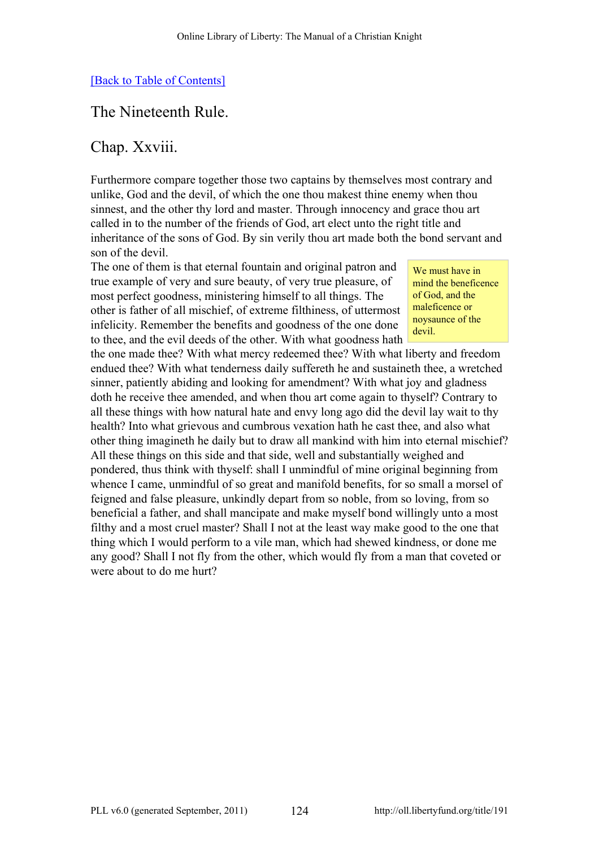#### The Nineteenth Rule.

#### Chap. Xxviii.

Furthermore compare together those two captains by themselves most contrary and unlike, God and the devil, of which the one thou makest thine enemy when thou sinnest, and the other thy lord and master. Through innocency and grace thou art called in to the number of the friends of God, art elect unto the right title and inheritance of the sons of God. By sin verily thou art made both the bond servant and son of the devil.

The one of them is that eternal fountain and original patron and true example of very and sure beauty, of very true pleasure, of most perfect goodness, ministering himself to all things. The other is father of all mischief, of extreme filthiness, of uttermost infelicity. Remember the benefits and goodness of the one done to thee, and the evil deeds of the other. With what goodness hath

We must have in mind the beneficence of God, and the maleficence or noysaunce of the devil.

the one made thee? With what mercy redeemed thee? With what liberty and freedom endued thee? With what tenderness daily suffereth he and sustaineth thee, a wretched sinner, patiently abiding and looking for amendment? With what joy and gladness doth he receive thee amended, and when thou art come again to thyself? Contrary to all these things with how natural hate and envy long ago did the devil lay wait to thy health? Into what grievous and cumbrous vexation hath he cast thee, and also what other thing imagineth he daily but to draw all mankind with him into eternal mischief? All these things on this side and that side, well and substantially weighed and pondered, thus think with thyself: shall I unmindful of mine original beginning from whence I came, unmindful of so great and manifold benefits, for so small a morsel of feigned and false pleasure, unkindly depart from so noble, from so loving, from so beneficial a father, and shall mancipate and make myself bond willingly unto a most filthy and a most cruel master? Shall I not at the least way make good to the one that thing which I would perform to a vile man, which had shewed kindness, or done me any good? Shall I not fly from the other, which would fly from a man that coveted or were about to do me hurt?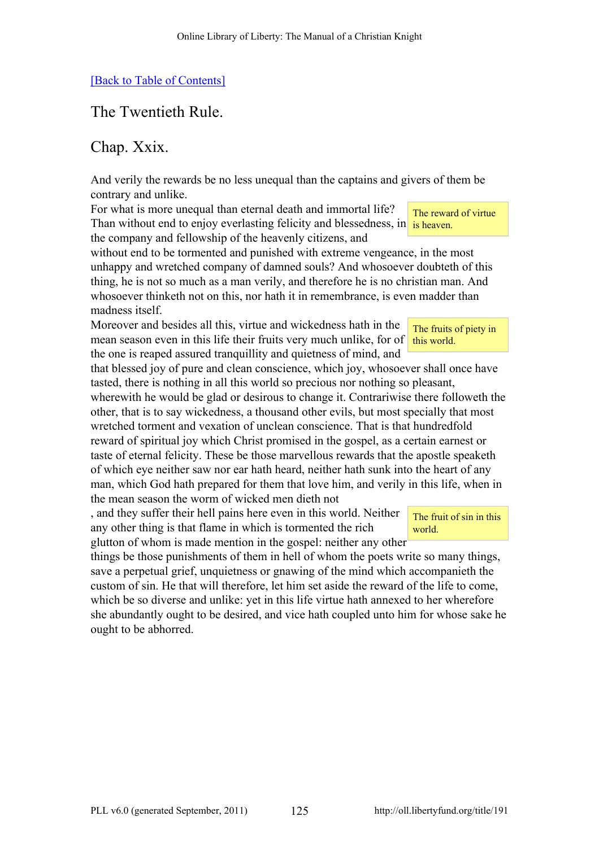# The Twentieth Rule.

# Chap. Xxix.

And verily the rewards be no less unequal than the captains and givers of them be contrary and unlike.

Than without end to enjoy everlasting felicity and blessedness, in is heaven. For what is more unequal than eternal death and immortal life? the company and fellowship of the heavenly citizens, and

The reward of virtue

without end to be tormented and punished with extreme vengeance, in the most unhappy and wretched company of damned souls? And whosoever doubteth of this thing, he is not so much as a man verily, and therefore he is no christian man. And whosoever thinketh not on this, nor hath it in remembrance, is even madder than madness itself.

Moreover and besides all this, virtue and wickedness hath in the mean season even in this life their fruits very much unlike, for of the one is reaped assured tranquillity and quietness of mind, and

The fruits of piety in this world.

that blessed joy of pure and clean conscience, which joy, whosoever shall once have tasted, there is nothing in all this world so precious nor nothing so pleasant,

wherewith he would be glad or desirous to change it. Contrariwise there followeth the other, that is to say wickedness, a thousand other evils, but most specially that most wretched torment and vexation of unclean conscience. That is that hundredfold reward of spiritual joy which Christ promised in the gospel, as a certain earnest or taste of eternal felicity. These be those marvellous rewards that the apostle speaketh of which eye neither saw nor ear hath heard, neither hath sunk into the heart of any man, which God hath prepared for them that love him, and verily in this life, when in the mean season the worm of wicked men dieth not

, and they suffer their hell pains here even in this world. Neither any other thing is that flame in which is tormented the rich glutton of whom is made mention in the gospel: neither any other

things be those punishments of them in hell of whom the poets write so many things, save a perpetual grief, unquietness or gnawing of the mind which accompanieth the custom of sin. He that will therefore, let him set aside the reward of the life to come, which be so diverse and unlike: yet in this life virtue hath annexed to her wherefore she abundantly ought to be desired, and vice hath coupled unto him for whose sake he ought to be abhorred.

world.

The fruit of sin in this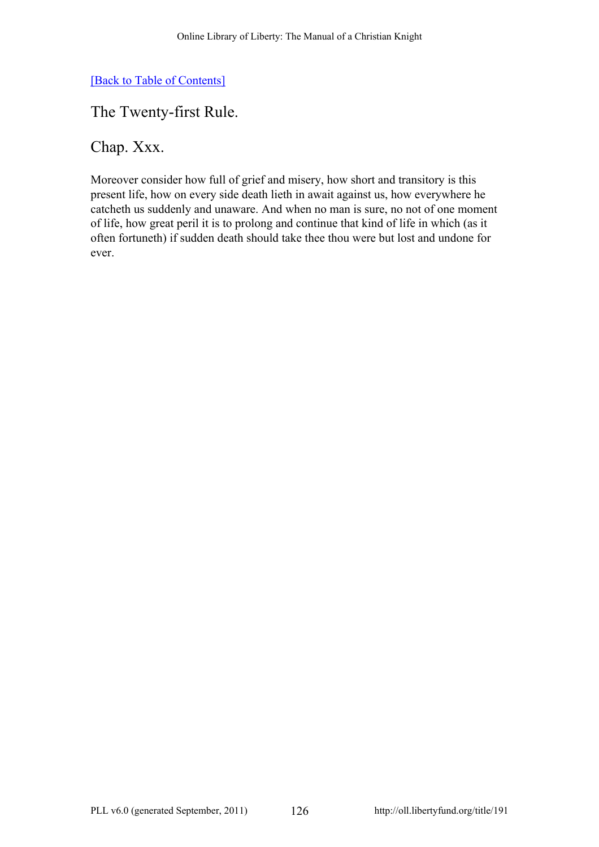# The Twenty-first Rule.

Chap. Xxx.

Moreover consider how full of grief and misery, how short and transitory is this present life, how on every side death lieth in await against us, how everywhere he catcheth us suddenly and unaware. And when no man is sure, no not of one moment of life, how great peril it is to prolong and continue that kind of life in which (as it often fortuneth) if sudden death should take thee thou were but lost and undone for ever.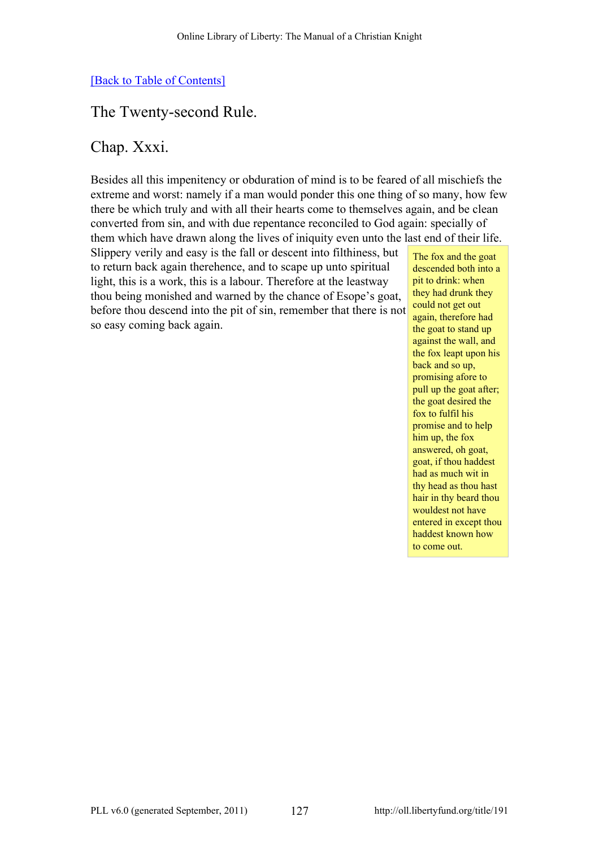#### The Twenty-second Rule.

#### Chap. Xxxi.

Besides all this impenitency or obduration of mind is to be feared of all mischiefs the extreme and worst: namely if a man would ponder this one thing of so many, how few there be which truly and with all their hearts come to themselves again, and be clean converted from sin, and with due repentance reconciled to God again: specially of them which have drawn along the lives of iniquity even unto the last end of their life.

Slippery verily and easy is the fall or descent into filthiness, but to return back again therehence, and to scape up unto spiritual light, this is a work, this is a labour. Therefore at the leastway thou being monished and warned by the chance of Esope's goat, before thou descend into the pit of sin, remember that there is not so easy coming back again.

The fox and the goat descended both into a pit to drink: when they had drunk they could not get out again, therefore had the goat to stand up against the wall, and the fox leapt upon his back and so up, promising afore to pull up the goat after; the goat desired the fox to fulfil his promise and to help him up, the fox answered, oh goat, goat, if thou haddest had as much wit in thy head as thou hast hair in thy beard thou wouldest not have entered in except thou haddest known how to come out.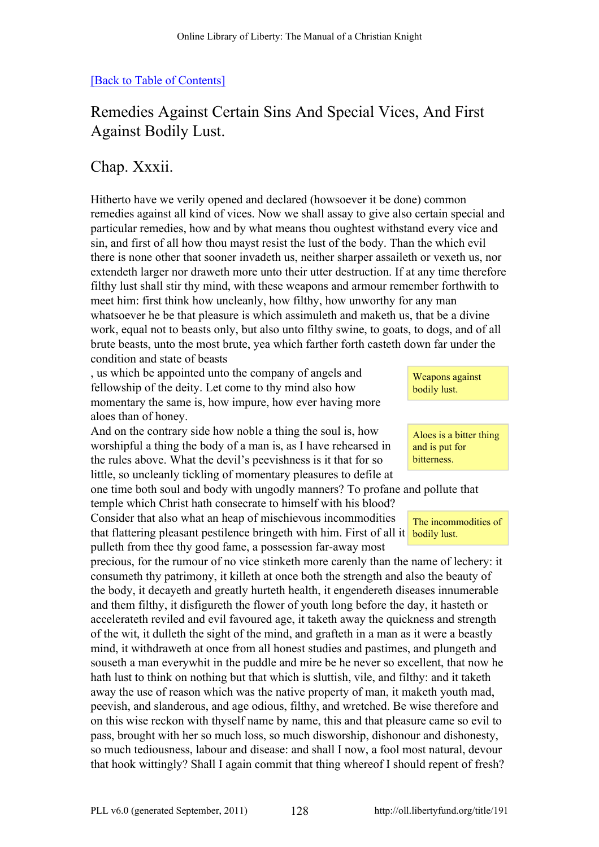# Remedies Against Certain Sins And Special Vices, And First Against Bodily Lust.

# Chap. Xxxii.

Hitherto have we verily opened and declared (howsoever it be done) common remedies against all kind of vices. Now we shall assay to give also certain special and particular remedies, how and by what means thou oughtest withstand every vice and sin, and first of all how thou mayst resist the lust of the body. Than the which evil there is none other that sooner invadeth us, neither sharper assaileth or vexeth us, nor extendeth larger nor draweth more unto their utter destruction. If at any time therefore filthy lust shall stir thy mind, with these weapons and armour remember forthwith to meet him: first think how uncleanly, how filthy, how unworthy for any man whatsoever he be that pleasure is which assimuleth and maketh us, that be a divine work, equal not to beasts only, but also unto filthy swine, to goats, to dogs, and of all brute beasts, unto the most brute, yea which farther forth casteth down far under the condition and state of beasts

, us which be appointed unto the company of angels and fellowship of the deity. Let come to thy mind also how momentary the same is, how impure, how ever having more aloes than of honey.

And on the contrary side how noble a thing the soul is, how worshipful a thing the body of a man is, as I have rehearsed in the rules above. What the devil's peevishness is it that for so little, so uncleanly tickling of momentary pleasures to defile at

that flattering pleasant pestilence bringeth with him. First of all it bodily lust. one time both soul and body with ungodly manners? To profane and pollute that temple which Christ hath consecrate to himself with his blood? Consider that also what an heap of mischievous incommodities pulleth from thee thy good fame, a possession far-away most

precious, for the rumour of no vice stinketh more carenly than the name of lechery: it consumeth thy patrimony, it killeth at once both the strength and also the beauty of the body, it decayeth and greatly hurteth health, it engendereth diseases innumerable and them filthy, it disfigureth the flower of youth long before the day, it hasteth or accelerateth reviled and evil favoured age, it taketh away the quickness and strength of the wit, it dulleth the sight of the mind, and grafteth in a man as it were a beastly mind, it withdraweth at once from all honest studies and pastimes, and plungeth and souseth a man everywhit in the puddle and mire be he never so excellent, that now he hath lust to think on nothing but that which is sluttish, vile, and filthy: and it taketh away the use of reason which was the native property of man, it maketh youth mad, peevish, and slanderous, and age odious, filthy, and wretched. Be wise therefore and on this wise reckon with thyself name by name, this and that pleasure came so evil to pass, brought with her so much loss, so much disworship, dishonour and dishonesty, so much tediousness, labour and disease: and shall I now, a fool most natural, devour that hook wittingly? Shall I again commit that thing whereof I should repent of fresh?

Weapons against bodily lust.

Aloes is a bitter thing and is put for bitterness.

The incommodities of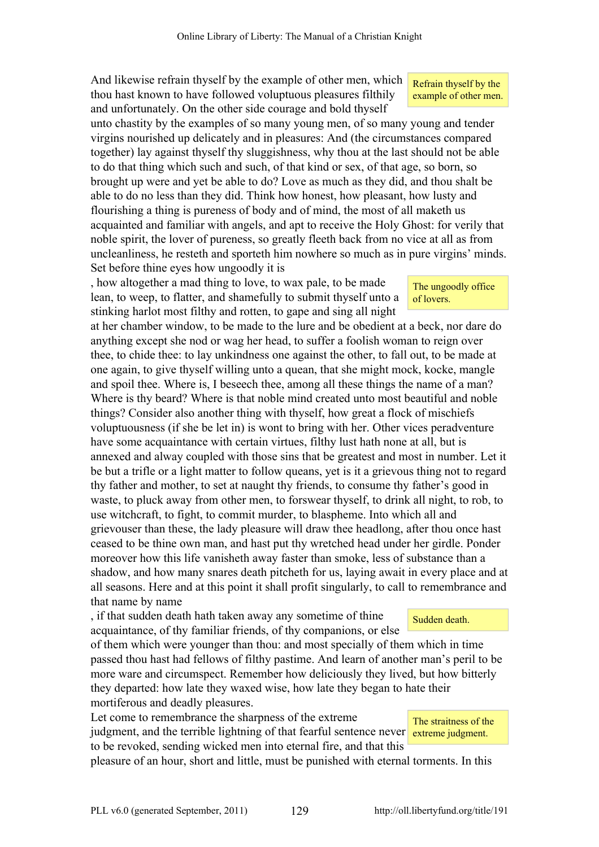And likewise refrain thyself by the example of other men, which thou hast known to have followed voluptuous pleasures filthily and unfortunately. On the other side courage and bold thyself

unto chastity by the examples of so many young men, of so many young and tender virgins nourished up delicately and in pleasures: And (the circumstances compared together) lay against thyself thy sluggishness, why thou at the last should not be able to do that thing which such and such, of that kind or sex, of that age, so born, so brought up were and yet be able to do? Love as much as they did, and thou shalt be able to do no less than they did. Think how honest, how pleasant, how lusty and flourishing a thing is pureness of body and of mind, the most of all maketh us acquainted and familiar with angels, and apt to receive the Holy Ghost: for verily that noble spirit, the lover of pureness, so greatly fleeth back from no vice at all as from uncleanliness, he resteth and sporteth him nowhere so much as in pure virgins' minds. Set before thine eyes how ungoodly it is

, how altogether a mad thing to love, to wax pale, to be made lean, to weep, to flatter, and shamefully to submit thyself unto a stinking harlot most filthy and rotten, to gape and sing all night

at her chamber window, to be made to the lure and be obedient at a beck, nor dare do anything except she nod or wag her head, to suffer a foolish woman to reign over thee, to chide thee: to lay unkindness one against the other, to fall out, to be made at one again, to give thyself willing unto a quean, that she might mock, kocke, mangle and spoil thee. Where is, I beseech thee, among all these things the name of a man? Where is thy beard? Where is that noble mind created unto most beautiful and noble things? Consider also another thing with thyself, how great a flock of mischiefs voluptuousness (if she be let in) is wont to bring with her. Other vices peradventure have some acquaintance with certain virtues, filthy lust hath none at all, but is annexed and alway coupled with those sins that be greatest and most in number. Let it be but a trifle or a light matter to follow queans, yet is it a grievous thing not to regard thy father and mother, to set at naught thy friends, to consume thy father's good in waste, to pluck away from other men, to forswear thyself, to drink all night, to rob, to use witchcraft, to fight, to commit murder, to blaspheme. Into which all and grievouser than these, the lady pleasure will draw thee headlong, after thou once hast ceased to be thine own man, and hast put thy wretched head under her girdle. Ponder moreover how this life vanisheth away faster than smoke, less of substance than a shadow, and how many snares death pitcheth for us, laying await in every place and at all seasons. Here and at this point it shall profit singularly, to call to remembrance and that name by name

, if that sudden death hath taken away any sometime of thine acquaintance, of thy familiar friends, of thy companions, or else

Sudden death.

Refrain thyself by the example of other men.

The ungoodly office

of lovers.

of them which were younger than thou: and most specially of them which in time passed thou hast had fellows of filthy pastime. And learn of another man's peril to be more ware and circumspect. Remember how deliciously they lived, but how bitterly they departed: how late they waxed wise, how late they began to hate their mortiferous and deadly pleasures.

judgment, and the terrible lightning of that fearful sentence never **extreme judgment**. Let come to remembrance the sharpness of the extreme to be revoked, sending wicked men into eternal fire, and that this

The straitness of the

pleasure of an hour, short and little, must be punished with eternal torments. In this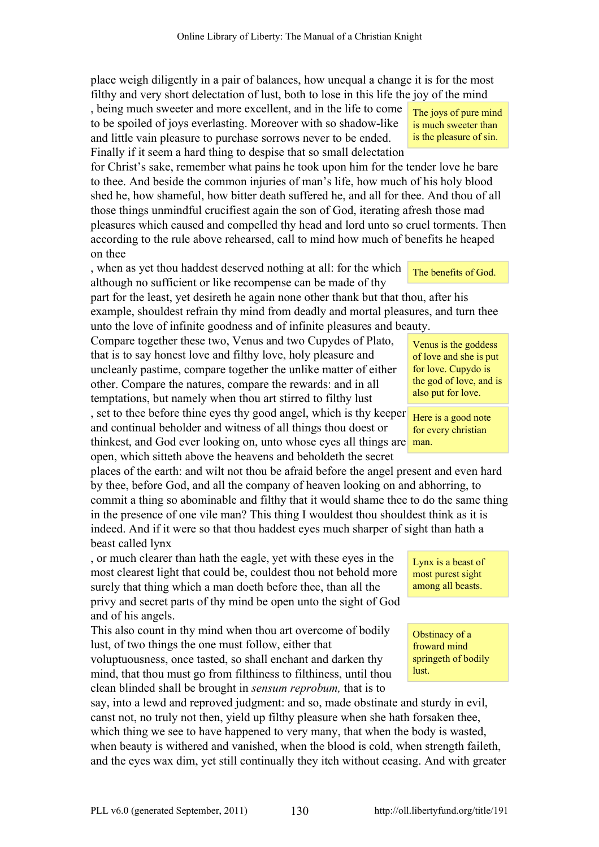place weigh diligently in a pair of balances, how unequal a change it is for the most filthy and very short delectation of lust, both to lose in this life the joy of the mind

, being much sweeter and more excellent, and in the life to come to be spoiled of joys everlasting. Moreover with so shadow-like and little vain pleasure to purchase sorrows never to be ended. Finally if it seem a hard thing to despise that so small delectation

for Christ's sake, remember what pains he took upon him for the tender love he bare to thee. And beside the common injuries of man's life, how much of his holy blood shed he, how shameful, how bitter death suffered he, and all for thee. And thou of all those things unmindful crucifiest again the son of God, iterating afresh those mad pleasures which caused and compelled thy head and lord unto so cruel torments. Then according to the rule above rehearsed, call to mind how much of benefits he heaped on thee

, when as yet thou haddest deserved nothing at all: for the which although no sufficient or like recompense can be made of thy

part for the least, yet desireth he again none other thank but that thou, after his example, shouldest refrain thy mind from deadly and mortal pleasures, and turn thee unto the love of infinite goodness and of infinite pleasures and beauty.

Compare together these two, Venus and two Cupydes of Plato, that is to say honest love and filthy love, holy pleasure and uncleanly pastime, compare together the unlike matter of either other. Compare the natures, compare the rewards: and in all temptations, but namely when thou art stirred to filthy lust

, set to thee before thine eyes thy good angel, which is thy keeper and continual beholder and witness of all things thou doest or thinkest, and God ever looking on, unto whose eyes all things are open, which sitteth above the heavens and beholdeth the secret

places of the earth: and wilt not thou be afraid before the angel present and even hard by thee, before God, and all the company of heaven looking on and abhorring, to commit a thing so abominable and filthy that it would shame thee to do the same thing in the presence of one vile man? This thing I wouldest thou shouldest think as it is indeed. And if it were so that thou haddest eyes much sharper of sight than hath a beast called lynx

, or much clearer than hath the eagle, yet with these eyes in the most clearest light that could be, couldest thou not behold more surely that thing which a man doeth before thee, than all the privy and secret parts of thy mind be open unto the sight of God and of his angels.

This also count in thy mind when thou art overcome of bodily lust, of two things the one must follow, either that voluptuousness, once tasted, so shall enchant and darken thy

mind, that thou must go from filthiness to filthiness, until thou clean blinded shall be brought in *sensum reprobum,* that is to

say, into a lewd and reproved judgment: and so, made obstinate and sturdy in evil, canst not, no truly not then, yield up filthy pleasure when she hath forsaken thee, which thing we see to have happened to very many, that when the body is wasted, when beauty is withered and vanished, when the blood is cold, when strength faileth, and the eyes wax dim, yet still continually they itch without ceasing. And with greater

Venus is the goddess of love and she is put for love. Cupydo is the god of love, and is also put for love.

The benefits of God.

Here is a good note for every christian man.

among all beasts.

Lynx is a beast of most purest sight

Obstinacy of a froward mind springeth of bodily lust.

The joys of pure mind is much sweeter than is the pleasure of sin.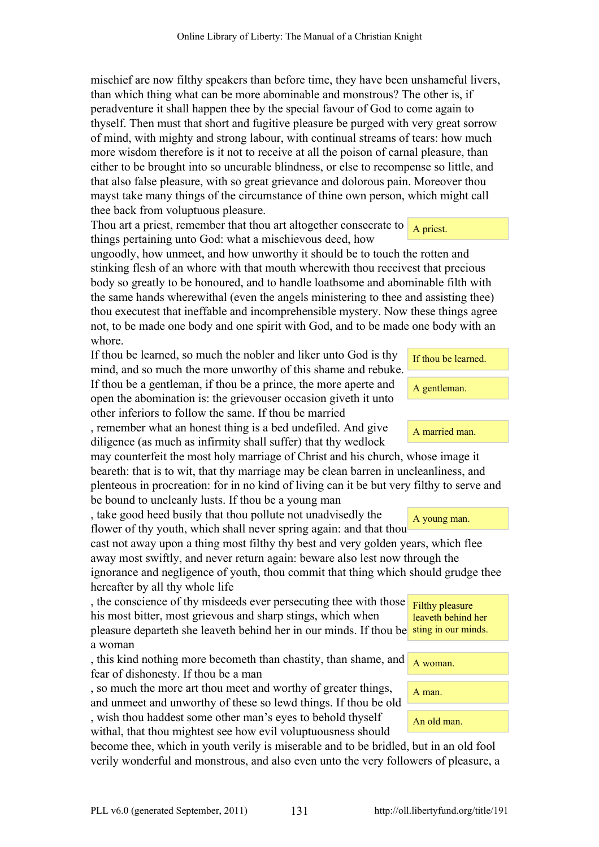mischief are now filthy speakers than before time, they have been unshameful livers, than which thing what can be more abominable and monstrous? The other is, if peradventure it shall happen thee by the special favour of God to come again to thyself. Then must that short and fugitive pleasure be purged with very great sorrow of mind, with mighty and strong labour, with continual streams of tears: how much more wisdom therefore is it not to receive at all the poison of carnal pleasure, than either to be brought into so uncurable blindness, or else to recompense so little, and that also false pleasure, with so great grievance and dolorous pain. Moreover thou mayst take many things of the circumstance of thine own person, which might call thee back from voluptuous pleasure.

Thou art a priest, remember that thou art altogether consecrate to things pertaining unto God: what a mischievous deed, how

ungoodly, how unmeet, and how unworthy it should be to touch the rotten and stinking flesh of an whore with that mouth wherewith thou receivest that precious body so greatly to be honoured, and to handle loathsome and abominable filth with the same hands wherewithal (even the angels ministering to thee and assisting thee) thou executest that ineffable and incomprehensible mystery. Now these things agree not, to be made one body and one spirit with God, and to be made one body with an whore.

If thou be learned, so much the nobler and liker unto God is thy mind, and so much the more unworthy of this shame and rebuke. If thou be a gentleman, if thou be a prince, the more aperte and open the abomination is: the grievouser occasion giveth it unto other inferiors to follow the same. If thou be married

, remember what an honest thing is a bed undefiled. And give diligence (as much as infirmity shall suffer) that thy wedlock

may counterfeit the most holy marriage of Christ and his church, whose image it beareth: that is to wit, that thy marriage may be clean barren in uncleanliness, and plenteous in procreation: for in no kind of living can it be but very filthy to serve and be bound to uncleanly lusts. If thou be a young man

, take good heed busily that thou pollute not unadvisedly the flower of thy youth, which shall never spring again: and that thou

cast not away upon a thing most filthy thy best and very golden years, which flee away most swiftly, and never return again: beware also lest now through the ignorance and negligence of youth, thou commit that thing which should grudge thee

pleasure departeth she leaveth behind her in our minds. If thou be sting in our minds. hereafter by all thy whole life , the conscience of thy misdeeds ever persecuting thee with those his most bitter, most grievous and sharp stings, which when a woman

, this kind nothing more becometh than chastity, than shame, and fear of dishonesty. If thou be a man

, so much the more art thou meet and worthy of greater things, and unmeet and unworthy of these so lewd things. If thou be old , wish thou haddest some other man's eyes to behold thyself

withal, that thou mightest see how evil voluptuousness should

become thee, which in youth verily is miserable and to be bridled, but in an old fool verily wonderful and monstrous, and also even unto the very followers of pleasure, a

A young man.

A married man.

Filthy pleasure leaveth behind her

| A woman.    |
|-------------|
|             |
| A man.      |
|             |
| An old man. |
|             |

# If thou be learned. A gentleman.

A priest.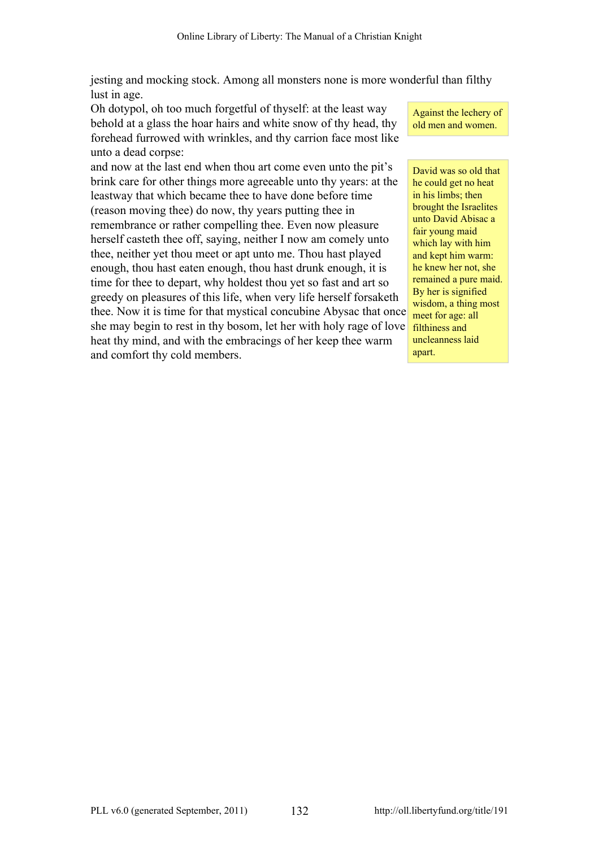jesting and mocking stock. Among all monsters none is more wonderful than filthy lust in age.

Oh dotypol, oh too much forgetful of thyself: at the least way behold at a glass the hoar hairs and white snow of thy head, thy forehead furrowed with wrinkles, and thy carrion face most like unto a dead corpse:

and now at the last end when thou art come even unto the pit's brink care for other things more agreeable unto thy years: at the leastway that which became thee to have done before time (reason moving thee) do now, thy years putting thee in remembrance or rather compelling thee. Even now pleasure herself casteth thee off, saying, neither I now am comely unto thee, neither yet thou meet or apt unto me. Thou hast played enough, thou hast eaten enough, thou hast drunk enough, it is time for thee to depart, why holdest thou yet so fast and art so greedy on pleasures of this life, when very life herself forsaketh thee. Now it is time for that mystical concubine Abysac that once she may begin to rest in thy bosom, let her with holy rage of love heat thy mind, and with the embracings of her keep thee warm and comfort thy cold members.

Against the lechery of old men and women.

David was so old that he could get no heat in his limbs; then brought the Israelites unto David Abisac a fair young maid which lay with him and kept him warm: he knew her not, she remained a pure maid. By her is signified wisdom, a thing most meet for age: all filthiness and uncleanness laid apart.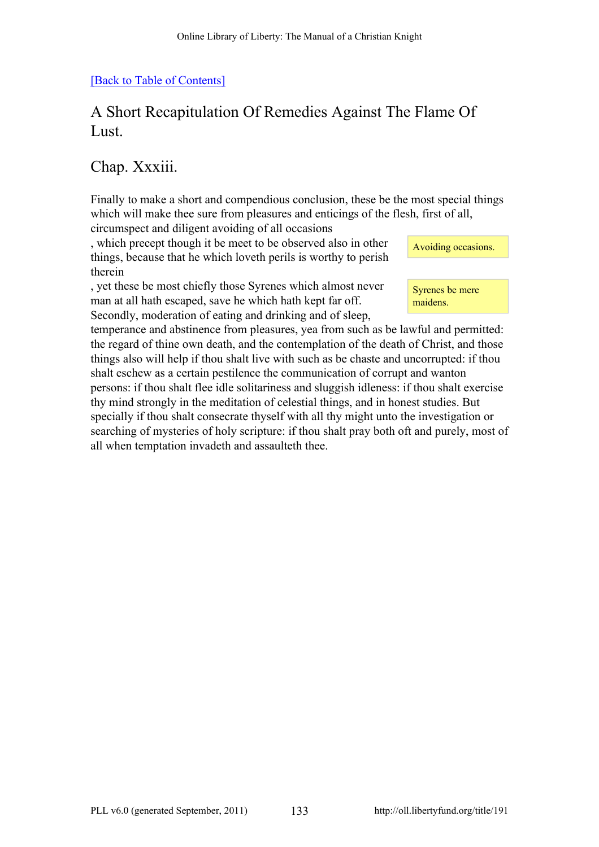# A Short Recapitulation Of Remedies Against The Flame Of Lust.

# Chap. Xxxiii.

Finally to make a short and compendious conclusion, these be the most special things which will make thee sure from pleasures and enticings of the flesh, first of all,

circumspect and diligent avoiding of all occasions

, which precept though it be meet to be observed also in other things, because that he which loveth perils is worthy to perish therein

, yet these be most chiefly those Syrenes which almost never man at all hath escaped, save he which hath kept far off. Secondly, moderation of eating and drinking and of sleep,

Avoiding occasions.

Syrenes be mere maidens.

temperance and abstinence from pleasures, yea from such as be lawful and permitted: the regard of thine own death, and the contemplation of the death of Christ, and those things also will help if thou shalt live with such as be chaste and uncorrupted: if thou shalt eschew as a certain pestilence the communication of corrupt and wanton persons: if thou shalt flee idle solitariness and sluggish idleness: if thou shalt exercise thy mind strongly in the meditation of celestial things, and in honest studies. But specially if thou shalt consecrate thyself with all thy might unto the investigation or searching of mysteries of holy scripture: if thou shalt pray both oft and purely, most of all when temptation invadeth and assaulteth thee.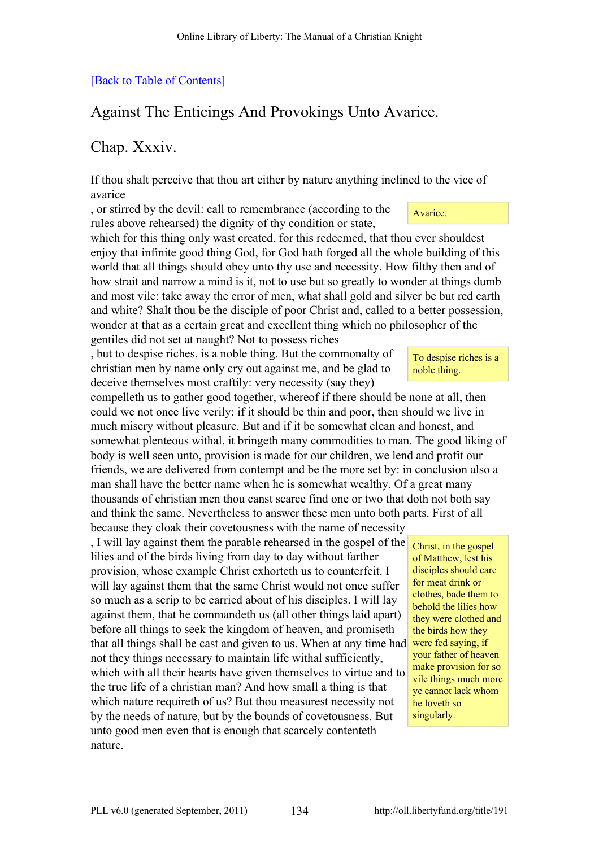# Against The Enticings And Provokings Unto Avarice.

# Chap. Xxxiv.

If thou shalt perceive that thou art either by nature anything inclined to the vice of avarice

, or stirred by the devil: call to remembrance (according to the rules above rehearsed) the dignity of thy condition or state,

which for this thing only wast created, for this redeemed, that thou ever shouldest enjoy that infinite good thing God, for God hath forged all the whole building of this world that all things should obey unto thy use and necessity. How filthy then and of how strait and narrow a mind is it, not to use but so greatly to wonder at things dumb and most vile: take away the error of men, what shall gold and silver be but red earth and white? Shalt thou be the disciple of poor Christ and, called to a better possession, wonder at that as a certain great and excellent thing which no philosopher of the gentiles did not set at naught? Not to possess riches

, but to despise riches, is a noble thing. But the commonalty of christian men by name only cry out against me, and be glad to deceive themselves most craftily: very necessity (say they)

compelleth us to gather good together, whereof if there should be none at all, then could we not once live verily: if it should be thin and poor, then should we live in much misery without pleasure. But and if it be somewhat clean and honest, and somewhat plenteous withal, it bringeth many commodities to man. The good liking of body is well seen unto, provision is made for our children, we lend and profit our friends, we are delivered from contempt and be the more set by: in conclusion also a man shall have the better name when he is somewhat wealthy. Of a great many thousands of christian men thou canst scarce find one or two that doth not both say and think the same. Nevertheless to answer these men unto both parts. First of all

because they cloak their covetousness with the name of necessity , I will lay against them the parable rehearsed in the gospel of the lilies and of the birds living from day to day without farther provision, whose example Christ exhorteth us to counterfeit. I will lay against them that the same Christ would not once suffer so much as a scrip to be carried about of his disciples. I will lay against them, that he commandeth us (all other things laid apart) before all things to seek the kingdom of heaven, and promiseth that all things shall be cast and given to us. When at any time had not they things necessary to maintain life withal sufficiently, which with all their hearts have given themselves to virtue and to the true life of a christian man? And how small a thing is that which nature requireth of us? But thou measurest necessity not by the needs of nature, but by the bounds of covetousness. But unto good men even that is enough that scarcely contenteth nature.

To despise riches is a noble thing.

Avarice.

Christ, in the gospel of Matthew, lest his disciples should care for meat drink or clothes, bade them to behold the lilies how they were clothed and the birds how they were fed saying, if your father of heaven make provision for so vile things much more ye cannot lack whom he loveth so singularly.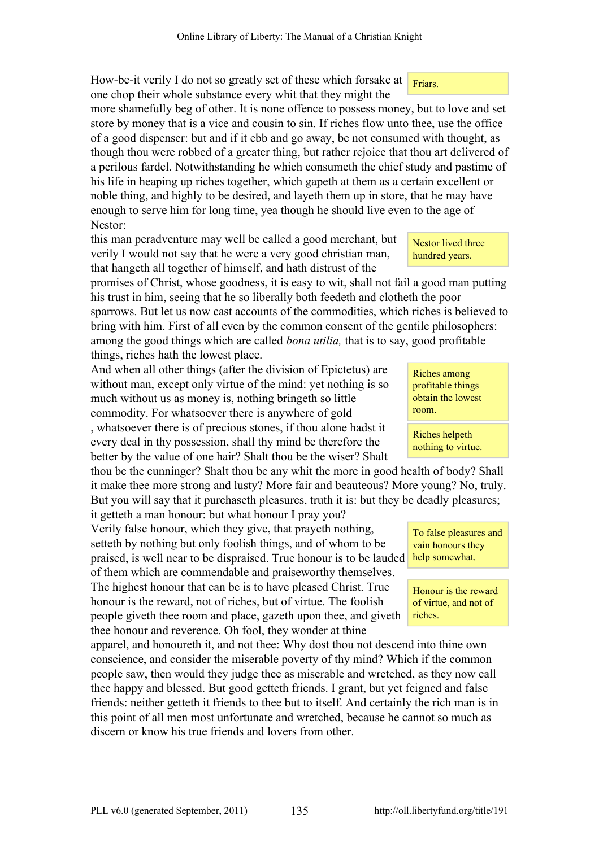Friars. How-be-it verily I do not so greatly set of these which forsake at one chop their whole substance every whit that they might the

more shamefully beg of other. It is none offence to possess money, but to love and set store by money that is a vice and cousin to sin. If riches flow unto thee, use the office of a good dispenser: but and if it ebb and go away, be not consumed with thought, as though thou were robbed of a greater thing, but rather rejoice that thou art delivered of a perilous fardel. Notwithstanding he which consumeth the chief study and pastime of his life in heaping up riches together, which gapeth at them as a certain excellent or noble thing, and highly to be desired, and layeth them up in store, that he may have enough to serve him for long time, yea though he should live even to the age of Nestor:

this man peradventure may well be called a good merchant, but verily I would not say that he were a very good christian man, that hangeth all together of himself, and hath distrust of the

promises of Christ, whose goodness, it is easy to wit, shall not fail a good man putting his trust in him, seeing that he so liberally both feedeth and clotheth the poor

sparrows. But let us now cast accounts of the commodities, which riches is believed to bring with him. First of all even by the common consent of the gentile philosophers: among the good things which are called *bona utilia,* that is to say, good profitable things, riches hath the lowest place.

And when all other things (after the division of Epictetus) are without man, except only virtue of the mind: yet nothing is so much without us as money is, nothing bringeth so little commodity. For whatsoever there is anywhere of gold , whatsoever there is of precious stones, if thou alone hadst it

every deal in thy possession, shall thy mind be therefore the better by the value of one hair? Shalt thou be the wiser? Shalt

thou be the cunninger? Shalt thou be any whit the more in good health of body? Shall it make thee more strong and lusty? More fair and beauteous? More young? No, truly. But you will say that it purchaseth pleasures, truth it is: but they be deadly pleasures; it getteth a man honour: but what honour I pray you?

Verily false honour, which they give, that prayeth nothing, setteth by nothing but only foolish things, and of whom to be praised, is well near to be dispraised. True honour is to be lauded of them which are commendable and praiseworthy themselves.

The highest honour that can be is to have pleased Christ. True honour is the reward, not of riches, but of virtue. The foolish people giveth thee room and place, gazeth upon thee, and giveth thee honour and reverence. Oh fool, they wonder at thine

apparel, and honoureth it, and not thee: Why dost thou not descend into thine own conscience, and consider the miserable poverty of thy mind? Which if the common people saw, then would they judge thee as miserable and wretched, as they now call thee happy and blessed. But good getteth friends. I grant, but yet feigned and false friends: neither getteth it friends to thee but to itself. And certainly the rich man is in this point of all men most unfortunate and wretched, because he cannot so much as discern or know his true friends and lovers from other.

To false pleasures and vain honours they help somewhat.

Honour is the reward of virtue, and not of riches.

Riches among profitable things obtain the lowest

Nestor lived three hundred years.

room. Riches helpeth

nothing to virtue.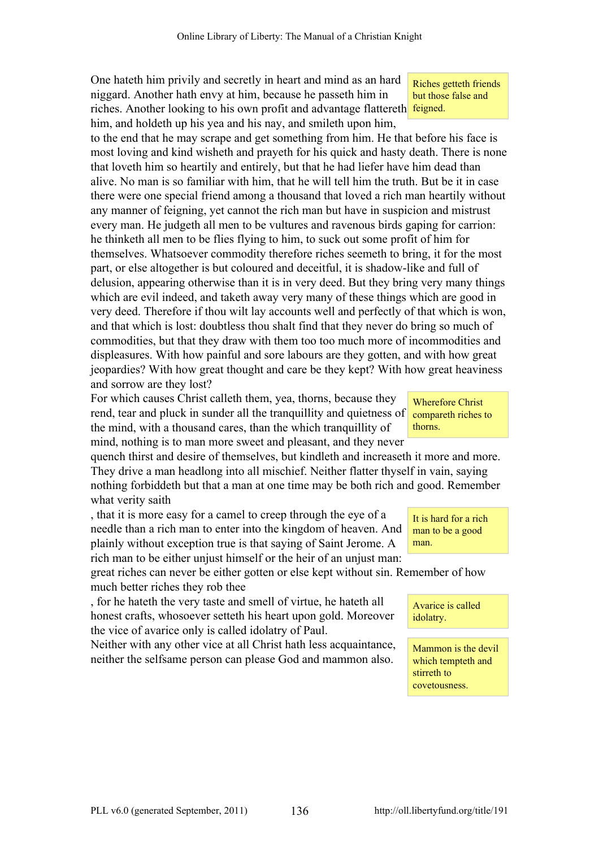riches. Another looking to his own profit and advantage flattereth feigned. One hateth him privily and secretly in heart and mind as an hard niggard. Another hath envy at him, because he passeth him in him, and holdeth up his yea and his nay, and smileth upon him,

to the end that he may scrape and get something from him. He that before his face is most loving and kind wisheth and prayeth for his quick and hasty death. There is none that loveth him so heartily and entirely, but that he had liefer have him dead than alive. No man is so familiar with him, that he will tell him the truth. But be it in case there were one special friend among a thousand that loved a rich man heartily without any manner of feigning, yet cannot the rich man but have in suspicion and mistrust every man. He judgeth all men to be vultures and ravenous birds gaping for carrion: he thinketh all men to be flies flying to him, to suck out some profit of him for themselves. Whatsoever commodity therefore riches seemeth to bring, it for the most part, or else altogether is but coloured and deceitful, it is shadow-like and full of delusion, appearing otherwise than it is in very deed. But they bring very many things which are evil indeed, and taketh away very many of these things which are good in very deed. Therefore if thou wilt lay accounts well and perfectly of that which is won, and that which is lost: doubtless thou shalt find that they never do bring so much of commodities, but that they draw with them too too much more of incommodities and displeasures. With how painful and sore labours are they gotten, and with how great jeopardies? With how great thought and care be they kept? With how great heaviness and sorrow are they lost?

For which causes Christ calleth them, yea, thorns, because they rend, tear and pluck in sunder all the tranquillity and quietness of the mind, with a thousand cares, than the which tranquillity of mind, nothing is to man more sweet and pleasant, and they never

quench thirst and desire of themselves, but kindleth and increaseth it more and more. They drive a man headlong into all mischief. Neither flatter thyself in vain, saying nothing forbiddeth but that a man at one time may be both rich and good. Remember what verity saith

, that it is more easy for a camel to creep through the eye of a needle than a rich man to enter into the kingdom of heaven. And plainly without exception true is that saying of Saint Jerome. A rich man to be either unjust himself or the heir of an unjust man:

great riches can never be either gotten or else kept without sin. Remember of how much better riches they rob thee

, for he hateth the very taste and smell of virtue, he hateth all honest crafts, whosoever setteth his heart upon gold. Moreover the vice of avarice only is called idolatry of Paul.

Neither with any other vice at all Christ hath less acquaintance, neither the selfsame person can please God and mammon also.

Riches getteth friends but those false and

Avarice is called

It is hard for a rich man to be a good

Wherefore Christ compareth riches to

thorns.

man.

idolatry.

Mammon is the devil which tempteth and stirreth to covetousness.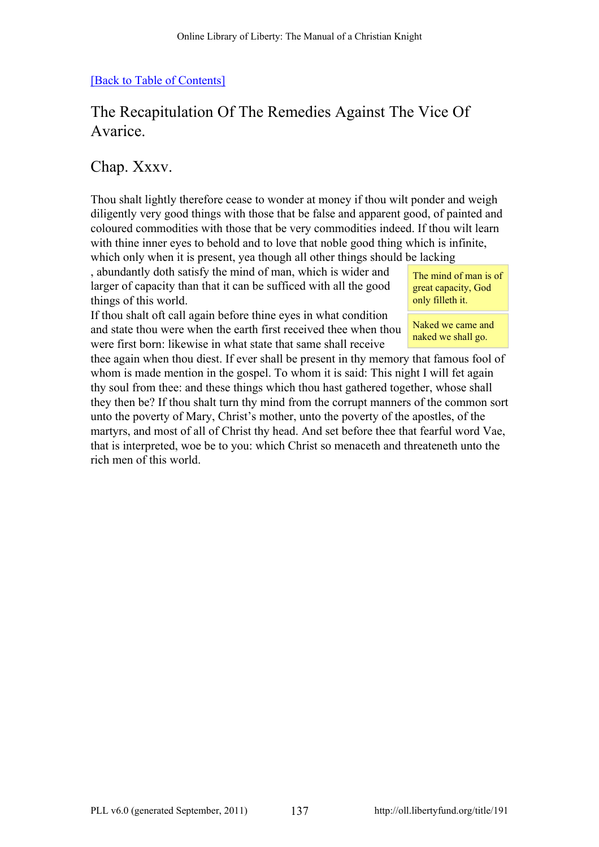# The Recapitulation Of The Remedies Against The Vice Of Avarice.

#### Chap. Xxxv.

Thou shalt lightly therefore cease to wonder at money if thou wilt ponder and weigh diligently very good things with those that be false and apparent good, of painted and coloured commodities with those that be very commodities indeed. If thou wilt learn with thine inner eyes to behold and to love that noble good thing which is infinite, which only when it is present, yea though all other things should be lacking

, abundantly doth satisfy the mind of man, which is wider and larger of capacity than that it can be sufficed with all the good things of this world.

If thou shalt oft call again before thine eyes in what condition and state thou were when the earth first received thee when thou were first born: likewise in what state that same shall receive

The mind of man is of great capacity, God only filleth it.

Naked we came and naked we shall go.

thee again when thou diest. If ever shall be present in thy memory that famous fool of whom is made mention in the gospel. To whom it is said: This night I will fet again thy soul from thee: and these things which thou hast gathered together, whose shall they then be? If thou shalt turn thy mind from the corrupt manners of the common sort unto the poverty of Mary, Christ's mother, unto the poverty of the apostles, of the martyrs, and most of all of Christ thy head. And set before thee that fearful word Vae, that is interpreted, woe be to you: which Christ so menaceth and threateneth unto the rich men of this world.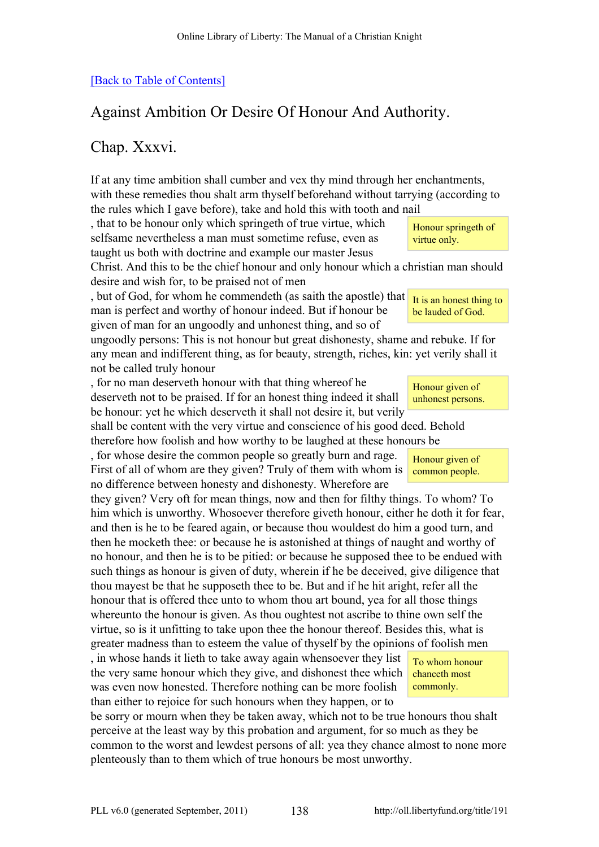# Against Ambition Or Desire Of Honour And Authority.

#### Chap. Xxxvi.

If at any time ambition shall cumber and vex thy mind through her enchantments, with these remedies thou shalt arm thyself beforehand without tarrying (according to the rules which I gave before), take and hold this with tooth and nail

, that to be honour only which springeth of true virtue, which selfsame nevertheless a man must sometime refuse, even as taught us both with doctrine and example our master Jesus

Christ. And this to be the chief honour and only honour which a christian man should desire and wish for, to be praised not of men

, but of God, for whom he commendeth (as saith the apostle) that man is perfect and worthy of honour indeed. But if honour be given of man for an ungoodly and unhonest thing, and so of

ungoodly persons: This is not honour but great dishonesty, shame and rebuke. If for any mean and indifferent thing, as for beauty, strength, riches, kin: yet verily shall it not be called truly honour

, for no man deserveth honour with that thing whereof he deserveth not to be praised. If for an honest thing indeed it shall be honour: yet he which deserveth it shall not desire it, but verily

shall be content with the very virtue and conscience of his good deed. Behold therefore how foolish and how worthy to be laughed at these honours be

, for whose desire the common people so greatly burn and rage. First of all of whom are they given? Truly of them with whom is no difference between honesty and dishonesty. Wherefore are

they given? Very oft for mean things, now and then for filthy things. To whom? To him which is unworthy. Whosoever therefore giveth honour, either he doth it for fear, and then is he to be feared again, or because thou wouldest do him a good turn, and then he mocketh thee: or because he is astonished at things of naught and worthy of no honour, and then he is to be pitied: or because he supposed thee to be endued with such things as honour is given of duty, wherein if he be deceived, give diligence that thou mayest be that he supposeth thee to be. But and if he hit aright, refer all the honour that is offered thee unto to whom thou art bound, yea for all those things whereunto the honour is given. As thou oughtest not ascribe to thine own self the virtue, so is it unfitting to take upon thee the honour thereof. Besides this, what is greater madness than to esteem the value of thyself by the opinions of foolish men

, in whose hands it lieth to take away again whensoever they list the very same honour which they give, and dishonest thee which was even now honested. Therefore nothing can be more foolish than either to rejoice for such honours when they happen, or to

be sorry or mourn when they be taken away, which not to be true honours thou shalt perceive at the least way by this probation and argument, for so much as they be common to the worst and lewdest persons of all: yea they chance almost to none more plenteously than to them which of true honours be most unworthy.

Honour springeth of virtue only.

It is an honest thing to be lauded of God.

Honour given of unhonest persons.

Honour given of common people.

PLL v6.0 (generated September, 2011) 138 http://oll.libertyfund.org/title/191

To whom honour chanceth most commonly.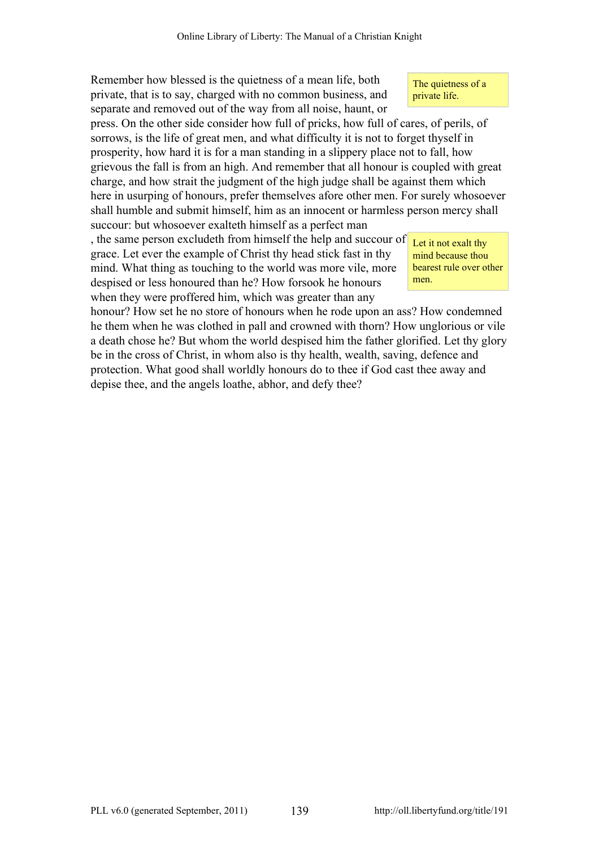Remember how blessed is the quietness of a mean life, both private, that is to say, charged with no common business, and separate and removed out of the way from all noise, haunt, or

The quietness of a private life.

press. On the other side consider how full of pricks, how full of cares, of perils, of sorrows, is the life of great men, and what difficulty it is not to forget thyself in prosperity, how hard it is for a man standing in a slippery place not to fall, how grievous the fall is from an high. And remember that all honour is coupled with great charge, and how strait the judgment of the high judge shall be against them which here in usurping of honours, prefer themselves afore other men. For surely whosoever shall humble and submit himself, him as an innocent or harmless person mercy shall succour: but whosoever exalteth himself as a perfect man

, the same person excludeth from himself the help and succour of grace. Let ever the example of Christ thy head stick fast in thy mind. What thing as touching to the world was more vile, more despised or less honoured than he? How forsook he honours when they were proffered him, which was greater than any

Let it not exalt thy mind because thou bearest rule over other men.

honour? How set he no store of honours when he rode upon an ass? How condemned he them when he was clothed in pall and crowned with thorn? How unglorious or vile a death chose he? But whom the world despised him the father glorified. Let thy glory be in the cross of Christ, in whom also is thy health, wealth, saving, defence and protection. What good shall worldly honours do to thee if God cast thee away and depise thee, and the angels loathe, abhor, and defy thee?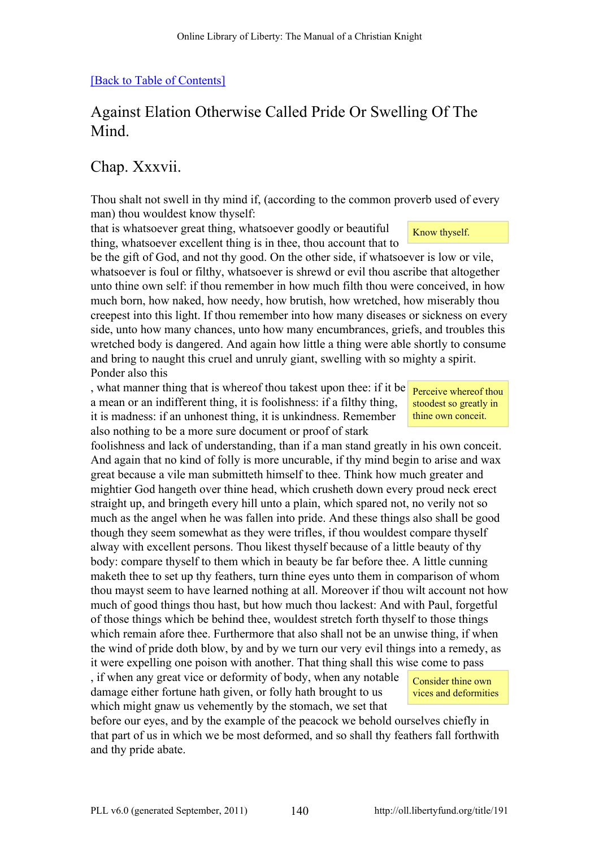# Against Elation Otherwise Called Pride Or Swelling Of The Mind.

#### Chap. Xxxvii.

Thou shalt not swell in thy mind if, (according to the common proverb used of every man) thou wouldest know thyself:

that is whatsoever great thing, whatsoever goodly or beautiful thing, whatsoever excellent thing is in thee, thou account that to

Know thyself.

Perceive whereof thou stoodest so greatly in thine own conceit.

be the gift of God, and not thy good. On the other side, if whatsoever is low or vile, whatsoever is foul or filthy, whatsoever is shrewd or evil thou ascribe that altogether unto thine own self: if thou remember in how much filth thou were conceived, in how much born, how naked, how needy, how brutish, how wretched, how miserably thou creepest into this light. If thou remember into how many diseases or sickness on every side, unto how many chances, unto how many encumbrances, griefs, and troubles this wretched body is dangered. And again how little a thing were able shortly to consume and bring to naught this cruel and unruly giant, swelling with so mighty a spirit. Ponder also this

, what manner thing that is whereof thou takest upon thee: if it be a mean or an indifferent thing, it is foolishness: if a filthy thing, it is madness: if an unhonest thing, it is unkindness. Remember also nothing to be a more sure document or proof of stark

foolishness and lack of understanding, than if a man stand greatly in his own conceit. And again that no kind of folly is more uncurable, if thy mind begin to arise and wax great because a vile man submitteth himself to thee. Think how much greater and mightier God hangeth over thine head, which crusheth down every proud neck erect straight up, and bringeth every hill unto a plain, which spared not, no verily not so much as the angel when he was fallen into pride. And these things also shall be good though they seem somewhat as they were trifles, if thou wouldest compare thyself alway with excellent persons. Thou likest thyself because of a little beauty of thy body: compare thyself to them which in beauty be far before thee. A little cunning maketh thee to set up thy feathers, turn thine eyes unto them in comparison of whom thou mayst seem to have learned nothing at all. Moreover if thou wilt account not how much of good things thou hast, but how much thou lackest: And with Paul, forgetful

of those things which be behind thee, wouldest stretch forth thyself to those things which remain afore thee. Furthermore that also shall not be an unwise thing, if when the wind of pride doth blow, by and by we turn our very evil things into a remedy, as it were expelling one poison with another. That thing shall this wise come to pass

, if when any great vice or deformity of body, when any notable damage either fortune hath given, or folly hath brought to us which might gnaw us vehemently by the stomach, we set that

Consider thine own vices and deformities

before our eyes, and by the example of the peacock we behold ourselves chiefly in that part of us in which we be most deformed, and so shall thy feathers fall forthwith and thy pride abate.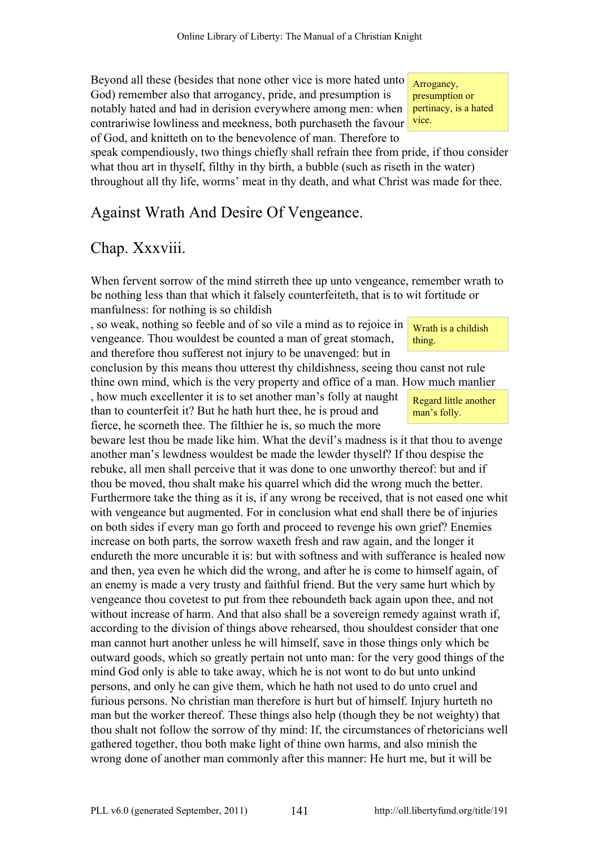Beyond all these (besides that none other vice is more hated unto God) remember also that arrogancy, pride, and presumption is notably hated and had in derision everywhere among men: when contrariwise lowliness and meekness, both purchaseth the favour of God, and knitteth on to the benevolence of man. Therefore to

Arrogancy, presumption or pertinacy, is a hated vice.

speak compendiously, two things chiefly shall refrain thee from pride, if thou consider what thou art in thyself, filthy in thy birth, a bubble (such as riseth in the water) throughout all thy life, worms' meat in thy death, and what Christ was made for thee.

# Against Wrath And Desire Of Vengeance.

# Chap. Xxxviii.

When fervent sorrow of the mind stirreth thee up unto vengeance, remember wrath to be nothing less than that which it falsely counterfeiteth, that is to wit fortitude or manfulness: for nothing is so childish

, so weak, nothing so feeble and of so vile a mind as to rejoice in vengeance. Thou wouldest be counted a man of great stomach, and therefore thou sufferest not injury to be unavenged: but in

Wrath is a childish thing.

Regard little another

man's folly.

conclusion by this means thou utterest thy childishness, seeing thou canst not rule thine own mind, which is the very property and office of a man. How much manlier

, how much excellenter it is to set another man's folly at naught than to counterfeit it? But he hath hurt thee, he is proud and fierce, he scorneth thee. The filthier he is, so much the more

beware lest thou be made like him. What the devil's madness is it that thou to avenge another man's lewdness wouldest be made the lewder thyself? If thou despise the rebuke, all men shall perceive that it was done to one unworthy thereof: but and if thou be moved, thou shalt make his quarrel which did the wrong much the better. Furthermore take the thing as it is, if any wrong be received, that is not eased one whit with vengeance but augmented. For in conclusion what end shall there be of injuries on both sides if every man go forth and proceed to revenge his own grief? Enemies increase on both parts, the sorrow waxeth fresh and raw again, and the longer it endureth the more uncurable it is: but with softness and with sufferance is healed now and then, yea even he which did the wrong, and after he is come to himself again, of an enemy is made a very trusty and faithful friend. But the very same hurt which by vengeance thou covetest to put from thee reboundeth back again upon thee, and not without increase of harm. And that also shall be a sovereign remedy against wrath if, according to the division of things above rehearsed, thou shouldest consider that one man cannot hurt another unless he will himself, save in those things only which be outward goods, which so greatly pertain not unto man: for the very good things of the mind God only is able to take away, which he is not wont to do but unto unkind persons, and only he can give them, which he hath not used to do unto cruel and furious persons. No christian man therefore is hurt but of himself. Injury hurteth no man but the worker thereof. These things also help (though they be not weighty) that thou shalt not follow the sorrow of thy mind: If, the circumstances of rhetoricians well gathered together, thou both make light of thine own harms, and also minish the wrong done of another man commonly after this manner: He hurt me, but it will be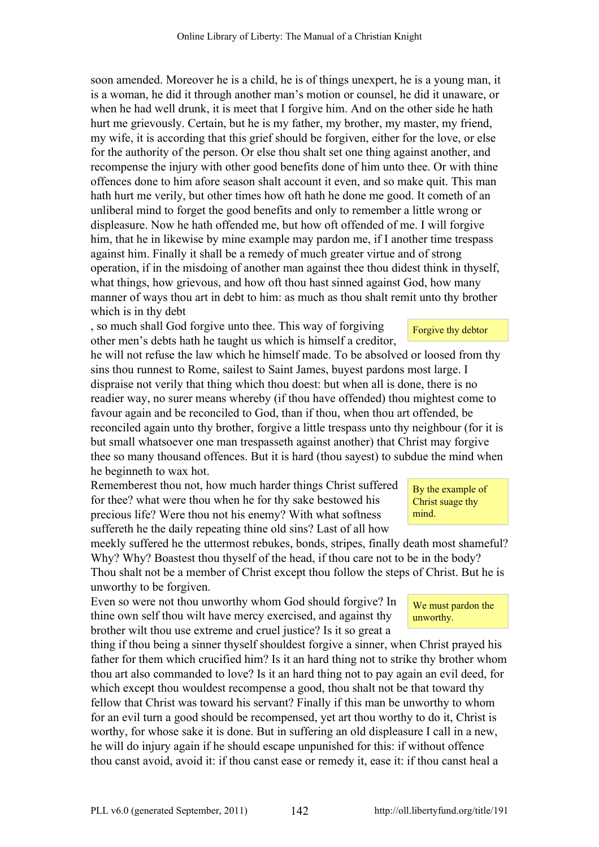soon amended. Moreover he is a child, he is of things unexpert, he is a young man, it is a woman, he did it through another man's motion or counsel, he did it unaware, or when he had well drunk, it is meet that I forgive him. And on the other side he hath hurt me grievously. Certain, but he is my father, my brother, my master, my friend, my wife, it is according that this grief should be forgiven, either for the love, or else for the authority of the person. Or else thou shalt set one thing against another, and recompense the injury with other good benefits done of him unto thee. Or with thine offences done to him afore season shalt account it even, and so make quit. This man hath hurt me verily, but other times how oft hath he done me good. It cometh of an unliberal mind to forget the good benefits and only to remember a little wrong or displeasure. Now he hath offended me, but how oft offended of me. I will forgive him, that he in likewise by mine example may pardon me, if I another time trespass against him. Finally it shall be a remedy of much greater virtue and of strong operation, if in the misdoing of another man against thee thou didest think in thyself, what things, how grievous, and how oft thou hast sinned against God, how many manner of ways thou art in debt to him: as much as thou shalt remit unto thy brother which is in thy debt

, so much shall God forgive unto thee. This way of forgiving other men's debts hath he taught us which is himself a creditor,

he will not refuse the law which he himself made. To be absolved or loosed from thy sins thou runnest to Rome, sailest to Saint James, buyest pardons most large. I dispraise not verily that thing which thou doest: but when all is done, there is no readier way, no surer means whereby (if thou have offended) thou mightest come to favour again and be reconciled to God, than if thou, when thou art offended, be reconciled again unto thy brother, forgive a little trespass unto thy neighbour (for it is but small whatsoever one man trespasseth against another) that Christ may forgive thee so many thousand offences. But it is hard (thou sayest) to subdue the mind when he beginneth to wax hot.

Rememberest thou not, how much harder things Christ suffered for thee? what were thou when he for thy sake bestowed his precious life? Were thou not his enemy? With what softness suffereth he the daily repeating thine old sins? Last of all how

meekly suffered he the uttermost rebukes, bonds, stripes, finally death most shameful? Why? Why? Boastest thou thyself of the head, if thou care not to be in the body? Thou shalt not be a member of Christ except thou follow the steps of Christ. But he is unworthy to be forgiven.

Even so were not thou unworthy whom God should forgive? In thine own self thou wilt have mercy exercised, and against thy brother wilt thou use extreme and cruel justice? Is it so great a

thing if thou being a sinner thyself shouldest forgive a sinner, when Christ prayed his father for them which crucified him? Is it an hard thing not to strike thy brother whom thou art also commanded to love? Is it an hard thing not to pay again an evil deed, for which except thou wouldest recompense a good, thou shalt not be that toward thy fellow that Christ was toward his servant? Finally if this man be unworthy to whom for an evil turn a good should be recompensed, yet art thou worthy to do it, Christ is worthy, for whose sake it is done. But in suffering an old displeasure I call in a new, he will do injury again if he should escape unpunished for this: if without offence thou canst avoid, avoid it: if thou canst ease or remedy it, ease it: if thou canst heal a

By the example of Christ suage thy mind.

We must pardon the

unworthy.

Forgive thy debtor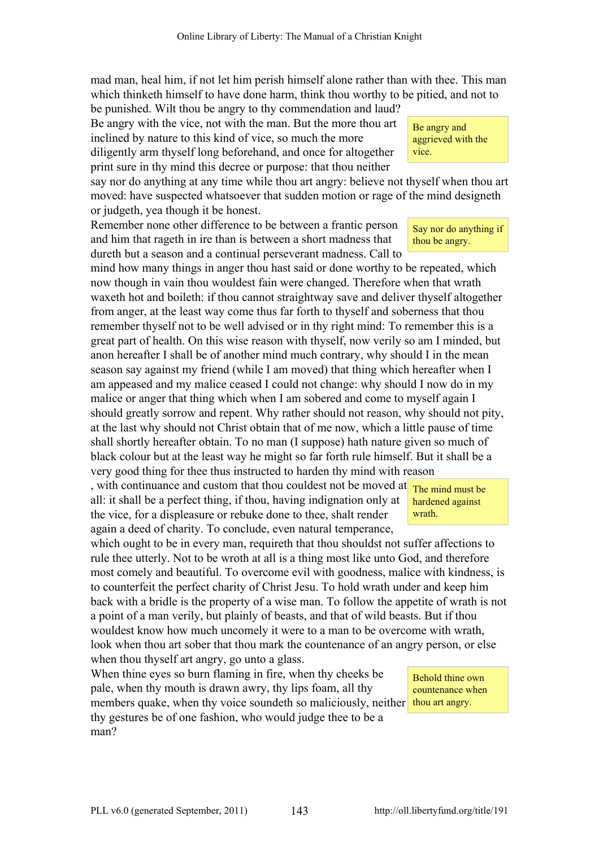mad man, heal him, if not let him perish himself alone rather than with thee. This man which thinketh himself to have done harm, think thou worthy to be pitied, and not to

be punished. Wilt thou be angry to thy commendation and laud? Be angry with the vice, not with the man. But the more thou art inclined by nature to this kind of vice, so much the more diligently arm thyself long beforehand, and once for altogether print sure in thy mind this decree or purpose: that thou neither

say nor do anything at any time while thou art angry: believe not thyself when thou art moved: have suspected whatsoever that sudden motion or rage of the mind designeth or judgeth, yea though it be honest.

Remember none other difference to be between a frantic person and him that rageth in ire than is between a short madness that dureth but a season and a continual perseverant madness. Call to

mind how many things in anger thou hast said or done worthy to be repeated, which now though in vain thou wouldest fain were changed. Therefore when that wrath waxeth hot and boileth: if thou cannot straightway save and deliver thyself altogether from anger, at the least way come thus far forth to thyself and soberness that thou remember thyself not to be well advised or in thy right mind: To remember this is a great part of health. On this wise reason with thyself, now verily so am I minded, but anon hereafter I shall be of another mind much contrary, why should I in the mean season say against my friend (while I am moved) that thing which hereafter when I am appeased and my malice ceased I could not change: why should I now do in my malice or anger that thing which when I am sobered and come to myself again I should greatly sorrow and repent. Why rather should not reason, why should not pity, at the last why should not Christ obtain that of me now, which a little pause of time shall shortly hereafter obtain. To no man (I suppose) hath nature given so much of black colour but at the least way he might so far forth rule himself. But it shall be a very good thing for thee thus instructed to harden thy mind with reason

, with continuance and custom that thou couldest not be moved at  $\frac{1}{\text{The mind must be}}$ hardened against wrath. all: it shall be a perfect thing, if thou, having indignation only at the vice, for a displeasure or rebuke done to thee, shalt render again a deed of charity. To conclude, even natural temperance,

which ought to be in every man, requireth that thou shouldst not suffer affections to rule thee utterly. Not to be wroth at all is a thing most like unto God, and therefore most comely and beautiful. To overcome evil with goodness, malice with kindness, is to counterfeit the perfect charity of Christ Jesu. To hold wrath under and keep him back with a bridle is the property of a wise man. To follow the appetite of wrath is not a point of a man verily, but plainly of beasts, and that of wild beasts. But if thou wouldest know how much uncomely it were to a man to be overcome with wrath, look when thou art sober that thou mark the countenance of an angry person, or else when thou thyself art angry, go unto a glass.

members quake, when thy voice soundeth so maliciously, neither thou art angry. When thine eyes so burn flaming in fire, when thy cheeks be pale, when thy mouth is drawn awry, thy lips foam, all thy thy gestures be of one fashion, who would judge thee to be a man?

Be angry and aggrieved with the vice.

Say nor do anything if thou be angry.

Behold thine own countenance when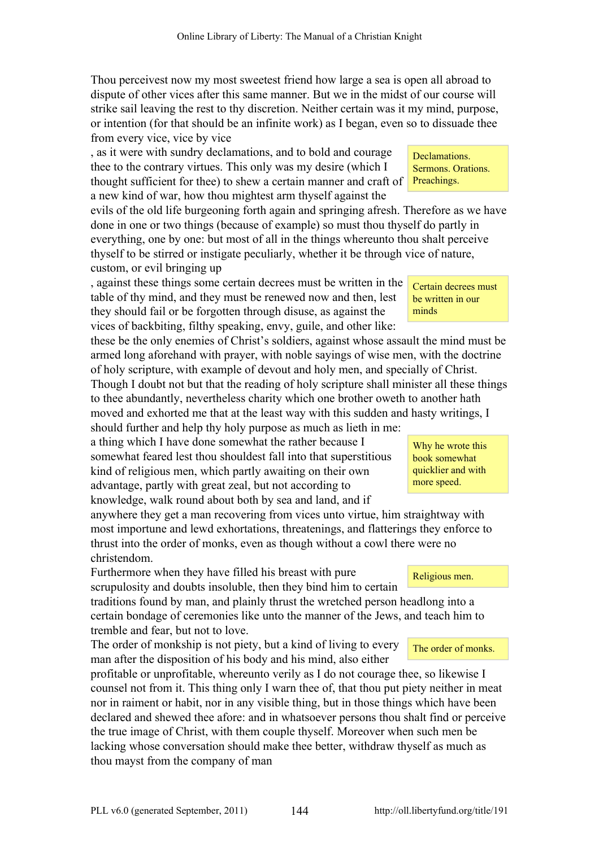Thou perceivest now my most sweetest friend how large a sea is open all abroad to dispute of other vices after this same manner. But we in the midst of our course will strike sail leaving the rest to thy discretion. Neither certain was it my mind, purpose, or intention (for that should be an infinite work) as I began, even so to dissuade thee from every vice, vice by vice

, as it were with sundry declamations, and to bold and courage thee to the contrary virtues. This only was my desire (which I thought sufficient for thee) to shew a certain manner and craft of a new kind of war, how thou mightest arm thyself against the

evils of the old life burgeoning forth again and springing afresh. Therefore as we have done in one or two things (because of example) so must thou thyself do partly in everything, one by one: but most of all in the things whereunto thou shalt perceive thyself to be stirred or instigate peculiarly, whether it be through vice of nature, custom, or evil bringing up

, against these things some certain decrees must be written in the table of thy mind, and they must be renewed now and then, lest they should fail or be forgotten through disuse, as against the vices of backbiting, filthy speaking, envy, guile, and other like:

these be the only enemies of Christ's soldiers, against whose assault the mind must be armed long aforehand with prayer, with noble sayings of wise men, with the doctrine of holy scripture, with example of devout and holy men, and specially of Christ. Though I doubt not but that the reading of holy scripture shall minister all these things to thee abundantly, nevertheless charity which one brother oweth to another hath moved and exhorted me that at the least way with this sudden and hasty writings, I should further and help thy holy purpose as much as lieth in me:

a thing which I have done somewhat the rather because I somewhat feared lest thou shouldest fall into that superstitious kind of religious men, which partly awaiting on their own advantage, partly with great zeal, but not according to knowledge, walk round about both by sea and land, and if

anywhere they get a man recovering from vices unto virtue, him straightway with most importune and lewd exhortations, threatenings, and flatterings they enforce to thrust into the order of monks, even as though without a cowl there were no christendom.

Furthermore when they have filled his breast with pure scrupulosity and doubts insoluble, then they bind him to certain

traditions found by man, and plainly thrust the wretched person headlong into a certain bondage of ceremonies like unto the manner of the Jews, and teach him to tremble and fear, but not to love.

The order of monkship is not piety, but a kind of living to every man after the disposition of his body and his mind, also either

profitable or unprofitable, whereunto verily as I do not courage thee, so likewise I counsel not from it. This thing only I warn thee of, that thou put piety neither in meat nor in raiment or habit, nor in any visible thing, but in those things which have been declared and shewed thee afore: and in whatsoever persons thou shalt find or perceive the true image of Christ, with them couple thyself. Moreover when such men be lacking whose conversation should make thee better, withdraw thyself as much as thou mayst from the company of man

Declamations. Sermons. Orations. Preachings.

Certain decrees must be written in our

minds

more speed.

Why he wrote this book somewhat quicklier and with

Religious men.

The order of monks.